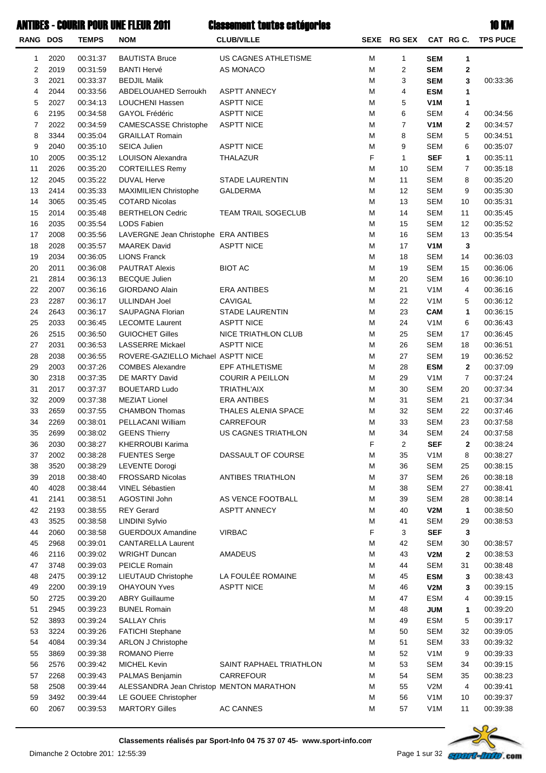### ANTIBES - COURIR POUR UNE FLEUR 2011 Classoment toutes catégories Canadian Court Classoment Classoment Court Court Classoment Court Classoment Classoment Court Classoment Classoment Classoment

| ۰. | ı |
|----|---|
|    |   |

| RANG DOS |              | <b>TEMPS</b>         | <b>NOM</b>                                    | <b>CLUB/VILLE</b>                |        | <b>SEXE RG SEX</b>      |                          | CAT RG C.      | <b>TPS PUCE</b>      |
|----------|--------------|----------------------|-----------------------------------------------|----------------------------------|--------|-------------------------|--------------------------|----------------|----------------------|
| 1        | 2020         | 00:31:37             | <b>BAUTISTA Bruce</b>                         | US CAGNES ATHLETISME             | М      | 1                       | <b>SEM</b>               | 1              |                      |
| 2        | 2019         | 00:31:59             | <b>BANTI Hervé</b>                            | AS MONACO                        | M      | 2                       | <b>SEM</b>               | 2              |                      |
| 3        | 2021         | 00:33:37             | <b>BEDJIL Malik</b>                           |                                  | М      | 3                       | <b>SEM</b>               | 3              | 00:33:36             |
| 4        | 2044         | 00:33:56             | ABDELOUAHED Serroukh                          | <b>ASPTT ANNECY</b>              | M      | $\overline{\mathbf{4}}$ | <b>ESM</b>               | 1              |                      |
| 5        | 2027         | 00:34:13             | LOUCHENI Hassen                               | <b>ASPTT NICE</b>                | M      | 5                       | V <sub>1</sub> M         | 1              |                      |
| 6        | 2195         | 00:34:58             | <b>GAYOL Frédéric</b>                         | <b>ASPTT NICE</b>                | M      | 6                       | <b>SEM</b>               | 4              | 00:34:56             |
| 7        | 2022         | 00:34:59             | <b>CAMESCASSE Christophe</b>                  | <b>ASPTT NICE</b>                | M      | $\overline{7}$          | V <sub>1</sub> M         | 2              | 00:34:57             |
| 8        | 3344         | 00:35:04             | <b>GRAILLAT Romain</b>                        |                                  | M      | 8                       | <b>SEM</b>               | 5              | 00:34:51             |
| 9        | 2040         | 00:35:10             | <b>SEICA Julien</b>                           | <b>ASPTT NICE</b>                | M      | 9                       | <b>SEM</b>               | 6              | 00:35:07             |
| 10       | 2005         | 00:35:12             | LOUISON Alexandra                             | THALAZUR                         | F      | $\mathbf{1}$            | <b>SEF</b>               | $\mathbf{1}$   | 00:35:11             |
| 11       | 2026         | 00:35:20             | <b>CORTEILLES Remy</b>                        |                                  | М      | 10                      | <b>SEM</b>               | $\overline{7}$ | 00:35:18             |
| 12       | 2045         | 00:35:22             | <b>DUVAL Herve</b>                            | <b>STADE LAURENTIN</b>           | M      | 11                      | <b>SEM</b>               | 8              | 00:35:20             |
| 13       | 2414         | 00:35:33             | MAXIMILIEN Christophe                         | <b>GALDERMA</b>                  | М      | 12                      | <b>SEM</b>               | 9              | 00:35:30             |
| 14       | 3065         | 00:35:45             | <b>COTARD Nicolas</b>                         |                                  | M      | 13                      | <b>SEM</b>               | 10             | 00:35:31             |
| 15       | 2014         | 00:35:48             | <b>BERTHELON Cedric</b>                       | TEAM TRAIL SOGECLUB              | M      | 14                      | <b>SEM</b>               | 11             | 00:35:45             |
| 16       | 2035         | 00:35:54             | LODS Fabien                                   |                                  | M      | 15                      | <b>SEM</b>               | 12             | 00:35:52             |
| 17       | 2008         | 00:35:56             | LAVERGNE Jean Christophe ERA ANTIBES          |                                  | M      | 16                      | <b>SEM</b>               | 13             | 00:35:54             |
| 18       | 2028         | 00:35:57             | <b>MAAREK David</b>                           | <b>ASPTT NICE</b>                | M      | 17                      | V <sub>1</sub> M         | 3              |                      |
| 19       | 2034         | 00:36:05             | <b>LIONS Franck</b>                           |                                  | M      | 18                      | <b>SEM</b>               | 14             | 00:36:03             |
| 20       | 2011         | 00:36:08             | <b>PAUTRAT Alexis</b>                         | <b>BIOT AC</b>                   | M      | 19                      | <b>SEM</b>               | 15             | 00:36:06             |
| 21       | 2814         | 00:36:13             | <b>BECQUE Julien</b>                          |                                  | M      | 20                      | <b>SEM</b>               | 16             | 00:36:10             |
| 22       | 2007         | 00:36:16             | GIORDANO Alain                                | <b>ERA ANTIBES</b>               | M      | 21                      | V <sub>1</sub> M         | 4              | 00:36:16             |
| 23       | 2287         | 00:36:17             | <b>ULLINDAH Joel</b>                          | CAVIGAL                          | M      | 22                      | V <sub>1</sub> M         | 5              | 00:36:12             |
| 24       | 2643         | 00:36:17             | SAUPAGNA Florian                              | <b>STADE LAURENTIN</b>           | M      | 23                      | <b>CAM</b>               | $\mathbf{1}$   | 00:36:15             |
| 25       | 2033         | 00:36:45             | <b>LECOMTE Laurent</b>                        | <b>ASPTT NICE</b>                | M      | 24                      | V <sub>1</sub> M         | 6              | 00:36:43             |
| 26       | 2515         | 00:36:50             | <b>GUIOCHET Gilles</b>                        | NICE TRIATHLON CLUB              | M      | 25                      | <b>SEM</b>               | 17             | 00:36:45             |
| 27       | 2031         | 00:36:53             | <b>LASSERRE Mickael</b>                       | <b>ASPTT NICE</b>                | M      | 26                      | <b>SEM</b>               | 18             | 00:36:51             |
| 28       | 2038         | 00:36:55             | ROVERE-GAZIELLO Michael ASPTT NICE            |                                  | М      | 27                      | <b>SEM</b>               | 19             | 00:36:52             |
| 29       | 2003         | 00:37:26             | <b>COMBES Alexandre</b>                       | EPF ATHLETISME                   | M      | 28                      | <b>ESM</b>               | $\mathbf{2}$   | 00:37:09             |
| 30       | 2318         | 00:37:35             | DE MARTY David                                | <b>COURIR A PEILLON</b>          | M      | 29                      | V <sub>1</sub> M         | $\overline{7}$ | 00:37:24             |
| 31       | 2017         | 00:37:37             | <b>BOUETARD Ludo</b>                          | <b>TRIATHL'AIX</b>               | M      | 30                      | <b>SEM</b>               | 20             | 00:37:34             |
| 32       | 2009         | 00:37:38             | <b>MEZIAT Lionel</b>                          | <b>ERA ANTIBES</b>               | M      | 31                      | <b>SEM</b>               | 21             | 00:37:34             |
| 33       | 2659         | 00:37:55             | <b>CHAMBON Thomas</b>                         | THALES ALENIA SPACE              | M      | 32                      | <b>SEM</b>               | 22             | 00:37:46             |
| 34<br>35 | 2269         | 00:38:01             | PELLACANI William                             | CARREFOUR<br>US CAGNES TRIATHLON | M      | 33                      | <b>SEM</b>               | 23             | 00:37:58             |
| 36       | 2699         | 00:38:02             | <b>GEENS Thierry</b><br>KHERROUBI Karima      |                                  | М<br>F | 34                      | <b>SEM</b>               | 24             | 00:37:58             |
| 37       | 2030<br>2002 | 00:38:27             |                                               | DASSAULT OF COURSE               | M      | $\overline{2}$<br>35    | <b>SEF</b>               | 2              | 00:38:24             |
| 38       | 3520         | 00:38:28             | <b>FUENTES Serge</b><br><b>LEVENTE Dorogi</b> |                                  | M      | 36                      | V <sub>1</sub> M         | 8              | 00:38:27             |
| 39       | 2018         | 00:38:29<br>00:38:40 | <b>FROSSARD Nicolas</b>                       | <b>ANTIBES TRIATHLON</b>         | M      | 37                      | <b>SEM</b><br><b>SEM</b> | 25<br>26       | 00:38:15<br>00:38:18 |
| 40       | 4028         | 00:38:44             | VINEL Sébastien                               |                                  | M      | 38                      | <b>SEM</b>               | 27             | 00:38:41             |
| 41       | 2141         | 00:38:51             | AGOSTINI John                                 | AS VENCE FOOTBALL                | M      | 39                      | <b>SEM</b>               | 28             | 00:38:14             |
| 42       | 2193         | 00:38:55             | <b>REY Gerard</b>                             | <b>ASPTT ANNECY</b>              | M      | 40                      | V2M                      | 1              | 00:38:50             |
| 43       | 3525         | 00:38:58             | <b>LINDINI Sylvio</b>                         |                                  | M      | 41                      | <b>SEM</b>               | 29             | 00:38:53             |
| 44       | 2060         | 00:38:58             | <b>GUERDOUX Amandine</b>                      | <b>VIRBAC</b>                    | F      | 3                       | <b>SEF</b>               | 3              |                      |
| 45       | 2968         | 00:39:01             | <b>CANTARELLA Laurent</b>                     |                                  | M      | 42                      | <b>SEM</b>               | 30             | 00:38:57             |
| 46       | 2116         | 00:39:02             | <b>WRIGHT Duncan</b>                          | <b>AMADEUS</b>                   | M      | 43                      | V2M                      | 2              | 00:38:53             |
| 47       | 3748         | 00:39:03             | <b>PEICLE Romain</b>                          |                                  | M      | 44                      | <b>SEM</b>               | 31             | 00:38:48             |
| 48       | 2475         | 00:39:12             | LIEUTAUD Christophe                           | LA FOULÉE ROMAINE                | M      | 45                      | <b>ESM</b>               | 3              | 00:38:43             |
| 49       | 2200         | 00:39:19             | <b>OHAYOUN Yves</b>                           | <b>ASPTT NICE</b>                | M      | 46                      | V2M                      | 3              | 00:39:15             |
| 50       | 2725         | 00:39:20             | <b>ABRY Guillaume</b>                         |                                  | M      | 47                      | <b>ESM</b>               | 4              | 00:39:15             |
| 51       | 2945         | 00:39:23             | <b>BUNEL Romain</b>                           |                                  | M      | 48                      | <b>JUM</b>               | 1              | 00:39:20             |
| 52       | 3893         | 00:39:24             | <b>SALLAY Chris</b>                           |                                  | М      | 49                      | <b>ESM</b>               | 5              | 00:39:17             |
| 53       | 3224         | 00:39:26             | <b>FATICHI Stephane</b>                       |                                  | M      | 50                      | <b>SEM</b>               | 32             | 00:39:05             |
| 54       | 4084         | 00:39:34             | ARLON J Christophe                            |                                  | M      | 51                      | <b>SEM</b>               | 33             | 00:39:32             |
| 55       | 3869         | 00:39:38             | <b>ROMANO Pierre</b>                          |                                  | M      | 52                      | V <sub>1</sub> M         | 9              | 00:39:33             |
| 56       | 2576         | 00:39:42             | <b>MICHEL Kevin</b>                           | SAINT RAPHAEL TRIATHLON          | M      | 53                      | <b>SEM</b>               | 34             | 00:39:15             |
| 57       | 2268         | 00:39:43             | PALMAS Benjamin                               | CARREFOUR                        | M      | 54                      | <b>SEM</b>               | 35             | 00:38:23             |
| 58       | 2508         | 00:39:44             | ALESSANDRA Jean Christop MENTON MARATHON      |                                  | M      | 55                      | V2M                      | 4              | 00:39:41             |
| 59       | 3492         | 00:39:44             | LE GOUEE Christopher                          |                                  | M      | 56                      | V <sub>1</sub> M         | 10             | 00:39:37             |
| 60       | 2067         | 00:39:53             | <b>MARTORY Gilles</b>                         | AC CANNES                        | M      | 57                      | V <sub>1</sub> M         | 11             | 00:39:38             |
|          |              |                      |                                               |                                  |        |                         |                          |                |                      |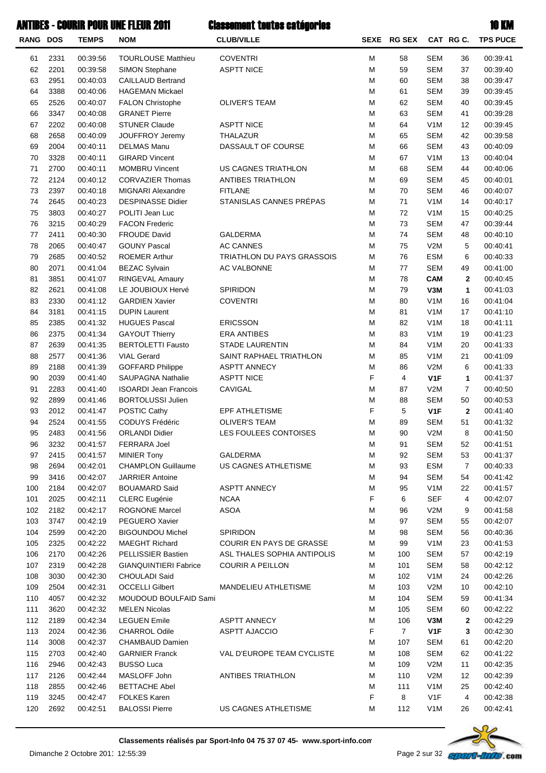| ANTIBES - COURIR POUR UNE FLEUR 2011 |      |              |                              | <b>Classement toutes catégories</b> |   |                |                  |                | <b>10 KM</b>    |  |
|--------------------------------------|------|--------------|------------------------------|-------------------------------------|---|----------------|------------------|----------------|-----------------|--|
| <b>RANG DOS</b>                      |      | <b>TEMPS</b> | <b>NOM</b>                   | <b>CLUB/VILLE</b>                   |   | SEXE RG SEX    |                  | CAT RGC.       | <b>TPS PUCE</b> |  |
| 61                                   | 2331 | 00:39:56     | <b>TOURLOUSE Matthieu</b>    | <b>COVENTRI</b>                     | M | 58             | <b>SEM</b>       | 36             | 00:39:41        |  |
| 62                                   | 2201 | 00:39:58     | SIMON Stephane               | <b>ASPTT NICE</b>                   | M | 59             | <b>SEM</b>       | 37             | 00:39:40        |  |
| 63                                   | 2951 | 00:40:03     | <b>CAILLAUD Bertrand</b>     |                                     | M | 60             | <b>SEM</b>       | 38             | 00:39:47        |  |
| 64                                   | 3388 | 00:40:06     | <b>HAGEMAN Mickael</b>       |                                     | M | 61             | <b>SEM</b>       | 39             | 00:39:45        |  |
| 65                                   | 2526 | 00:40:07     | <b>FALON Christophe</b>      | <b>OLIVER'S TEAM</b>                | M | 62             | <b>SEM</b>       | 40             | 00:39:45        |  |
| 66                                   | 3347 | 00:40:08     | <b>GRANET Pierre</b>         |                                     | M | 63             | <b>SEM</b>       | 41             | 00:39:28        |  |
| 67                                   | 2202 | 00:40:08     | <b>STUNER Claude</b>         | <b>ASPTT NICE</b>                   | M | 64             | V <sub>1</sub> M | 12             | 00:39:45        |  |
| 68                                   | 2658 | 00:40:09     | <b>JOUFFROY Jeremy</b>       | THALAZUR                            | M | 65             | <b>SEM</b>       | 42             | 00:39:58        |  |
| 69                                   | 2004 | 00:40:11     | <b>DELMAS Manu</b>           | DASSAULT OF COURSE                  | M | 66             | <b>SEM</b>       | 43             | 00:40:09        |  |
| 70                                   | 3328 | 00:40:11     | <b>GIRARD Vincent</b>        |                                     | M | 67             | V <sub>1</sub> M | 13             | 00:40:04        |  |
| 71                                   | 2700 | 00:40:11     | <b>MOMBRU Vincent</b>        | US CAGNES TRIATHLON                 | M | 68             | <b>SEM</b>       | 44             | 00:40:06        |  |
| 72                                   | 2124 | 00:40:12     | <b>CORVAZIER Thomas</b>      | <b>ANTIBES TRIATHLON</b>            | M | 69             | <b>SEM</b>       | 45             | 00:40:01        |  |
| 73                                   | 2397 | 00:40:18     | <b>MIGNARI Alexandre</b>     | <b>FITLANE</b>                      | M | 70             | <b>SEM</b>       | 46             | 00:40:07        |  |
| 74                                   | 2645 | 00:40:23     | <b>DESPINASSE Didier</b>     | STANISLAS CANNES PRÉPAS             | M | 71             | V <sub>1</sub> M | 14             | 00:40:17        |  |
| 75                                   | 3803 | 00:40:27     | POLITI Jean Luc              |                                     | M | 72             | V <sub>1</sub> M | 15             | 00:40:25        |  |
| 76                                   | 3215 | 00:40:29     | <b>FACON Frederic</b>        |                                     | M | 73             | <b>SEM</b>       | 47             | 00:39:44        |  |
| 77                                   | 2411 | 00:40:30     | <b>FROUDE David</b>          | <b>GALDERMA</b>                     | M | $74\,$         | <b>SEM</b>       | 48             | 00:40:10        |  |
| 78                                   | 2065 | 00:40:47     | <b>GOUNY Pascal</b>          | <b>AC CANNES</b>                    | M | 75             | V2M              | 5              | 00:40:41        |  |
| 79                                   | 2685 | 00:40:52     | <b>ROEMER Arthur</b>         | <b>TRIATHLON DU PAYS GRASSOIS</b>   | M | 76             | <b>ESM</b>       | 6              | 00:40:33        |  |
| 80                                   | 2071 | 00:41:04     | <b>BEZAC Sylvain</b>         | AC VALBONNE                         | M | 77             | <b>SEM</b>       | 49             | 00:41:00        |  |
| 81                                   | 3851 | 00:41:07     | RINGEVAL Amaury              |                                     | M | 78             | <b>CAM</b>       | $\mathbf{2}$   | 00:40:45        |  |
| 82                                   | 2621 | 00:41:08     | LE JOUBIOUX Hervé            | SPIRIDON                            | M | 79             | V3M              | $\mathbf{1}$   | 00:41:03        |  |
| 83                                   | 2330 | 00:41:12     | <b>GARDIEN Xavier</b>        | <b>COVENTRI</b>                     | M | 80             | V <sub>1</sub> M | 16             | 00:41:04        |  |
| 84                                   | 3181 | 00:41:15     | <b>DUPIN Laurent</b>         |                                     | M | 81             | V <sub>1</sub> M | 17             | 00:41:10        |  |
| 85                                   | 2385 | 00:41:32     | <b>HUGUES Pascal</b>         | <b>ERICSSON</b>                     | M | 82             | V <sub>1</sub> M | 18             | 00:41:11        |  |
| 86                                   | 2375 | 00:41:34     | <b>GAYOUT Thierry</b>        | <b>ERA ANTIBES</b>                  | M | 83             | V <sub>1</sub> M | 19             | 00:41:23        |  |
| 87                                   | 2639 | 00:41:35     | <b>BERTOLETTI Fausto</b>     | <b>STADE LAURENTIN</b>              | M | 84             | V <sub>1</sub> M | 20             | 00:41:33        |  |
| 88                                   | 2577 | 00:41:36     | <b>VIAL Gerard</b>           | SAINT RAPHAEL TRIATHLON             | M | 85             | V <sub>1</sub> M | 21             | 00:41:09        |  |
| 89                                   | 2188 | 00:41:39     | <b>GOFFARD Philippe</b>      | <b>ASPTT ANNECY</b>                 | M | 86             | V2M              | 6              | 00:41:33        |  |
| 90                                   | 2039 | 00:41:40     | <b>SAUPAGNA Nathalie</b>     | <b>ASPTT NICE</b>                   | F | 4              | V <sub>1</sub> F | $\mathbf{1}$   | 00:41:37        |  |
| 91                                   | 2283 | 00:41:40     | <b>ISOARDI Jean Francois</b> | <b>CAVIGAL</b>                      | M | 87             | V2M              | $\overline{7}$ | 00:40:50        |  |
| 92                                   | 2899 | 00:41:46     | <b>BORTOLUSSI Julien</b>     |                                     | М | 88             | <b>SEM</b>       | 50             | 00:40:53        |  |
| 93                                   | 2012 | 00:41:47     | POSTIC Cathy                 | EPF ATHLETISME                      | F | 5              | V <sub>1</sub> F | $\mathbf{2}$   | 00:41:40        |  |
| 94                                   | 2524 | 00:41:55     | CODUYS Frédéric              | <b>OLIVER'S TEAM</b>                | М | 89             | <b>SEM</b>       | 51             | 00:41:32        |  |
| 95                                   | 2483 | 00:41:56     | <b>ORLANDI Didier</b>        | LES FOULEES CONTOISES               | М | 90             | V2M              | 8              | 00:41:50        |  |
| 96                                   | 3232 | 00:41:57     | <b>FERRARA Joel</b>          |                                     | М | 91             | <b>SEM</b>       | 52             | 00:41:51        |  |
| 97                                   | 2415 | 00:41:57     | <b>MINIER Tony</b>           | <b>GALDERMA</b>                     | M | 92             | <b>SEM</b>       | 53             | 00:41:37        |  |
| 98                                   | 2694 | 00:42:01     | <b>CHAMPLON Guillaume</b>    | US CAGNES ATHLETISME                | M | 93             | <b>ESM</b>       | $\overline{7}$ | 00:40:33        |  |
| 99                                   | 3416 | 00:42:07     | <b>JARRIER Antoine</b>       |                                     | M | 94             | <b>SEM</b>       | 54             | 00:41:42        |  |
| 100                                  | 2184 | 00:42:07     | <b>BOUAMARD Said</b>         | <b>ASPTT ANNECY</b>                 | М | 95             | V <sub>1</sub> M | 22             | 00:41:57        |  |
| 101                                  | 2025 | 00:42:11     | <b>CLERC</b> Eugénie         | <b>NCAA</b>                         | F | 6              | <b>SEF</b>       | 4              | 00:42:07        |  |
| 102                                  | 2182 | 00:42:17     | <b>ROGNONE Marcel</b>        | <b>ASOA</b>                         | М | 96             | V2M              | 9              | 00:41:58        |  |
| 103                                  | 3747 | 00:42:19     | PEGUERO Xavier               |                                     | М | 97             | <b>SEM</b>       | 55             | 00:42:07        |  |
| 104                                  | 2599 | 00:42:20     | <b>BIGOUNDOU Michel</b>      | <b>SPIRIDON</b>                     | М | 98             | <b>SEM</b>       | 56             | 00:40:36        |  |
| 105                                  | 2325 | 00:42:22     | <b>MAEGHT Richard</b>        | COURIR EN PAYS DE GRASSE            | М | 99             | V <sub>1</sub> M | 23             | 00:41:53        |  |
| 106                                  | 2170 | 00:42:26     | PELLISSIER Bastien           | ASL THALES SOPHIA ANTIPOLIS         | М | 100            | <b>SEM</b>       | 57             | 00:42:19        |  |
| 107                                  | 2319 | 00:42:28     | <b>GIANQUINTIERI Fabrice</b> | <b>COURIR A PEILLON</b>             | М | 101            | <b>SEM</b>       | 58             | 00:42:12        |  |
| 108                                  | 3030 | 00:42:30     | CHOULADI Said                |                                     | М | 102            | V <sub>1</sub> M | 24             | 00:42:26        |  |
| 109                                  | 2504 | 00:42:31     | <b>OCCELLI Gilbert</b>       | MANDELIEU ATHLETISME                | М | 103            | V2M              | 10             | 00:42:10        |  |
| 110                                  | 4057 | 00:42:32     | MOUDOUD BOULFAID Sami        |                                     | М | 104            | <b>SEM</b>       | 59             | 00:41:34        |  |
| 111                                  | 3620 | 00:42:32     | <b>MELEN Nicolas</b>         |                                     | М | 105            | <b>SEM</b>       | 60             | 00:42:22        |  |
| 112                                  | 2189 | 00:42:34     | <b>LEGUEN Emile</b>          | <b>ASPTT ANNECY</b>                 | М | 106            | V3M              | $\mathbf{2}$   | 00:42:29        |  |
| 113                                  | 2024 | 00:42:36     | <b>CHARROL Odile</b>         | <b>ASPTT AJACCIO</b>                | F | $\overline{7}$ | V <sub>1</sub> F | 3              | 00:42:30        |  |
| 114                                  | 3008 | 00:42:37     | CHAMBAUD Damien              |                                     | М | 107            | <b>SEM</b>       | 61             | 00:42:20        |  |
| 115                                  | 2703 | 00:42:40     | <b>GARNIER Franck</b>        | VAL D'EUROPE TEAM CYCLISTE          | М | 108            | <b>SEM</b>       | 62             | 00:41:22        |  |
| 116                                  | 2946 | 00:42:43     | <b>BUSSO Luca</b>            |                                     | М | 109            | V2M              | 11             | 00:42:35        |  |
| 117                                  | 2126 | 00:42:44     | MASLOFF John                 | <b>ANTIBES TRIATHLON</b>            | M | 110            | V2M              | 12             | 00:42:39        |  |
| 118                                  | 2855 | 00:42:46     | <b>BETTACHE Abel</b>         |                                     | M | 111            | V <sub>1</sub> M | 25             | 00:42:40        |  |
| 119                                  | 3245 | 00:42:47     | FOLKES Karen                 |                                     | F | 8              | V <sub>1</sub> F | 4              | 00:42:38        |  |



120 2692 00:42:51 BALOSSI Pierre US CAGNES ATHLETISME M 112 V1M 26 00:42:41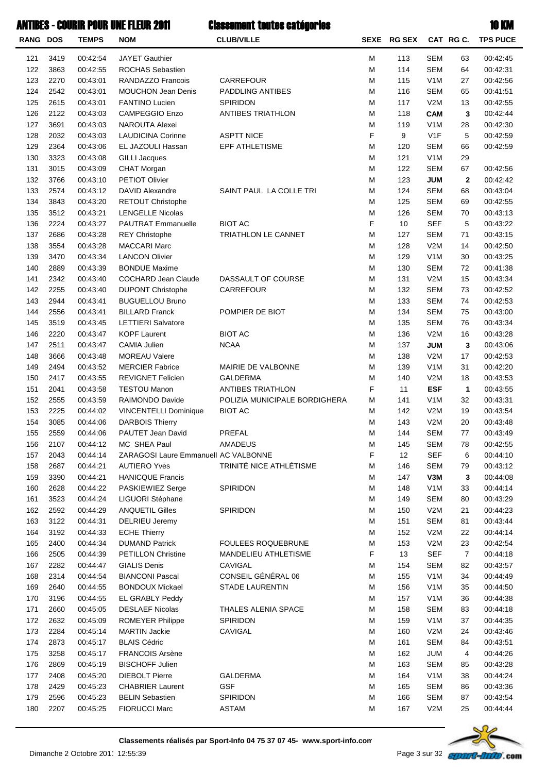| <b>RANG DOS</b> |              | <b>TEMPS</b>         | <b>NOM</b>                                       | <b>CLUB/VILLE</b>             | <b>SEXE</b> | <b>RG SEX</b> |                                | CAT RG C.    | <b>TPS PUCE</b>      |
|-----------------|--------------|----------------------|--------------------------------------------------|-------------------------------|-------------|---------------|--------------------------------|--------------|----------------------|
| 121             | 3419         | 00:42:54             | <b>JAYET Gauthier</b>                            |                               | M           | 113           | <b>SEM</b>                     | 63           | 00:42:45             |
| 122             | 3863         | 00:42:55             | ROCHAS Sebastien                                 |                               | M           | 114           | <b>SEM</b>                     | 64           | 00:42:31             |
| 123             | 2270         | 00:43:01             | RANDAZZO Francois                                | CARREFOUR                     | M           | 115           | V <sub>1</sub> M               | 27           | 00:42:56             |
| 124             | 2542         | 00:43:01             | <b>MOUCHON Jean Denis</b>                        | PADDLING ANTIBES              | M           | 116           | <b>SEM</b>                     | 65           | 00:41:51             |
| 125             | 2615         | 00:43:01             | <b>FANTINO Lucien</b>                            | SPIRIDON                      | M           | 117           | V2M                            | 13           | 00:42:55             |
| 126             | 2122         | 00:43:03             | <b>CAMPEGGIO Enzo</b>                            | <b>ANTIBES TRIATHLON</b>      | M           | 118           | <b>CAM</b>                     | 3            | 00:42:44             |
| 127             | 3691         | 00:43:03             | <b>NAROUTA Alexei</b>                            |                               | M           | 119           | V <sub>1</sub> M               | 28           | 00:42:30             |
| 128             | 2032         | 00:43:03             | <b>LAUDICINA Corinne</b>                         | <b>ASPTT NICE</b>             | F           | 9             | V <sub>1</sub> F               | 5            | 00:42:59             |
| 129             | 2364         | 00:43:06             | EL JAZOULI Hassan                                | EPF ATHLETISME                | M           | 120           | <b>SEM</b>                     | 66           | 00:42:59             |
| 130             | 3323         | 00:43:08             | <b>GILLI Jacques</b>                             |                               | M           | 121           | V <sub>1</sub> M               | 29           |                      |
| 131             | 3015         | 00:43:09             | CHAT Morgan                                      |                               | M           | 122           | <b>SEM</b>                     | 67           | 00:42:56             |
| 132             | 3766         | 00:43:10             | PETIOT Olivier                                   |                               | M           | 123           | <b>JUM</b>                     | $\mathbf{2}$ | 00:42:42             |
| 133             | 2574         | 00:43:12             | DAVID Alexandre                                  | SAINT PAUL LA COLLE TRI       | M           | 124           | <b>SEM</b>                     | 68           | 00:43:04             |
| 134             | 3843         | 00:43:20             | RETOUT Christophe                                |                               | M           | 125           | <b>SEM</b>                     | 69           | 00:42:55             |
| 135             | 3512<br>2224 | 00:43:21             | <b>LENGELLE Nicolas</b>                          | <b>BIOT AC</b>                | M<br>F      | 126           | <b>SEM</b><br><b>SEF</b>       | 70           | 00:43:13             |
| 136<br>137      | 2686         | 00:43:27<br>00:43:28 | PAUTRAT Emmanuelle                               | TRIATHLON LE CANNET           | M           | 10<br>127     | <b>SEM</b>                     | 5<br>71      | 00:43:22<br>00:43:15 |
| 138             | 3554         | 00:43:28             | <b>REY Christophe</b><br><b>MACCARI Marc</b>     |                               | M           | 128           | V2M                            | 14           | 00:42:50             |
| 139             | 3470         | 00:43:34             | <b>LANCON Olivier</b>                            |                               | M           | 129           | V <sub>1</sub> M               | 30           | 00:43:25             |
| 140             | 2889         | 00:43:39             | <b>BONDUE Maxime</b>                             |                               | M           | 130           | <b>SEM</b>                     | 72           | 00:41:38             |
| 141             | 2342         | 00:43:40             | COCHARD Jean Claude                              | DASSAULT OF COURSE            | M           | 131           | V2M                            | 15           | 00:43:34             |
| 142             | 2255         | 00:43:40             | <b>DUPONT Christophe</b>                         | CARREFOUR                     | M           | 132           | <b>SEM</b>                     | 73           | 00:42:52             |
| 143             | 2944         | 00:43:41             | <b>BUGUELLOU Bruno</b>                           |                               | M           | 133           | <b>SEM</b>                     | 74           | 00:42:53             |
| 144             | 2556         | 00:43:41             | <b>BILLARD Franck</b>                            | POMPIER DE BIOT               | M           | 134           | <b>SEM</b>                     | 75           | 00:43:00             |
| 145             | 3519         | 00:43:45             | <b>LETTIERI Salvatore</b>                        |                               | M           | 135           | <b>SEM</b>                     | 76           | 00:43:34             |
| 146             | 2220         | 00:43:47             | <b>KOPF Laurent</b>                              | <b>BIOT AC</b>                | M           | 136           | V2M                            | 16           | 00:43:28             |
| 147             | 2511         | 00:43:47             | CAMIA Julien                                     | <b>NCAA</b>                   | M           | 137           | <b>JUM</b>                     | 3            | 00:43:06             |
| 148             | 3666         | 00:43:48             | <b>MOREAU Valere</b>                             |                               | M           | 138           | V2M                            | 17           | 00:42:53             |
| 149             | 2494         | 00:43:52             | <b>MERCIER Fabrice</b>                           | MAIRIE DE VALBONNE            | M           | 139           | V <sub>1</sub> M               | 31           | 00:42:20             |
| 150             | 2417         | 00:43:55             | REVIGNET Felicien                                | <b>GALDERMA</b>               | M           | 140           | V2M                            | 18           | 00:43:53             |
| 151             | 2041         | 00:43:58             | <b>TESTOU Manon</b>                              | <b>ANTIBES TRIATHLON</b>      | F           | 11            | <b>ESF</b>                     | 1            | 00:43:55             |
| 152             | 2555         | 00:43:59             | RAIMONDO Davide                                  | POLIZIA MUNICIPALE BORDIGHERA | M           | 141           | V <sub>1</sub> M               | 32           | 00:43:31             |
| 153             | 2225         | 00:44:02             | VINCENTELLI Dominique                            | <b>BIOT AC</b>                | M           | 142           | V2M                            | 19           | 00:43:54             |
| 154             | 3085         | 00:44:06             | <b>DARBOIS Thierry</b>                           |                               | M           | 143           | V2M                            | 20           | 00:43:48             |
| 155             | 2559         | 00:44:06             | PAUTET Jean David                                | PREFAL                        | M           | 144           | <b>SEM</b>                     | 77           | 00:43:49             |
| 156             | 2107         | 00:44:12             | MC SHEA Paul                                     | AMADEUS                       | M           | 145           | <b>SEM</b>                     | 78           | 00:42:55             |
| 157             | 2043         | 00:44:14             | ZARAGOSI Laure Emmanuell AC VALBONNE             | TRINITÉ NICE ATHLÉTISME       | F           | 12            | <b>SEF</b>                     | 6            | 00:44:10             |
| 158<br>159      | 2687<br>3390 | 00:44:21<br>00:44:21 | <b>AUTIERO Yves</b><br><b>HANICQUE Francis</b>   |                               | M<br>M      | 146<br>147    | SEM<br>V3M                     | 79<br>3      | 00:43:12<br>00:44:08 |
| 160             | 2628         | 00:44:22             | PASKIEWIEZ Serge                                 | SPIRIDON                      | M           | 148           | V <sub>1</sub> M               | 33           | 00:44:14             |
| 161             | 3523         | 00:44:24             | LIGUORI Stéphane                                 |                               | M           | 149           | <b>SEM</b>                     | 80           | 00:43:29             |
| 162             | 2592         | 00:44:29             | <b>ANQUETIL Gilles</b>                           | SPIRIDON                      | M           | 150           | V2M                            | 21           | 00:44:23             |
| 163             | 3122         | 00:44:31             | DELRIEU Jeremy                                   |                               | M           | 151           | SEM                            | 81           | 00:43:44             |
| 164             | 3192         | 00:44:33             | <b>ECHE Thierry</b>                              |                               | M           | 152           | V2M                            | 22           | 00:44:14             |
| 165             | 2400         | 00:44:34             | <b>DUMAND Patrick</b>                            | <b>FOULEES ROQUEBRUNE</b>     | M           | 153           | V2M                            | 23           | 00:42:54             |
| 166             | 2505         | 00:44:39             | <b>PETILLON Christine</b>                        | MANDELIEU ATHLETISME          | F           | 13            | <b>SEF</b>                     | 7            | 00:44:18             |
| 167             | 2282         | 00:44:47             | <b>GIALIS Denis</b>                              | CAVIGAL                       | M           | 154           | SEM                            | 82           | 00:43:57             |
| 168             | 2314         | 00:44:54             | <b>BIANCONI Pascal</b>                           | CONSEIL GÉNÉRAL 06            | M           | 155           | V <sub>1</sub> M               | 34           | 00:44:49             |
| 169             | 2640         | 00:44:55             | <b>BONDOUX Mickael</b>                           | <b>STADE LAURENTIN</b>        | M           | 156           | V <sub>1</sub> M               | 35           | 00:44:50             |
| 170             | 3196         | 00:44:55             | EL GRABLY Peddy                                  |                               | M           | 157           | V <sub>1</sub> M               | 36           | 00:44:38             |
| 171             | 2660         | 00:45:05             | <b>DESLAEF Nicolas</b>                           | THALES ALENIA SPACE           | M           | 158           | SEM                            | 83           | 00:44:18             |
| 172             | 2632         | 00:45:09             | ROMEYER Philippe                                 | SPIRIDON                      | M           | 159           | V <sub>1</sub> M               | 37           | 00:44:35             |
| 173             | 2284         | 00:45:14             | <b>MARTIN Jackie</b>                             | CAVIGAL                       | M           | 160           | V2M                            | 24           | 00:43:46             |
| 174             | 2873         | 00:45:17             | <b>BLAIS Cédric</b>                              |                               | M           | 161           | SEM                            | 84           | 00:43:51             |
| 175             | 3258         | 00:45:17             | <b>FRANCOIS Arsène</b>                           |                               | M           | 162           | JUM                            | 4            | 00:44:26             |
| 176             | 2869         | 00:45:19             | <b>BISCHOFF Julien</b>                           |                               | M           | 163           | SEM                            | 85           | 00:43:28             |
| 177<br>178      | 2408<br>2429 | 00:45:20<br>00:45:23 | <b>DIEBOLT Pierre</b><br><b>CHABRIER Laurent</b> | <b>GALDERMA</b><br><b>GSF</b> | M<br>M      | 164<br>165    | V <sub>1</sub> M<br><b>SEM</b> | 38<br>86     | 00:44:24<br>00:43:36 |
| 179             | 2596         | 00:45:23             | <b>BELIN Sebastien</b>                           | SPIRIDON                      | M           | 166           | <b>SEM</b>                     | 87           | 00:43:54             |
| 180             | 2207         | 00:45:25             | <b>FIORUCCI Marc</b>                             | <b>ASTAM</b>                  | M           | 167           | V2M                            | 25           | 00:44:44             |
|                 |              |                      |                                                  |                               |             |               |                                |              |                      |

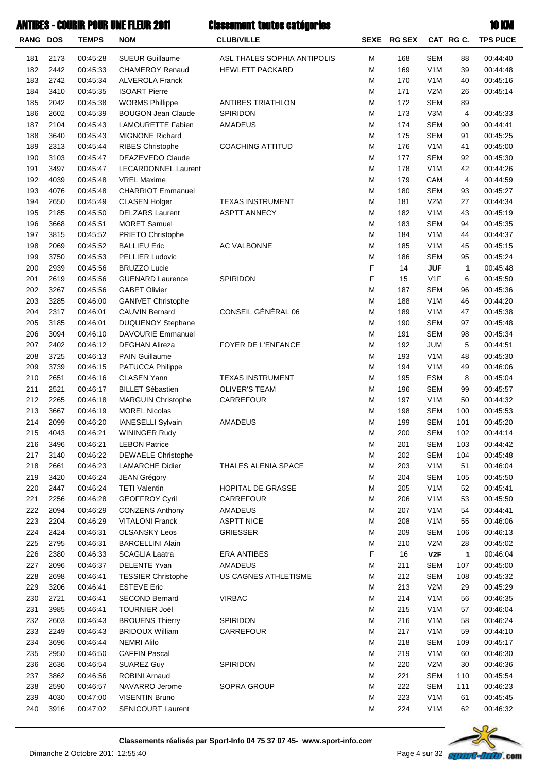| RANG DOS |      | <b>TEMPS</b> | <b>NOM</b>                 | <b>CLUB/VILLE</b>           |   | SEXE RG SEX |                  | CAT RG C.    | <b>TPS PUCE</b> |
|----------|------|--------------|----------------------------|-----------------------------|---|-------------|------------------|--------------|-----------------|
| 181      | 2173 | 00:45:28     | <b>SUEUR Guillaume</b>     | ASL THALES SOPHIA ANTIPOLIS | М | 168         | <b>SEM</b>       | 88           | 00:44:40        |
| 182      | 2442 | 00:45:33     | <b>CHAMEROY Renaud</b>     | <b>HEWLETT PACKARD</b>      | M | 169         | V <sub>1</sub> M | 39           | 00:44:48        |
| 183      | 2742 | 00:45:34     | <b>ALVEROLA Franck</b>     |                             | M | 170         | V <sub>1</sub> M | 40           | 00:45:16        |
| 184      | 3410 | 00:45:35     | <b>ISOART Pierre</b>       |                             | М | 171         | V2M              | 26           | 00:45:14        |
| 185      | 2042 | 00:45:38     | <b>WORMS Phillippe</b>     | ANTIBES TRIATHLON           | М | 172         | <b>SEM</b>       | 89           |                 |
| 186      | 2602 | 00:45:39     | <b>BOUGON Jean Claude</b>  | <b>SPIRIDON</b>             | M | 173         | V3M              | 4            | 00:45:33        |
| 187      | 2104 | 00:45:43     | <b>LAMOURETTE Fabien</b>   | <b>AMADEUS</b>              | M | 174         | <b>SEM</b>       | 90           | 00:44:41        |
| 188      | 3640 | 00:45:43     | <b>MIGNONE Richard</b>     |                             | M | 175         | <b>SEM</b>       | 91           | 00:45:25        |
| 189      | 2313 | 00:45:44     | <b>RIBES Christophe</b>    | <b>COACHING ATTITUD</b>     | M | 176         | V <sub>1</sub> M | 41           | 00:45:00        |
| 190      | 3103 | 00:45:47     | DEAZEVEDO Claude           |                             | M | 177         | <b>SEM</b>       | 92           | 00:45:30        |
| 191      | 3497 | 00:45:47     | <b>LECARDONNEL Laurent</b> |                             | M | 178         | V <sub>1</sub> M | 42           | 00:44:26        |
| 192      | 4039 | 00:45:48     | <b>VREL Maxime</b>         |                             | M | 179         | CAM              | 4            | 00:44:59        |
| 193      | 4076 | 00:45:48     | <b>CHARRIOT Emmanuel</b>   |                             | M | 180         | <b>SEM</b>       | 93           | 00:45:27        |
| 194      | 2650 | 00:45:49     | <b>CLASEN Holger</b>       | <b>TEXAS INSTRUMENT</b>     | М | 181         | V2M              | 27           | 00:44:34        |
| 195      | 2185 | 00:45:50     | <b>DELZARS Laurent</b>     | <b>ASPTT ANNECY</b>         | M | 182         | V <sub>1</sub> M | 43           | 00:45:19        |
| 196      | 3668 | 00:45:51     | <b>MORET Samuel</b>        |                             | M | 183         | <b>SEM</b>       | 94           | 00:45:35        |
| 197      | 3815 | 00:45:52     | PRIETO Christophe          |                             | М | 184         | V <sub>1</sub> M | 44           | 00:44:37        |
| 198      | 2069 | 00:45:52     | <b>BALLIEU Eric</b>        | AC VALBONNE                 | M | 185         | V <sub>1</sub> M | 45           | 00:45:15        |
| 199      | 3750 | 00:45:53     | PELLIER Ludovic            |                             | M | 186         | <b>SEM</b>       | 95           | 00:45:24        |
| 200      | 2939 | 00:45:56     | <b>BRUZZO Lucie</b>        |                             | F | 14          | <b>JUF</b>       | 1            | 00:45:48        |
| 201      | 2619 | 00:45:56     | <b>GUENARD Laurence</b>    | SPIRIDON                    | F | 15          | V1F              | 6            | 00:45:50        |
| 202      | 3267 | 00:45:56     | <b>GABET Olivier</b>       |                             | M | 187         | <b>SEM</b>       | 96           | 00:45:36        |
| 203      | 3285 | 00:46:00     | <b>GANIVET Christophe</b>  |                             | M | 188         | V <sub>1</sub> M | 46           | 00:44:20        |
| 204      | 2317 | 00:46:01     | <b>CAUVIN Bernard</b>      | CONSEIL GÉNÉRAL 06          | М | 189         | V <sub>1</sub> M | 47           | 00:45:38        |
| 205      | 3185 | 00:46:01     | <b>DUQUENOY Stephane</b>   |                             | M | 190         | <b>SEM</b>       | 97           | 00:45:48        |
| 206      | 3094 | 00:46:10     | DAVOURIE Emmanuel          |                             | М | 191         | <b>SEM</b>       | 98           | 00:45:34        |
| 207      | 2402 | 00:46:12     | <b>DEGHAN Alireza</b>      | FOYER DE L'ENFANCE          | М | 192         | <b>JUM</b>       | 5            | 00:44:51        |
| 208      | 3725 | 00:46:13     | <b>PAIN Guillaume</b>      |                             | М | 193         | V <sub>1</sub> M | 48           | 00:45:30        |
| 209      | 3739 | 00:46:15     | PATUCCA Philippe           |                             | М | 194         | V <sub>1</sub> M | 49           | 00:46:06        |
| 210      | 2651 | 00:46:16     | <b>CLASEN Yann</b>         | <b>TEXAS INSTRUMENT</b>     | М | 195         | <b>ESM</b>       | 8            | 00:45:04        |
| 211      | 2521 | 00:46:17     | <b>BILLET Sébastien</b>    | <b>OLIVER'S TEAM</b>        | М | 196         | <b>SEM</b>       | 99           | 00:45:57        |
| 212      | 2265 | 00:46:18     | <b>MARGUIN Christophe</b>  | CARREFOUR                   | М | 197         | V <sub>1</sub> M | 50           | 00:44:32        |
| 213      | 3667 | 00:46:19     | <b>MOREL Nicolas</b>       |                             | М | 198         | <b>SEM</b>       | 100          | 00:45:53        |
| 214      | 2099 | 00:46:20     | IANESELLI Sylvain          | AMADEUS                     | М | 199         | <b>SEM</b>       | 101          | 00:45:20        |
| 215      | 4043 | 00:46:21     | <b>WININGER Rudy</b>       |                             | М | 200         | <b>SEM</b>       | 102          | 00:44:14        |
| 216      | 3496 | 00:46:21     | <b>LEBON Patrice</b>       |                             | M | 201         | SEM              | 103          | 00:44:42        |
| 217      | 3140 | 00:46:22     | DEWAELE Christophe         |                             | M | 202         | <b>SEM</b>       | 104          | 00:45:48        |
| 218      | 2661 | 00:46:23     | <b>LAMARCHE Didier</b>     | THALES ALENIA SPACE         | M | 203         | V <sub>1</sub> M | 51           | 00:46:04        |
| 219      | 3420 | 00:46:24     | <b>JEAN Grégory</b>        |                             | M | 204         | <b>SEM</b>       | 105          | 00:45:50        |
| 220      | 2447 | 00:46:24     | <b>TETI Valentin</b>       | HOPITAL DE GRASSE           | M | 205         | V <sub>1</sub> M | 52           | 00:45:41        |
| 221      | 2256 | 00:46:28     | <b>GEOFFROY Cyril</b>      | CARREFOUR                   | M | 206         | V <sub>1</sub> M | 53           | 00:45:50        |
| 222      | 2094 | 00:46:29     | <b>CONZENS Anthony</b>     | AMADEUS                     | M | 207         | V <sub>1</sub> M | 54           | 00:44:41        |
| 223      | 2204 | 00:46:29     | <b>VITALONI Franck</b>     | <b>ASPTT NICE</b>           | M | 208         | V <sub>1</sub> M | 55           | 00:46:06        |
| 224      | 2424 | 00:46:31     | <b>OLSANSKY Leos</b>       | <b>GRIESSER</b>             | M | 209         | <b>SEM</b>       | 106          | 00:46:13        |
| 225      | 2795 | 00:46:31     | <b>BARCELLINI Alain</b>    |                             | M | 210         | V2M              | 28           | 00:45:02        |
| 226      | 2380 | 00:46:33     | <b>SCAGLIA Laatra</b>      | <b>ERA ANTIBES</b>          | F | 16          | V2F              | $\mathbf{1}$ | 00:46:04        |
| 227      | 2096 | 00:46:37     | DELENTE Yvan               | AMADEUS                     | M | 211         | <b>SEM</b>       | 107          | 00:45:00        |
| 228      | 2698 | 00:46:41     | <b>TESSIER Christophe</b>  | US CAGNES ATHLETISME        | M | 212         | <b>SEM</b>       | 108          | 00:45:32        |
| 229      | 3206 | 00:46:41     | <b>ESTEVE Eric</b>         |                             | М | 213         | V2M              | 29           | 00:45:29        |
| 230      | 2721 | 00:46:41     | <b>SECOND Bernard</b>      | <b>VIRBAC</b>               | M | 214         | V <sub>1</sub> M | 56           | 00:46:35        |
| 231      | 3985 | 00:46:41     | <b>TOURNIER Joël</b>       |                             | M | 215         | V <sub>1</sub> M | 57           | 00:46:04        |
| 232      | 2603 | 00:46:43     | <b>BROUENS Thierry</b>     | SPIRIDON                    | M | 216         | V <sub>1</sub> M | 58           | 00:46:24        |
| 233      | 2249 | 00:46:43     | <b>BRIDOUX William</b>     | CARREFOUR                   | M | 217         | V <sub>1</sub> M | 59           | 00:44:10        |
| 234      | 3696 | 00:46:44     | <b>NEMRI Alilo</b>         |                             | M | 218         | <b>SEM</b>       | 109          | 00:45:17        |
| 235      | 2950 | 00:46:50     | <b>CAFFIN Pascal</b>       |                             | M | 219         | V <sub>1</sub> M | 60           | 00:46:30        |
| 236      | 2636 | 00:46:54     | SUAREZ Guy                 | SPIRIDON                    | M | 220         | V2M              | 30           | 00:46:36        |
| 237      | 3862 | 00:46:56     | ROBINI Arnaud              |                             | M | 221         | <b>SEM</b>       | 110          | 00:45:54        |
| 238      | 2590 | 00:46:57     | NAVARRO Jerome             | SOPRA GROUP                 | M | 222         | <b>SEM</b>       | 111          | 00:46:23        |
| 239      | 4030 | 00:47:00     | <b>VISENTIN Bruno</b>      |                             | M | 223         | V <sub>1</sub> M | 61           | 00:45:45        |
| 240      | 3916 | 00:47:02     | <b>SENICOURT Laurent</b>   |                             | M | 224         | V <sub>1</sub> M | 62           | 00:46:32        |

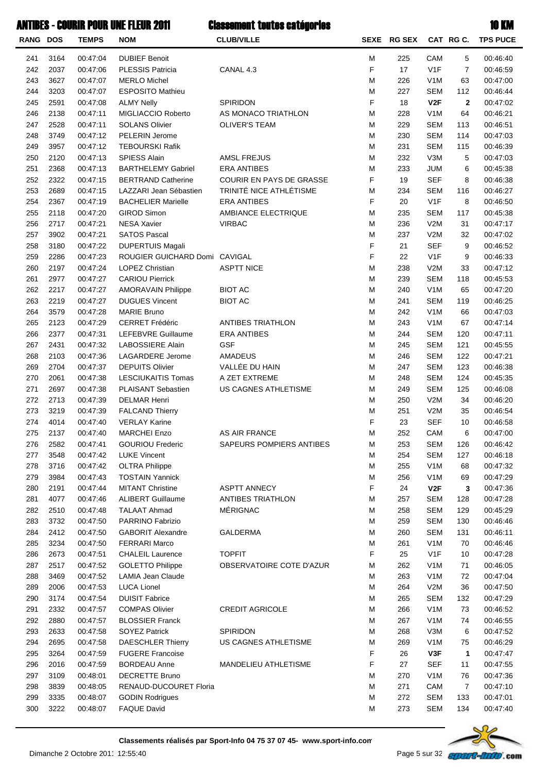| <b>RANG DOS</b> |      | <b>TEMPS</b> | <b>NOM</b>                    | <b>CLUB/VILLE</b>        |   | SEXE RG SEX |                  | CAT RG C.      | <b>TPS PUCE</b> |
|-----------------|------|--------------|-------------------------------|--------------------------|---|-------------|------------------|----------------|-----------------|
| 241             | 3164 | 00:47:04     | <b>DUBIEF Benoit</b>          |                          | M | 225         | CAM              | 5              | 00:46:40        |
| 242             | 2037 | 00:47:06     | <b>PLESSIS Patricia</b>       | CANAL 4.3                | F | 17          | V1F              | $\overline{7}$ | 00:46:59        |
| 243             | 3627 | 00:47:07     | <b>MERLO Michel</b>           |                          | М | 226         | V <sub>1</sub> M | 63             | 00:47:00        |
| 244             | 3203 | 00:47:07     | <b>ESPOSITO Mathieu</b>       |                          | M | 227         | <b>SEM</b>       | 112            | 00:46:44        |
| 245             | 2591 | 00:47:08     | <b>ALMY Nelly</b>             | SPIRIDON                 | F | 18          | V2F              | $\mathbf 2$    | 00:47:02        |
| 246             | 2138 | 00:47:11     | MIGLIACCIO Roberto            | AS MONACO TRIATHLON      | M | 228         | V <sub>1</sub> M | 64             | 00:46:21        |
| 247             | 2528 | 00:47:11     | <b>SOLANS Olivier</b>         | <b>OLIVER'S TEAM</b>     | М | 229         | <b>SEM</b>       | 113            | 00:46:51        |
| 248             | 3749 | 00:47:12     | PELERIN Jerome                |                          | М | 230         | <b>SEM</b>       | 114            | 00:47:03        |
| 249             | 3957 | 00:47:12     | <b>TEBOURSKI Rafik</b>        |                          | M | 231         | <b>SEM</b>       | 115            | 00:46:39        |
| 250             | 2120 | 00:47:13     | <b>SPIESS Alain</b>           | <b>AMSL FREJUS</b>       | M | 232         | V3M              | 5              | 00:47:03        |
| 251             | 2368 | 00:47:13     | <b>BARTHELEMY Gabriel</b>     | <b>ERA ANTIBES</b>       | M | 233         | <b>JUM</b>       | 6              | 00:45:38        |
| 252             | 2322 | 00:47:15     | <b>BERTRAND Catherine</b>     | COURIR EN PAYS DE GRASSE | F | 19          | <b>SEF</b>       | 8              | 00:46:38        |
| 253             | 2689 | 00:47:15     | LAZZARI Jean Sébastien        | TRINITÉ NICE ATHLÉTISME  | М | 234         | <b>SEM</b>       | 116            | 00:46:27        |
| 254             | 2367 | 00:47:19     | <b>BACHELIER Marielle</b>     | <b>ERA ANTIBES</b>       | F | 20          | V <sub>1</sub> F | 8              | 00:46:50        |
| 255             | 2118 | 00:47:20     | <b>GIROD Simon</b>            | AMBIANCE ELECTRIQUE      | М | 235         | <b>SEM</b>       | 117            | 00:45:38        |
| 256             | 2717 | 00:47:21     | <b>NESA Xavier</b>            | <b>VIRBAC</b>            | M | 236         | V2M              | 31             | 00:47:17        |
| 257             | 3902 | 00:47:21     | <b>SATOS Pascal</b>           |                          | M | 237         | V2M              | 32             | 00:47:02        |
| 258             | 3180 | 00:47:22     | <b>DUPERTUIS Magali</b>       |                          | F | 21          | <b>SEF</b>       | 9              | 00:46:52        |
| 259             | 2286 | 00:47:23     | ROUGIER GUICHARD Domi CAVIGAL |                          | F | 22          | V <sub>1</sub> F | 9              | 00:46:33        |
| 260             | 2197 | 00:47:24     | LOPEZ Christian               | <b>ASPTT NICE</b>        | M | 238         | V2M              | 33             | 00:47:12        |
| 261             | 2977 | 00:47:27     | <b>CARIOU Pierrick</b>        |                          | M | 239         | <b>SEM</b>       | 118            | 00:45:53        |
| 262             | 2217 | 00:47:27     | <b>AMORAVAIN Philippe</b>     | <b>BIOT AC</b>           | M | 240         | V <sub>1</sub> M | 65             | 00:47:20        |
| 263             | 2219 | 00:47:27     | <b>DUGUES Vincent</b>         | <b>BIOT AC</b>           | M | 241         | <b>SEM</b>       | 119            | 00:46:25        |
| 264             | 3579 | 00:47:28     | <b>MARIE Bruno</b>            |                          | M | 242         | V <sub>1</sub> M | 66             | 00:47:03        |
| 265             | 2123 | 00:47:29     | CERRET Frédéric               | <b>ANTIBES TRIATHLON</b> | М | 243         | V <sub>1</sub> M | 67             | 00:47:14        |
| 266             | 2377 | 00:47:31     | LEFEBVRE Guillaume            | <b>ERA ANTIBES</b>       | M | 244         | <b>SEM</b>       | 120            | 00:47:11        |
| 267             | 2431 | 00:47:32     | <b>LABOSSIERE Alain</b>       | <b>GSF</b>               | M | 245         | <b>SEM</b>       | 121            | 00:45:55        |
| 268             | 2103 | 00:47:36     | LAGARDERE Jerome              | <b>AMADEUS</b>           | M | 246         | <b>SEM</b>       | 122            | 00:47:21        |
| 269             | 2704 | 00:47:37     | <b>DEPUITS Olivier</b>        | VALLÉE DU HAIN           | M | 247         | <b>SEM</b>       | 123            | 00:46:38        |
| 270             | 2061 | 00:47:38     | <b>LESCIUKAITIS Tomas</b>     | A ZET EXTREME            | М | 248         | <b>SEM</b>       | 124            | 00:45:35        |
| 271             | 2697 | 00:47:38     | PLAISANT Sebastien            | US CAGNES ATHLETISME     | M | 249         | <b>SEM</b>       | 125            | 00:46:08        |
| 272             | 2713 | 00:47:39     | <b>DELMAR Henri</b>           |                          | М | 250         | V2M              | 34             | 00:46:20        |
| 273             | 3219 | 00:47:39     | <b>FALCAND Thierry</b>        |                          | M | 251         | V2M              | 35             | 00:46:54        |
| 274             | 4014 | 00:47:40     | <b>VERLAY Karine</b>          |                          | F | 23          | <b>SEF</b>       | 10             | 00:46:58        |
| 275             | 2137 | 00:47:40     | <b>MARCHEI Enzo</b>           | <b>AS AIR FRANCE</b>     | М | 252         | CAM              | 6              | 00:47:00        |
| 276             | 2582 | 00:47:41     | <b>GOURIOU Frederic</b>       | SAPEURS POMPIERS ANTIBES | Μ | 253         | SEM              | 126            | 00:46:42        |
| 277             | 3548 | 00:47:42     | <b>LUKE Vincent</b>           |                          | М | 254         | <b>SEM</b>       | 127            | 00:46:18        |
| 278             | 3716 | 00:47:42     | <b>OLTRA Philippe</b>         |                          | M | 255         | V <sub>1</sub> M | 68             | 00:47:32        |
| 279             | 3984 | 00:47:43     | <b>TOSTAIN Yannick</b>        |                          | M | 256         | V <sub>1</sub> M | 69             | 00:47:29        |
| 280             | 2191 | 00:47:44     | <b>MITANT Christine</b>       | <b>ASPTT ANNECY</b>      | F | 24          | V2F              | 3              | 00:47:36        |
| 281             | 4077 | 00:47:46     | <b>ALIBERT Guillaume</b>      | ANTIBES TRIATHLON        | M | 257         | <b>SEM</b>       | 128            | 00:47:28        |
| 282             | 2510 | 00:47:48     | <b>TALAAT Ahmad</b>           | MÉRIGNAC                 | M | 258         | <b>SEM</b>       | 129            | 00:45:29        |
| 283             | 3732 | 00:47:50     | PARRINO Fabrizio              |                          | M | 259         | <b>SEM</b>       | 130            | 00:46:46        |
| 284             | 2412 | 00:47:50     | <b>GABORIT Alexandre</b>      | <b>GALDERMA</b>          | M | 260         | <b>SEM</b>       | 131            | 00:46:11        |
| 285             | 3234 | 00:47:50     | <b>FERRARI Marco</b>          |                          | M | 261         | V <sub>1</sub> M | 70             | 00:46:46        |
| 286             | 2673 | 00:47:51     | <b>CHALEIL Laurence</b>       | <b>TOPFIT</b>            | F | 25          | V <sub>1</sub> F | 10             | 00:47:28        |
| 287             | 2517 | 00:47:52     | <b>GOLETTO Philippe</b>       | OBSERVATOIRE COTE D'AZUR | М | 262         | V <sub>1</sub> M | 71             | 00:46:05        |
| 288             | 3469 | 00:47:52     | <b>LAMIA Jean Claude</b>      |                          | M | 263         | V <sub>1</sub> M | 72             | 00:47:04        |
| 289             | 2006 | 00:47:53     | <b>LUCA Lionel</b>            |                          | M | 264         | V2M              | 36             | 00:47:50        |
| 290             | 3174 | 00:47:54     | <b>DUISIT Fabrice</b>         |                          | M | 265         | <b>SEM</b>       | 132            | 00:47:29        |
| 291             | 2332 | 00:47:57     | <b>COMPAS Olivier</b>         | <b>CREDIT AGRICOLE</b>   | M | 266         | V <sub>1</sub> M | 73             | 00:46:52        |
| 292             | 2880 | 00:47:57     | <b>BLOSSIER Franck</b>        |                          | M | 267         | V <sub>1</sub> M | 74             | 00:46:55        |
| 293             | 2633 | 00:47:58     | <b>SOYEZ Patrick</b>          | SPIRIDON                 | M | 268         | V3M              | 6              | 00:47:52        |
| 294             | 2695 | 00:47:58     | <b>DAESCHLER Thierry</b>      | US CAGNES ATHLETISME     | M | 269         | V <sub>1</sub> M | 75             | 00:46:29        |
| 295             | 3264 | 00:47:59     | <b>FUGERE Francoise</b>       |                          | F | 26          | V3F              | 1              | 00:47:47        |
| 296             | 2016 | 00:47:59     | <b>BORDEAU Anne</b>           | MANDELIEU ATHLETISME     | F | 27          | <b>SEF</b>       | 11             | 00:47:55        |
| 297             | 3109 | 00:48:01     | <b>DECRETTE Bruno</b>         |                          | М | 270         | V <sub>1</sub> M | 76             | 00:47:36        |
| 298             | 3839 | 00:48:05     | RENAUD-DUCOURET Floria        |                          | М | 271         | CAM              | $\overline{7}$ | 00:47:10        |
| 299             | 3335 | 00:48:07     |                               |                          | М | 272         | <b>SEM</b>       | 133            | 00:47:01        |
|                 |      |              | <b>GODIN Rodrigues</b>        |                          |   |             |                  |                |                 |
| 300             | 3222 | 00:48:07     | <b>FAQUE David</b>            |                          | М | 273         | <b>SEM</b>       | 134            | 00:47:40        |

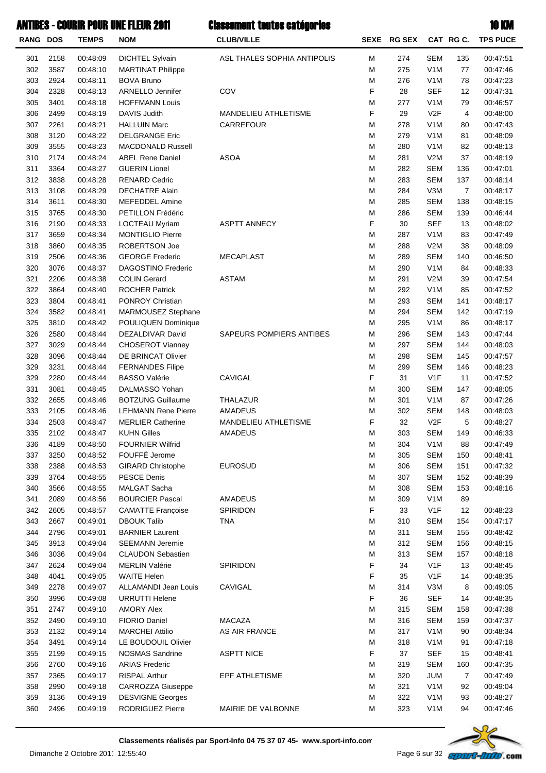| RANG DOS |      | <b>TEMPS</b> | <b>NOM</b>                 | <b>CLUB/VILLE</b>           | SEXE | <b>RG SEX</b> |                  | CAT RG C.      | <b>TPS PUCE</b> |
|----------|------|--------------|----------------------------|-----------------------------|------|---------------|------------------|----------------|-----------------|
| 301      | 2158 | 00:48:09     | <b>DICHTEL Sylvain</b>     | ASL THALES SOPHIA ANTIPOLIS | M    | 274           | <b>SEM</b>       | 135            | 00:47:51        |
| 302      | 3587 | 00:48:10     | <b>MARTINAT Philippe</b>   |                             | M    | 275           | V <sub>1</sub> M | 77             | 00:47:46        |
| 303      | 2924 | 00:48:11     | <b>BOVA Bruno</b>          |                             | M    | 276           | V <sub>1</sub> M | 78             | 00:47:23        |
| 304      | 2328 | 00:48:13     | ARNELLO Jennifer           | COV                         | F    | 28            | <b>SEF</b>       | 12             | 00:47:31        |
| 305      | 3401 | 00:48:18     | <b>HOFFMANN Louis</b>      |                             | M    | 277           | V <sub>1</sub> M | 79             | 00:46:57        |
| 306      | 2499 | 00:48:19     | DAVIS Judith               | MANDELIEU ATHLETISME        | F    | 29            | V <sub>2</sub> F | 4              | 00:48:00        |
| 307      | 2261 | 00:48:21     | <b>HALLUIN Marc</b>        | CARREFOUR                   | M    | 278           | V <sub>1</sub> M | 80             | 00:47:43        |
| 308      | 3120 | 00:48:22     | <b>DELGRANGE Eric</b>      |                             | M    | 279           | V <sub>1</sub> M | 81             | 00:48:09        |
| 309      | 3555 | 00:48:23     | <b>MACDONALD Russell</b>   |                             | M    | 280           | V <sub>1</sub> M | 82             | 00:48:13        |
| 310      | 2174 | 00:48:24     | <b>ABEL Rene Daniel</b>    | <b>ASOA</b>                 | M    | 281           | V2M              | 37             | 00:48:19        |
| 311      | 3364 | 00:48:27     | <b>GUERIN Lionel</b>       |                             | M    | 282           | <b>SEM</b>       | 136            | 00:47:01        |
| 312      | 3838 | 00:48:28     | <b>RENARD Cedric</b>       |                             | M    | 283           | <b>SEM</b>       | 137            | 00:48:14        |
| 313      | 3108 | 00:48:29     | <b>DECHATRE Alain</b>      |                             | M    | 284           | V3M              | 7              | 00:48:17        |
| 314      | 3611 | 00:48:30     | <b>MEFEDDEL Amine</b>      |                             | M    | 285           | <b>SEM</b>       | 138            | 00:48:15        |
| 315      | 3765 | 00:48:30     | PETILLON Frédéric          |                             | M    | 286           | <b>SEM</b>       | 139            | 00:46:44        |
| 316      | 2190 | 00:48:33     | LOCTEAU Myriam             | <b>ASPTT ANNECY</b>         | F    | 30            | <b>SEF</b>       | 13             | 00:48:02        |
| 317      | 3659 | 00:48:34     | <b>MONTIGLIO Pierre</b>    |                             | M    | 287           | V <sub>1</sub> M | 83             | 00:47:49        |
| 318      | 3860 | 00:48:35     | ROBERTSON Joe              |                             | M    | 288           | V2M              | 38             | 00:48:09        |
| 319      | 2506 | 00:48:36     | <b>GEORGE Frederic</b>     | <b>MECAPLAST</b>            | M    | 289           | <b>SEM</b>       | 140            | 00:46:50        |
| 320      | 3076 | 00:48:37     | <b>DAGOSTINO Frederic</b>  |                             | M    | 290           | V <sub>1</sub> M | 84             | 00:48:33        |
| 321      | 2206 | 00:48:38     | <b>COLIN Gerard</b>        | <b>ASTAM</b>                | M    | 291           | V2M              | 39             | 00:47:54        |
| 322      | 3864 | 00:48:40     | <b>ROCHER Patrick</b>      |                             | M    | 292           | V <sub>1</sub> M | 85             | 00:47:52        |
| 323      | 3804 | 00:48:41     | PONROY Christian           |                             | M    | 293           | <b>SEM</b>       | 141            | 00:48:17        |
| 324      | 3582 | 00:48:41     | MARMOUSEZ Stephane         |                             | M    | 294           | <b>SEM</b>       | 142            | 00:47:19        |
| 325      | 3810 | 00:48:42     | <b>POULIQUEN Dominique</b> |                             | M    | 295           | V <sub>1</sub> M | 86             | 00:48:17        |
| 326      | 2580 | 00:48:44     | DEZALDIVAR David           | SAPEURS POMPIERS ANTIBES    | M    | 296           | <b>SEM</b>       | 143            | 00:47:44        |
| 327      | 3029 | 00:48:44     | <b>CHOSEROT Vianney</b>    |                             | M    | 297           | <b>SEM</b>       | 144            | 00:48:03        |
| 328      | 3096 | 00:48:44     | DE BRINCAT Olivier         |                             | M    | 298           | <b>SEM</b>       | 145            | 00:47:57        |
| 329      | 3231 | 00:48:44     | <b>FERNANDES Filipe</b>    |                             | M    | 299           | <b>SEM</b>       | 146            | 00:48:23        |
| 329      | 2280 | 00:48:44     | <b>BASSO Valérie</b>       | CAVIGAL                     | F    | 31            | V <sub>1</sub> F | 11             | 00:47:52        |
| 331      | 3081 | 00:48:45     | DALMASSO Yohan             |                             | M    | 300           | <b>SEM</b>       | 147            | 00:48:05        |
| 332      | 2655 | 00:48:46     | <b>BOTZUNG Guillaume</b>   | THALAZUR                    | M    | 301           | V <sub>1</sub> M | 87             | 00:47:26        |
| 333      | 2105 | 00:48:46     | <b>LEHMANN Rene Pierre</b> | AMADEUS                     | M    | 302           | <b>SEM</b>       | 148            | 00:48:03        |
| 334      | 2503 | 00:48:47     | <b>MERLIER Catherine</b>   | MANDELIEU ATHLETISME        | F    | 32            | V <sub>2</sub> F | 5              | 00:48:27        |
| 335      | 2102 | 00:48:47     | <b>KUHN Gilles</b>         | AMADEUS                     | M    | 303           | <b>SEM</b>       | 149            | 00:46:33        |
| 336      | 4189 | 00:48:50     | <b>FOURNIER Wilfrid</b>    |                             | M    | 304           | V <sub>1</sub> M | 88             | 00:47:49        |
| 337      | 3250 | 00:48:52     | FOUFFÉ Jerome              |                             | M    | 305           | <b>SEM</b>       | 150            | 00:48:41        |
| 338      | 2388 | 00:48:53     | <b>GIRARD Christophe</b>   | <b>EUROSUD</b>              | M    | 306           | SEM              | 151            | 00:47:32        |
| 339      | 3764 | 00:48:55     | <b>PESCE Denis</b>         |                             | M    | 307           | SEM              | 152            | 00:48:39        |
| 340      | 3566 | 00:48:55     | MALGAT Sacha               |                             | M    | 308           | <b>SEM</b>       | 153            | 00:48:16        |
| 341      | 2089 | 00:48:56     | <b>BOURCIER Pascal</b>     | <b>AMADEUS</b>              | M    | 309           | V <sub>1</sub> M | 89             |                 |
| 342      | 2605 | 00:48:57     | <b>CAMATTE Françoise</b>   | SPIRIDON                    | F    | 33            | V <sub>1</sub> F | 12             | 00:48:23        |
| 343      | 2667 | 00:49:01     | <b>DBOUK Talib</b>         | <b>TNA</b>                  | M    | 310           | <b>SEM</b>       | 154            | 00:47:17        |
| 344      | 2796 | 00:49:01     | <b>BARNIER Laurent</b>     |                             | M    | 311           | <b>SEM</b>       | 155            | 00:48:42        |
| 345      | 3913 | 00:49:04     | <b>SEEMANN Jeremie</b>     |                             | M    | 312           | <b>SEM</b>       | 156            | 00:48:15        |
| 346      | 3036 | 00:49:04     | <b>CLAUDON Sebastien</b>   |                             | M    | 313           | <b>SEM</b>       | 157            | 00:48:18        |
| 347      | 2624 | 00:49:04     | <b>MERLIN Valérie</b>      | SPIRIDON                    | F    | 34            | V <sub>1</sub> F | 13             | 00:48:45        |
| 348      | 4041 | 00:49:05     | <b>WAITE Helen</b>         |                             | F    | 35            | V <sub>1</sub> F | 14             | 00:48:35        |
| 349      | 2278 | 00:49:07     | ALLAMANDI Jean Louis       | CAVIGAL                     | M    | 314           | V3M              | 8              | 00:49:05        |
| 350      | 3996 | 00:49:08     | <b>URRUTTI Helene</b>      |                             | F    | 36            | SEF              | 14             | 00:48:35        |
| 351      | 2747 | 00:49:10     | <b>AMORY Alex</b>          |                             | M    | 315           | <b>SEM</b>       | 158            | 00:47:38        |
| 352      | 2490 | 00:49:10     | <b>FIORIO Daniel</b>       | <b>MACAZA</b>               | M    | 316           | <b>SEM</b>       | 159            | 00:47:37        |
| 353      | 2132 | 00:49:14     | <b>MARCHEI Attilio</b>     | AS AIR FRANCE               | M    | 317           | V <sub>1</sub> M | 90             | 00:48:34        |
| 354      | 3491 | 00:49:14     | LE BOUDOUIL Olivier        |                             | M    | 318           | V <sub>1</sub> M | 91             | 00:47:18        |
| 355      | 2199 | 00:49:15     | <b>NOSMAS Sandrine</b>     | <b>ASPTT NICE</b>           | F    | 37            | SEF              | 15             | 00:48:41        |
| 356      | 2760 | 00:49:16     | <b>ARIAS Frederic</b>      |                             | M    | 319           | <b>SEM</b>       | 160            | 00:47:35        |
| 357      | 2365 | 00:49:17     | <b>RISPAL Arthur</b>       | EPF ATHLETISME              | M    | 320           | <b>JUM</b>       | $\overline{7}$ | 00:47:49        |
| 358      | 2990 | 00:49:18     | CARROZZA Giuseppe          |                             | M    | 321           | V <sub>1</sub> M | 92             | 00:49:04        |
| 359      | 3136 | 00:49:19     | <b>DESVIGNE Georges</b>    |                             | M    | 322           | V <sub>1</sub> M | 93             | 00:48:27        |
| 360      | 2496 | 00:49:19     | RODRIGUEZ Pierre           | MAIRIE DE VALBONNE          | M    | 323           | V <sub>1</sub> M | 94             | 00:47:46        |
|          |      |              |                            |                             |      |               |                  |                |                 |

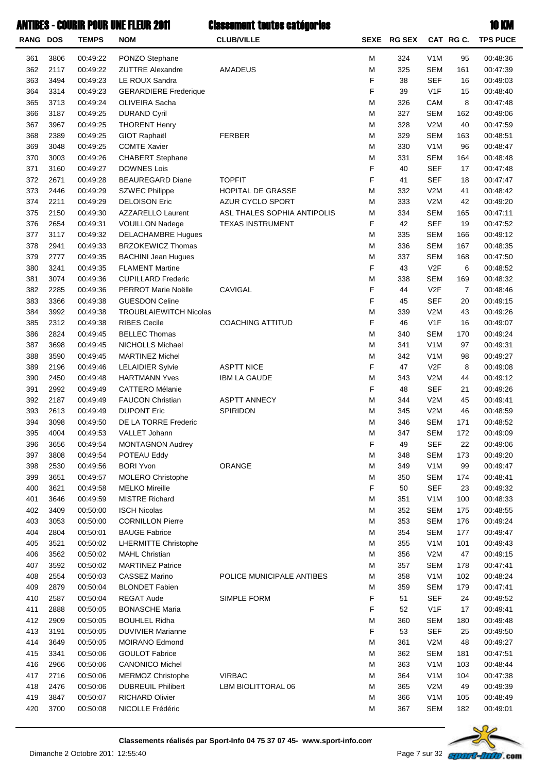#### **ANTIBES - COURIR POU**

|                 |      |              | <b>WIIBES - COURIR POUR UNE FLEUR 2011</b> | <b>Classement toutes catégories</b> |      |               |                  |                | <b>10 KM</b>    |
|-----------------|------|--------------|--------------------------------------------|-------------------------------------|------|---------------|------------------|----------------|-----------------|
| <b>RANG DOS</b> |      | <b>TEMPS</b> | <b>NOM</b>                                 | <b>CLUB/VILLE</b>                   | SEXE | <b>RG SEX</b> |                  | CAT RG C.      | <b>TPS PUCE</b> |
| 361             | 3806 | 00:49:22     | PONZO Stephane                             |                                     | M    | 324           | V <sub>1</sub> M | 95             | 00:48:36        |
| 362             | 2117 | 00:49:22     | <b>ZUTTRE Alexandre</b>                    | AMADEUS                             | M    | 325           | <b>SEM</b>       | 161            | 00:47:39        |
| 363             | 3494 | 00:49:23     | LE ROUX Sandra                             |                                     | F    | 38            | <b>SEF</b>       | 16             | 00:49:03        |
| 364             | 3314 | 00:49:23     | <b>GERARDIERE Frederique</b>               |                                     | F    | 39            | V1F              | 15             | 00:48:40        |
| 365             | 3713 | 00:49:24     | OLIVEIRA Sacha                             |                                     | М    | 326           | CAM              | 8              | 00:47:48        |
| 366             | 3187 | 00:49:25     | <b>DURAND Cyril</b>                        |                                     | M    | 327           | <b>SEM</b>       | 162            | 00:49:06        |
| 367             | 3967 | 00:49:25     | <b>THORENT Henry</b>                       |                                     | M    | 328           | V2M              | 40             | 00:47:59        |
| 368             | 2389 | 00:49:25     | <b>GIOT Raphaël</b>                        | <b>FERBER</b>                       | М    | 329           | <b>SEM</b>       | 163            | 00:48:51        |
| 369             | 3048 | 00:49:25     | <b>COMTE Xavier</b>                        |                                     | M    | 330           | V <sub>1</sub> M | 96             | 00:48:47        |
| 370             | 3003 | 00:49:26     | <b>CHABERT</b> Stephane                    |                                     | M    | 331           | SEM              | 164            | 00:48:48        |
| 371             | 3160 | 00:49:27     | <b>DOWNES Lois</b>                         |                                     | F    | 40            | <b>SEF</b>       | 17             | 00:47:48        |
| 372             | 2671 | 00:49:28     | <b>BEAUREGARD Diane</b>                    | <b>TOPFIT</b>                       | F    | 41            | <b>SEF</b>       | 18             | 00:47:47        |
| 373             | 2446 | 00:49:29     | <b>SZWEC Philippe</b>                      | HOPITAL DE GRASSE                   | М    | 332           | V2M              | 41             | 00:48:42        |
| 374             | 2211 | 00:49:29     | <b>DELOISON Eric</b>                       | <b>AZUR CYCLO SPORT</b>             | М    | 333           | V2M              | 42             | 00:49:20        |
| 375             | 2150 | 00:49:30     | <b>AZZARELLO Laurent</b>                   | ASL THALES SOPHIA ANTIPOLIS         | M    | 334           | <b>SEM</b>       | 165            | 00:47:11        |
| 376             | 2654 | 00:49:31     | <b>VOUILLON Nadege</b>                     | <b>TEXAS INSTRUMENT</b>             | F    | 42            | <b>SEF</b>       | 19             | 00:47:52        |
| 377             | 3117 | 00:49:32     | <b>DELACHAMBRE Hugues</b>                  |                                     | М    | 335           | <b>SEM</b>       | 166            | 00:49:12        |
| 378             | 2941 | 00:49:33     | <b>BRZOKEWICZ Thomas</b>                   |                                     | M    | 336           | <b>SEM</b>       | 167            | 00:48:35        |
| 379             | 2777 | 00:49:35     | <b>BACHINI Jean Hugues</b>                 |                                     | M    | 337           | <b>SEM</b>       | 168            | 00:47:50        |
| 380             | 3241 | 00:49:35     | <b>FLAMENT Martine</b>                     |                                     | F    | 43            | V <sub>2</sub> F | 6              | 00:48:52        |
| 381             | 3074 | 00:49:36     | <b>CUPILLARD Frederic</b>                  |                                     | M    | 338           | <b>SEM</b>       | 169            | 00:48:32        |
| 382             | 2285 | 00:49:36     | PERROT Marie Noëlle                        | CAVIGAL                             | F    | 44            | V <sub>2</sub> F | $\overline{7}$ | 00:48:46        |
| 383             | 3366 | 00:49:38     | <b>GUESDON Celine</b>                      |                                     | F    | 45            | <b>SEF</b>       | 20             | 00:49:15        |
| 384             | 3992 | 00:49:38     | <b>TROUBLAIEWITCH Nicolas</b>              |                                     | M    | 339           | V2M              | 43             | 00:49:26        |
| 385             | 2312 | 00:49:38     | <b>RIBES Cecile</b>                        | <b>COACHING ATTITUD</b>             | F    | 46            | V1F              | 16             | 00:49:07        |
| 386             | 2824 | 00:49:45     | <b>BELLEC Thomas</b>                       |                                     | М    | 340           | <b>SEM</b>       | 170            | 00:49:24        |
| 387             | 3698 | 00:49:45     | <b>NICHOLLS Michael</b>                    |                                     | M    | 341           | V <sub>1</sub> M | 97             | 00:49:31        |
| 388             | 3590 | 00:49:45     | <b>MARTINEZ Michel</b>                     |                                     | M    | 342           | V <sub>1</sub> M | 98             | 00:49:27        |
| 389             | 2196 | 00:49:46     | <b>LELAIDIER Sylvie</b>                    | <b>ASPTT NICE</b>                   | F    | 47            | V <sub>2</sub> F | 8              | 00:49:08        |
| 390             | 2450 | 00:49:48     | <b>HARTMANN Yves</b>                       | <b>IBM LA GAUDE</b>                 | M    | 343           | V2M              | 44             | 00:49:12        |
| 391             | 2992 | 00:49:49     | <b>CATTERO Mélanie</b>                     |                                     | F    | 48            | <b>SEF</b>       | 21             | 00:49:26        |
| 392             | 2187 | 00:49:49     | <b>FAUCON Christian</b>                    | <b>ASPTT ANNECY</b>                 | M    | 344           | V2M              | 45             | 00:49:41        |
| 393             | 2613 | 00:49:49     | <b>DUPONT Eric</b>                         | SPIRIDON                            | M    | 345           | V2M              | 46             | 00:48:59        |
| 394             | 3098 | 00:49:50     | DE LA TORRE Frederic                       |                                     | M    | 346           | <b>SEM</b>       | 171            | 00:48:52        |
| 395             | 4004 | 00:49:53     | VALLET Johann                              |                                     | M    | 347           | <b>SEM</b>       | 172            | 00:49:09        |
| 396             | 3656 | 00:49:54     | <b>MONTAGNON Audrey</b>                    |                                     | F    | 49            | <b>SEF</b>       | 22             | 00:49:06        |
| 397             | 3808 | 00:49:54     | POTEAU Eddy                                |                                     | M    | 348           | <b>SEM</b>       | 173            | 00:49:20        |
| 398             | 2530 | 00:49:56     | <b>BORI Yvon</b>                           | ORANGE                              | M    | 349           | V <sub>1</sub> M | 99             | 00:49:47        |
| 399             | 3651 | 00:49:57     | <b>MOLERO Christophe</b>                   |                                     | M    | 350           | <b>SEM</b>       | 174            | 00:48:41        |
| 400             | 3621 | 00:49:58     | <b>MELKO Mireille</b>                      |                                     | F    | 50            | <b>SEF</b>       | 23             | 00:49:32        |
| 401             | 3646 | 00:49:59     | <b>MISTRE Richard</b>                      |                                     | M    | 351           | V <sub>1</sub> M | 100            | 00:48:33        |
| 402             | 3409 | 00:50:00     | <b>ISCH Nicolas</b>                        |                                     | M    | 352           | <b>SEM</b>       | 175            | 00:48:55        |
| 403             | 3053 | 00:50:00     | <b>CORNILLON Pierre</b>                    |                                     | M    | 353           | <b>SEM</b>       | 176            | 00:49:24        |
| 404             | 2804 | 00:50:01     | <b>BAUGE Fabrice</b>                       |                                     | M    | 354           | <b>SEM</b>       | 177            | 00:49:47        |
| 405             | 3521 | 00:50:02     | <b>LHERMITTE Christophe</b>                |                                     | M    | 355           | V <sub>1</sub> M | 101            | 00:49:43        |
| 406             | 3562 | 00:50:02     | <b>MAHL Christian</b>                      |                                     | M    | 356           | V2M              | 47             | 00:49:15        |
| 407             | 3592 | 00:50:02     | <b>MARTINEZ Patrice</b>                    |                                     | M    | 357           | <b>SEM</b>       | 178            | 00:47:41        |
| 408             | 2554 | 00:50:03     | CASSEZ Marino                              | POLICE MUNICIPALE ANTIBES           | M    | 358           | V <sub>1</sub> M | 102            | 00:48:24        |
|                 |      |              |                                            |                                     |      |               |                  |                |                 |



**Classements réalisés par Sport-Info 04 75 37 07 45- www.sport-info.com**

409 2879 00:50:04 BLONDET Fabien 179 10:47:41 410 2587 00:50:04 REGAT Aude SIMPLE FORM F 51 SEF 24 00:49:52 411 2888 00:50:05 BONASCHE Maria 17 100:49:41 17 2888 00:50:05 BONASCHE Maria 17 412 2909 00:50:05 BOUHLEL Ridha 180SEMM 00:49:48360 413 3191 00:50:05 DUVIVIER Marianne 25SEFF 00:49:5053 414 3649 00:50:05 MOIRANO Edmond 48V2MM 00:49:27361 415 3341 00:50:06 GOULOT Fabrice 181 181 181 00:47:51 416 2966 00:50:06 CANONICO Michel 103V1M 00:48:44 M 00:48:44

Dimanche 2 Octobre 2011 12:55:40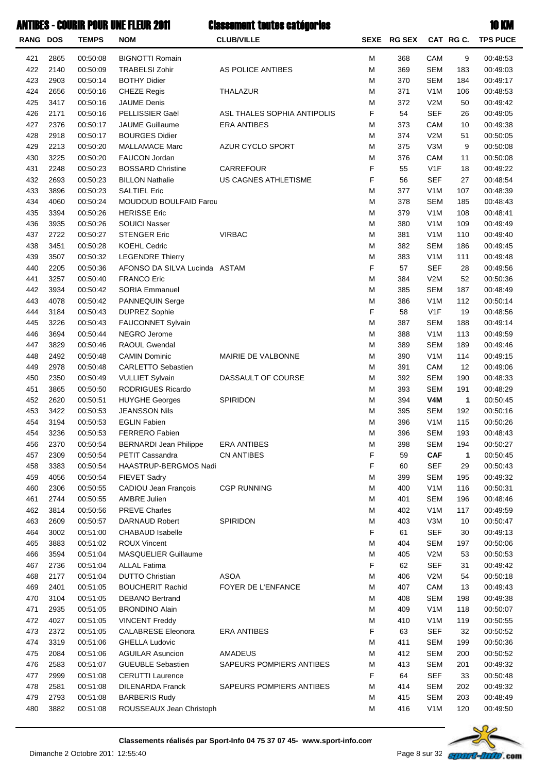|                 |      |              | ANTIBES - COURIR POUR UNE FLEUR 2011 | <b>Classement toutes catégories</b> |   |             |                  |              | <b>10 KM</b>    |
|-----------------|------|--------------|--------------------------------------|-------------------------------------|---|-------------|------------------|--------------|-----------------|
| <b>RANG DOS</b> |      | <b>TEMPS</b> | <b>NOM</b>                           | <b>CLUB/VILLE</b>                   |   | SEXE RG SEX |                  | CAT RGC.     | <b>TPS PUCE</b> |
| 421             | 2865 | 00:50:08     | <b>BIGNOTTI Romain</b>               |                                     | М | 368         | <b>CAM</b>       | 9            | 00:48:53        |
| 422             | 2140 | 00:50:09     | <b>TRABELSI Zohir</b>                | AS POLICE ANTIBES                   | M | 369         | <b>SEM</b>       | 183          | 00:49:03        |
| 423             | 2903 | 00:50:14     | <b>BOTHY Didier</b>                  |                                     | М | 370         | <b>SEM</b>       | 184          | 00:49:17        |
| 424             | 2656 | 00:50:16     | <b>CHEZE Regis</b>                   | <b>THALAZUR</b>                     | М | 371         | V <sub>1</sub> M | 106          | 00:48:53        |
| 425             | 3417 | 00:50:16     | <b>JAUME Denis</b>                   |                                     | М | 372         | V2M              | 50           | 00:49:42        |
| 426             | 2171 | 00:50:16     | PELLISSIER Gaël                      | ASL THALES SOPHIA ANTIPOLIS         | F | 54          | <b>SEF</b>       | 26           | 00:49:05        |
| 427             | 2376 | 00:50:17     | <b>JAUME Guillaume</b>               | <b>ERA ANTIBES</b>                  | М | 373         | CAM              | 10           | 00:49:38        |
| 428             | 2918 | 00:50:17     | <b>BOURGES Didier</b>                |                                     | М | 374         | V2M              | 51           | 00:50:05        |
| 429             | 2213 | 00:50:20     | <b>MALLAMACE Marc</b>                | AZUR CYCLO SPORT                    | М | 375         | V3M              | 9            | 00:50:08        |
| 430             | 3225 | 00:50:20     | <b>FAUCON Jordan</b>                 |                                     | М | 376         | CAM              | 11           | 00:50:08        |
| 431             | 2248 | 00:50:23     | <b>BOSSARD Christine</b>             | <b>CARREFOUR</b>                    | F | 55          | V1F              | 18           | 00:49:22        |
| 432             | 2693 | 00:50:23     | <b>BILLON Nathalie</b>               | US CAGNES ATHLETISME                | F | 56          | <b>SEF</b>       | 27           | 00:48:54        |
| 433             | 3896 | 00:50:23     | <b>SALTIEL Eric</b>                  |                                     | M | 377         | V <sub>1</sub> M | 107          | 00:48:39        |
| 434             | 4060 | 00:50:24     | <b>MOUDOUD BOULFAID Farou</b>        |                                     | М | 378         | <b>SEM</b>       | 185          | 00:48:43        |
| 435             | 3394 | 00:50:26     | <b>HERISSE Eric</b>                  |                                     | М | 379         | V <sub>1</sub> M | 108          | 00:48:41        |
| 436             | 3935 | 00:50:26     | <b>SOUICI Nasser</b>                 |                                     | М | 380         | V <sub>1</sub> M | 109          | 00:49:49        |
| 437             | 2722 | 00:50:27     | <b>STENGER Eric</b>                  | <b>VIRBAC</b>                       | М | 381         | V <sub>1</sub> M | 110          | 00:49:40        |
| 438             | 3451 | 00:50:28     | <b>KOEHL Cedric</b>                  |                                     | М | 382         | <b>SEM</b>       | 186          | 00:49:45        |
| 439             | 3507 | 00:50:32     | <b>LEGENDRE Thierry</b>              |                                     | М | 383         | V <sub>1</sub> M | 111          | 00:49:48        |
| 440             | 2205 | 00:50:36     | AFONSO DA SILVA Lucinda ASTAM        |                                     | F | 57          | <b>SEF</b>       | 28           | 00:49:56        |
| 441             | 3257 | 00:50:40     | <b>FRANCO Eric</b>                   |                                     | M | 384         | V2M              | 52           | 00:50:36        |
| 442             | 3934 | 00:50:42     | <b>SORIA Emmanuel</b>                |                                     | М | 385         | <b>SEM</b>       | 187          | 00:48:49        |
| 443             | 4078 | 00:50:42     | PANNEQUIN Serge                      |                                     | M | 386         | V <sub>1</sub> M | 112          | 00:50:14        |
| 444             | 3184 | 00:50:43     | <b>DUPREZ Sophie</b>                 |                                     | F | 58          | V1F              | 19           | 00:48:56        |
| 445             | 3226 | 00:50:43     | FAUCONNET Sylvain                    |                                     | M | 387         | <b>SEM</b>       | 188          | 00:49:14        |
| 446             | 3694 | 00:50:44     | <b>NEGRO Jerome</b>                  |                                     | М | 388         | V <sub>1</sub> M | 113          | 00:49:59        |
| 447             | 3829 | 00:50:46     | RAOUL Gwendal                        |                                     | М | 389         | <b>SEM</b>       | 189          | 00:49:46        |
| 448             | 2492 | 00:50:48     | <b>CAMIN Dominic</b>                 | MAIRIE DE VALBONNE                  | М | 390         | V <sub>1</sub> M | 114          | 00:49:15        |
| 449             | 2978 | 00:50:48     | <b>CARLETTO Sebastien</b>            |                                     | М | 391         | CAM              | 12           | 00:49:06        |
| 450             | 2350 | 00:50:49     | <b>VULLIET Sylvain</b>               | DASSAULT OF COURSE                  | М | 392         | <b>SEM</b>       | 190          | 00:48:33        |
| 451             | 3865 | 00:50:50     | RODRIGUES Ricardo                    |                                     | М | 393         | <b>SEM</b>       | 191          | 00:48:29        |
| 452             | 2620 | 00:50:51     | <b>HUYGHE Georges</b>                | SPIRIDON                            | М | 394         | V4M              | $\mathbf{1}$ | 00:50:45        |
| 453             | 3422 | 00:50:53     | <b>JEANSSON Nils</b>                 |                                     | М | 395         | <b>SEM</b>       | 192          | 00:50:16        |
| 454             | 3194 | 00:50:53     | <b>EGLIN Fabien</b>                  |                                     | М | 396         | V <sub>1</sub> M | 115          | 00:50:26        |
| 454             | 3236 | 00:50:53     | <b>FERRERO Fabien</b>                |                                     | М | 396         | SEM              | 193          | 00:48:43        |
| 456             | 2370 | 00:50:54     | <b>BERNARDI Jean Philippe</b>        | <b>ERA ANTIBES</b>                  | М | 398         | <b>SEM</b>       | 194          | 00:50:27        |
| 457             | 2309 | 00:50:54     | <b>PETIT Cassandra</b>               | <b>CN ANTIBES</b>                   | F | 59          | <b>CAF</b>       | $\mathbf{1}$ | 00:50:45        |
| 458             | 3383 | 00:50:54     | HAASTRUP-BERGMOS Nadi                |                                     | F | 60          | <b>SEF</b>       | 29           | 00:50:43        |
| 459             | 4056 | 00:50:54     | <b>FIEVET Sadry</b>                  |                                     | M | 399         | <b>SEM</b>       | 195          | 00:49:32        |
| 460             | 2306 | 00:50:55     | CADIOU Jean François                 | <b>CGP RUNNING</b>                  | M | 400         | V <sub>1</sub> M | 116          | 00:50:31        |
| 461             | 2744 | 00:50:55     | <b>AMBRE Julien</b>                  |                                     | M | 401         | <b>SEM</b>       | 196          | 00:48:46        |
| 462             | 3814 | 00:50:56     | <b>PREVE Charles</b>                 |                                     | M | 402         | V <sub>1</sub> M | 117          | 00:49:59        |
| 463             | 2609 | 00:50:57     | <b>DARNAUD Robert</b>                | <b>SPIRIDON</b>                     | M | 403         | V3M              | 10           | 00:50:47        |
| 464             | 3002 | 00:51:00     | <b>CHABAUD Isabelle</b>              |                                     | F | 61          | <b>SEF</b>       | 30           | 00:49:13        |
| 465             | 3883 | 00:51:02     | <b>ROUX Vincent</b>                  |                                     | M | 404         | <b>SEM</b>       | 197          | 00:50:06        |
| 466             | 3594 | 00:51:04     | <b>MASQUELIER Guillaume</b>          |                                     | М | 405         | V2M              | 53           | 00:50:53        |
| 467             | 2736 | 00:51:04     | <b>ALLAL Fatima</b>                  |                                     | F | 62          | <b>SEF</b>       | 31           | 00:49:42        |
|                 |      |              |                                      | <b>ASOA</b>                         | M |             |                  |              |                 |
| 468             | 2177 | 00:51:04     | <b>DUTTO Christian</b>               |                                     | M | 406         | V2M              | 54           | 00:50:18        |
| 469             | 2401 | 00:51:05     | <b>BOUCHERIT Rachid</b>              | FOYER DE L'ENFANCE                  | M | 407         | CAM              | 13           | 00:49:43        |
| 470             | 3104 | 00:51:05     | <b>DEBANO Bertrand</b>               |                                     |   | 408         | <b>SEM</b>       | 198          | 00:49:38        |
| 471             | 2935 | 00:51:05     | <b>BRONDINO Alain</b>                |                                     | M | 409         | V <sub>1</sub> M | 118          | 00:50:07        |
| 472             | 4027 | 00:51:05     | <b>VINCENT Freddy</b>                |                                     | M | 410         | V <sub>1</sub> M | 119          | 00:50:55        |
| 473             | 2372 | 00:51:05     | <b>CALABRESE Eleonora</b>            | <b>ERA ANTIBES</b>                  | F | 63          | <b>SEF</b>       | 32           | 00:50:52        |
| 474             | 3319 | 00:51:06     | <b>GHELLA Ludovic</b>                |                                     | М | 411         | <b>SEM</b>       | 199          | 00:50:36        |
| 475             | 2084 | 00:51:06     | <b>AGUILAR Asuncion</b>              | <b>AMADEUS</b>                      | М | 412         | <b>SEM</b>       | 200          | 00:50:52        |
| 476             | 2583 | 00:51:07     | <b>GUEUBLE Sebastien</b>             | SAPEURS POMPIERS ANTIBES            | М | 413         | <b>SEM</b>       | 201          | 00:49:32        |
| 477             | 2999 | 00:51:08     | <b>CERUTTI Laurence</b>              |                                     | F | 64          | <b>SEF</b>       | 33           | 00:50:48        |
| 478             | 2581 | 00:51:08     | <b>DILENARDA Franck</b>              | SAPEURS POMPIERS ANTIBES            | M | 414         | <b>SEM</b>       | 202          | 00:49:32        |
| 479             | 2793 | 00:51:08     | <b>BARBERIS Rudy</b>                 |                                     | M | 415         | SEM              | 203          | 00:48:49        |



480 3882 00:51:08 ROUSSEAUX Jean Christoph 120 120 20:49:50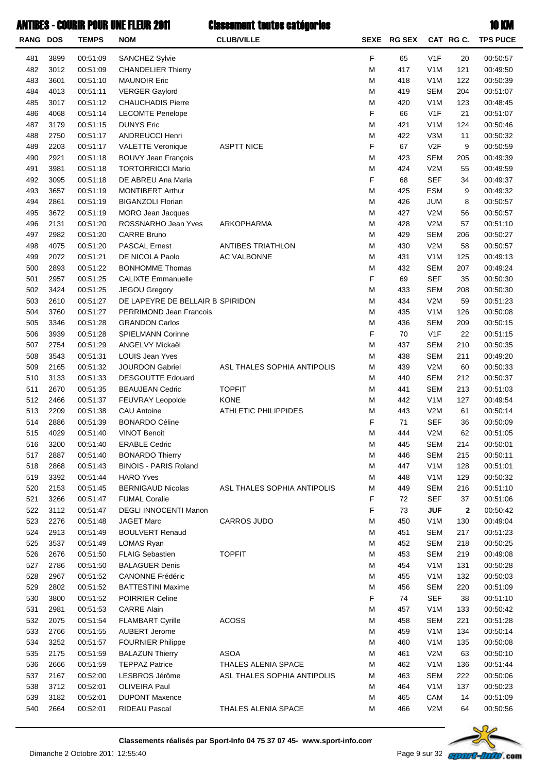| <b>RANG DOS</b> |      | <b>TEMPS</b> | <b>NOM</b>                       | <b>CLUB/VILLE</b>           |   | SEXE RG SEX |                  | CAT RG C.    | <b>TPS PUCE</b> |
|-----------------|------|--------------|----------------------------------|-----------------------------|---|-------------|------------------|--------------|-----------------|
| 481             | 3899 | 00:51:09     | SANCHEZ Sylvie                   |                             | F | 65          | V1F              | 20           | 00:50:57        |
| 482             | 3012 | 00:51:09     | <b>CHANDELIER Thierry</b>        |                             | M | 417         | V <sub>1</sub> M | 121          | 00:49:50        |
| 483             | 3601 | 00:51:10     | <b>MAUNOIR Eric</b>              |                             | M | 418         | V <sub>1</sub> M | 122          | 00:50:39        |
| 484             | 4013 | 00:51:11     | <b>VERGER Gaylord</b>            |                             | M | 419         | <b>SEM</b>       | 204          | 00:51:07        |
| 485             | 3017 | 00:51:12     | <b>CHAUCHADIS Pierre</b>         |                             | M | 420         | V <sub>1</sub> M | 123          | 00:48:45        |
| 486             | 4068 | 00:51:14     | <b>LECOMTE Penelope</b>          |                             | F | 66          | V1F              | 21           | 00:51:07        |
| 487             | 3179 | 00:51:15     | <b>DUNYS Eric</b>                |                             | M | 421         | V <sub>1</sub> M | 124          | 00:50:46        |
| 488             | 2750 | 00:51:17     | <b>ANDREUCCI Henri</b>           |                             | M | 422         | V3M              | 11           | 00:50:32        |
| 489             | 2203 | 00:51:17     | <b>VALETTE Veronique</b>         | <b>ASPTT NICE</b>           | F | 67          | V2F              | 9            | 00:50:59        |
| 490             | 2921 | 00:51:18     | <b>BOUVY Jean François</b>       |                             | M | 423         | <b>SEM</b>       | 205          | 00:49:39        |
| 491             | 3981 | 00:51:18     | <b>TORTORRICCI Mario</b>         |                             | M | 424         | V2M              | 55           | 00:49:59        |
| 492             | 3095 | 00:51:18     | DE ABREU Ana Maria               |                             | F | 68          | <b>SEF</b>       | 34           | 00:49:37        |
| 493             | 3657 | 00:51:19     | <b>MONTIBERT Arthur</b>          |                             | M | 425         | <b>ESM</b>       | 9            | 00:49:32        |
| 494             | 2861 | 00:51:19     | <b>BIGANZOLI Florian</b>         |                             | M | 426         | <b>JUM</b>       | 8            | 00:50:57        |
| 495             | 3672 | 00:51:19     | MORO Jean Jacques                |                             | M | 427         | V2M              | 56           | 00:50:57        |
| 496             | 2131 | 00:51:20     | ROSSNARHO Jean Yves              | ARKOPHARMA                  | M | 428         | V2M              | 57           | 00:51:10        |
| 497             | 2982 | 00:51:20     | <b>CARRE Bruno</b>               |                             | M | 429         | <b>SEM</b>       | 206          | 00:50:27        |
| 498             | 4075 | 00:51:20     | <b>PASCAL Ernest</b>             | <b>ANTIBES TRIATHLON</b>    | M | 430         | V2M              | 58           | 00:50:57        |
| 499             | 2072 | 00:51:21     | DE NICOLA Paolo                  | AC VALBONNE                 | M | 431         | V <sub>1</sub> M | 125          | 00:49:13        |
| 500             | 2893 | 00:51:22     | <b>BONHOMME Thomas</b>           |                             | M | 432         | <b>SEM</b>       | 207          | 00:49:24        |
| 501             | 2957 | 00:51:25     | <b>CALIXTE Emmanuelle</b>        |                             | F | 69          | <b>SEF</b>       | 35           | 00:50:30        |
| 502             | 3424 | 00:51:25     | <b>JEGOU Gregory</b>             |                             | M | 433         | <b>SEM</b>       | 208          | 00:50:30        |
| 503             | 2610 | 00:51:27     | DE LAPEYRE DE BELLAIR B SPIRIDON |                             | M | 434         | V2M              | 59           | 00:51:23        |
| 504             | 3760 | 00:51:27     | PERRIMOND Jean Francois          |                             | M | 435         | V <sub>1</sub> M | 126          | 00:50:08        |
| 505             | 3346 | 00:51:28     | <b>GRANDON Carlos</b>            |                             | M | 436         | <b>SEM</b>       | 209          | 00:50:15        |
| 506             | 3939 | 00:51:28     | <b>SPIELMANN Corinne</b>         |                             | F | 70          | V1F              | 22           | 00:51:15        |
| 507             | 2754 | 00:51:29     | ANGELVY Mickaël                  |                             | M | 437         | <b>SEM</b>       | 210          | 00:50:35        |
| 508             | 3543 | 00:51:31     | LOUIS Jean Yves                  |                             | M | 438         | <b>SEM</b>       | 211          | 00:49:20        |
| 509             | 2165 | 00:51:32     | <b>JOURDON Gabriel</b>           | ASL THALES SOPHIA ANTIPOLIS | M | 439         | V2M              | 60           | 00:50:33        |
| 510             | 3133 | 00:51:33     | <b>DESGOUTTE Edouard</b>         |                             | M | 440         | <b>SEM</b>       | 212          | 00:50:37        |
| 511             | 2670 | 00:51:35     | <b>BEAUJEAN Cedric</b>           | <b>TOPFIT</b>               | M | 441         | <b>SEM</b>       | 213          | 00:51:03        |
| 512             | 2466 | 00:51:37     | FEUVRAY Leopolde                 | <b>KONE</b>                 | M | 442         | V <sub>1</sub> M | 127          | 00:49:54        |
| 513             | 2209 | 00:51:38     | <b>CAU Antoine</b>               | <b>ATHLETIC PHILIPPIDES</b> | M | 443         | V2M              | 61           | 00:50:14        |
| 514             | 2886 | 00:51:39     | <b>BONARDO Céline</b>            |                             | F | 71          | <b>SEF</b>       | 36           | 00:50:09        |
| 515             | 4029 | 00:51:40     | <b>VINOT Benoit</b>              |                             | М | 444         | V2M              | 62           | 00:51:05        |
| 516             | 3200 | 00:51:40     | <b>ERABLE Cedric</b>             |                             | М | 445         | <b>SEM</b>       | 214          | 00:50:01        |
| 517             | 2887 | 00:51:40     | <b>BONARDO Thierry</b>           |                             | М | 446         | <b>SEM</b>       | 215          | 00:50:11        |
| 518             | 2868 | 00:51:43     | <b>BINOIS - PARIS Roland</b>     |                             | M | 447         | V <sub>1</sub> M | 128          | 00:51:01        |
| 519             | 3392 | 00:51:44     | <b>HARO Yves</b>                 |                             | M | 448         | V <sub>1</sub> M | 129          | 00:50:32        |
| 520             | 2153 | 00:51:45     | <b>BERNIGAUD Nicolas</b>         | ASL THALES SOPHIA ANTIPOLIS | M | 449         | <b>SEM</b>       | 216          | 00:51:10        |
| 521             | 3266 | 00:51:47     | <b>FUMAL Coralie</b>             |                             | F | 72          | <b>SEF</b>       | 37           | 00:51:06        |
| 522             | 3112 | 00:51:47     | <b>DEGLI INNOCENTI Manon</b>     |                             | F | 73          | <b>JUF</b>       | $\mathbf{2}$ | 00:50:42        |
| 523             | 2276 | 00:51:48     | <b>JAGET Marc</b>                | <b>CARROS JUDO</b>          | M | 450         | V <sub>1</sub> M | 130          | 00:49:04        |
| 524             | 2913 | 00:51:49     | <b>BOULVERT Renaud</b>           |                             | M | 451         | <b>SEM</b>       | 217          | 00:51:23        |
| 525             | 3537 | 00:51:49     | LOMAS Ryan                       |                             | M | 452         | <b>SEM</b>       | 218          | 00:50:25        |
| 526             | 2676 | 00:51:50     | <b>FLAIG Sebastien</b>           | <b>TOPFIT</b>               | M | 453         | <b>SEM</b>       | 219          | 00:49:08        |
| 527             | 2786 | 00:51:50     | <b>BALAGUER Denis</b>            |                             | M | 454         | V <sub>1</sub> M | 131          | 00:50:28        |
| 528             | 2967 |              | <b>CANONNE Frédéric</b>          |                             | M | 455         | V <sub>1</sub> M |              | 00:50:03        |
|                 |      | 00:51:52     |                                  |                             |   |             |                  | 132          |                 |
| 529             | 2802 | 00:51:52     | <b>BATTESTINI Maxime</b>         |                             | M | 456         | <b>SEM</b>       | 220          | 00:51:09        |
| 530             | 3800 | 00:51:52     | <b>POIRRIER Celine</b>           |                             | F | 74          | <b>SEF</b>       | 38           | 00:51:10        |
| 531             | 2981 | 00:51:53     | <b>CARRE Alain</b>               |                             | M | 457         | V <sub>1</sub> M | 133          | 00:50:42        |
| 532             | 2075 | 00:51:54     | <b>FLAMBART Cyrille</b>          | <b>ACOSS</b>                | M | 458         | <b>SEM</b>       | 221          | 00:51:28        |
| 533             | 2766 | 00:51:55     | <b>AUBERT Jerome</b>             |                             | M | 459         | V <sub>1</sub> M | 134          | 00:50:14        |
| 534             | 3252 | 00:51:57     | <b>FOURNIER Philippe</b>         |                             | M | 460         | V <sub>1</sub> M | 135          | 00:50:08        |
| 535             | 2175 | 00:51:59     | <b>BALAZUN Thierry</b>           | <b>ASOA</b>                 | M | 461         | V2M              | 63           | 00:50:10        |
| 536             | 2666 | 00:51:59     | <b>TEPPAZ Patrice</b>            | THALES ALENIA SPACE         | M | 462         | V <sub>1</sub> M | 136          | 00:51:44        |
| 537             | 2167 | 00:52:00     | LESBROS Jérôme                   | ASL THALES SOPHIA ANTIPOLIS | M | 463         | <b>SEM</b>       | 222          | 00:50:06        |
| 538             | 3712 | 00:52:01     | OLIVEIRA Paul                    |                             | М | 464         | V <sub>1</sub> M | 137          | 00:50:23        |
| 539             | 3182 | 00:52:01     | <b>DUPONT Maxence</b>            |                             | M | 465         | CAM              | 14           | 00:51:09        |
| 540             | 2664 | 00:52:01     | RIDEAU Pascal                    | THALES ALENIA SPACE         | М | 466         | V2M              | 64           | 00:50:56        |

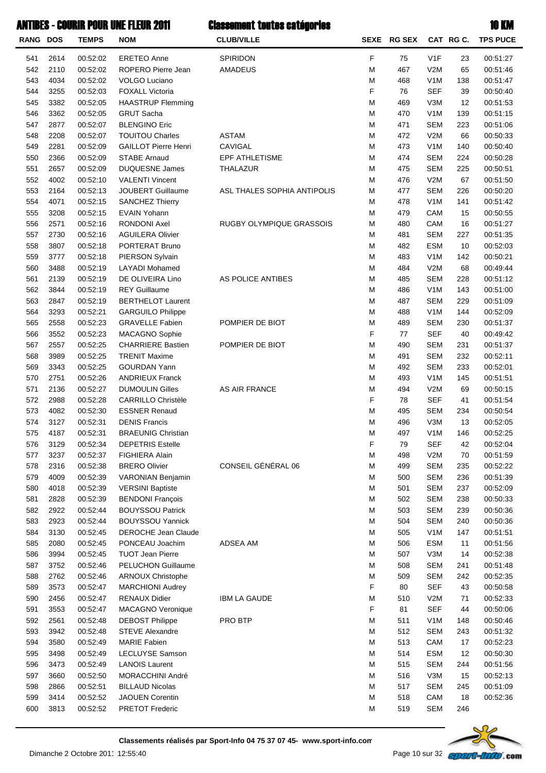| RANG DOS   |              | .<br><b>TEMPS</b>    | VOIL VIIL I LLUIL <i>L</i> U<br><b>NOM</b>            | ronaman'i randa an'ny farit<br><b>CLUB/VILLE</b> |        | SEXE RG SEX |                                | CAT RG C.  | <b>TPS PUCE</b>      |
|------------|--------------|----------------------|-------------------------------------------------------|--------------------------------------------------|--------|-------------|--------------------------------|------------|----------------------|
|            |              |                      |                                                       |                                                  |        |             |                                |            |                      |
| 541        | 2614         | 00:52:02             | <b>ERETEO Anne</b>                                    | SPIRIDON                                         | F      | 75          | V1F                            | 23         | 00:51:27             |
| 542        | 2110         | 00:52:02             | ROPERO Pierre Jean                                    | <b>AMADEUS</b>                                   | M      | 467         | V2M                            | 65         | 00:51:46             |
| 543        | 4034         | 00:52:02             | <b>VOLGO Luciano</b>                                  |                                                  | М      | 468         | V <sub>1</sub> M               | 138        | 00:51:47             |
| 544<br>545 | 3255<br>3382 | 00:52:03<br>00:52:05 | <b>FOXALL Victoria</b><br><b>HAASTRUP Flemming</b>    |                                                  | F<br>М | 76<br>469   | <b>SEF</b><br>V3M              | 39<br>12   | 00:50:40<br>00:51:53 |
| 546        | 3362         | 00:52:05             | <b>GRUT Sacha</b>                                     |                                                  | М      | 470         | V <sub>1</sub> M               | 139        | 00:51:15             |
| 547        | 2877         | 00:52:07             | <b>BLENGINO Eric</b>                                  |                                                  | М      | 471         | <b>SEM</b>                     | 223        | 00:51:06             |
| 548        | 2208         | 00:52:07             | <b>TOUITOU Charles</b>                                | <b>ASTAM</b>                                     | М      | 472         | V2M                            | 66         | 00:50:33             |
| 549        | 2281         | 00:52:09             | <b>GAILLOT Pierre Henri</b>                           | CAVIGAL                                          | M      | 473         | V <sub>1</sub> M               | 140        | 00:50:40             |
| 550        | 2366         | 00:52:09             | <b>STABE Arnaud</b>                                   | EPF ATHLETISME                                   | M      | 474         | <b>SEM</b>                     | 224        | 00:50:28             |
| 551        | 2657         | 00:52:09             | <b>DUQUESNE James</b>                                 | <b>THALAZUR</b>                                  | М      | 475         | <b>SEM</b>                     | 225        | 00:50:51             |
| 552        | 4002         | 00:52:10             | <b>VALENTI Vincent</b>                                |                                                  | М      | 476         | V2M                            | 67         | 00:51:50             |
| 553        | 2164         | 00:52:13             | JOUBERT Guillaume                                     | ASL THALES SOPHIA ANTIPOLIS                      | M      | 477         | <b>SEM</b>                     | 226        | 00:50:20             |
| 554        | 4071         | 00:52:15             | <b>SANCHEZ Thierry</b>                                |                                                  | М      | 478<br>479  | V <sub>1</sub> M               | 141        | 00:51:42             |
| 555<br>556 | 3208<br>2571 | 00:52:15<br>00:52:16 | <b>EVAIN Yohann</b><br><b>RONDONI Axel</b>            | RUGBY OLYMPIQUE GRASSOIS                         | М<br>M | 480         | CAM<br>CAM                     | 15<br>16   | 00:50:55<br>00:51:27 |
| 557        | 2730         | 00:52:16             | <b>AGUILERA Olivier</b>                               |                                                  | М      | 481         | <b>SEM</b>                     | 227        | 00:51:35             |
| 558        | 3807         | 00:52:18             | PORTERAT Bruno                                        |                                                  | М      | 482         | <b>ESM</b>                     | 10         | 00:52:03             |
| 559        | 3777         | 00:52:18             | PIERSON Sylvain                                       |                                                  | M      | 483         | V <sub>1</sub> M               | 142        | 00:50:21             |
| 560        | 3488         | 00:52:19             | <b>LAYADI</b> Mohamed                                 |                                                  | M      | 484         | V2M                            | 68         | 00:49:44             |
| 561        | 2139         | 00:52:19             | DE OLIVEIRA Lino                                      | AS POLICE ANTIBES                                | М      | 485         | <b>SEM</b>                     | 228        | 00:51:12             |
| 562        | 3844         | 00:52:19             | <b>REY Guillaume</b>                                  |                                                  | М      | 486         | V <sub>1</sub> M               | 143        | 00:51:00             |
| 563        | 2847         | 00:52:19             | <b>BERTHELOT Laurent</b>                              |                                                  | M      | 487         | <b>SEM</b>                     | 229        | 00:51:09             |
| 564        | 3293         | 00:52:21             | <b>GARGUILO Philippe</b>                              |                                                  | М      | 488         | V <sub>1</sub> M               | 144        | 00:52:09             |
| 565        | 2558         | 00:52:23             | <b>GRAVELLE Fabien</b>                                | POMPIER DE BIOT                                  | М      | 489         | <b>SEM</b>                     | 230        | 00:51:37             |
| 566        | 3552         | 00:52:23             | MACAGNO Sophie                                        |                                                  | F      | 77          | <b>SEF</b>                     | 40         | 00:49:42             |
| 567        | 2557         | 00:52:25             | <b>CHARRIERE Bastien</b>                              | POMPIER DE BIOT                                  | М      | 490         | <b>SEM</b>                     | 231        | 00:51:37             |
| 568<br>569 | 3989<br>3343 | 00:52:25<br>00:52:25 | <b>TRENIT Maxime</b><br><b>GOURDAN Yann</b>           |                                                  | М<br>М | 491<br>492  | <b>SEM</b><br><b>SEM</b>       | 232<br>233 | 00:52:11<br>00:52:01 |
| 570        | 2751         | 00:52:26             | <b>ANDRIEUX Franck</b>                                |                                                  | М      | 493         | V <sub>1</sub> M               | 145        | 00:51:51             |
| 571        | 2136         | 00:52:27             | <b>DUMOULIN Gilles</b>                                | AS AIR FRANCE                                    | М      | 494         | V2M                            | 69         | 00:50:15             |
| 572        | 2988         | 00:52:28             | <b>CARRILLO Christèle</b>                             |                                                  | F      | 78          | <b>SEF</b>                     | 41         | 00:51:54             |
| 573        | 4082         | 00:52:30             | <b>ESSNER Renaud</b>                                  |                                                  | M      | 495         | <b>SEM</b>                     | 234        | 00:50:54             |
| 574        | 3127         | 00:52:31             | <b>DENIS Francis</b>                                  |                                                  | М      | 496         | V3M                            | 13         | 00:52:05             |
| 575        | 4187         | 00:52:31             | <b>BRAEUNIG Christian</b>                             |                                                  | М      | 497         | V <sub>1</sub> M               | 146        | 00:52:25             |
| 576        | 3129         | 00:52:34             | <b>DEPETRIS Estelle</b>                               |                                                  | F      | 79          | <b>SEF</b>                     | 42         | 00:52:04             |
| 577        | 3237         | 00:52:37             | <b>FIGHIERA Alain</b>                                 |                                                  | M      | 498         | V2M                            | 70         | 00:51:59             |
| 578        | 2316         | 00:52:38             | <b>BRERO Olivier</b>                                  | CONSEIL GÉNÉRAL 06                               | M      | 499         | <b>SEM</b>                     | 235        | 00:52:22             |
| 579        | 4009         | 00:52:39             | <b>VARONIAN Benjamin</b>                              |                                                  | M      | 500         | <b>SEM</b>                     | 236        | 00:51:39             |
| 580        | 4018         | 00:52:39             | <b>VERSINI Baptiste</b>                               |                                                  | M      | 501         | <b>SEM</b>                     | 237        | 00:52:09             |
| 581        | 2828         | 00:52:39             | <b>BENDONI François</b>                               |                                                  | M      | 502         | <b>SEM</b>                     | 238        | 00:50:33             |
| 582        | 2922         | 00:52:44             | <b>BOUYSSOU Patrick</b>                               |                                                  | M      | 503         | <b>SEM</b>                     | 239        | 00:50:36             |
| 583<br>584 | 2923<br>3130 | 00:52:44<br>00:52:45 | <b>BOUYSSOU Yannick</b><br><b>DEROCHE Jean Claude</b> |                                                  | M<br>M | 504<br>505  | <b>SEM</b><br>V <sub>1</sub> M | 240<br>147 | 00:50:36<br>00:51:51 |
| 585        | 2080         | 00:52:45             | PONCEAU Joachim                                       | ADSEA AM                                         | M      | 506         | <b>ESM</b>                     | 11         | 00:51:56             |
| 586        | 3994         | 00:52:45             | <b>TUOT Jean Pierre</b>                               |                                                  | M      | 507         | V3M                            | 14         | 00:52:38             |
| 587        | 3752         | 00:52:46             | <b>PELUCHON Guillaume</b>                             |                                                  | M      | 508         | <b>SEM</b>                     | 241        | 00:51:48             |
| 588        | 2762         | 00:52:46             | <b>ARNOUX Christophe</b>                              |                                                  | M      | 509         | <b>SEM</b>                     | 242        | 00:52:35             |
| 589        | 3573         | 00:52:47             | <b>MARCHIONI Audrey</b>                               |                                                  | F      | 80          | <b>SEF</b>                     | 43         | 00:50:58             |
| 590        | 2456         | 00:52:47             | <b>RENAUX Didier</b>                                  | <b>IBM LA GAUDE</b>                              | M      | 510         | V2M                            | 71         | 00:52:33             |
| 591        | 3553         | 00:52:47             | <b>MACAGNO Veronique</b>                              |                                                  | F      | 81          | <b>SEF</b>                     | 44         | 00:50:06             |
| 592        | 2561         | 00:52:48             | <b>DEBOST Philippe</b>                                | PRO BTP                                          | M      | 511         | V <sub>1</sub> M               | 148        | 00:50:46             |
| 593        | 3942         | 00:52:48             | <b>STEVE Alexandre</b>                                |                                                  | M      | 512         | <b>SEM</b>                     | 243        | 00:51:32             |
| 594        | 3580         | 00:52:49             | <b>MARIE Fabien</b>                                   |                                                  | M      | 513         | CAM                            | 17         | 00:52:23             |
| 595        | 3498         | 00:52:49             | LECLUYSE Samson                                       |                                                  | M      | 514         | <b>ESM</b>                     | 12         | 00:50:30             |
| 596        | 3473         | 00:52:49             | <b>LANOIS Laurent</b>                                 |                                                  | M      | 515         | <b>SEM</b>                     | 244        | 00:51:56             |
| 597<br>598 | 3660<br>2866 | 00:52:50<br>00:52:51 | MORACCHINI André<br><b>BILLAUD Nicolas</b>            |                                                  | M<br>M | 516<br>517  | V3M<br><b>SEM</b>              | 15<br>245  | 00:52:13<br>00:51:09 |
| 599        | 3414         | 00:52:52             | <b>JAOUEN Corentin</b>                                |                                                  | M      | 518         | CAM                            | 18         | 00:52:36             |
| 600        | 3813         | 00:52:52             | <b>PRETOT Frederic</b>                                |                                                  | М      | 519         | <b>SEM</b>                     | 246        |                      |
|            |              |                      |                                                       |                                                  |        |             |                                |            |                      |

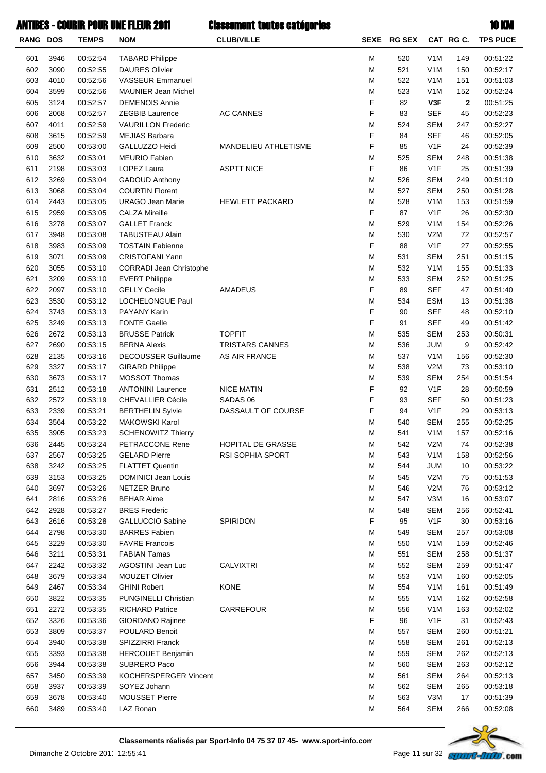| RANG DOS |      | <b>TEMPS</b> | <b>NOM</b>                     | <b>CLUB/VILLE</b>      |   | SEXE RG SEX |                  | CAT RG C.    | <b>TPS PUCE</b> |
|----------|------|--------------|--------------------------------|------------------------|---|-------------|------------------|--------------|-----------------|
| 601      | 3946 | 00:52:54     | <b>TABARD Philippe</b>         |                        | М | 520         | V <sub>1</sub> M | 149          | 00:51:22        |
| 602      | 3090 | 00:52:55     | <b>DAURES Olivier</b>          |                        | M | 521         | V <sub>1</sub> M | 150          | 00:52:17        |
| 603      | 4010 | 00:52:56     | <b>VASSEUR Emmanuel</b>        |                        | M | 522         | V <sub>1</sub> M | 151          | 00:51:03        |
| 604      | 3599 | 00:52:56     | <b>MAUNIER Jean Michel</b>     |                        | M | 523         | V <sub>1</sub> M | 152          | 00:52:24        |
| 605      | 3124 | 00:52:57     | <b>DEMENOIS Annie</b>          |                        | F | 82          | V3F              | $\mathbf{2}$ | 00:51:25        |
| 606      | 2068 | 00:52:57     | <b>ZEGBIB Laurence</b>         | <b>AC CANNES</b>       | F | 83          | <b>SEF</b>       | 45           | 00:52:23        |
| 607      | 4011 | 00:52:59     | <b>VAURILLON Frederic</b>      |                        | M | 524         | <b>SEM</b>       | 247          | 00:52:27        |
| 608      | 3615 | 00:52:59     | <b>MEJIAS Barbara</b>          |                        | F | 84          | <b>SEF</b>       |              | 00:52:05        |
|          |      |              |                                |                        | F |             |                  | 46           |                 |
| 609      | 2500 | 00:53:00     | GALLUZZO Heidi                 | MANDELIEU ATHLETISME   |   | 85          | V <sub>1</sub> F | 24           | 00:52:39        |
| 610      | 3632 | 00:53:01     | <b>MEURIO Fabien</b>           |                        | M | 525         | <b>SEM</b>       | 248          | 00:51:38        |
| 611      | 2198 | 00:53:03     | LOPEZ Laura                    | <b>ASPTT NICE</b>      | F | 86          | V <sub>1</sub> F | 25           | 00:51:39        |
| 612      | 3269 | 00:53:04     | <b>GADOUD Anthony</b>          |                        | M | 526         | <b>SEM</b>       | 249          | 00:51:10        |
| 613      | 3068 | 00:53:04     | <b>COURTIN Florent</b>         |                        | M | 527         | <b>SEM</b>       | 250          | 00:51:28        |
| 614      | 2443 | 00:53:05     | <b>URAGO Jean Marie</b>        | <b>HEWLETT PACKARD</b> | M | 528         | V <sub>1</sub> M | 153          | 00:51:59        |
| 615      | 2959 | 00:53:05     | <b>CALZA Mireille</b>          |                        | F | 87          | V <sub>1</sub> F | 26           | 00:52:30        |
| 616      | 3278 | 00:53:07     | <b>GALLET Franck</b>           |                        | M | 529         | V <sub>1</sub> M | 154          | 00:52:26        |
| 617      | 3948 | 00:53:08     | <b>TABUSTEAU Alain</b>         |                        | M | 530         | V2M              | 72           | 00:52:57        |
| 618      | 3983 | 00:53:09     | <b>TOSTAIN Fabienne</b>        |                        | F | 88          | V <sub>1</sub> F | 27           | 00:52:55        |
| 619      | 3071 | 00:53:09     | <b>CRISTOFANI Yann</b>         |                        | M | 531         | <b>SEM</b>       | 251          | 00:51:15        |
| 620      | 3055 | 00:53:10     | <b>CORRADI Jean Christophe</b> |                        | M | 532         | V <sub>1</sub> M | 155          | 00:51:33        |
| 621      | 3209 | 00:53:10     | <b>EVERT Philippe</b>          |                        | M | 533         | <b>SEM</b>       | 252          | 00:51:25        |
| 622      | 2097 | 00:53:10     | <b>GELLY Cecile</b>            | AMADEUS                | F | 89          | <b>SEF</b>       | 47           | 00:51:40        |
| 623      | 3530 | 00:53:12     | LOCHELONGUE Paul               |                        | M | 534         | <b>ESM</b>       | 13           | 00:51:38        |
| 624      | 3743 | 00:53:13     | PAYANY Karin                   |                        | F | 90          | <b>SEF</b>       | 48           | 00:52:10        |
| 625      | 3249 | 00:53:13     | <b>FONTE Gaelle</b>            |                        | F | 91          | <b>SEF</b>       | 49           | 00:51:42        |
| 626      | 2672 | 00:53:13     | <b>BRUSSE Patrick</b>          | <b>TOPFIT</b>          | M | 535         | <b>SEM</b>       | 253          | 00:50:31        |
| 627      | 2690 | 00:53:15     | <b>BERNA Alexis</b>            | <b>TRISTARS CANNES</b> | M | 536         | <b>JUM</b>       | 9            | 00:52:42        |
|          |      |              |                                |                        |   |             |                  |              |                 |
| 628      | 2135 | 00:53:16     | <b>DECOUSSER Guillaume</b>     | AS AIR FRANCE          | M | 537         | V <sub>1</sub> M | 156          | 00:52:30        |
| 629      | 3327 | 00:53:17     | <b>GIRARD Philippe</b>         |                        | M | 538         | V2M              | 73           | 00:53:10        |
| 630      | 3673 | 00:53:17     | MOSSOT Thomas                  |                        | M | 539         | <b>SEM</b>       | 254          | 00:51:54        |
| 631      | 2512 | 00:53:18     | <b>ANTONINI Laurence</b>       | <b>NICE MATIN</b>      | F | 92          | V1F              | 28           | 00:50:59        |
| 632      | 2572 | 00:53:19     | <b>CHEVALLIER Cécile</b>       | SADAS <sub>06</sub>    | F | 93          | <b>SEF</b>       | 50           | 00:51:23        |
| 633      | 2339 | 00:53:21     | <b>BERTHELIN Sylvie</b>        | DASSAULT OF COURSE     | F | 94          | V <sub>1</sub> F | 29           | 00:53:13        |
| 634      | 3564 | 00:53:22     | <b>MAKOWSKI Karol</b>          |                        | M | 540         | <b>SEM</b>       | 255          | 00:52:25        |
| 635      | 3905 | 00:53:23     | <b>SCHENOWITZ Thierry</b>      |                        | М | 541         | V <sub>1</sub> M | 157          | 00:52:16        |
| 636      | 2445 | 00:53:24     | PETRACCONE Rene                | HOPITAL DE GRASSE      | M | 542         | V2M              | 74           | 00:52:38        |
| 637      | 2567 | 00:53:25     | <b>GELARD Pierre</b>           | RSI SOPHIA SPORT       | M | 543         | V <sub>1</sub> M | 158          | 00:52:56        |
| 638      | 3242 | 00:53:25     | <b>FLATTET Quentin</b>         |                        | M | 544         | JUM              | 10           | 00:53:22        |
| 639      | 3153 | 00:53:25     | <b>DOMINICI Jean Louis</b>     |                        | M | 545         | V2M              | 75           | 00:51:53        |
| 640      | 3697 | 00:53:26     | <b>NETZER Bruno</b>            |                        | M | 546         | V2M              | 76           | 00:53:12        |
| 641      | 2816 | 00:53:26     | <b>BEHAR Aime</b>              |                        | M | 547         | V3M              | 16           | 00:53:07        |
| 642      | 2928 | 00:53:27     | <b>BRES</b> Frederic           |                        | M | 548         | <b>SEM</b>       | 256          | 00:52:41        |
| 643      | 2616 | 00:53:28     | <b>GALLUCCIO Sabine</b>        | SPIRIDON               | F | 95          | V <sub>1</sub> F | 30           | 00:53:16        |
| 644      | 2798 | 00:53:30     | <b>BARRES Fabien</b>           |                        | M | 549         | <b>SEM</b>       | 257          | 00:53:08        |
| 645      | 3229 | 00:53:30     | <b>FAVRE Francois</b>          |                        | M | 550         | V <sub>1</sub> M | 159          | 00:52:46        |
| 646      | 3211 | 00:53:31     | <b>FABIAN Tamas</b>            |                        | M | 551         | <b>SEM</b>       | 258          | 00:51:37        |
| 647      | 2242 | 00:53:32     | AGOSTINI Jean Luc              | <b>CALVIXTRI</b>       | M | 552         | <b>SEM</b>       | 259          | 00:51:47        |
| 648      | 3679 | 00:53:34     | MOUZET Olivier                 |                        | M | 553         | V <sub>1</sub> M | 160          | 00:52:05        |
| 649      | 2467 | 00:53:34     | <b>GHINI Robert</b>            | <b>KONE</b>            | M | 554         | V <sub>1</sub> M | 161          | 00:51:49        |
| 650      | 3822 | 00:53:35     | <b>PUNGINELLI Christian</b>    |                        | M | 555         | V <sub>1</sub> M | 162          | 00:52:58        |
| 651      | 2272 | 00:53:35     | <b>RICHARD Patrice</b>         | CARREFOUR              | M | 556         | V <sub>1</sub> M | 163          | 00:52:02        |
| 652      | 3326 | 00:53:36     | GIORDANO Rajinee               |                        | F | 96          | V <sub>1</sub> F | 31           | 00:52:43        |
| 653      | 3809 | 00:53:37     | POULARD Benoit                 |                        |   |             |                  |              | 00:51:21        |
|          |      |              |                                |                        | M | 557         | SEM              | 260          |                 |
| 654      | 3940 | 00:53:38     | SPIZZIRRI Franck               |                        | M | 558         | <b>SEM</b>       | 261          | 00:52:13        |
| 655      | 3393 | 00:53:38     | <b>HERCOUET Benjamin</b>       |                        | M | 559         | <b>SEM</b>       | 262          | 00:52:13        |
| 656      | 3944 | 00:53:38     | SUBRERO Paco                   |                        | M | 560         | <b>SEM</b>       | 263          | 00:52:12        |
| 657      | 3450 | 00:53:39     | KOCHERSPERGER Vincent          |                        | M | 561         | <b>SEM</b>       | 264          | 00:52:13        |
| 658      | 3937 | 00:53:39     | SOYEZ Johann                   |                        | M | 562         | <b>SEM</b>       | 265          | 00:53:18        |
| 659      | 3678 | 00:53:40     | <b>MOUSSET Pierre</b>          |                        | M | 563         | V3M              | 17           | 00:51:39        |
| 660      | 3489 | 00:53:40     | LAZ Ronan                      |                        | M | 564         | <b>SEM</b>       | 266          | 00:52:08        |

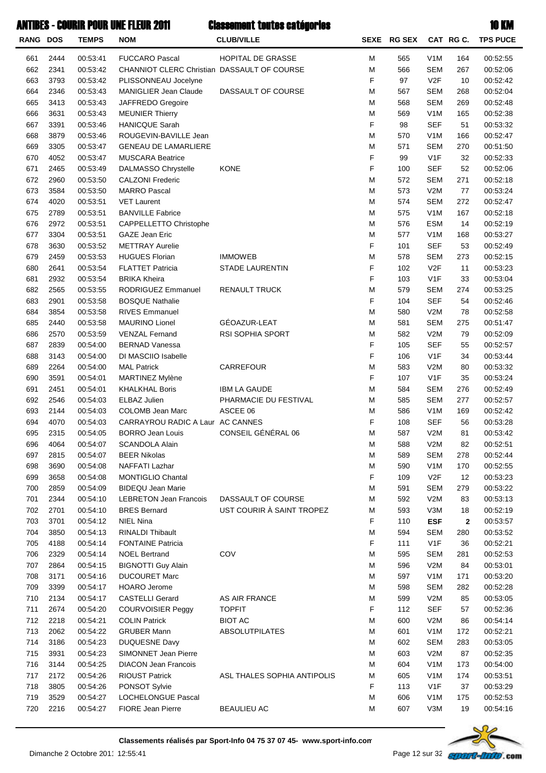| <b>RANG DOS</b> |              | <b>TEMPS</b>         | <b>NOM</b>                                  | <b>CLUB/VILLE</b>           |        | SEXE RG SEX |                                      | CAT RG C. | <b>TPS PUCE</b>      |
|-----------------|--------------|----------------------|---------------------------------------------|-----------------------------|--------|-------------|--------------------------------------|-----------|----------------------|
| 661             | 2444         | 00:53:41             | <b>FUCCARO Pascal</b>                       | HOPITAL DE GRASSE           | М      | 565         | V <sub>1</sub> M                     | 164       | 00:52:55             |
| 662             | 2341         | 00:53:42             | CHANNIOT CLERC Christian DASSAULT OF COURSE |                             | M      | 566         | <b>SEM</b>                           | 267       | 00:52:06             |
| 663             | 3793         | 00:53:42             | PLISSONNEAU Jocelyne                        |                             | F      | 97          | V2F                                  | 10        | 00:52:42             |
| 664             | 2346         | 00:53:43             | <b>MANIGLIER Jean Claude</b>                | DASSAULT OF COURSE          | М      | 567         | <b>SEM</b>                           | 268       | 00:52:04             |
| 665             | 3413         | 00:53:43             | JAFFREDO Gregoire                           |                             | М      | 568         | <b>SEM</b>                           | 269       | 00:52:48             |
| 666             | 3631         | 00:53:43             | <b>MEUNIER Thierry</b>                      |                             | М      | 569         | V <sub>1</sub> M                     | 165       | 00:52:38             |
| 667             | 3391         | 00:53:46             | <b>HANICQUE Sarah</b>                       |                             | F      | 98          | <b>SEF</b>                           | 51        | 00:53:32             |
| 668             | 3879         | 00:53:46             | ROUGEVIN-BAVILLE Jean                       |                             | М      | 570         | V <sub>1</sub> M                     | 166       | 00:52:47             |
| 669             | 3305         | 00:53:47             | <b>GENEAU DE LAMARLIERE</b>                 |                             | М      | 571         | <b>SEM</b>                           | 270       | 00:51:50             |
| 670             | 4052         | 00:53:47             | <b>MUSCARA Beatrice</b>                     |                             | F      | 99          | V <sub>1</sub> F                     | 32        | 00:52:33             |
| 671             | 2465         | 00:53:49             | DALMASSO Chrystelle                         | <b>KONE</b>                 | F      | 100         | <b>SEF</b>                           | 52        | 00:52:06             |
| 672             | 2960         | 00:53:50             | <b>CALZONI Frederic</b>                     |                             | М      | 572         | <b>SEM</b>                           | 271       | 00:52:18             |
| 673             | 3584         | 00:53:50             | <b>MARRO Pascal</b>                         |                             | М      | 573         | V2M                                  | 77        | 00:53:24             |
| 674             | 4020         | 00:53:51             | <b>VET Laurent</b>                          |                             | М      | 574         | <b>SEM</b>                           | 272       | 00:52:47             |
| 675             | 2789         | 00:53:51             | <b>BANVILLE Fabrice</b>                     |                             | М      | 575         | V <sub>1</sub> M                     | 167       | 00:52:18             |
| 676             | 2972         | 00:53:51             | CAPPELLETTO Christophe                      |                             | М      | 576         | <b>ESM</b>                           | 14        | 00:52:19             |
| 677             | 3304         | 00:53:51             | GAZE Jean Eric                              |                             | М      | 577         | V <sub>1</sub> M                     | 168       | 00:53:27             |
| 678             | 3630         | 00:53:52             | <b>METTRAY Aurelie</b>                      |                             | F      | 101         | <b>SEF</b>                           | 53        | 00:52:49             |
| 679             | 2459         | 00:53:53             | <b>HUGUES Florian</b>                       | <b>IMMOWEB</b>              | М      | 578         | <b>SEM</b>                           | 273       | 00:52:15             |
| 680             | 2641         | 00:53:54             | <b>FLATTET Patricia</b>                     | <b>STADE LAURENTIN</b>      | F      | 102         | V2F                                  | 11        | 00:53:23             |
| 681             | 2932         | 00:53:54             | <b>BRIKA Kheira</b>                         |                             | F      | 103         | V <sub>1</sub> F                     | 33        | 00:53:04             |
| 682             | 2565         | 00:53:55             | RODRIGUEZ Emmanuel                          | <b>RENAULT TRUCK</b>        | М      | 579         | <b>SEM</b>                           | 274       | 00:53:25             |
| 683             | 2901         | 00:53:58             | <b>BOSQUE Nathalie</b>                      |                             | F      | 104         | <b>SEF</b>                           | 54        | 00:52:46             |
| 684             | 3854         | 00:53:58             | <b>RIVES Emmanuel</b>                       |                             | М      | 580         | V2M                                  | 78        | 00:52:58             |
| 685             | 2440         | 00:53:58             | <b>MAURINO Lionel</b>                       | GÉOAZUR-LEAT                | М      | 581         | <b>SEM</b>                           | 275       | 00:51:47             |
| 686             | 2570         | 00:53:59             | <b>VENZAL Fernand</b>                       | RSI SOPHIA SPORT            | М      | 582         | V2M                                  | 79        | 00:52:09             |
| 687             | 2839         | 00:54:00             | <b>BERNAD Vanessa</b>                       |                             | F      | 105         | <b>SEF</b>                           | 55        | 00:52:57             |
| 688             | 3143         | 00:54:00             | DI MASCIIO Isabelle                         |                             | F      | 106         | V <sub>1</sub> F                     | 34        | 00:53:44             |
| 689             | 2264         | 00:54:00             | <b>MAL Patrick</b>                          | CARREFOUR                   | М      | 583         | V2M                                  | 80        | 00:53:32             |
| 690             | 3591         | 00:54:01             | MARTINEZ Mylène                             |                             | F      | 107         | V <sub>1</sub> F                     | 35        | 00:53:24             |
| 691             | 2451         | 00:54:01             | <b>KHALKHAL Boris</b>                       | <b>IBM LA GAUDE</b>         | М      | 584         | <b>SEM</b>                           | 276       | 00:52:49             |
| 692             | 2546         | 00:54:03             | ELBAZ Julien                                | PHARMACIE DU FESTIVAL       | М      | 585         | <b>SEM</b>                           | 277       | 00:52:57             |
| 693             | 2144         | 00:54:03             | <b>COLOMB Jean Marc</b>                     | ASCEE 06                    | М      | 586         | V <sub>1</sub> M                     | 169       | 00:52:42             |
| 694             | 4070         | 00:54:03             | CARRAYROU RADIC A Laur AC CANNES            |                             | F      | 108         | <b>SEF</b>                           | 56        | 00:53:28             |
| 695             | 2315         | 00:54:05             | <b>BORRO Jean Louis</b>                     | CONSEIL GÉNÉRAL 06          | М      | 587         | V2M                                  | 81        | 00:53:42             |
| 696             | 4064         | 00:54:07             | <b>SCANDOLA Alain</b>                       |                             | M      | 588         | V2M                                  | 82        | 00:52:51             |
| 697             | 2815         | 00:54:07             | <b>BEER Nikolas</b>                         |                             | M      | 589         | <b>SEM</b>                           | 278       | 00:52:44             |
| 698             | 3690         | 00:54:08             | NAFFATI Lazhar                              |                             | M      | 590         | V <sub>1</sub> M                     | 170       | 00:52:55             |
| 699             | 3658         | 00:54:08             | <b>MONTIGLIO Chantal</b>                    |                             | F      | 109         | V <sub>2</sub> F                     | 12        | 00:53:23             |
| 700             | 2859         | 00:54:09             | <b>BIDEQU Jean Marie</b>                    |                             | М      | 591         | <b>SEM</b>                           | 279       | 00:53:22             |
| 701             | 2344         | 00:54:10             | <b>LEBRETON Jean Francois</b>               | DASSAULT OF COURSE          | М      | 592         | V2M                                  | 83        | 00:53:13             |
| 702             | 2701         | 00:54:10             | <b>BRES Bernard</b>                         | UST COURIR À SAINT TROPEZ   | M      | 593         | V3M                                  | 18        | 00:52:19             |
| 703             | 3701         | 00:54:12             | <b>NIEL Nina</b>                            |                             | F      | 110         | <b>ESF</b>                           | 2         | 00:53:57             |
| 704             | 3850         | 00:54:13             | RINALDI Thibault                            |                             | M      | 594         | <b>SEM</b>                           | 280       | 00:53:52             |
| 705             | 4188         | 00:54:14             | <b>FONTAINE Patricia</b>                    |                             | F      | 111         | V <sub>1</sub> F                     | 36        | 00:52:21             |
| 706             | 2329         | 00:54:14             | <b>NOEL Bertrand</b>                        | COV                         | М      | 595         | <b>SEM</b>                           | 281       | 00:52:53             |
| 707             | 2864         | 00:54:15             | <b>BIGNOTTI Guy Alain</b>                   |                             | М      | 596         | V2M                                  | 84        | 00:53:01             |
| 708             | 3171         | 00:54:16             | <b>DUCOURET Marc</b>                        |                             | М      | 597         | V <sub>1</sub> M                     | 171       | 00:53:20             |
| 709             | 3399         | 00:54:17             | <b>HOARO</b> Jerome                         |                             | М      | 598         | <b>SEM</b>                           | 282       | 00:52:28             |
| 710             | 2134         | 00:54:17             | <b>CASTELLI Gerard</b>                      | AS AIR FRANCE               | M      | 599         | V2M                                  | 85        | 00:53:05             |
| 711             | 2674         | 00:54:20             | <b>COURVOISIER Peggy</b>                    | <b>TOPFIT</b>               | F      | 112         | <b>SEF</b>                           | 57        | 00:52:36             |
| 712             | 2218         | 00:54:21             | <b>COLIN Patrick</b>                        | <b>BIOT AC</b>              | М      | 600         | V2M                                  | 86        | 00:54:14             |
| 713             | 2062         | 00:54:22             | <b>GRUBER Mann</b>                          | <b>ABSOLUTPILATES</b>       | М      | 601         | V <sub>1</sub> M                     | 172       | 00:52:21             |
| 714             | 3186         | 00:54:23             | DUQUESNE Davy                               |                             | М      | 602         | <b>SEM</b>                           | 283       | 00:53:05             |
| 715             | 3931         | 00:54:23             | SIMONNET Jean Pierre                        |                             | М      | 603         | V2M                                  | 87        | 00:52:35             |
| 716             | 3144         | 00:54:25             | <b>DIACON Jean Francois</b>                 |                             | М      | 604         | V <sub>1</sub> M                     | 173       | 00:54:00             |
| 717             | 2172         | 00:54:26             | <b>RIOUST Patrick</b>                       | ASL THALES SOPHIA ANTIPOLIS | M<br>F | 605         | V <sub>1</sub> M                     | 174       | 00:53:51             |
| 718<br>719      | 3805<br>3529 | 00:54:26<br>00:54:27 | PONSOT Sylvie<br>LOCHELONGUE Pascal         |                             | M      | 113<br>606  | V <sub>1</sub> F<br>V <sub>1</sub> M | 37        | 00:53:29<br>00:52:53 |
| 720             | 2216         |                      | FIORE Jean Pierre                           | <b>BEAULIEU AC</b>          | Μ      | 607         | V3M                                  | 175       |                      |
|                 |              | 00:54:27             |                                             |                             |        |             |                                      | 19        | 00:54:16             |

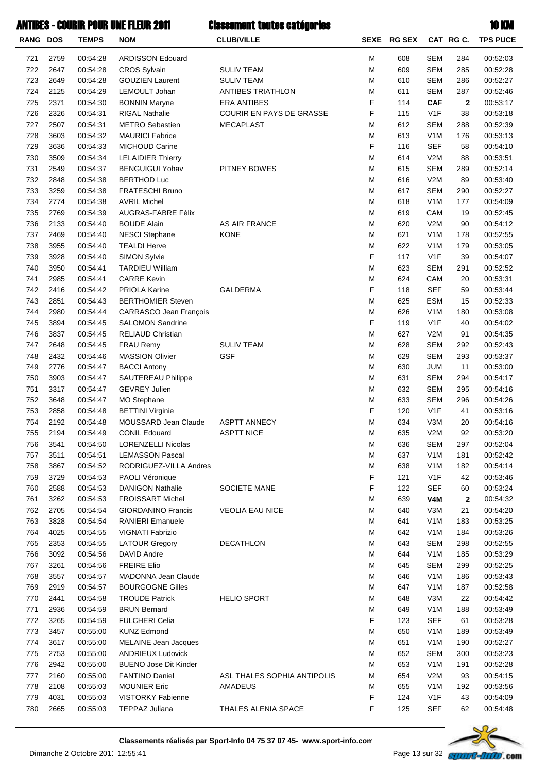| $\sim$ |  |
|--------|--|

| RANG DOS |      | <b>TEMPS</b> | <b>NOM</b>                    | <b>CLUB/VILLE</b>           |   | SEXE RG SEX |                  | CAT RGC.     | <b>TPS PUCE</b> |
|----------|------|--------------|-------------------------------|-----------------------------|---|-------------|------------------|--------------|-----------------|
| 721      | 2759 | 00:54:28     | <b>ARDISSON Edouard</b>       |                             | M | 608         | <b>SEM</b>       | 284          | 00:52:03        |
| 722      | 2647 | 00:54:28     | <b>CROS Sylvain</b>           | <b>SULIV TEAM</b>           | M | 609         | <b>SEM</b>       | 285          | 00:52:28        |
| 723      | 2649 | 00:54:28     | <b>GOUZIEN Laurent</b>        | <b>SULIV TEAM</b>           | M | 610         | <b>SEM</b>       | 286          | 00:52:27        |
| 724      | 2125 | 00:54:29     | LEMOULT Johan                 | <b>ANTIBES TRIATHLON</b>    | M | 611         | <b>SEM</b>       | 287          | 00:52:46        |
| 725      | 2371 | 00:54:30     | <b>BONNIN Maryne</b>          | <b>ERA ANTIBES</b>          | F | 114         | <b>CAF</b>       | $\mathbf{2}$ | 00:53:17        |
| 726      | 2326 | 00:54:31     | <b>RIGAL Nathalie</b>         | COURIR EN PAYS DE GRASSE    | F | 115         | V <sub>1</sub> F | 38           | 00:53:18        |
| 727      | 2507 | 00:54:31     | <b>METRO Sebastien</b>        | <b>MECAPLAST</b>            | M | 612         | <b>SEM</b>       | 288          | 00:52:39        |
| 728      | 3603 | 00:54:32     | <b>MAURICI Fabrice</b>        |                             | M | 613         | V <sub>1</sub> M | 176          | 00:53:13        |
| 729      | 3636 | 00:54:33     | MICHOUD Carine                |                             | F | 116         | <b>SEF</b>       | 58           | 00:54:10        |
| 730      | 3509 | 00:54:34     | <b>LELAIDIER Thierry</b>      |                             | M | 614         | V2M              | 88           | 00:53:51        |
| 731      | 2549 | 00:54:37     | <b>BENGUIGUI Yohav</b>        | PITNEY BOWES                | M | 615         | <b>SEM</b>       | 289          | 00:52:14        |
| 732      | 2848 | 00:54:38     | <b>BERTHOD Luc</b>            |                             | M | 616         | V2M              | 89           | 00:53:40        |
| 733      | 3259 | 00:54:38     | FRATESCHI Bruno               |                             | M | 617         | <b>SEM</b>       | 290          | 00:52:27        |
| 734      | 2774 | 00:54:38     | <b>AVRIL Michel</b>           |                             | M | 618         | V <sub>1</sub> M | 177          | 00:54:09        |
| 735      | 2769 | 00:54:39     | AUGRAS-FABRE Félix            |                             | M | 619         | CAM              | 19           | 00:52:45        |
| 736      | 2133 | 00:54:40     | <b>BOUDE Alain</b>            | AS AIR FRANCE               | M | 620         | V2M              | 90           | 00:54:12        |
| 737      | 2469 | 00:54:40     | <b>NESCI Stephane</b>         | <b>KONE</b>                 | M | 621         | V <sub>1</sub> M | 178          | 00:52:55        |
| 738      | 3955 | 00:54:40     | <b>TEALDI Herve</b>           |                             | M | 622         | V <sub>1</sub> M | 179          | 00:53:05        |
| 739      | 3928 | 00:54:40     | <b>SIMON Sylvie</b>           |                             | F | 117         | V <sub>1</sub> F | 39           | 00:54:07        |
| 740      | 3950 | 00:54:41     | <b>TARDIEU William</b>        |                             | M | 623         | <b>SEM</b>       | 291          | 00:52:52        |
| 741      | 2985 | 00:54:41     | <b>CARRE Kevin</b>            |                             | M | 624         | CAM              | 20           | 00:53:31        |
| 742      | 2416 | 00:54:42     | PRIOLA Karine                 | <b>GALDERMA</b>             | F | 118         | <b>SEF</b>       | 59           | 00:53:44        |
| 743      | 2851 | 00:54:43     | <b>BERTHOMIER Steven</b>      |                             | M | 625         | <b>ESM</b>       | 15           | 00:52:33        |
| 744      | 2980 | 00:54:44     | <b>CARRASCO Jean François</b> |                             | M | 626         | V <sub>1</sub> M | 180          | 00:53:08        |
| 745      | 3894 | 00:54:45     | <b>SALOMON Sandrine</b>       |                             | F | 119         | V <sub>1</sub> F | 40           | 00:54:02        |
| 746      | 3837 | 00:54:45     | <b>RELIAUD Christian</b>      |                             | M | 627         | V2M              | 91           | 00:54:35        |
| 747      | 2648 | 00:54:45     | <b>FRAU Remy</b>              | <b>SULIV TEAM</b>           | M | 628         | <b>SEM</b>       | 292          | 00:52:43        |
| 748      | 2432 | 00:54:46     | <b>MASSION Olivier</b>        | <b>GSF</b>                  | M | 629         | <b>SEM</b>       | 293          | 00:53:37        |
|          |      |              |                               |                             |   |             |                  |              |                 |
| 749      | 2776 | 00:54:47     | <b>BACCI Antony</b>           |                             | M | 630         | <b>JUM</b>       | 11           | 00:53:00        |
| 750      | 3903 | 00:54:47     | SAUTEREAU Philippe            |                             | M | 631         | <b>SEM</b>       | 294          | 00:54:17        |
| 751      | 3317 | 00:54:47     | <b>GEVREY Julien</b>          |                             | M | 632         | <b>SEM</b>       | 295          | 00:54:16        |
| 752      | 3648 | 00:54:47     | <b>MO Stephane</b>            |                             | M | 633         | <b>SEM</b>       | 296          | 00:54:26        |
| 753      | 2858 | 00:54:48     | <b>BETTINI Virginie</b>       |                             | F | 120         | V <sub>1</sub> F | 41           | 00:53:16        |
| 754      | 2192 | 00:54:48     | MOUSSARD Jean Claude          | <b>ASPTT ANNECY</b>         | M | 634         | V3M              | 20           | 00:54:16        |
| 755      | 2194 | 00:54:49     | <b>CONIL Edouard</b>          | <b>ASPTT NICE</b>           | М | 635         | V2M              | 92           | 00:53:20        |
| 756      | 3541 | 00:54:50     | LORENZELLI Nicolas            |                             | М | 636         | SEM              | 297          | 00:52:04        |
| 757      | 3511 | 00:54:51     | <b>LEMASSON Pascal</b>        |                             | M | 637         | V <sub>1</sub> M | 181          | 00:52:42        |
| 758      | 3867 | 00:54:52     | RODRIGUEZ-VILLA Andres        |                             | M | 638         | V <sub>1</sub> M | 182          | 00:54:14        |
| 759      | 3729 | 00:54:53     | <b>PAOLI Véronique</b>        |                             | F | 121         | V <sub>1</sub> F | 42           | 00:53:46        |
| 760      | 2588 | 00:54:53     | <b>DANIGON Nathalie</b>       | SOCIETE MANE                | F | 122         | <b>SEF</b>       | 60           | 00:53:24        |
| 761      | 3262 | 00:54:53     | <b>FROISSART Michel</b>       |                             | M | 639         | V <sub>4</sub> M | $\mathbf{2}$ | 00:54:32        |
| 762      | 2705 | 00:54:54     | <b>GIORDANINO Francis</b>     | <b>VEOLIA EAU NICE</b>      | M | 640         | V3M              | 21           | 00:54:20        |
| 763      | 3828 | 00:54:54     | <b>RANIERI Emanuele</b>       |                             | M | 641         | V <sub>1</sub> M | 183          | 00:53:25        |
| 764      | 4025 | 00:54:55     | VIGNATI Fabrizio              |                             | M | 642         | V <sub>1</sub> M | 184          | 00:53:26        |
| 765      | 2353 | 00:54:55     | <b>LATOUR Gregory</b>         | <b>DECATHLON</b>            | M | 643         | <b>SEM</b>       | 298          | 00:52:55        |
| 766      | 3092 | 00:54:56     | DAVID Andre                   |                             | M | 644         | V <sub>1</sub> M | 185          | 00:53:29        |
| 767      | 3261 | 00:54:56     | <b>FREIRE Elio</b>            |                             | M | 645         | <b>SEM</b>       | 299          | 00:52:25        |
| 768      | 3557 | 00:54:57     | MADONNA Jean Claude           |                             | M | 646         | V <sub>1</sub> M | 186          | 00:53:43        |
| 769      | 2919 | 00:54:57     | <b>BOURGOGNE Gilles</b>       |                             | M | 647         | V <sub>1</sub> M | 187          | 00:52:58        |
| 770      | 2441 | 00:54:58     | <b>TROUDE Patrick</b>         | <b>HELIO SPORT</b>          | M | 648         | V3M              | 22           | 00:54:42        |
| 771      | 2936 | 00:54:59     | <b>BRUN Bernard</b>           |                             | M | 649         | V <sub>1</sub> M | 188          | 00:53:49        |
| 772      | 3265 | 00:54:59     | <b>FULCHERI Celia</b>         |                             | F | 123         | <b>SEF</b>       | 61           | 00:53:28        |
| 773      | 3457 | 00:55:00     | <b>KUNZ Edmond</b>            |                             | M | 650         | V <sub>1</sub> M | 189          | 00:53:49        |
| 774      | 3617 | 00:55:00     | MELAINE Jean Jacques          |                             | M | 651         | V <sub>1</sub> M | 190          | 00:52:27        |
| 775      | 2753 | 00:55:00     | <b>ANDRIEUX Ludovick</b>      |                             | M | 652         | <b>SEM</b>       | 300          | 00:53:23        |
| 776      | 2942 | 00:55:00     | <b>BUENO Jose Dit Kinder</b>  |                             | M | 653         | V <sub>1</sub> M | 191          | 00:52:28        |
| 777      | 2160 | 00:55:00     | <b>FANTINO Daniel</b>         | ASL THALES SOPHIA ANTIPOLIS | M | 654         | V2M              | 93           | 00:54:15        |
| 778      | 2108 | 00:55:03     | <b>MOUNIER Eric</b>           | <b>AMADEUS</b>              | M | 655         | V <sub>1</sub> M | 192          | 00:53:56        |
| 779      | 4031 | 00:55:03     | VISTORKY Fabienne             |                             | F | 124         | V <sub>1</sub> F | 43           | 00:54:09        |
| 780      | 2665 | 00:55:03     | <b>TEPPAZ Juliana</b>         | THALES ALENIA SPACE         | F | 125         | <b>SEF</b>       | 62           | 00:54:48        |
|          |      |              |                               |                             |   |             |                  |              |                 |

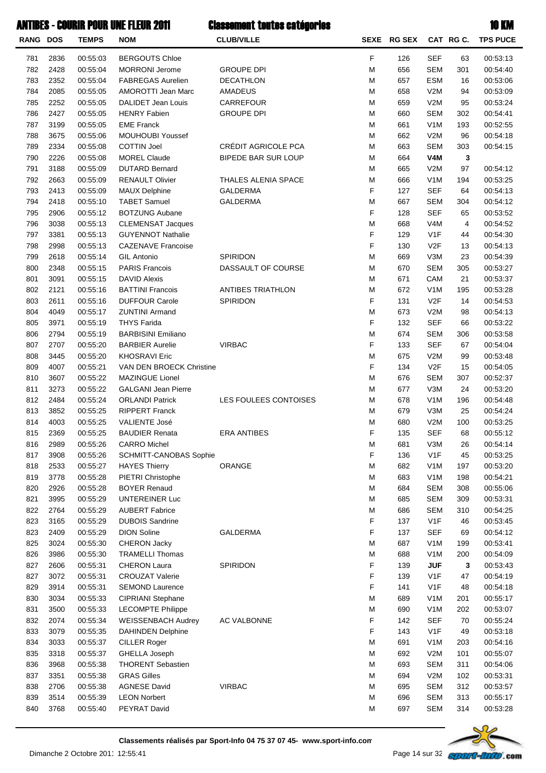| <b>RANG DOS</b> |      | <b>TEMPS</b> | <b>NOM</b>                 | <b>CLUB/VILLE</b>          |   | SEXE RG SEX |                  | CAT RG C. | <b>TPS PUCE</b> |
|-----------------|------|--------------|----------------------------|----------------------------|---|-------------|------------------|-----------|-----------------|
| 781             | 2836 | 00:55:03     | <b>BERGOUTS Chloe</b>      |                            | F | 126         | <b>SEF</b>       | 63        | 00:53:13        |
| 782             | 2428 | 00:55:04     | <b>MORRONI Jerome</b>      | <b>GROUPE DPI</b>          | M | 656         | <b>SEM</b>       | 301       | 00:54:40        |
| 783             | 2352 | 00:55:04     | <b>FABREGAS Aurelien</b>   | DECATHLON                  | M | 657         | <b>ESM</b>       | 16        | 00:53:06        |
| 784             | 2085 | 00:55:05     | <b>AMOROTTI Jean Marc</b>  | AMADEUS                    | M | 658         | V2M              | 94        | 00:53:09        |
| 785             | 2252 | 00:55:05     | DALIDET Jean Louis         | CARREFOUR                  | M | 659         | V2M              | 95        | 00:53:24        |
| 786             | 2427 | 00:55:05     | <b>HENRY Fabien</b>        | <b>GROUPE DPI</b>          | M | 660         | <b>SEM</b>       | 302       | 00:54:41        |
| 787             | 3199 | 00:55:05     | <b>EME Franck</b>          |                            | M | 661         | V <sub>1</sub> M | 193       | 00:52:55        |
| 788             | 3675 | 00:55:06     | <b>MOUHOUBI Youssef</b>    |                            | M | 662         | V2M              | 96        | 00:54:18        |
| 789             | 2334 | 00:55:08     | <b>COTTIN Joel</b>         | CRÉDIT AGRICOLE PCA        | M | 663         | <b>SEM</b>       | 303       | 00:54:15        |
| 790             | 2226 | 00:55:08     | <b>MOREL Claude</b>        | <b>BIPEDE BAR SUR LOUP</b> | M | 664         | V4M              | 3         |                 |
| 791             | 3188 | 00:55:09     | <b>DUTARD Bernard</b>      |                            | М | 665         | V2M              | 97        | 00:54:12        |
| 792             | 2663 | 00:55:09     | <b>RENAULT Olivier</b>     | THALES ALENIA SPACE        | M | 666         | V <sub>1</sub> M | 194       | 00:53:25        |
| 793             | 2413 | 00:55:09     | <b>MAUX Delphine</b>       | <b>GALDERMA</b>            | F | 127         | <b>SEF</b>       | 64        | 00:54:13        |
| 794             | 2418 | 00:55:10     | <b>TABET Samuel</b>        | <b>GALDERMA</b>            | M | 667         | <b>SEM</b>       | 304       | 00:54:12        |
| 795             | 2906 | 00:55:12     | <b>BOTZUNG Aubane</b>      |                            | F | 128         | <b>SEF</b>       | 65        | 00:53:52        |
| 796             | 3038 | 00:55:13     | <b>CLEMENSAT Jacques</b>   |                            | M | 668         | V <sub>4</sub> M | 4         | 00:54:52        |
| 797             | 3381 | 00:55:13     | <b>GUYENNOT Nathalie</b>   |                            | F | 129         | V <sub>1</sub> F | 44        | 00:54:30        |
| 798             | 2998 | 00:55:13     | <b>CAZENAVE Francoise</b>  |                            | F | 130         | V2F              | 13        | 00:54:13        |
| 799             | 2618 | 00:55:14     | <b>GIL Antonio</b>         | <b>SPIRIDON</b>            | M | 669         | V3M              | 23        | 00:54:39        |
| 800             | 2348 | 00:55:15     | <b>PARIS Francois</b>      | DASSAULT OF COURSE         | M | 670         | <b>SEM</b>       | 305       | 00:53:27        |
| 801             | 3091 | 00:55:15     | <b>DAVID Alexis</b>        |                            | M | 671         | CAM              | 21        | 00:53:37        |
| 802             | 2121 | 00:55:16     | <b>BATTINI Francois</b>    | <b>ANTIBES TRIATHLON</b>   | M | 672         | V <sub>1</sub> M | 195       | 00:53:28        |
| 803             | 2611 | 00:55:16     | <b>DUFFOUR Carole</b>      | SPIRIDON                   | F | 131         | V2F              | 14        | 00:54:53        |
| 804             | 4049 | 00:55:17     | <b>ZUNTINI Armand</b>      |                            | M | 673         | V2M              | 98        | 00:54:13        |
| 805             | 3971 | 00:55:19     | <b>THYS Farida</b>         |                            | F | 132         | <b>SEF</b>       | 66        | 00:53:22        |
| 806             | 2794 | 00:55:19     | <b>BARBISINI Emiliano</b>  |                            | M | 674         | <b>SEM</b>       | 306       | 00:53:58        |
| 807             | 2707 | 00:55:20     | <b>BARBIER Aurelie</b>     | <b>VIRBAC</b>              | F | 133         | <b>SEF</b>       | 67        | 00:54:04        |
| 808             | 3445 | 00:55:20     | <b>KHOSRAVI Eric</b>       |                            | M | 675         | V2M              | 99        | 00:53:48        |
| 809             | 4007 | 00:55:21     | VAN DEN BROECK Christine   |                            | F | 134         | V2F              | 15        | 00:54:05        |
| 810             | 3607 | 00:55:22     | <b>MAZINGUE Lionel</b>     |                            | M | 676         | <b>SEM</b>       | 307       | 00:52:37        |
| 811             | 3273 | 00:55:22     | <b>GALGANI Jean Pierre</b> |                            | M | 677         | V3M              | 24        | 00:53:20        |
| 812             | 2484 | 00:55:24     | <b>ORLANDI Patrick</b>     | LES FOULEES CONTOISES      | M | 678         | V <sub>1</sub> M | 196       | 00:54:48        |
| 813             | 3852 | 00:55:25     | <b>RIPPERT Franck</b>      |                            | М | 679         | V3M              | 25        | 00:54:24        |
| 814             | 4003 | 00:55:25     | <b>VALIENTE José</b>       |                            | M | 680         | V2M              | 100       | 00:53:25        |
| 815             | 2369 | 00:55:25     | <b>BAUDIER Renata</b>      | <b>ERA ANTIBES</b>         | F | 135         | <b>SEF</b>       | 68        | 00:55:12        |
| 816             | 2989 | 00:55:26     | <b>CARRO</b> Michel        |                            | M | 681         | V3M              | 26        | 00:54:14        |
| 817             | 3908 | 00:55:26     | SCHMITT-CANOBAS Sophie     |                            | F | 136         | V <sub>1</sub> F | 45        | 00:53:25        |
| 818             | 2533 | 00:55:27     | <b>HAYES Thierry</b>       | ORANGE                     | M | 682         | V <sub>1</sub> M | 197       | 00:53:20        |
| 819             | 3778 | 00:55:28     | PIETRI Christophe          |                            | M | 683         | V <sub>1</sub> M | 198       | 00:54:21        |
| 820             | 2926 | 00:55:28     | <b>BOYER Renaud</b>        |                            | M | 684         | <b>SEM</b>       | 308       | 00:55:06        |
| 821             | 3995 | 00:55:29     | <b>UNTEREINER Luc</b>      |                            | M | 685         | <b>SEM</b>       | 309       | 00:53:31        |
| 822             | 2764 | 00:55:29     | <b>AUBERT Fabrice</b>      |                            | M | 686         | <b>SEM</b>       | 310       | 00:54:25        |
| 823             | 3165 | 00:55:29     | <b>DUBOIS Sandrine</b>     |                            | F | 137         | V <sub>1</sub> F | 46        | 00:53:45        |
| 823             | 2409 | 00:55:29     | <b>DION Soline</b>         | <b>GALDERMA</b>            | F | 137         | <b>SEF</b>       | 69        | 00:54:12        |
| 825             | 3024 | 00:55:30     | <b>CHERON Jacky</b>        |                            | M | 687         | V <sub>1</sub> M | 199       | 00:53:41        |
| 826             | 3986 | 00:55:30     | <b>TRAMELLI Thomas</b>     |                            | M | 688         | V <sub>1</sub> M | 200       | 00:54:09        |
| 827             | 2606 | 00:55:31     | <b>CHERON Laura</b>        | SPIRIDON                   | F | 139         | <b>JUF</b>       | 3         | 00:53:43        |
| 827             | 3072 | 00:55:31     | <b>CROUZAT Valerie</b>     |                            | F | 139         | V <sub>1</sub> F | 47        | 00:54:19        |
| 829             | 3914 | 00:55:31     | <b>SEMOND Laurence</b>     |                            | F | 141         | V <sub>1</sub> F | 48        | 00:54:18        |
| 830             | 3034 | 00:55:33     | CIPRIANI Stephane          |                            | M | 689         | V <sub>1</sub> M | 201       | 00:55:17        |
| 831             | 3500 | 00:55:33     | <b>LECOMPTE Philippe</b>   |                            | M | 690         | V <sub>1</sub> M | 202       | 00:53:07        |
| 832             | 2074 | 00:55:34     | <b>WEISSENBACH Audrey</b>  | AC VALBONNE                | F | 142         | <b>SEF</b>       | 70        | 00:55:24        |
| 833             | 3079 | 00:55:35     | <b>DAHINDEN Delphine</b>   |                            | F | 143         | V <sub>1</sub> F | 49        | 00:53:18        |
| 834             | 3033 | 00:55:37     | <b>CILLER Roger</b>        |                            | M | 691         | V <sub>1</sub> M | 203       | 00:54:16        |
| 835             | 3318 | 00:55:37     | <b>GHELLA Joseph</b>       |                            | M | 692         | V2M              | 101       | 00:55:07        |
| 836             | 3968 | 00:55:38     | <b>THORENT Sebastien</b>   |                            | M | 693         | <b>SEM</b>       | 311       | 00:54:06        |
| 837             | 3351 | 00:55:38     | <b>GRAS Gilles</b>         |                            | M | 694         | V2M              | 102       | 00:53:31        |
| 838             | 2706 | 00:55:38     | <b>AGNESE David</b>        | <b>VIRBAC</b>              | M | 695         | <b>SEM</b>       | 312       | 00:53:57        |
| 839             | 3514 | 00:55:39     | <b>LEON Norbert</b>        |                            | M | 696         | <b>SEM</b>       | 313       | 00:55:17        |
| 840             | 3768 | 00:55:40     | PEYRAT David               |                            | M | 697         | <b>SEM</b>       | 314       | 00:53:28        |
|                 |      |              |                            |                            |   |             |                  |           |                 |

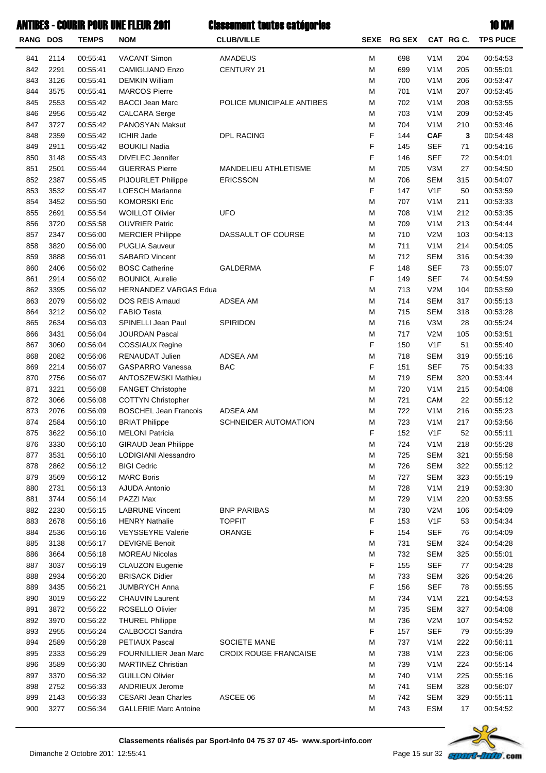|  | ٠ |  |
|--|---|--|
|  |   |  |

| RANG DOS   |              | <b>TEMPS</b>         | <b>NOM</b>                                 | <b>CLUB/VILLE</b>            |        | SEXE RG SEX |                          | CAT RG C.  | <b>TPS PUCE</b>      |
|------------|--------------|----------------------|--------------------------------------------|------------------------------|--------|-------------|--------------------------|------------|----------------------|
| 841        | 2114         | 00:55:41             | <b>VACANT Simon</b>                        | AMADEUS                      | М      | 698         | V <sub>1</sub> M         | 204        | 00:54:53             |
| 842        | 2291         | 00:55:41             | <b>CAMIGLIANO Enzo</b>                     | CENTURY 21                   | M      | 699         | V <sub>1</sub> M         | 205        | 00:55:01             |
| 843        | 3126         | 00:55:41             | <b>DEMKIN William</b>                      |                              | М      | 700         | V <sub>1</sub> M         | 206        | 00:53:47             |
| 844        | 3575         | 00:55:41             | <b>MARCOS Pierre</b>                       |                              | M      | 701         | V <sub>1</sub> M         | 207        | 00:53:45             |
| 845        | 2553         | 00:55:42             | <b>BACCI Jean Marc</b>                     | POLICE MUNICIPALE ANTIBES    | М      | 702         | V <sub>1</sub> M         | 208        | 00:53:55             |
| 846        | 2956         | 00:55:42             | <b>CALCARA Serge</b>                       |                              | М      | 703         | V <sub>1</sub> M         | 209        | 00:53:45             |
| 847        | 3727         | 00:55:42             | PANOSYAN Maksut                            |                              | M      | 704         | V <sub>1</sub> M         | 210        | 00:53:46             |
| 848        | 2359         | 00:55:42             | <b>ICHIR Jade</b>                          | DPL RACING                   | F      | 144         | <b>CAF</b>               | 3          | 00:54:48             |
| 849        | 2911         | 00:55:42             | <b>BOUKILI Nadia</b>                       |                              | F      | 145         | <b>SEF</b>               | 71         | 00:54:16             |
| 850        | 3148         | 00:55:43             | <b>DIVELEC</b> Jennifer                    |                              | F      | 146         | <b>SEF</b>               | 72         | 00:54:01             |
| 851        | 2501         | 00:55:44             | <b>GUERRAS Pierre</b>                      | MANDELIEU ATHLETISME         | М      | 705         | V3M                      | 27         | 00:54:50             |
| 852        | 2387         | 00:55:45             | PIJOURLET Philippe                         | <b>ERICSSON</b>              | М      | 706         | <b>SEM</b>               | 315        | 00:54:07             |
| 853        | 3532         | 00:55:47             | <b>LOESCH Marianne</b>                     |                              | F      | 147         | V1F                      | 50         | 00:53:59             |
| 854        | 3452         | 00:55:50             | <b>KOMORSKI Eric</b>                       |                              | M      | 707         | V <sub>1</sub> M         | 211        | 00:53:33             |
| 855        | 2691         | 00:55:54             | <b>WOILLOT Olivier</b>                     | <b>UFO</b>                   | M      | 708         | V <sub>1</sub> M         | 212        | 00:53:35             |
| 856        | 3720         | 00:55:58             | <b>OUVRIER Patric</b>                      |                              | М      | 709         | V <sub>1</sub> M         | 213        | 00:54:44             |
| 857        | 2347         | 00:56:00             | <b>MERCIER Philippe</b>                    | DASSAULT OF COURSE           | М      | 710         | V2M                      | 103        | 00:54:13             |
| 858        | 3820         | 00:56:00             | <b>PUGLIA Sauveur</b>                      |                              | M      | 711         | V <sub>1</sub> M         | 214        | 00:54:05             |
| 859        | 3888         | 00:56:01             | <b>SABARD Vincent</b>                      |                              | M      | 712         | <b>SEM</b>               | 316        | 00:54:39             |
| 860        | 2406         | 00:56:02             | <b>BOSC Catherine</b>                      | <b>GALDERMA</b>              | F      | 148         | <b>SEF</b>               | 73         | 00:55:07             |
| 861        | 2914         | 00:56:02             | <b>BOUNIOL Aurelie</b>                     |                              | F      | 149         | <b>SEF</b>               | 74         | 00:54:59             |
| 862        | 3395         | 00:56:02             | <b>HERNANDEZ VARGAS Edua</b>               |                              | M      | 713         | V2M                      | 104        | 00:53:59             |
| 863        | 2079         | 00:56:02             | DOS REIS Arnaud                            | ADSEA AM                     | М      | 714         | <b>SEM</b>               | 317        | 00:55:13             |
| 864        | 3212         | 00:56:02             | <b>FABIO Testa</b>                         |                              | М      | 715         | <b>SEM</b>               | 318        | 00:53:28             |
| 865        | 2634         | 00:56:03             | SPINELLI Jean Paul                         | SPIRIDON                     | М      | 716         | V3M                      | 28         | 00:55:24             |
| 866        | 3431         | 00:56:04             | <b>JOURDAN Pascal</b>                      |                              | M      | 717         | V2M                      | 105        | 00:53:51             |
| 867        | 3060         | 00:56:04             | COSSIAUX Regine                            |                              | F      | 150         | V <sub>1</sub> F         | 51         | 00:55:40             |
| 868        | 2082         | 00:56:06             | <b>RENAUDAT Julien</b>                     | <b>ADSEA AM</b>              | M      | 718         | <b>SEM</b>               | 319        | 00:55:16             |
| 869        | 2214         | 00:56:07             | <b>GASPARRO Vanessa</b>                    | <b>BAC</b>                   | F      | 151         | <b>SEF</b>               | 75         | 00:54:33             |
| 870        | 2756         | 00:56:07             | ANTOSZEWSKI Mathieu                        |                              | М      | 719         | <b>SEM</b>               | 320        | 00:53:44             |
| 871        | 3221         | 00:56:08             | FANGET Christophe                          |                              | М      | 720         | V <sub>1</sub> M         | 215        | 00:54:08             |
| 872        | 3066         | 00:56:08             | <b>COTTYN Christopher</b>                  |                              | M      | 721         | CAM                      | 22         | 00:55:12             |
| 873        | 2076         | 00:56:09             | <b>BOSCHEL Jean Francois</b>               | ADSEA AM                     | M      | 722         | V <sub>1</sub> M         | 216        | 00:55:23             |
| 874        | 2584         | 00:56:10             | <b>BRIAT Philippe</b>                      | SCHNEIDER AUTOMATION         | M      | 723         | V <sub>1</sub> M         | 217        | 00:53:56             |
| 875        | 3622         | 00:56:10             | <b>MELONI Patricia</b>                     |                              | F      | 152         | V <sub>1</sub> F         | 52         | 00:55:11             |
| 876        | 3330         | 00:56:10             | GIRAUD Jean Philippe                       |                              | М      | 724         | V <sub>1</sub> M         | 218        | 00:55:28             |
| 877        | 3531<br>2862 | 00:56:10             | LODIGIANI Alessandro<br><b>BIGI Cedric</b> |                              | М      | 725<br>726  | <b>SEM</b>               | 321        | 00:55:58             |
| 878        |              | 00:56:12             | <b>MARC Boris</b>                          |                              | M<br>M | 727         | <b>SEM</b><br><b>SEM</b> | 322        | 00:55:12<br>00:55:19 |
| 879        | 3569         | 00:56:12<br>00:56:13 | AJUDA Antonio                              |                              | M      | 728         | V <sub>1</sub> M         | 323<br>219 | 00:53:30             |
| 880<br>881 | 2731<br>3744 | 00:56:14             | PAZZI Max                                  |                              | M      | 729         | V <sub>1</sub> M         | 220        | 00:53:55             |
| 882        | 2230         | 00:56:15             | <b>LABRUNE Vincent</b>                     | <b>BNP PARIBAS</b>           | M      | 730         | V2M                      | 106        | 00:54:09             |
| 883        | 2678         | 00:56:16             | <b>HENRY Nathalie</b>                      | <b>TOPFIT</b>                | F      | 153         | V <sub>1</sub> F         | 53         | 00:54:34             |
| 884        | 2536         | 00:56:16             | <b>VEYSSEYRE Valerie</b>                   | ORANGE                       | F      | 154         | <b>SEF</b>               | 76         | 00:54:09             |
| 885        | 3138         | 00:56:17             | <b>DEVIGNE Benoit</b>                      |                              | M      | 731         | <b>SEM</b>               | 324        | 00:54:28             |
| 886        | 3664         | 00:56:18             | <b>MOREAU Nicolas</b>                      |                              | M      | 732         | <b>SEM</b>               | 325        | 00:55:01             |
| 887        | 3037         | 00:56:19             | <b>CLAUZON Eugenie</b>                     |                              | F      | 155         | <b>SEF</b>               | 77         | 00:54:28             |
| 888        | 2934         | 00:56:20             | <b>BRISACK Didier</b>                      |                              | М      | 733         | <b>SEM</b>               | 326        | 00:54:26             |
| 889        | 3435         | 00:56:21             | <b>JUMBRYCH Anna</b>                       |                              | F      | 156         | <b>SEF</b>               | 78         | 00:55:55             |
| 890        | 3019         | 00:56:22             | CHAUVIN Laurent                            |                              | M      | 734         | V <sub>1</sub> M         | 221        | 00:54:53             |
| 891        | 3872         | 00:56:22             | ROSELLO Olivier                            |                              | M      | 735         | <b>SEM</b>               | 327        | 00:54:08             |
| 892        | 3970         | 00:56:22             | <b>THUREL Philippe</b>                     |                              | М      | 736         | V2M                      | 107        | 00:54:52             |
| 893        | 2955         | 00:56:24             | <b>CALBOCCI Sandra</b>                     |                              | F      | 157         | <b>SEF</b>               | 79         | 00:55:39             |
| 894        | 2589         | 00:56:28             | PETIAUX Pascal                             | SOCIETE MANE                 | M      | 737         | V <sub>1</sub> M         | 222        | 00:56:11             |
| 895        | 2333         | 00:56:29             | FOURNILLIER Jean Marc                      | <b>CROIX ROUGE FRANCAISE</b> | M      | 738         | V <sub>1</sub> M         | 223        | 00:56:06             |
| 896        | 3589         | 00:56:30             | <b>MARTINEZ Christian</b>                  |                              | M      | 739         | V <sub>1</sub> M         | 224        | 00:55:14             |
| 897        | 3370         | 00:56:32             | <b>GUILLON Olivier</b>                     |                              | М      | 740         | V <sub>1</sub> M         | 225        | 00:55:16             |
| 898        | 2752         | 00:56:33             | ANDRIEUX Jerome                            |                              | M      | 741         | <b>SEM</b>               | 328        | 00:56:07             |
| 899        | 2143         | 00:56:33             | <b>CESARI Jean Charles</b>                 | ASCEE 06                     | M      | 742         | <b>SEM</b>               | 329        | 00:55:11             |
| 900        | 3277         | 00:56:34             | <b>GALLERIE Marc Antoine</b>               |                              | М      | 743         | ESM                      | 17         | 00:54:52             |

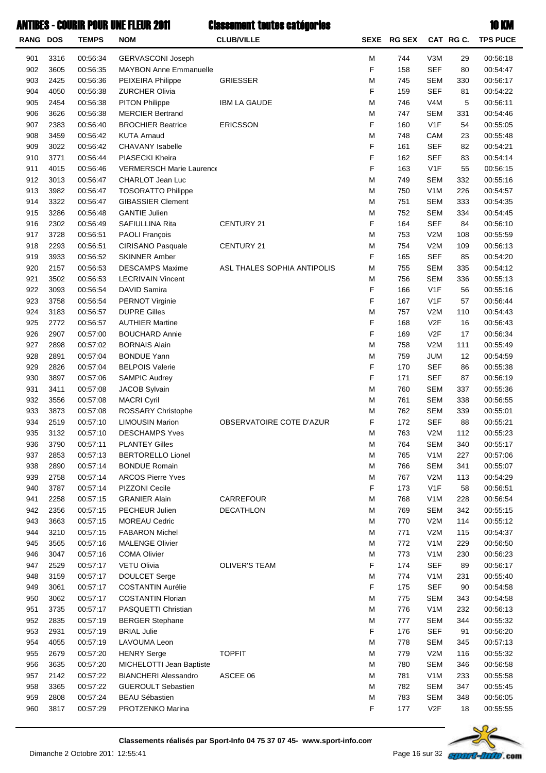| <b>RANG DOS</b> |              | <b>TEMPS</b>         | <b>NOM</b>                                            | <b>CLUB/VILLE</b>           |        | SEXE RG SEX |                                | CAT RG C.  | <b>TPS PUCE</b>      |
|-----------------|--------------|----------------------|-------------------------------------------------------|-----------------------------|--------|-------------|--------------------------------|------------|----------------------|
| 901             | 3316         | 00:56:34             | <b>GERVASCONI Joseph</b>                              |                             | M      | 744         | V3M                            | 29         | 00:56:18             |
| 902             | 3605         | 00:56:35             | <b>MAYBON Anne Emmanuelle</b>                         |                             | F      | 158         | <b>SEF</b>                     | 80         | 00:54:47             |
| 903             | 2425         | 00:56:36             | PEIXEIRA Philippe                                     | <b>GRIESSER</b>             | M      | 745         | <b>SEM</b>                     | 330        | 00:56:17             |
| 904             | 4050         | 00:56:38             | <b>ZURCHER Olivia</b>                                 |                             | F      | 159         | <b>SEF</b>                     | 81         | 00:54:22             |
| 905             | 2454         | 00:56:38             | PITON Philippe                                        | <b>IBM LA GAUDE</b>         | M      | 746         | V <sub>4</sub> M               | 5          | 00:56:11             |
| 906             | 3626         | 00:56:38             | <b>MERCIER Bertrand</b>                               |                             | M      | 747         | <b>SEM</b>                     | 331        | 00:54:46             |
| 907             | 2383         | 00:56:40             | <b>BROCHIER Beatrice</b>                              | <b>ERICSSON</b>             | F      | 160         | V1F                            | 54         | 00:55:05             |
| 908             | 3459         | 00:56:42             | <b>KUTA Arnaud</b>                                    |                             | M      | 748         | CAM                            | 23         | 00:55:48             |
| 909             | 3022         | 00:56:42             | <b>CHAVANY Isabelle</b>                               |                             | F      | 161         | <b>SEF</b>                     | 82         | 00:54:21             |
| 910             | 3771         | 00:56:44             | PIASECKI Kheira                                       |                             | F      | 162         | <b>SEF</b>                     | 83         | 00:54:14             |
| 911             | 4015         | 00:56:46             | <b>VERMERSCH Marie Laurence</b>                       |                             | F<br>M | 163         | V <sub>1</sub> F               | 55         | 00:56:15             |
| 912<br>913      | 3013<br>3982 | 00:56:47<br>00:56:47 | CHARLOT Jean Luc                                      |                             | M      | 749<br>750  | <b>SEM</b><br>V <sub>1</sub> M | 332<br>226 | 00:55:16<br>00:54:57 |
| 914             | 3322         | 00:56:47             | <b>TOSORATTO Philippe</b><br><b>GIBASSIER Clement</b> |                             | M      | 751         | <b>SEM</b>                     | 333        | 00:54:35             |
| 915             | 3286         | 00:56:48             | <b>GANTIE Julien</b>                                  |                             | M      | 752         | <b>SEM</b>                     | 334        | 00:54:45             |
| 916             | 2302         | 00:56:49             | SAFIULLINA Rita                                       | CENTURY 21                  | F      | 164         | <b>SEF</b>                     | 84         | 00:56:10             |
| 917             | 3728         | 00:56:51             | <b>PAOLI François</b>                                 |                             | M      | 753         | V2M                            | 108        | 00:55:59             |
| 918             | 2293         | 00:56:51             | CIRISANO Pasquale                                     | CENTURY 21                  | M      | 754         | V2M                            | 109        | 00:56:13             |
| 919             | 3933         | 00:56:52             | <b>SKINNER Amber</b>                                  |                             | F      | 165         | <b>SEF</b>                     | 85         | 00:54:20             |
| 920             | 2157         | 00:56:53             | <b>DESCAMPS Maxime</b>                                | ASL THALES SOPHIA ANTIPOLIS | M      | 755         | <b>SEM</b>                     | 335        | 00:54:12             |
| 921             | 3502         | 00:56:53             | <b>LECRIVAIN Vincent</b>                              |                             | M      | 756         | <b>SEM</b>                     | 336        | 00:55:13             |
| 922             | 3093         | 00:56:54             | DAVID Samira                                          |                             | F      | 166         | V1F                            | 56         | 00:55:16             |
| 923             | 3758         | 00:56:54             | PERNOT Virginie                                       |                             | F      | 167         | V <sub>1</sub> F               | 57         | 00:56:44             |
| 924             | 3183         | 00:56:57             | <b>DUPRE Gilles</b>                                   |                             | M      | 757         | V2M                            | 110        | 00:54:43             |
| 925             | 2772         | 00:56:57             | <b>AUTHIER Martine</b>                                |                             | F      | 168         | V <sub>2F</sub>                | 16         | 00:56:43             |
| 926             | 2907         | 00:57:00             | <b>BOUCHARD Annie</b>                                 |                             | F      | 169         | V2F                            | 17         | 00:56:34             |
| 927             | 2898         | 00:57:02             | <b>BORNAIS Alain</b>                                  |                             | M      | 758         | V2M                            | 111        | 00:55:49             |
| 928             | 2891         | 00:57:04             | <b>BONDUE Yann</b>                                    |                             | M      | 759         | <b>JUM</b>                     | 12         | 00:54:59             |
| 929             | 2826         | 00:57:04             | <b>BELPOIS Valerie</b>                                |                             | F      | 170         | <b>SEF</b>                     | 86         | 00:55:38             |
| 930             | 3897         | 00:57:06             | <b>SAMPIC Audrey</b>                                  |                             | F      | 171         | <b>SEF</b>                     | 87         | 00:56:19             |
| 931             | 3411         | 00:57:08             | JACOB Sylvain                                         |                             | M      | 760         | <b>SEM</b>                     | 337        | 00:55:36             |
| 932             | 3556         | 00:57:08             | <b>MACRI Cyril</b>                                    |                             | M      | 761         | <b>SEM</b>                     | 338        | 00:56:55             |
| 933             | 3873         | 00:57:08             | ROSSARY Christophe                                    |                             | M      | 762         | <b>SEM</b>                     | 339        | 00:55:01             |
| 934             | 2519         | 00:57:10             | <b>LIMOUSIN Marion</b>                                | OBSERVATOIRE COTE D'AZUR    | F      | 172         | <b>SEF</b>                     | 88         | 00:55:21             |
| 935             | 3132         | 00:57:10             | <b>DESCHAMPS Yves</b>                                 |                             | M      | 763         | V2M                            | 112        | 00:55:23             |
| 936             | 3790         | 00:57:11             | <b>PLANTEY Gilles</b>                                 |                             | M      | 764         | <b>SEM</b>                     | 340        | 00:55:17             |
| 937             | 2853         | 00:57:13             | <b>BERTORELLO Lionel</b>                              |                             | M      | 765         | V <sub>1</sub> M               | 227        | 00:57:06             |
| 938<br>939      | 2890<br>2758 | 00:57:14<br>00:57:14 | <b>BONDUE Romain</b><br><b>ARCOS Pierre Yves</b>      |                             | M<br>M | 766<br>767  | <b>SEM</b><br>V2M              | 341<br>113 | 00:55:07<br>00:54:29 |
| 940             | 3787         | 00:57:14             | PIZZONI Cecile                                        |                             | F      | 173         | V <sub>1</sub> F               | 58         | 00:56:51             |
| 941             | 2258         | 00:57:15             | <b>GRANIER Alain</b>                                  | CARREFOUR                   | M      | 768         | V <sub>1</sub> M               | 228        | 00:56:54             |
| 942             | 2356         | 00:57:15             | PECHEUR Julien                                        | <b>DECATHLON</b>            | M      | 769         | <b>SEM</b>                     | 342        | 00:55:15             |
| 943             | 3663         | 00:57:15             | <b>MOREAU Cedric</b>                                  |                             | M      | 770         | V2M                            | 114        | 00:55:12             |
| 944             | 3210         | 00:57:15             | <b>FABARON Michel</b>                                 |                             | M      | 771         | V2M                            | 115        | 00:54:37             |
| 945             | 3565         | 00:57:16             | <b>MALENGE Olivier</b>                                |                             | M      | 772         | V <sub>1</sub> M               | 229        | 00:56:50             |
| 946             | 3047         | 00:57:16             | <b>COMA Olivier</b>                                   |                             | M      | 773         | V <sub>1</sub> M               | 230        | 00:56:23             |
| 947             | 2529         | 00:57:17             | VETU Olivia                                           | <b>OLIVER'S TEAM</b>        | F      | 174         | <b>SEF</b>                     | 89         | 00:56:17             |
| 948             | 3159         | 00:57:17             | DOULCET Serge                                         |                             | M      | 774         | V <sub>1</sub> M               | 231        | 00:55:40             |
| 949             | 3061         | 00:57:17             | <b>COSTANTIN Aurélie</b>                              |                             | F      | 175         | <b>SEF</b>                     | 90         | 00:54:58             |
| 950             | 3062         | 00:57:17             | <b>COSTANTIN Florian</b>                              |                             | M      | 775         | <b>SEM</b>                     | 343        | 00:54:58             |
| 951             | 3735         | 00:57:17             | PASQUETTI Christian                                   |                             | M      | 776         | V <sub>1</sub> M               | 232        | 00:56:13             |
| 952             | 2835         | 00:57:19             | <b>BERGER Stephane</b>                                |                             | M      | 777         | <b>SEM</b>                     | 344        | 00:55:32             |
| 953             | 2931         | 00:57:19             | <b>BRIAL Julie</b>                                    |                             | F      | 176         | <b>SEF</b>                     | 91         | 00:56:20             |
| 954             | 4055         | 00:57:19             | LAVOUMA Leon                                          |                             | M      | 778         | <b>SEM</b>                     | 345        | 00:57:13             |
| 955             | 2679         | 00:57:20             | <b>HENRY Serge</b>                                    | <b>TOPFIT</b>               | M      | 779         | V2M                            | 116        | 00:55:32             |
| 956             | 3635         | 00:57:20             | MICHELOTTI Jean Baptiste                              |                             | M      | 780         | <b>SEM</b>                     | 346        | 00:56:58             |
| 957             | 2142         | 00:57:22             | <b>BIANCHERI Alessandro</b>                           | ASCEE 06                    | M      | 781         | V <sub>1</sub> M               | 233        | 00:55:58             |
| 958             | 3365         | 00:57:22             | <b>GUEROULT Sebastien</b>                             |                             | M      | 782         | <b>SEM</b>                     | 347        | 00:55:45             |
| 959<br>960      | 2808<br>3817 | 00:57:24             | <b>BEAU Sébastien</b><br>PROTZENKO Marina             |                             | M<br>F | 783         | <b>SEM</b><br>V2F              | 348        | 00:56:05             |
|                 |              | 00:57:29             |                                                       |                             |        | 177         |                                | 18         | 00:55:55             |

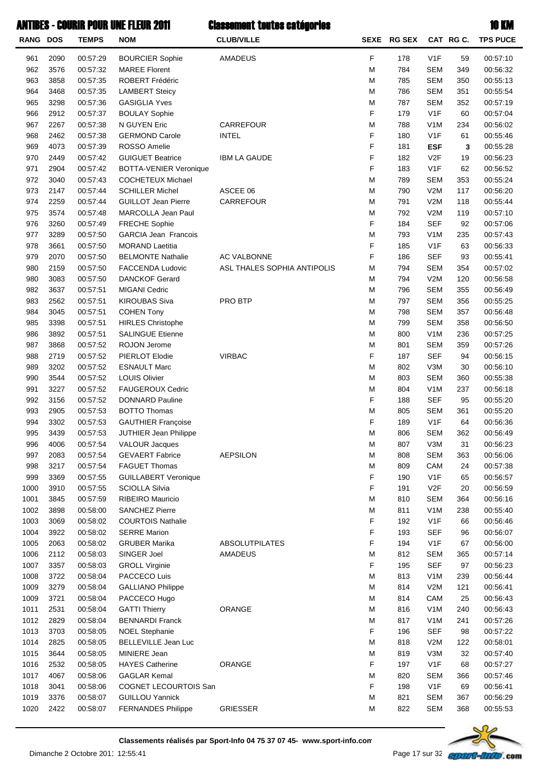| RANG DOS   |              | <b>TEMPS</b>         | <b>NOM</b>                                           | <b>CLUB/VILLE</b>           | <b>SEXE</b> | <b>RG SEX</b> |                         | CAT RGC.  | <b>TPS PUCE</b>      |
|------------|--------------|----------------------|------------------------------------------------------|-----------------------------|-------------|---------------|-------------------------|-----------|----------------------|
| 961        | 2090         | 00:57:29             | <b>BOURCIER Sophie</b>                               | AMADEUS                     | F           | 178           | V <sub>1</sub> F        | 59        | 00:57:10             |
| 962        | 3576         | 00:57:32             | <b>MAREE Florent</b>                                 |                             | M           | 784           | <b>SEM</b>              | 349       | 00:56:32             |
| 963        | 3858         | 00:57:35             | ROBERT Frédéric                                      |                             | М           | 785           | <b>SEM</b>              | 350       | 00:55:13             |
| 964        | 3468         | 00:57:35             | <b>LAMBERT Steicy</b>                                |                             | M           | 786           | <b>SEM</b>              | 351       | 00:55:54             |
| 965        | 3298         | 00:57:36             | <b>GASIGLIA Yves</b>                                 |                             | M           | 787           | <b>SEM</b>              | 352       | 00:57:19             |
| 966        | 2912         | 00:57:37             | <b>BOULAY Sophie</b>                                 |                             | F           | 179           | V <sub>1</sub> F        | 60        | 00:57:04             |
| 967        | 2267         | 00:57:38             | N GUYEN Eric                                         | CARREFOUR                   | М           | 788           | V <sub>1</sub> M        | 234       | 00:56:02             |
| 968        | 2462         | 00:57:38             | <b>GERMOND Carole</b>                                | <b>INTEL</b>                | F           | 180           | V <sub>1</sub> F        | 61        | 00:55:46             |
| 969        | 4073         | 00:57:39             | ROSSO Amelie                                         |                             | F           | 181           | <b>ESF</b>              | 3         | 00:55:28             |
| 970        | 2449         | 00:57:42             | <b>GUIGUET Beatrice</b>                              | <b>IBM LA GAUDE</b>         | F           | 182           | V2F                     | 19        | 00:56:23             |
| 971        | 2904         | 00:57:42             | BOTTA-VENIER Veronique                               |                             | F           | 183           | V <sub>1</sub> F        | 62        | 00:56:52             |
| 972        | 3040         | 00:57:43             | <b>COCHETEUX Michael</b>                             |                             | М           | 789           | <b>SEM</b>              | 353       | 00:55:24             |
| 973        | 2147         | 00:57:44             | <b>SCHILLER Michel</b>                               | ASCEE 06                    | M           | 790           | V2M                     | 117       | 00:56:20             |
| 974        | 2259         | 00:57:44             | <b>GUILLOT Jean Pierre</b>                           | CARREFOUR                   | M           | 791           | V2M                     | 118       | 00:55:44             |
| 975        | 3574         | 00:57:48             | MARCOLLA Jean Paul                                   |                             | М           | 792           | V2M                     | 119       | 00:57:10             |
| 976        | 3260         | 00:57:49             | FRECHE Sophie                                        |                             | F           | 184           | <b>SEF</b>              | 92        | 00:57:06             |
| 977        | 3289         | 00:57:50             | <b>GARCIA Jean Francois</b>                          |                             | М           | 793           | V <sub>1</sub> M        | 235       | 00:57:43             |
| 978        | 3661         | 00:57:50             | <b>MORAND Laetitia</b>                               |                             | F           | 185           | V <sub>1</sub> F        | 63        | 00:56:33             |
| 979        | 2070         | 00:57:50             | <b>BELMONTE Nathalie</b>                             | AC VALBONNE                 | F           | 186           | <b>SEF</b>              | 93        | 00:55:41             |
| 980        | 2159         | 00:57:50             | <b>FACCENDA Ludovic</b>                              | ASL THALES SOPHIA ANTIPOLIS | M           | 794           | <b>SEM</b>              | 354       | 00:57:02             |
| 980        | 3083         | 00:57:50             | <b>DANCKOF Gerard</b>                                |                             | M           | 794           | V2M                     | 120       | 00:56:58             |
| 982        | 3637         | 00:57:51             | <b>MIGANI Cedric</b>                                 |                             | M           | 796           | <b>SEM</b>              | 355       | 00:56:49             |
| 983        | 2562         | 00:57:51             | <b>KIROUBAS Siva</b>                                 | PRO BTP                     | M           | 797           | <b>SEM</b>              | 356       | 00:55:25             |
| 984        | 3045         | 00:57:51             | <b>COHEN Tony</b>                                    |                             | M           | 798           | <b>SEM</b>              | 357       | 00:56:48             |
| 985        | 3398         | 00:57:51             | <b>HIRLES Christophe</b>                             |                             | M           | 799           | <b>SEM</b>              | 358       | 00:56:50             |
| 986        | 3892         | 00:57:51             | <b>SALINGUE Etienne</b>                              |                             | M           | 800           | V <sub>1</sub> M        | 236       | 00:57:25             |
| 987        | 3868         | 00:57:52             | ROJON Jerome                                         |                             | M           | 801           | <b>SEM</b>              | 359       | 00:57:26             |
| 988        | 2719         | 00:57:52             | PIERLOT Elodie                                       | <b>VIRBAC</b>               | F           | 187           | <b>SEF</b>              | 94        | 00:56:15             |
| 989        | 3202         | 00:57:52             | <b>ESNAULT Marc</b>                                  |                             | M           | 802           | V3M                     | 30        | 00:56:10             |
| 990        | 3544         | 00:57:52             | <b>LOUIS Olivier</b>                                 |                             | M           | 803           | <b>SEM</b>              | 360       | 00:55:38             |
| 991        | 3227         | 00:57:52             | <b>FAUGEROUX Cedric</b>                              |                             | M           | 804           | V <sub>1</sub> M        | 237       | 00:56:18             |
| 992        | 3156         | 00:57:52             | <b>DONNARD Pauline</b>                               |                             | F           | 188           | <b>SEF</b>              | 95        | 00:55:20             |
| 993        | 2905         | 00:57:53             | <b>BOTTO Thomas</b>                                  |                             | M           | 805           | <b>SEM</b>              | 361       | 00:55:20             |
| 994        | 3302         | 00:57:53             | <b>GAUTHIER Françoise</b>                            |                             | F           | 189           | V <sub>1</sub> F        | 64        | 00:56:36             |
| 995        | 3439         | 00:57:53             | JUTHIER Jean Philippe                                |                             | M           | 806           | <b>SEM</b>              | 362       | 00:56:49             |
| 996        | 4006         | 00:57:54             | <b>VALOUR Jacques</b>                                | <b>AEPSILON</b>             | M           | 807           | V3M                     | 31        | 00:56:23             |
| 997        | 2083<br>3217 | 00:57:54             | <b>GEVAERT Fabrice</b><br><b>FAGUET Thomas</b>       |                             | M<br>M      | 808<br>809    | <b>SEM</b>              | 363<br>24 | 00:56:06             |
| 998<br>999 | 3369         | 00:57:54             |                                                      |                             | F           | 190           | CAM<br>V <sub>1</sub> F | 65        | 00:57:38             |
| 1000       | 3910         | 00:57:55<br>00:57:55 | <b>GUILLABERT Veronique</b><br><b>SCIOLLA Silvia</b> |                             | F           | 191           | V2F                     | 20        | 00:56:57<br>00:56:59 |
| 1001       | 3845         | 00:57:59             | RIBEIRO Mauricio                                     |                             | М           | 810           | <b>SEM</b>              | 364       | 00:56:16             |
| 1002       | 3898         | 00:58:00             | <b>SANCHEZ Pierre</b>                                |                             | M           | 811           | V <sub>1</sub> M        | 238       | 00:55:40             |
| 1003       | 3069         | 00:58:02             | <b>COURTOIS Nathalie</b>                             |                             | F           | 192           | V <sub>1</sub> F        | 66        | 00:56:46             |
| 1004       | 3922         | 00:58:02             | <b>SERRE Marion</b>                                  |                             | F           | 193           | <b>SEF</b>              | 96        | 00:56:07             |
| 1005       | 2063         | 00:58:02             | <b>GRUBER Marika</b>                                 | <b>ABSOLUTPILATES</b>       | F           | 194           | V <sub>1</sub> F        | 67        | 00:56:00             |
| 1006       | 2112         | 00:58:03             | SINGER Joel                                          | <b>AMADEUS</b>              | М           | 812           | <b>SEM</b>              | 365       | 00:57:14             |
| 1007       | 3357         | 00:58:03             | <b>GROLL Virginie</b>                                |                             | F           | 195           | <b>SEF</b>              | 97        | 00:56:23             |
| 1008       | 3722         | 00:58:04             | PACCECO Luis                                         |                             | M           | 813           | V <sub>1</sub> M        | 239       | 00:56:44             |
| 1009       | 3279         | 00:58:04             | <b>GALLIANO Philippe</b>                             |                             | M           | 814           | V2M                     | 121       | 00:56:41             |
| 1009       | 3721         | 00:58:04             | PACCECO Hugo                                         |                             | M           | 814           | CAM                     | 25        | 00:56:43             |
| 1011       | 2531         | 00:58:04             | <b>GATTI Thierry</b>                                 | ORANGE                      | M           | 816           | V <sub>1</sub> M        | 240       | 00:56:43             |
| 1012       | 2829         | 00:58:04             | <b>BENNARDI Franck</b>                               |                             | M           | 817           | V <sub>1</sub> M        | 241       | 00:57:26             |
| 1013       | 3703         | 00:58:05             | <b>NOEL Stephanie</b>                                |                             | F           | 196           | <b>SEF</b>              | 98        | 00:57:22             |
| 1014       | 2825         | 00:58:05             | <b>BELLEVILLE Jean Luc</b>                           |                             | M           | 818           | V2M                     | 122       | 00:58:01             |
| 1015       | 3644         | 00:58:05             | MINIERE Jean                                         |                             | М           | 819           | V3M                     | 32        | 00:57:40             |
| 1016       | 2532         | 00:58:05             | <b>HAYES Catherine</b>                               | ORANGE                      | F           | 197           | V <sub>1</sub> F        | 68        | 00:57:27             |
| 1017       | 4067         | 00:58:06             | <b>GAGLAR Kemal</b>                                  |                             | М           | 820           | <b>SEM</b>              | 366       | 00:57:46             |
| 1018       | 3041         | 00:58:06             | COGNET LECOURTOIS San                                |                             | F           | 198           | V <sub>1</sub> F        | 69        | 00:56:41             |
| 1019       | 3376         | 00:58:07             | <b>GUILLOU Yannick</b>                               |                             | М           | 821           | <b>SEM</b>              | 367       | 00:56:29             |
| 1020       | 2422         | 00:58:07             | <b>FERNANDES Philippe</b>                            | <b>GRIESSER</b>             | M           | 822           | <b>SEM</b>              | 368       | 00:55:53             |
|            |              |                      |                                                      |                             |             |               |                         |           |                      |

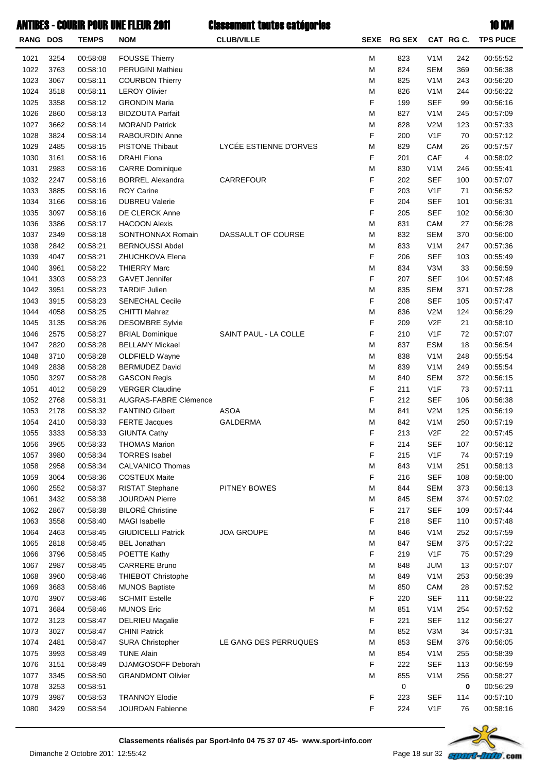| RANG DOS |      | <b>TEMPS</b> | <b>NOM</b>                | <b>CLUB/VILLE</b>      | <b>SEXE</b> | <b>RG SEX</b> |                  | CAT RGC. | <b>TPS PUCE</b> |
|----------|------|--------------|---------------------------|------------------------|-------------|---------------|------------------|----------|-----------------|
| 1021     | 3254 | 00:58:08     | <b>FOUSSE Thierry</b>     |                        | M           | 823           | V <sub>1</sub> M | 242      | 00:55:52        |
| 1022     | 3763 | 00:58:10     | <b>PERUGINI Mathieu</b>   |                        | M           | 824           | <b>SEM</b>       | 369      | 00:56:38        |
| 1023     | 3067 | 00:58:11     | <b>COURBON Thierry</b>    |                        | M           | 825           | V <sub>1</sub> M | 243      | 00:56:20        |
| 1024     | 3518 | 00:58:11     | <b>LEROY Olivier</b>      |                        | M           | 826           | V <sub>1</sub> M | 244      | 00:56:22        |
| 1025     | 3358 | 00:58:12     | <b>GRONDIN Maria</b>      |                        | F           | 199           | <b>SEF</b>       | 99       | 00:56:16        |
| 1026     | 2860 | 00:58:13     | <b>BIDZOUTA Parfait</b>   |                        | M           | 827           | V <sub>1</sub> M | 245      | 00:57:09        |
| 1027     | 3662 | 00:58:14     | <b>MORAND Patrick</b>     |                        | M           | 828           | V2M              | 123      | 00:57:33        |
| 1028     | 3824 | 00:58:14     | RABOURDIN Anne            |                        | F           | 200           | V <sub>1</sub> F | 70       | 00:57:12        |
| 1029     | 2485 | 00:58:15     | <b>PISTONE Thibaut</b>    | LYCÉE ESTIENNE D'ORVES | M           | 829           | CAM              | 26       | 00:57:57        |
| 1030     | 3161 | 00:58:16     | <b>DRAHI Fiona</b>        |                        | F           | 201           | CAF              | 4        | 00:58:02        |
| 1031     | 2983 | 00:58:16     | <b>CARRE Dominique</b>    |                        | M           | 830           | V <sub>1</sub> M | 246      | 00:55:41        |
| 1032     | 2247 | 00:58:16     | <b>BORREL Alexandra</b>   | CARREFOUR              | F           | 202           | <b>SEF</b>       | 100      | 00:57:07        |
| 1033     | 3885 | 00:58:16     | <b>ROY Carine</b>         |                        | F           | 203           | V <sub>1</sub> F | 71       | 00:56:52        |
| 1034     | 3166 | 00:58:16     | <b>DUBREU Valerie</b>     |                        | F           | 204           | <b>SEF</b>       | 101      | 00:56:31        |
| 1035     | 3097 | 00:58:16     | DE CLERCK Anne            |                        | F           | 205           | <b>SEF</b>       | 102      | 00:56:30        |
| 1036     | 3386 | 00:58:17     | <b>HACOON Alexis</b>      |                        | M           | 831           | CAM              | 27       | 00:56:28        |
| 1037     | 2349 | 00:58:18     | SONTHONNAX Romain         | DASSAULT OF COURSE     | M           | 832           | <b>SEM</b>       | 370      | 00:56:00        |
| 1038     | 2842 | 00:58:21     | <b>BERNOUSSI Abdel</b>    |                        | M           | 833           | V <sub>1</sub> M | 247      | 00:57:36        |
| 1039     | 4047 | 00:58:21     | ZHUCHKOVA Elena           |                        | F           | 206           | <b>SEF</b>       | 103      | 00:55:49        |
| 1040     | 3961 | 00:58:22     | <b>THIERRY Marc</b>       |                        | M           | 834           | V3M              | 33       | 00:56:59        |
| 1041     | 3303 | 00:58:23     | <b>GAVET Jennifer</b>     |                        | F           | 207           | <b>SEF</b>       | 104      | 00:57:48        |
|          |      | 00:58:23     | <b>TARDIF Julien</b>      |                        |             |               |                  |          |                 |
| 1042     | 3951 |              |                           |                        | M<br>F      | 835           | <b>SEM</b>       | 371      | 00:57:28        |
| 1043     | 3915 | 00:58:23     | <b>SENECHAL Cecile</b>    |                        |             | 208           | <b>SEF</b>       | 105      | 00:57:47        |
| 1044     | 4058 | 00:58:25     | <b>CHITTI Mahrez</b>      |                        | M           | 836           | V2M              | 124      | 00:56:29        |
| 1045     | 3135 | 00:58:26     | <b>DESOMBRE Sylvie</b>    |                        | F           | 209           | V2F              | 21       | 00:58:10        |
| 1046     | 2575 | 00:58:27     | <b>BRIAL Dominique</b>    | SAINT PAUL - LA COLLE  | F           | 210           | V <sub>1</sub> F | 72       | 00:57:07        |
| 1047     | 2820 | 00:58:28     | <b>BELLAMY Mickael</b>    |                        | M           | 837           | <b>ESM</b>       | 18       | 00:56:54        |
| 1048     | 3710 | 00:58:28     | OLDFIELD Wayne            |                        | M           | 838           | V <sub>1</sub> M | 248      | 00:55:54        |
| 1049     | 2838 | 00:58:28     | <b>BERMUDEZ David</b>     |                        | M           | 839           | V <sub>1</sub> M | 249      | 00:55:54        |
| 1050     | 3297 | 00:58:28     | <b>GASCON Regis</b>       |                        | M           | 840           | <b>SEM</b>       | 372      | 00:56:15        |
| 1051     | 4012 | 00:58:29     | <b>VERGER Claudine</b>    |                        | F           | 211           | V <sub>1</sub> F | 73       | 00:57:11        |
| 1052     | 2768 | 00:58:31     | AUGRAS-FABRE Clémence     |                        | F           | 212           | <b>SEF</b>       | 106      | 00:56:38        |
| 1053     | 2178 | 00:58:32     | <b>FANTINO Gilbert</b>    | <b>ASOA</b>            | M           | 841           | V2M              | 125      | 00:56:19        |
| 1054     | 2410 | 00:58:33     | <b>FERTE Jacques</b>      | <b>GALDERMA</b>        | M           | 842           | V <sub>1</sub> M | 250      | 00:57:19        |
| 1055     | 3333 | 00:58:33     | <b>GIUNTA Cathy</b>       |                        | F           | 213           | V <sub>2F</sub>  | 22       | 00:57:45        |
| 1056     | 3965 | 00:58:33     | <b>THOMAS Marion</b>      |                        | F           | 214           | <b>SEF</b>       | 107      | 00:56:12        |
| 1057     | 3980 | 00:58:34     | <b>TORRES Isabel</b>      |                        | F           | 215           | V <sub>1</sub> F | 74       | 00:57:19        |
| 1058     | 2958 | 00:58:34     | <b>CALVANICO Thomas</b>   |                        | M           | 843           | V <sub>1</sub> M | 251      | 00:58:13        |
| 1059     | 3064 | 00:58:36     | <b>COSTEUX Maite</b>      |                        | F           | 216           | <b>SEF</b>       | 108      | 00:58:00        |
| 1060     | 2552 | 00:58:37     | <b>RISTAT Stephane</b>    | PITNEY BOWES           | M           | 844           | <b>SEM</b>       | 373      | 00:56:13        |
| 1061     | 3432 | 00:58:38     | <b>JOURDAN Pierre</b>     |                        | M           | 845           | <b>SEM</b>       | 374      | 00:57:02        |
| 1062     | 2867 | 00:58:38     | <b>BILORÉ Christine</b>   |                        | F           | 217           | <b>SEF</b>       | 109      | 00:57:44        |
| 1063     | 3558 | 00:58:40     | <b>MAGI Isabelle</b>      |                        | F           | 218           | <b>SEF</b>       | 110      | 00:57:48        |
| 1064     | 2463 | 00:58:45     | <b>GIUDICELLI Patrick</b> | <b>JOA GROUPE</b>      | M           | 846           | V <sub>1</sub> M | 252      | 00:57:59        |
| 1065     | 2818 | 00:58:45     | <b>BEL Jonathan</b>       |                        | M           | 847           | <b>SEM</b>       | 375      | 00:57:22        |
| 1066     | 3796 | 00:58:45     | POETTE Kathy              |                        | F           | 219           | V <sub>1</sub> F | 75       | 00:57:29        |
| 1067     | 2987 | 00:58:45     | <b>CARRERE Bruno</b>      |                        | M           | 848           | JUM              | 13       | 00:57:07        |
| 1068     | 3960 | 00:58:46     | <b>THIEBOT Christophe</b> |                        | M           | 849           | V <sub>1</sub> M | 253      | 00:56:39        |
| 1069     | 3683 | 00:58:46     | <b>MUNOS Baptiste</b>     |                        | M           | 850           | CAM              | 28       | 00:57:52        |
| 1070     | 3907 | 00:58:46     | <b>SCHMIT Estelle</b>     |                        | F           | 220           | <b>SEF</b>       | 111      | 00:58:22        |
| 1071     | 3684 | 00:58:46     | <b>MUNOS Eric</b>         |                        | M           | 851           | V <sub>1</sub> M | 254      | 00:57:52        |
| 1072     | 3123 | 00:58:47     | <b>DELRIEU Magalie</b>    |                        | F           | 221           | <b>SEF</b>       | 112      | 00:56:27        |
| 1073     | 3027 | 00:58:47     | <b>CHINI Patrick</b>      |                        | M           | 852           | V3M              | 34       | 00:57:31        |
| 1074     | 2481 | 00:58:47     | <b>SURA Christopher</b>   | LE GANG DES PERRUQUES  | M           | 853           | <b>SEM</b>       | 376      | 00:56:05        |
| 1075     | 3993 | 00:58:49     | <b>TUNE Alain</b>         |                        | M           | 854           | V <sub>1</sub> M | 255      | 00:58:39        |
| 1076     | 3151 | 00:58:49     | DJAMGOSOFF Deborah        |                        | F           | 222           | <b>SEF</b>       | 113      | 00:56:59        |
| 1077     | 3345 | 00:58:50     | <b>GRANDMONT Olivier</b>  |                        | M           | 855           | V <sub>1</sub> M | 256      | 00:58:27        |
| 1078     | 3253 | 00:58:51     |                           |                        |             | 0             |                  | 0        | 00:56:29        |
| 1079     | 3987 | 00:58:53     | <b>TRANNOY Elodie</b>     |                        | F           | 223           | <b>SEF</b>       | 114      | 00:57:10        |
| 1080     | 3429 | 00:58:54     | JOURDAN Fabienne          |                        | F           | 224           | V <sub>1</sub> F | 76       | 00:58:16        |
|          |      |              |                           |                        |             |               |                  |          |                 |

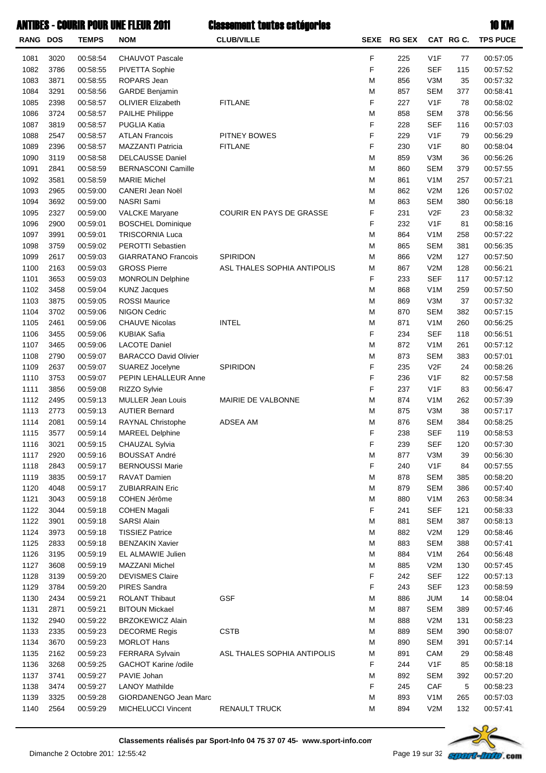| <b>RANG DOS</b> |      | <b>TEMPS</b> | <b>NOM</b>                   | <b>CLUB/VILLE</b>           |   | SEXE RG SEX |                  | CAT RG C. | <b>TPS PUCE</b>      |
|-----------------|------|--------------|------------------------------|-----------------------------|---|-------------|------------------|-----------|----------------------|
| 1081            | 3020 | 00:58:54     | <b>CHAUVOT Pascale</b>       |                             | F | 225         | V <sub>1</sub> F | 77        | 00:57:05             |
| 1082            | 3786 | 00:58:55     | <b>PIVETTA Sophie</b>        |                             | F | 226         | <b>SEF</b>       | 115       | 00:57:52             |
| 1083            | 3871 | 00:58:55     | <b>ROPARS Jean</b>           |                             | M | 856         | V3M              | 35        | 00:57:32             |
| 1084            | 3291 | 00:58:56     | <b>GARDE Benjamin</b>        |                             | M | 857         | <b>SEM</b>       | 377       | 00:58:41             |
| 1085            | 2398 | 00:58:57     | <b>OLIVIER Elizabeth</b>     | <b>FITLANE</b>              | F | 227         | V <sub>1</sub> F | 78        | 00:58:02             |
| 1086            | 3724 | 00:58:57     | <b>PAILHE Philippe</b>       |                             | M | 858         | <b>SEM</b>       | 378       | 00:56:56             |
| 1087            | 3819 | 00:58:57     | PUGLIA Katia                 |                             | F | 228         | <b>SEF</b>       | 116       | 00:57:03             |
| 1088            | 2547 | 00:58:57     | <b>ATLAN Francois</b>        | PITNEY BOWES                | F | 229         | V <sub>1</sub> F | 79        | 00:56:29             |
| 1089            | 2396 | 00:58:57     | MAZZANTI Patricia            | <b>FITLANE</b>              | F | 230         | V <sub>1</sub> F | 80        | 00:58:04             |
| 1090            | 3119 | 00:58:58     | <b>DELCAUSSE Daniel</b>      |                             | M | 859         | V3M              | 36        | 00:56:26             |
| 1091            | 2841 | 00:58:59     | <b>BERNASCONI Camille</b>    |                             | M | 860         | <b>SEM</b>       | 379       | 00:57:55             |
| 1092            | 3581 | 00:58:59     | <b>MARIE Michel</b>          |                             | M | 861         | V <sub>1</sub> M | 257       | 00:57:21             |
| 1093            | 2965 | 00:59:00     | CANERI Jean Noël             |                             | M | 862         | V2M              | 126       | 00:57:02             |
| 1094            | 3692 | 00:59:00     | NASRI Sami                   |                             | M | 863         | <b>SEM</b>       | 380       | 00:56:18             |
| 1095            | 2327 | 00:59:00     | <b>VALCKE Maryane</b>        | COURIR EN PAYS DE GRASSE    | F | 231         | V <sub>2F</sub>  | 23        | 00:58:32             |
| 1096            | 2900 | 00:59:01     | <b>BOSCHEL Dominique</b>     |                             | F | 232         | V <sub>1</sub> F | 81        | 00:58:16             |
| 1097            | 3991 | 00:59:01     | <b>TRISCORNIA Luca</b>       |                             | M | 864         | V <sub>1</sub> M | 258       | 00:57:22             |
| 1098            | 3759 | 00:59:02     | <b>PEROTTI Sebastien</b>     |                             | M | 865         | <b>SEM</b>       | 381       | 00:56:35             |
| 1099            | 2617 | 00:59:03     | <b>GIARRATANO Francois</b>   | <b>SPIRIDON</b>             | M | 866         | V2M              | 127       | 00:57:50             |
| 1100            | 2163 | 00:59:03     | <b>GROSS Pierre</b>          | ASL THALES SOPHIA ANTIPOLIS | M | 867         | V2M              | 128       | 00:56:21             |
| 1101            | 3653 | 00:59:03     | <b>MONROLIN Delphine</b>     |                             | F | 233         | <b>SEF</b>       | 117       | 00:57:12             |
| 1102            | 3458 | 00:59:04     | <b>KUNZ Jacques</b>          |                             | M | 868         | V <sub>1</sub> M | 259       | 00:57:50             |
| 1103            | 3875 | 00:59:05     | <b>ROSSI Maurice</b>         |                             | M | 869         | V3M              | 37        | 00:57:32             |
| 1104            | 3702 | 00:59:06     | <b>NIGON Cedric</b>          |                             | M | 870         | <b>SEM</b>       | 382       | 00:57:15             |
| 1105            | 2461 | 00:59:06     | <b>CHAUVE Nicolas</b>        | <b>INTEL</b>                | M | 871         | V <sub>1</sub> M | 260       | 00:56:25             |
| 1106            | 3455 | 00:59:06     | <b>KUBIAK Safia</b>          |                             | F | 234         | <b>SEF</b>       | 118       | 00:56:51             |
| 1107            | 3465 | 00:59:06     | <b>LACOTE Daniel</b>         |                             | M | 872         | V <sub>1</sub> M | 261       | 00:57:12             |
| 1108            | 2790 | 00:59:07     | <b>BARACCO David Olivier</b> |                             | M | 873         | <b>SEM</b>       | 383       | 00:57:01             |
| 1109            | 2637 | 00:59:07     | SUAREZ Jocelyne              | <b>SPIRIDON</b>             | F | 235         | V <sub>2F</sub>  | 24        | 00:58:26             |
| 1110            | 3753 | 00:59:07     | PEPIN LEHALLEUR Anne         |                             | F | 236         | V <sub>1</sub> F | 82        | 00:57:58             |
| 1111            | 3856 | 00:59:08     | RIZZO Sylvie                 |                             | F | 237         | V <sub>1</sub> F | 83        | 00:56:47             |
| 1112            | 2495 | 00:59:13     | <b>MULLER Jean Louis</b>     | MAIRIE DE VALBONNE          | M | 874         | V <sub>1</sub> M | 262       | 00:57:39             |
| 1113            | 2773 | 00:59:13     | <b>AUTIER Bernard</b>        |                             | M | 875         | V3M              | 38        |                      |
| 1114            | 2081 | 00:59:14     | RAYNAL Christophe            | ADSEA AM                    | M | 876         | <b>SEM</b>       | 384       | 00:57:17<br>00:58:25 |
|                 |      |              |                              |                             | F |             | <b>SEF</b>       |           |                      |
| 1115            | 3577 | 00:59:14     | <b>MAREEL Delphine</b>       |                             | F | 238         | <b>SEF</b>       | 119       | 00:58:53             |
| 1116            | 3021 | 00:59:15     | CHAUZAL Sylvia               |                             |   | 239         |                  | 120       | 00:57:30             |
| 1117            | 2920 | 00:59:16     | <b>BOUSSAT André</b>         |                             | M | 877         | V3M              | 39        | 00:56:30             |
| 1118            | 2843 | 00:59:17     | <b>BERNOUSSI Marie</b>       |                             | F | 240         | V <sub>1</sub> F | 84        | 00:57:55             |
| 1119            | 3835 | 00:59:17     | RAVAT Damien                 |                             | M | 878         | <b>SEM</b>       | 385       | 00:58:20             |
| 1120            | 4048 | 00:59:17     | <b>ZUBIARRAIN Eric</b>       |                             | M | 879         | <b>SEM</b>       | 386       | 00:57:40             |
| 1121            | 3043 | 00:59:18     | COHEN Jérôme                 |                             | M | 880         | V <sub>1</sub> M | 263       | 00:58:34             |
| 1122            | 3044 | 00:59:18     | <b>COHEN Magali</b>          |                             | F | 241         | <b>SEF</b>       | 121       | 00:58:33             |
| 1122            | 3901 | 00:59:18     | <b>SARSI Alain</b>           |                             | M | 881         | <b>SEM</b>       | 387       | 00:58:13             |
| 1124            | 3973 | 00:59:18     | <b>TISSIEZ Patrice</b>       |                             | M | 882         | V2M              | 129       | 00:58:46             |
| 1125            | 2833 | 00:59:18     | <b>BENZAKIN Xavier</b>       |                             | M | 883         | <b>SEM</b>       | 388       | 00:57:41             |
| 1126            | 3195 | 00:59:19     | EL ALMAWIE Julien            |                             | M | 884         | V <sub>1</sub> M | 264       | 00:56:48             |
| 1127            | 3608 | 00:59:19     | MAZZANI Michel               |                             | M | 885         | V2M              | 130       | 00:57:45             |
| 1128            | 3139 | 00:59:20     | <b>DEVISMES Claire</b>       |                             | F | 242         | <b>SEF</b>       | 122       | 00:57:13             |
| 1129            | 3784 | 00:59:20     | <b>PIRES Sandra</b>          |                             | F | 243         | <b>SEF</b>       | 123       | 00:58:59             |
| 1130            | 2434 | 00:59:21     | <b>ROLANT Thibaut</b>        | GSF                         | M | 886         | <b>JUM</b>       | 14        | 00:58:04             |
| 1131            | 2871 | 00:59:21     | <b>BITOUN Mickael</b>        |                             | M | 887         | <b>SEM</b>       | 389       | 00:57:46             |
| 1132            | 2940 | 00:59:22     | <b>BRZOKEWICZ Alain</b>      |                             | M | 888         | V2M              | 131       | 00:58:23             |
| 1133            | 2335 | 00:59:23     | <b>DECORME Regis</b>         | <b>CSTB</b>                 | M | 889         | <b>SEM</b>       | 390       | 00:58:07             |
| 1134            | 3670 | 00:59:23     | <b>MORLOT Hans</b>           |                             | M | 890         | <b>SEM</b>       | 391       | 00:57:14             |
| 1135            | 2162 | 00:59:23     | <b>FERRARA Sylvain</b>       | ASL THALES SOPHIA ANTIPOLIS | M | 891         | <b>CAM</b>       | 29        | 00:58:48             |
| 1136            | 3268 | 00:59:25     | GACHOT Karine /odile         |                             | F | 244         | V <sub>1</sub> F | 85        | 00:58:18             |
| 1137            | 3741 | 00:59:27     | PAVIE Johan                  |                             | M | 892         | <b>SEM</b>       | 392       | 00:57:20             |
| 1138            | 3474 | 00:59:27     | <b>LANOY Mathilde</b>        |                             | F | 245         | CAF              | 5         | 00:58:23             |
| 1139            | 3325 | 00:59:28     | GIORDANENGO Jean Marc        |                             | M | 893         | V <sub>1</sub> M | 265       | 00:57:03             |
| 1140            | 2564 | 00:59:29     | MICHELUCCI Vincent           | <b>RENAULT TRUCK</b>        | M | 894         | V2M              | 132       | 00:57:41             |

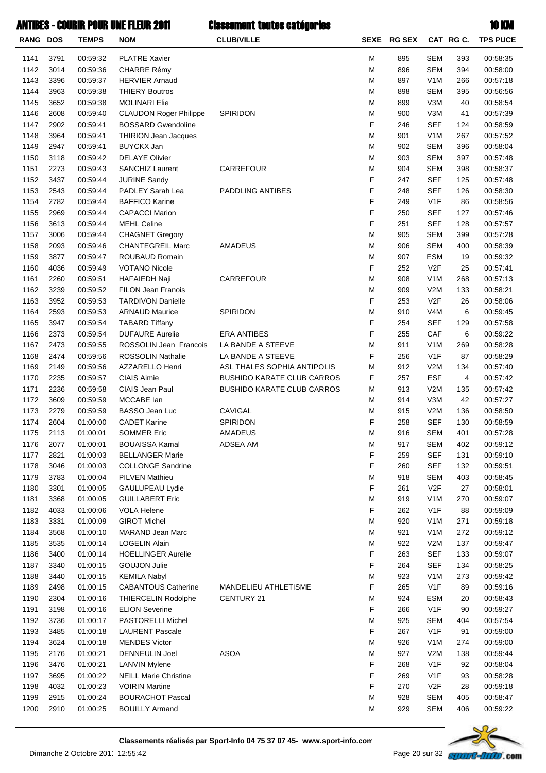| RANG DOS |      | <b>TEMPS</b>         | <b>NOM</b>                                        | <b>CLUB/VILLE</b>                 |        | SEXE RG SEX |                                | CAT RG C. | <b>TPS PUCE</b> |
|----------|------|----------------------|---------------------------------------------------|-----------------------------------|--------|-------------|--------------------------------|-----------|-----------------|
| 1141     | 3791 | 00:59:32             | <b>PLATRE Xavier</b>                              |                                   | M      | 895         | <b>SEM</b>                     | 393       | 00:58:35        |
| 1142     | 3014 | 00:59:36             | <b>CHARRE Rémy</b>                                |                                   | M      | 896         | <b>SEM</b>                     | 394       | 00:58:00        |
| 1143     | 3396 | 00:59:37             | <b>HERVIER Arnaud</b>                             |                                   | M      | 897         | V <sub>1</sub> M               | 266       | 00:57:18        |
| 1144     | 3963 | 00:59:38             | <b>THIERY Boutros</b>                             |                                   | M      | 898         | <b>SEM</b>                     | 395       | 00:56:56        |
| 1145     | 3652 | 00:59:38             | <b>MOLINARI Elie</b>                              |                                   | M      | 899         | V3M                            | 40        | 00:58:54        |
| 1146     | 2608 | 00:59:40             | <b>CLAUDON Roger Philippe</b>                     | SPIRIDON                          | M      | 900         | V3M                            | 41        | 00:57:39        |
| 1147     | 2902 | 00:59:41             | <b>BOSSARD Gwendoline</b>                         |                                   | F      | 246         | <b>SEF</b>                     | 124       | 00:58:59        |
| 1148     | 3964 | 00:59:41             | THIRION Jean Jacques                              |                                   | M      | 901         | V <sub>1</sub> M               | 267       | 00:57:52        |
| 1149     | 2947 | 00:59:41             | <b>BUYCKX Jan</b>                                 |                                   | M      | 902         | <b>SEM</b>                     | 396       | 00:58:04        |
| 1150     | 3118 | 00:59:42             | <b>DELAYE Olivier</b>                             |                                   | M      | 903         | <b>SEM</b>                     | 397       | 00:57:48        |
| 1151     | 2273 | 00:59:43             | <b>SANCHIZ Laurent</b>                            | CARREFOUR                         | M      | 904         | <b>SEM</b>                     | 398       | 00:58:37        |
| 1152     | 3437 | 00:59:44             | <b>JURINE Sandy</b>                               |                                   | F      | 247         | <b>SEF</b>                     | 125       | 00:57:48        |
| 1153     | 2543 | 00:59:44             | PADLEY Sarah Lea                                  | PADDLING ANTIBES                  | F      | 248         | <b>SEF</b>                     | 126       | 00:58:30        |
| 1154     | 2782 | 00:59:44             | <b>BAFFICO Karine</b>                             |                                   | F      | 249         | V <sub>1</sub> F               | 86        | 00:58:56        |
| 1155     | 2969 | 00:59:44             | <b>CAPACCI Marion</b>                             |                                   | F      | 250         | <b>SEF</b>                     | 127       | 00:57:46        |
| 1156     | 3613 | 00:59:44             | <b>MEHL Celine</b>                                |                                   | F      | 251         | <b>SEF</b>                     | 128       | 00:57:57        |
| 1157     | 3006 | 00:59:44             | <b>CHAGNET Gregory</b>                            |                                   | M      | 905         | <b>SEM</b>                     | 399       | 00:57:28        |
| 1158     | 2093 | 00:59:46             | <b>CHANTEGREIL Marc</b>                           | AMADEUS                           | M      | 906         | <b>SEM</b>                     | 400       | 00:58:39        |
| 1159     | 3877 | 00:59:47             | ROUBAUD Romain                                    |                                   | M      | 907         | <b>ESM</b>                     | 19        | 00:59:32        |
| 1160     | 4036 | 00:59:49             | <b>VOTANO Nicole</b>                              |                                   | F      | 252         | V2F                            | 25        | 00:57:41        |
| 1161     | 2260 | 00:59:51             | <b>HAFAIEDH Naji</b>                              | CARREFOUR                         | M      | 908         | V <sub>1</sub> M               | 268       | 00:57:13        |
| 1162     | 3239 | 00:59:52             | <b>FILON Jean Franois</b>                         |                                   | M      | 909         | V2M                            | 133       | 00:58:21        |
| 1163     | 3952 | 00:59:53             | <b>TARDIVON Danielle</b>                          |                                   | F      | 253         | V <sub>2</sub> F               | 26        | 00:58:06        |
| 1164     | 2593 | 00:59:53             | <b>ARNAUD Maurice</b>                             | SPIRIDON                          | M      | 910         | V <sub>4</sub> M               | 6         | 00:59:45        |
| 1165     | 3947 | 00:59:54             | <b>TABARD Tiffany</b>                             |                                   | F      | 254         | <b>SEF</b>                     | 129       | 00:57:58        |
| 1166     | 2373 | 00:59:54             | <b>DUFAURE Aurelie</b>                            | <b>ERA ANTIBES</b>                | F      | 255         | CAF                            | 6         | 00:59:22        |
| 1167     | 2473 | 00:59:55             | ROSSOLIN Jean Francois                            | LA BANDE A STEEVE                 | M      | 911         | V <sub>1</sub> M               | 269       | 00:58:28        |
| 1168     | 2474 | 00:59:56             | ROSSOLIN Nathalie                                 | LA BANDE A STEEVE                 | F      | 256         | V1F                            | 87        | 00:58:29        |
| 1169     | 2149 | 00:59:56             | AZZARELLO Henri                                   | ASL THALES SOPHIA ANTIPOLIS       | M      | 912         | V2M                            | 134       | 00:57:40        |
| 1170     | 2235 | 00:59:57             | <b>CIAIS Aimie</b>                                | <b>BUSHIDO KARATE CLUB CARROS</b> | F      | 257         | <b>ESF</b>                     | 4         | 00:57:42        |
| 1171     | 2236 | 00:59:58             | CIAIS Jean Paul                                   | <b>BUSHIDO KARATE CLUB CARROS</b> | M      | 913         | V2M                            |           | 00:57:42        |
| 1172     | 3609 | 00:59:59             | MCCABE lan                                        |                                   | M      | 914         | V3M                            | 135<br>42 | 00:57:27        |
| 1173     | 2279 | 00:59:59             | <b>BASSO Jean Luc</b>                             | CAVIGAL                           | M      | 915         | V2M                            | 136       | 00:58:50        |
| 1174     | 2604 | 01:00:00             | <b>CADET Karine</b>                               | SPIRIDON                          | F      | 258         | <b>SEF</b>                     | 130       | 00:58:59        |
| 1175     | 2113 | 01:00:01             | <b>SOMMER Eric</b>                                | AMADEUS                           | M      | 916         | <b>SEM</b>                     | 401       | 00:57:28        |
| 1176     | 2077 | 01:00:01             | <b>BOUAISSA Kamal</b>                             | ADSEA AM                          | M      | 917         | <b>SEM</b>                     | 402       | 00:59:12        |
| 1177     | 2821 | 01:00:03             | <b>BELLANGER Marie</b>                            |                                   | F      | 259         | <b>SEF</b>                     | 131       | 00:59:10        |
| 1178     | 3046 | 01:00:03             | <b>COLLONGE Sandrine</b>                          |                                   | F      | 260         | <b>SEF</b>                     | 132       | 00:59:51        |
| 1179     | 3783 | 01:00:04             | <b>PILVEN Mathieu</b>                             |                                   | M      | 918         | <b>SEM</b>                     | 403       | 00:58:45        |
| 1180     | 3301 | 01:00:05             | GAULUPEAU Lydie                                   |                                   | F      | 261         | V2F                            | 27        | 00:58:01        |
| 1181     | 3368 | 01:00:05             | <b>GUILLABERT Eric</b>                            |                                   | M      | 919         | V <sub>1</sub> M               | 270       | 00:59:07        |
| 1182     | 4033 | 01:00:06             | <b>VOLA Helene</b>                                |                                   | F      | 262         | V <sub>1</sub> F               | 88        | 00:59:09        |
| 1183     | 3331 | 01:00:09             | <b>GIROT Michel</b>                               |                                   | M      | 920         | V <sub>1</sub> M               | 271       | 00:59:18        |
| 1184     | 3568 | 01:00:10             | <b>MARAND Jean Marc</b>                           |                                   | M      | 921         | V <sub>1</sub> M               | 272       | 00:59:12        |
| 1185     | 3535 | 01:00:14             | <b>LOGELIN Alain</b>                              |                                   | M      | 922         | V2M                            | 137       | 00:59:47        |
| 1186     | 3400 | 01:00:14             | <b>HOELLINGER Aurelie</b>                         |                                   | F      | 263         | <b>SEF</b>                     | 133       | 00:59:07        |
| 1187     | 3340 |                      | <b>GOUJON Julie</b>                               |                                   | F      | 264         | <b>SEF</b>                     |           | 00:58:25        |
| 1188     | 3440 | 01:00:15             |                                                   |                                   | M      | 923         | V <sub>1</sub> M               | 134       | 00:59:42        |
| 1189     | 2498 | 01:00:15             | <b>KEMILA Nabyl</b><br><b>CABANTOUS Catherine</b> | MANDELIEU ATHLETISME              | F      | 265         | V <sub>1</sub> F               | 273       | 00:59:16        |
| 1190     | 2304 | 01:00:15             |                                                   | CENTURY 21                        | M      | 924         |                                | 89        | 00:58:43        |
| 1191     | 3198 | 01:00:16<br>01:00:16 | THIERCELIN Rodolphe<br><b>ELION Severine</b>      |                                   | F      | 266         | <b>ESM</b><br>V <sub>1</sub> F | 20        | 00:59:27        |
|          |      |                      |                                                   |                                   |        |             |                                | 90        |                 |
| 1192     | 3736 | 01:00:17             | PASTORELLI Michel                                 |                                   | M      | 925         | <b>SEM</b>                     | 404       | 00:57:54        |
| 1193     | 3485 | 01:00:18             | <b>LAURENT Pascale</b>                            |                                   | F      | 267         | V <sub>1</sub> F               | 91        | 00:59:00        |
| 1194     | 3624 | 01:00:18             | <b>MENDES Victor</b>                              |                                   | M      | 926         | V <sub>1</sub> M               | 274       | 00:59:00        |
| 1195     | 2176 | 01:00:21             | <b>DENNEULIN Joel</b>                             | <b>ASOA</b>                       | M<br>F | 927         | V2M                            | 138       | 00:59:44        |
| 1196     | 3476 | 01:00:21             | <b>LANVIN Mylene</b>                              |                                   |        | 268         | V <sub>1</sub> F               | 92        | 00:58:04        |
| 1197     | 3695 | 01:00:22             | <b>NEILL Marie Christine</b>                      |                                   | F      | 269         | V <sub>1</sub> F               | 93        | 00:58:28        |
| 1198     | 4032 | 01:00:23             | <b>VOIRIN Martine</b>                             |                                   | F      | 270         | V <sub>2</sub> F               | 28        | 00:59:18        |
| 1199     | 2915 | 01:00:24             | <b>BOURACHOT Pascal</b>                           |                                   | M      | 928         | <b>SEM</b>                     | 405       | 00:58:47        |
| 1200     | 2910 | 01:00:25             | <b>BOUILLY Armand</b>                             |                                   | M      | 929         | <b>SEM</b>                     | 406       | 00:59:22        |

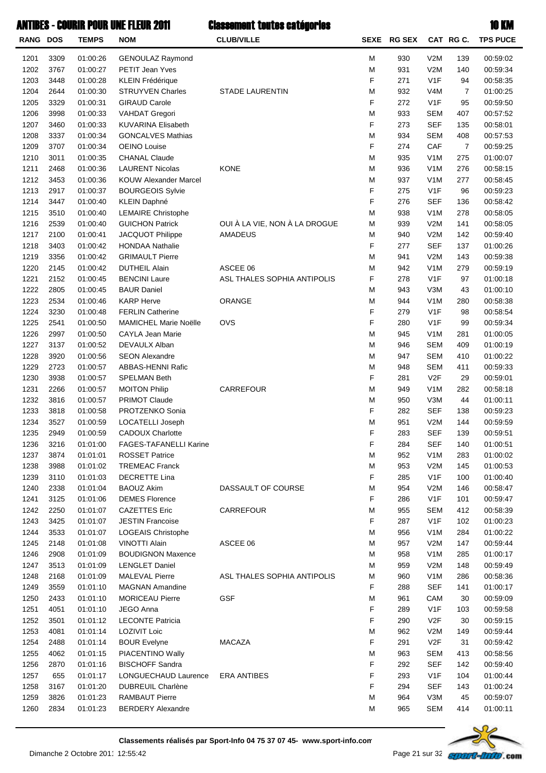| RANG DOS     |              | <b>TEMPS</b>         | <b>NOM</b>                                              | <b>CLUB/VILLE</b>                       | <b>SEXE</b> | <b>RG SEX</b> |                         | CAT RG C. | <b>TPS PUCE</b>      |
|--------------|--------------|----------------------|---------------------------------------------------------|-----------------------------------------|-------------|---------------|-------------------------|-----------|----------------------|
| 1201         | 3309         | 01:00:26             | <b>GENOULAZ Raymond</b>                                 |                                         | M           | 930           | V2M                     | 139       | 00:59:02             |
| 1202         | 3767         | 01:00:27             | PETIT Jean Yves                                         |                                         | M           | 931           | V2M                     | 140       | 00:59:34             |
| 1203         | 3448         | 01:00:28             | <b>KLEIN Frédérique</b>                                 |                                         | F           | 271           | V1F                     | 94        | 00:58:35             |
| 1204         | 2644         | 01:00:30             | <b>STRUYVEN Charles</b>                                 | <b>STADE LAURENTIN</b>                  | M           | 932           | V4M                     | 7         | 01:00:25             |
| 1205         | 3329         | 01:00:31             | <b>GIRAUD Carole</b>                                    |                                         | F           | 272           | V <sub>1</sub> F        | 95        | 00:59:50             |
| 1206         | 3998         | 01:00:33             | VAHDAT Gregori                                          |                                         | M           | 933           | <b>SEM</b>              | 407       | 00:57:52             |
| 1207         | 3460         | 01:00:33             | <b>KUVARINA Elisabeth</b>                               |                                         | F           | 273           | <b>SEF</b>              | 135       | 00:58:01             |
| 1208         | 3337         | 01:00:34             | <b>GONCALVES Mathias</b>                                |                                         | M           | 934           | <b>SEM</b>              | 408       | 00:57:53             |
| 1209         | 3707         | 01:00:34             | <b>OEINO Louise</b>                                     |                                         | F           | 274           | CAF                     | 7         | 00:59:25             |
| 1210         | 3011         | 01:00:35             | <b>CHANAL Claude</b>                                    |                                         | M           | 935           | V <sub>1</sub> M        | 275       | 01:00:07             |
| 1211         | 2468         | 01:00:36             | <b>LAURENT Nicolas</b>                                  | <b>KONE</b>                             | M           | 936           | V <sub>1</sub> M        | 276       | 00:58:15             |
| 1212         | 3453         | 01:00:36             | <b>KOUW Alexander Marcel</b>                            |                                         | M           | 937           | V <sub>1</sub> M        | 277       | 00:58:45             |
| 1213         | 2917         | 01:00:37             | <b>BOURGEOIS Sylvie</b>                                 |                                         | F           | 275           | V <sub>1</sub> F        | 96        | 00:59:23             |
| 1214         | 3447         | 01:00:40             | KLEIN Daphné                                            |                                         | F           | 276           | <b>SEF</b>              | 136       | 00:58:42             |
| 1215         | 3510         | 01:00:40             | <b>LEMAIRE Christophe</b>                               |                                         | M           | 938           | V <sub>1</sub> M        | 278       | 00:58:05             |
| 1216         | 2539         | 01:00:40             | <b>GUICHON Patrick</b>                                  | OUI À LA VIE, NON À LA DROGUE           | M           | 939           | V2M                     | 141       | 00:58:05             |
| 1217         | 2100         | 01:00:41             | JACQUOT Philippe                                        | AMADEUS                                 | M<br>F      | 940           | V2M                     | 142       | 00:59:40             |
| 1218         | 3403         | 01:00:42             | <b>HONDAA Nathalie</b>                                  |                                         |             | 277           | <b>SEF</b>              | 137       | 01:00:26             |
| 1219         | 3356         | 01:00:42             | <b>GRIMAULT Pierre</b><br><b>DUTHEIL Alain</b>          |                                         | M           | 941           | V2M                     | 143       | 00:59:38             |
| 1220         | 2145         | 01:00:42             | <b>BENCINI Laure</b>                                    | ASCEE 06<br>ASL THALES SOPHIA ANTIPOLIS | M<br>F      | 942           | V <sub>1</sub> M<br>V1F | 279       | 00:59:19             |
| 1221         | 2152         | 01:00:45             |                                                         |                                         |             | 278           |                         | 97        | 01:00:18             |
| 1222         | 2805         | 01:00:45             | <b>BAUR Daniel</b>                                      |                                         | M           | 943           | V3M                     | 43        | 01:00:10             |
| 1223         | 2534         | 01:00:46             | <b>KARP Herve</b>                                       | ORANGE                                  | M<br>F      | 944           | V <sub>1</sub> M<br>V1F | 280       | 00:58:38             |
| 1224<br>1225 | 3230<br>2541 | 01:00:48<br>01:00:50 | <b>FERLIN Catherine</b><br><b>MAMICHEL Marie Noëlle</b> | <b>OVS</b>                              | F           | 279<br>280    | V <sub>1</sub> F        | 98<br>99  | 00:58:54<br>00:59:34 |
| 1226         | 2997         | 01:00:50             | CAYLA Jean Marie                                        |                                         | M           | 945           | V <sub>1</sub> M        | 281       | 01:00:05             |
| 1227         | 3137         | 01:00:52             | DEVAULX Alban                                           |                                         | M           | 946           | <b>SEM</b>              | 409       | 01:00:19             |
| 1228         | 3920         | 01:00:56             | <b>SEON Alexandre</b>                                   |                                         | M           | 947           | <b>SEM</b>              | 410       | 01:00:22             |
| 1229         | 2723         | 01:00:57             | ABBAS-HENNI Rafic                                       |                                         | M           | 948           | <b>SEM</b>              | 411       | 00:59:33             |
| 1230         | 3938         | 01:00:57             | <b>SPELMAN Beth</b>                                     |                                         | F           | 281           | V <sub>2</sub> F        | 29        | 00:59:01             |
| 1231         | 2266         | 01:00:57             | <b>MOITON Philip</b>                                    | CARREFOUR                               | M           | 949           | V <sub>1</sub> M        | 282       | 00:58:18             |
| 1232         | 3816         | 01:00:57             | <b>PRIMOT Claude</b>                                    |                                         | M           | 950           | V3M                     | 44        | 01:00:11             |
| 1233         | 3818         | 01:00:58             | PROTZENKO Sonia                                         |                                         | F           | 282           | <b>SEF</b>              | 138       | 00:59:23             |
| 1234         | 3527         | 01:00:59             | LOCATELLI Joseph                                        |                                         | M           | 951           | V2M                     | 144       | 00:59:59             |
| 1235         | 2949         | 01:00:59             | <b>CADOUX Charlotte</b>                                 |                                         | F           | 283           | <b>SEF</b>              | 139       | 00:59:51             |
| 1236         | 3216         | 01:01:00             | FAGES-TAFANELLI Karine                                  |                                         | F           | 284           | <b>SEF</b>              | 140       | 01:00:51             |
| 1237         | 3874         | 01:01:01             | <b>ROSSET Patrice</b>                                   |                                         | M           | 952           | V <sub>1</sub> M        | 283       | 01:00:02             |
| 1238         | 3988         | 01:01:02             | <b>TREMEAC Franck</b>                                   |                                         | M           | 953           | V2M                     | 145       | 01:00:53             |
| 1239         | 3110         | 01:01:03             | <b>DECRETTE Lina</b>                                    |                                         | F           | 285           | V <sub>1</sub> F        | 100       | 01:00:40             |
| 1240         | 2338         | 01:01:04             | <b>BAOUZ Akim</b>                                       | DASSAULT OF COURSE                      | M           | 954           | V2M                     | 146       | 00:58:47             |
| 1241         | 3125         | 01:01:06             | <b>DEMES Florence</b>                                   |                                         | F           | 286           | V <sub>1</sub> F        | 101       | 00:59:47             |
| 1242         | 2250         | 01:01:07             | <b>CAZETTES Eric</b>                                    | CARREFOUR                               | M           | 955           | <b>SEM</b>              | 412       | 00:58:39             |
| 1243         | 3425         | 01:01:07             | <b>JESTIN Francoise</b>                                 |                                         | F           | 287           | V <sub>1</sub> F        | 102       | 01:00:23             |
| 1244         | 3533         | 01:01:07             | LOGEAIS Christophe                                      |                                         | M           | 956           | V <sub>1</sub> M        | 284       | 01:00:22             |
| 1245         | 2148         | 01:01:08             | VINOTTI Alain                                           | ASCEE 06                                | M           | 957           | V2M                     | 147       | 00:59:44             |
| 1246         | 2908         | 01:01:09             | <b>BOUDIGNON Maxence</b>                                |                                         | M           | 958           | V <sub>1</sub> M        | 285       | 01:00:17             |
| 1247         | 3513         | 01:01:09             | <b>LENGLET Daniel</b>                                   |                                         | M           | 959           | V2M                     | 148       | 00:59:49             |
| 1248         | 2168         | 01:01:09             | <b>MALEVAL Pierre</b>                                   | ASL THALES SOPHIA ANTIPOLIS             | M           | 960           | V <sub>1</sub> M        | 286       | 00:58:36             |
| 1249         | 3559         | 01:01:10             | <b>MAGNAN Amandine</b>                                  |                                         | F           | 288           | <b>SEF</b>              | 141       | 01:00:17             |
| 1250         | 2433         | 01:01:10             | <b>MORICEAU Pierre</b>                                  | <b>GSF</b>                              | M           | 961           | CAM                     | 30        | 00:59:09             |
| 1251         | 4051         | 01:01:10             | JEGO Anna                                               |                                         | F           | 289           | V <sub>1</sub> F        | 103       | 00:59:58             |
| 1252         | 3501         | 01:01:12             | <b>LECONTE Patricia</b>                                 |                                         | F           | 290           | V <sub>2</sub> F        | 30        | 00:59:15             |
| 1253         | 4081         | 01:01:14             | <b>LOZIVIT Loic</b>                                     |                                         | M           | 962           | V2M                     | 149       | 00:59:44             |
| 1254         | 2488         | 01:01:14             | <b>BOUR Evelyne</b>                                     | <b>MACAZA</b>                           | F           | 291           | V <sub>2</sub> F        | 31        | 00:59:42             |
| 1255         | 4062         | 01:01:15             | PIACENTINO Wally                                        |                                         | M           | 963           | <b>SEM</b>              | 413       | 00:58:56             |
| 1256         | 2870         | 01:01:16             | <b>BISCHOFF Sandra</b>                                  |                                         | F           | 292           | <b>SEF</b>              | 142       | 00:59:40             |
| 1257         | 655          | 01:01:17             | LONGUECHAUD Laurence                                    | <b>ERA ANTIBES</b>                      | F           | 293           | V <sub>1</sub> F        | 104       | 01:00:44             |
| 1258         | 3167         | 01:01:20             | <b>DUBREUIL Charlène</b>                                |                                         | F           | 294           | <b>SEF</b>              | 143       | 01:00:24             |
| 1259         | 3826         | 01:01:23             | <b>RAMBAUT Pierre</b>                                   |                                         | M           | 964           | V3M                     | 45        | 00:59:07             |
| 1260         | 2834         | 01:01:23             | <b>BERDERY Alexandre</b>                                |                                         | M           | 965           | <b>SEM</b>              | 414       | 01:00:11             |

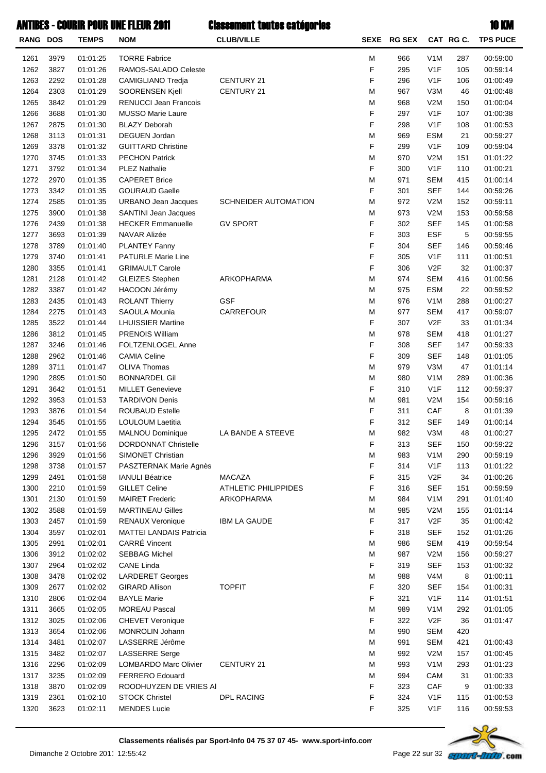|                 |      |              | ANTIBES - COURIR POUR UNE FLEUR 2011 | <b>Classement toutes catégories</b> |   |             |                  |          | <b>10 KM</b>    |
|-----------------|------|--------------|--------------------------------------|-------------------------------------|---|-------------|------------------|----------|-----------------|
| <b>RANG DOS</b> |      | <b>TEMPS</b> | <b>NOM</b>                           | <b>CLUB/VILLE</b>                   |   | SEXE RG SEX |                  | CAT RGC. | <b>TPS PUCE</b> |
| 1261            | 3979 | 01:01:25     | <b>TORRE Fabrice</b>                 |                                     | M | 966         | V <sub>1</sub> M | 287      | 00:59:00        |
| 1262            | 3827 | 01:01:26     | RAMOS-SALADO Celeste                 |                                     | F | 295         | V1F              | 105      | 00:59:14        |
| 1263            | 2292 | 01:01:28     | CAMIGLIANO Tredia                    | CENTURY 21                          | F | 296         | V <sub>1</sub> F | 106      | 01:00:49        |
| 1264            | 2303 | 01:01:29     | SOORENSEN Kjell                      | CENTURY 21                          | M | 967         | V3M              | 46       | 01:00:48        |
| 1265            | 3842 | 01:01:29     | <b>RENUCCI Jean Francois</b>         |                                     | M | 968         | V2M              | 150      | 01:00:04        |
| 1266            | 3688 | 01:01:30     | <b>MUSSO Marie Laure</b>             |                                     | F | 297         | V <sub>1</sub> F | 107      | 01:00:38        |
| 1267            | 2875 | 01:01:30     | <b>BLAZY Deborah</b>                 |                                     | F | 298         | V <sub>1</sub> F | 108      | 01:00:53        |
| 1268            | 3113 | 01:01:31     | DEGUEN Jordan                        |                                     | M | 969         | <b>ESM</b>       | 21       | 00:59:27        |
| 1269            | 3378 | 01:01:32     | <b>GUITTARD Christine</b>            |                                     | F | 299         | V <sub>1</sub> F | 109      | 00:59:04        |
| 1270            | 3745 | 01:01:33     | <b>PECHON Patrick</b>                |                                     | M | 970         | V2M              | 151      | 01:01:22        |
| 1271            | 3792 | 01:01:34     | <b>PLEZ Nathalie</b>                 |                                     | F | 300         | V <sub>1</sub> F | 110      | 01:00:21        |
| 1272            | 2970 | 01:01:35     | <b>CAPERET Brice</b>                 |                                     | M | 971         | <b>SEM</b>       | 415      | 01:00:14        |
| 1273            | 3342 | 01:01:35     | <b>GOURAUD Gaelle</b>                |                                     | F | 301         | <b>SEF</b>       | 144      | 00:59:26        |
| 1274            | 2585 | 01:01:35     | <b>URBANO Jean Jacques</b>           | SCHNEIDER AUTOMATION                | M | 972         | V2M              | 152      | 00:59:11        |
| 1275            | 3900 | 01:01:38     | SANTINI Jean Jacques                 |                                     | M | 973         | V2M              | 153      | 00:59:58        |
| 1276            | 2439 | 01:01:38     | <b>HECKER Emmanuelle</b>             | <b>GV SPORT</b>                     | F | 302         | <b>SEF</b>       | 145      | 01:00:58        |
| 1277            | 3693 | 01:01:39     | NAVAR Alizée                         |                                     | F | 303         | <b>ESF</b>       | 5        | 00:59:55        |
| 1278            | 3789 | 01:01:40     | <b>PLANTEY Fanny</b>                 |                                     | F | 304         | <b>SEF</b>       | 146      | 00:59:46        |
| 1279            | 3740 | 01:01:41     | <b>PATURLE Marie Line</b>            |                                     | F | 305         | V <sub>1</sub> F | 111      | 01:00:51        |
| 1280            | 3355 | 01:01:41     | <b>GRIMAULT Carole</b>               |                                     | F | 306         | V2F              | 32       | 01:00:37        |
| 1281            | 2128 | 01:01:42     | <b>GLEIZES Stephen</b>               | ARKOPHARMA                          | M | 974         | <b>SEM</b>       | 416      | 01:00:56        |
| 1282            | 3387 | 01:01:42     | HACOON Jérémy                        |                                     | М | 975         | <b>ESM</b>       | 22       | 00:59:52        |
| 1283            | 2435 | 01:01:43     | <b>ROLANT Thierry</b>                | <b>GSF</b>                          | М | 976         | V <sub>1</sub> M | 288      | 01:00:27        |
| 1284            | 2275 | 01:01:43     | SAOULA Mounia                        | CARREFOUR                           | M | 977         | <b>SEM</b>       | 417      | 00:59:07        |
| 1285            | 3522 | 01:01:44     | <b>LHUISSIER Martine</b>             |                                     | F | 307         | V2F              | 33       | 01:01:34        |
| 1286            | 3812 | 01:01:45     | <b>PRENOIS William</b>               |                                     | M | 978         | <b>SEM</b>       | 418      | 01:01:27        |
| 1287            | 3246 | 01:01:46     | FOLTZENLOGEL Anne                    |                                     | F | 308         | <b>SEF</b>       | 147      | 00:59:33        |
| 1288            | 2962 | 01:01:46     | <b>CAMIA Celine</b>                  |                                     | F | 309         | <b>SEF</b>       | 148      | 01:01:05        |
| 1289            | 3711 | 01:01:47     | OLIVA Thomas                         |                                     | M | 979         | V3M              | 47       | 01:01:14        |
| 1290            | 2895 | 01:01:50     | <b>BONNARDEL Gil</b>                 |                                     | М | 980         | V <sub>1</sub> M | 289      | 01:00:36        |
| 1291            | 3642 | 01:01:51     | <b>MILLET Genevieve</b>              |                                     | F |             | V <sub>1</sub> F | 112      | 00:59:37        |
| 1292            | 3953 | 01:01:53     | <b>TARDIVON Denis</b>                |                                     | M | 310<br>981  | V2M              | 154      | 00:59:16        |
|                 |      |              |                                      |                                     | F |             |                  |          | 01:01:39        |
| 1293            | 3876 | 01:01:54     | <b>ROUBAUD Estelle</b>               |                                     | F | 311         | CAF              | 8        |                 |
| 1294            | 3545 | 01:01:55     | LOULOUM Laetitia                     |                                     |   | 312         | <b>SEF</b>       | 149      | 01:00:14        |
| 1295            | 2472 | 01:01:55     | MALNOU Dominique                     | LA BANDE A STEEVE                   | M | 982         | V3M              | 48       | 01:00:27        |
| 1296            | 3157 | 01:01:56     | <b>DORDONNAT Christelle</b>          |                                     | F | 313         | <b>SEF</b>       | 150      | 00:59:22        |
| 1296            | 3929 | 01:01:56     | SIMONET Christian                    |                                     | M | 983         | V <sub>1</sub> M | 290      | 00:59:19        |
| 1298            | 3738 | 01:01:57     | PASZTERNAK Marie Agnès               |                                     | F | 314         | V <sub>1</sub> F | 113      | 01:01:22        |
| 1299            | 2491 | 01:01:58     | <b>IANULI Béatrice</b>               | <b>MACAZA</b>                       | F | 315         | V <sub>2</sub> F | 34       | 01:00:26        |
| 1300            | 2210 | 01:01:59     | <b>GILLET Celine</b>                 | <b>ATHLETIC PHILIPPIDES</b>         | F | 316         | <b>SEF</b>       | 151      | 00:59:59        |
| 1301            | 2130 | 01:01:59     | <b>MAIRET Frederic</b>               | ARKOPHARMA                          | M | 984         | V <sub>1</sub> M | 291      | 01:01:40        |
| 1302            | 3588 | 01:01:59     | <b>MARTINEAU Gilles</b>              |                                     | M | 985         | V2M              | 155      | 01:01:14        |
| 1303            | 2457 | 01:01:59     | <b>RENAUX Veronique</b>              | <b>IBM LA GAUDE</b>                 | F | 317         | V <sub>2</sub> F | 35       | 01:00:42        |
| 1304            | 3597 | 01:02:01     | <b>MATTEI LANDAIS Patricia</b>       |                                     | F | 318         | <b>SEF</b>       | 152      | 01:01:26        |
| 1305            | 2991 | 01:02:01     | CARRÉ Vincent                        |                                     | M | 986         | <b>SEM</b>       | 419      | 00:59:54        |
| 1306            | 3912 | 01:02:02     | <b>SEBBAG Michel</b>                 |                                     | M | 987         | V2M              | 156      | 00:59:27        |
| 1307            | 2964 | 01:02:02     | <b>CANE Linda</b>                    |                                     | F | 319         | <b>SEF</b>       | 153      | 01:00:32        |
| 1308            | 3478 | 01:02:02     | <b>LARDERET Georges</b>              |                                     | M | 988         | V <sub>4</sub> M | 8        | 01:00:11        |
| 1309            | 2677 | 01:02:02     | <b>GIRARD Allison</b>                | <b>TOPFIT</b>                       | F | 320         | <b>SEF</b>       | 154      | 01:00:31        |
| 1310            | 2806 | 01:02:04     | <b>BAYLE Marie</b>                   |                                     | F | 321         | V <sub>1</sub> F | 114      | 01:01:51        |
| 1311            | 3665 | 01:02:05     | <b>MOREAU Pascal</b>                 |                                     | M | 989         | V <sub>1</sub> M | 292      | 01:01:05        |
| 1312            | 3025 | 01:02:06     | <b>CHEVET Veronique</b>              |                                     | F | 322         | V2F              | 36       | 01:01:47        |
| 1313            | 3654 | 01:02:06     | MONROLIN Johann                      |                                     | M | 990         | <b>SEM</b>       | 420      |                 |
| 1314            | 3481 | 01:02:07     | LASSERRE Jérôme                      |                                     | M | 991         | <b>SEM</b>       | 421      | 01:00:43        |
| 1315            | 3482 | 01:02:07     | <b>LASSERRE</b> Serge                |                                     | M | 992         | V2M              | 157      | 01:00:45        |
| 1316            | 2296 | 01:02:09     | LOMBARDO Marc Olivier                | CENTURY 21                          | M | 993         | V <sub>1</sub> M | 293      | 01:01:23        |
| 1317            | 3235 | 01:02:09     | FERRERO Edouard                      |                                     | M | 994         | CAM              | 31       | 01:00:33        |
| 1318            | 3870 | 01:02:09     | ROODHUYZEN DE VRIES AI               |                                     | F | 323         | CAF              | 9        | 01:00:33        |
| 1319            | 2361 | 01:02:10     | <b>STOCK Christel</b>                | DPL RACING                          | F | 324         | V <sub>1</sub> F | 115      | 01:00:53        |
|                 |      |              |                                      |                                     |   |             |                  |          |                 |



1320 3623 01:02:11 MENDES Lucie 116V1FF 00:59:53325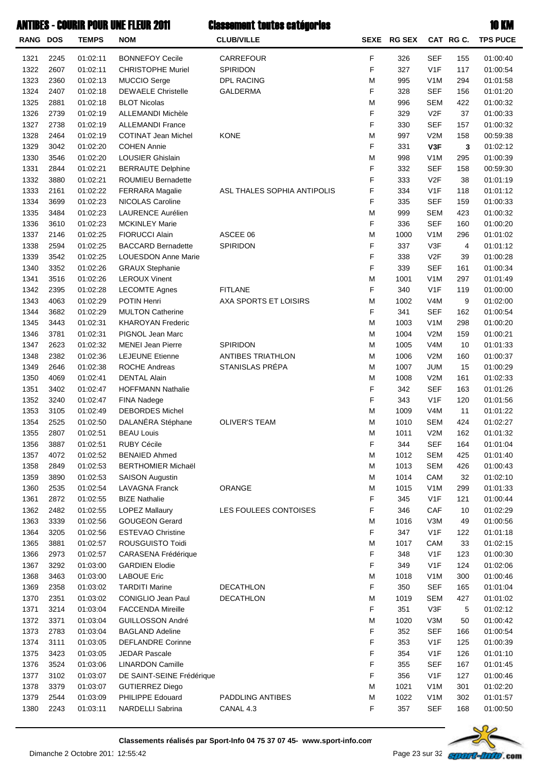|                 |      |              | ANTIBES - COURIR POUR UNE FLEUR 2011 | <b>Classement toutes catégories</b> |             |               |                  |          | <b>10 KM</b>    |
|-----------------|------|--------------|--------------------------------------|-------------------------------------|-------------|---------------|------------------|----------|-----------------|
| <b>RANG DOS</b> |      | <b>TEMPS</b> | <b>NOM</b>                           | <b>CLUB/VILLE</b>                   | <b>SEXE</b> | <b>RG SEX</b> |                  | CAT RGC. | <b>TPS PUCE</b> |
| 1321            | 2245 | 01:02:11     | <b>BONNEFOY Cecile</b>               | CARREFOUR                           | F           | 326           | <b>SEF</b>       | 155      | 01:00:40        |
| 1322            | 2607 | 01:02:11     | <b>CHRISTOPHE Muriel</b>             | <b>SPIRIDON</b>                     | F           | 327           | V1F              | 117      | 01:00:54        |
| 1323            | 2360 | 01:02:13     | <b>MUCCIO Serge</b>                  | <b>DPL RACING</b>                   | M           | 995           | V <sub>1</sub> M | 294      | 01:01:58        |
| 1324            | 2407 | 01:02:18     | <b>DEWAELE Christelle</b>            | <b>GALDERMA</b>                     | F           | 328           | <b>SEF</b>       | 156      | 01:01:20        |
| 1325            | 2881 | 01:02:18     | <b>BLOT Nicolas</b>                  |                                     | M           | 996           | <b>SEM</b>       | 422      | 01:00:32        |
| 1326            | 2739 | 01:02:19     | <b>ALLEMANDI Michèle</b>             |                                     | F           | 329           | V <sub>2</sub> F | 37       | 01:00:33        |
| 1327            | 2738 | 01:02:19     | <b>ALLEMANDI France</b>              |                                     | F           | 330           | <b>SEF</b>       | 157      | 01:00:32        |
| 1328            | 2464 | 01:02:19     | <b>COTINAT Jean Michel</b>           | <b>KONE</b>                         | M           | 997           | V2M              | 158      | 00:59:38        |
| 1329            | 3042 | 01:02:20     | <b>COHEN Annie</b>                   |                                     | F           | 331           | V3F              | 3        | 01:02:12        |
| 1330            | 3546 | 01:02:20     | <b>LOUSIER Ghislain</b>              |                                     | M           | 998           | V <sub>1</sub> M | 295      | 01:00:39        |
| 1331            | 2844 | 01:02:21     | <b>BERRAUTE Delphine</b>             |                                     | F           | 332           | <b>SEF</b>       | 158      | 00:59:30        |
| 1332            | 3880 | 01:02:21     | <b>ROUMIEU Bernadette</b>            |                                     | F           | 333           | V <sub>2F</sub>  | 38       | 01:01:19        |
| 1333            | 2161 | 01:02:22     | <b>FERRARA Magalie</b>               | ASL THALES SOPHIA ANTIPOLIS         | F           | 334           | V <sub>1</sub> F | 118      | 01:01:12        |
| 1334            | 3699 | 01:02:23     | NICOLAS Caroline                     |                                     | F           | 335           | <b>SEF</b>       | 159      | 01:00:33        |
| 1335            | 3484 | 01:02:23     | LAURENCE Aurélien                    |                                     | M           | 999           | <b>SEM</b>       | 423      | 01:00:32        |
| 1336            | 3610 | 01:02:23     | <b>MCKINLEY Marie</b>                |                                     | F           | 336           | <b>SEF</b>       | 160      | 01:00:20        |
| 1337            | 2146 | 01:02:25     | <b>FIORUCCI Alain</b>                | ASCEE 06                            | M           | 1000          | V <sub>1</sub> M | 296      | 01:01:02        |
| 1338            | 2594 | 01:02:25     | <b>BACCARD Bernadette</b>            | SPIRIDON                            | F           | 337           | V3F              | 4        | 01:01:12        |
| 1339            | 3542 | 01:02:25     | <b>LOUESDON Anne Marie</b>           |                                     | F           | 338           | V2F              | 39       | 01:00:28        |
| 1340            | 3352 | 01:02:26     | <b>GRAUX Stephanie</b>               |                                     | F           | 339           | <b>SEF</b>       | 161      | 01:00:34        |
| 1341            | 3516 | 01:02:26     | <b>LEROUX Vinent</b>                 |                                     | M           | 1001          | V <sub>1</sub> M | 297      | 01:01:49        |
| 1342            | 2395 | 01:02:28     | <b>LECOMTE Agnes</b>                 | <b>FITLANE</b>                      | F           | 340           | V1F              | 119      | 01:00:00        |
| 1343            | 4063 | 01:02:29     | POTIN Henri                          | AXA SPORTS ET LOISIRS               | M           | 1002          | V <sub>4</sub> M | 9        | 01:02:00        |
| 1344            | 3682 | 01:02:29     | <b>MULTON Catherine</b>              |                                     | F           | 341           | <b>SEF</b>       | 162      | 01:00:54        |
| 1345            | 3443 | 01:02:31     | <b>KHAROYAN Frederic</b>             |                                     | M           | 1003          | V <sub>1</sub> M | 298      | 01:00:20        |
| 1346            | 3781 | 01:02:31     | PIGNOL Jean Marc                     |                                     | M           | 1004          | V2M              | 159      | 01:00:21        |
| 1347            | 2623 | 01:02:32     | <b>MENEI Jean Pierre</b>             | SPIRIDON                            | M           | 1005          | V4M              | 10       | 01:01:33        |
| 1348            | 2382 | 01:02:36     | <b>LEJEUNE Etienne</b>               | <b>ANTIBES TRIATHLON</b>            | M           | 1006          | V2M              | 160      | 01:00:37        |
| 1349            | 2646 | 01:02:38     | <b>ROCHE Andreas</b>                 | STANISLAS PRÉPA                     | M           | 1007          | <b>JUM</b>       | 15       | 01:00:29        |
| 1350            | 4069 | 01:02:41     | <b>DENTAL Alain</b>                  |                                     | M           | 1008          | V2M              | 161      | 01:02:33        |
| 1351            | 3402 | 01:02:47     | <b>HOFFMANN Nathalie</b>             |                                     | F           | 342           | <b>SEF</b>       | 163      | 01:01:26        |
| 1352            | 3240 | 01:02:47     | FINA Nadege                          |                                     | F           | 343           | V <sub>1</sub> F | 120      | 01:01:56        |
| 1353            | 3105 | 01:02:49     | <b>DEBORDES Michel</b>               |                                     | M           | 1009          | V4M              | 11       | 01:01:22        |
| 1354            | 2525 | 01:02:50     | DALANÉRA Stéphane                    | <b>OLIVER'S TEAM</b>                | М           | 1010          | <b>SEM</b>       | 424      | 01:02:27        |
| 1355            | 2807 | 01:02:51     | <b>BEAU Louis</b>                    |                                     | M           | 1011          | V2M              | 162      | 01:01:32        |
| 1356            | 3887 | 01:02:51     | <b>RUBY Cécile</b>                   |                                     | F           | 344           | <b>SEF</b>       | 164      | 01:01:04        |
| 1357            | 4072 | 01:02:52     | <b>BENAIED Ahmed</b>                 |                                     | М           | 1012          | <b>SEM</b>       | 425      | 01:01:40        |
| 1358            | 2849 | 01:02:53     | <b>BERTHOMIER Michaël</b>            |                                     | M           | 1013          | <b>SEM</b>       | 426      | 01:00:43        |
| 1359            | 3890 | 01:02:53     | <b>SAISON Augustin</b>               |                                     | M           | 1014          | CAM              | 32       | 01:02:10        |
| 1360            | 2535 | 01:02:54     | <b>LAVAGNA Franck</b>                | ORANGE                              | M           | 1015          | V <sub>1</sub> M | 299      | 01:01:33        |
| 1361            | 2872 | 01:02:55     | <b>BIZE Nathalie</b>                 |                                     | F           | 345           | V <sub>1</sub> F | 121      | 01:00:44        |
| 1362            | 2482 | 01:02:55     | <b>LOPEZ Mallaury</b>                | LES FOULEES CONTOISES               | F           | 346           | CAF              | 10       | 01:02:29        |
| 1363            | 3339 | 01:02:56     | <b>GOUGEON Gerard</b>                |                                     | M           | 1016          | V3M              | 49       | 01:00:56        |
| 1364            | 3205 | 01:02:56     | <b>ESTEVAO Christine</b>             |                                     | F           | 347           | V <sub>1</sub> F | 122      | 01:01:18        |
| 1365            | 3881 | 01:02:57     | ROUSGUISTO Toidi                     |                                     | М           | 1017          | CAM              | 33       | 01:02:15        |
| 1366            | 2973 | 01:02:57     | CARASENA Frédérique                  |                                     | F           | 348           | V <sub>1</sub> F | 123      | 01:00:30        |
| 1367            | 3292 | 01:03:00     | <b>GARDIEN Elodie</b>                |                                     | F           | 349           | V <sub>1</sub> F | 124      | 01:02:06        |
| 1368            | 3463 | 01:03:00     | <b>LABOUE Eric</b>                   |                                     | M           | 1018          | V <sub>1</sub> M | 300      | 01:00:46        |
| 1369            | 2358 | 01:03:02     | <b>TARDITI Marine</b>                | <b>DECATHLON</b>                    | F           | 350           | <b>SEF</b>       | 165      | 01:01:04        |
| 1370            | 2351 | 01:03:02     | <b>CONIGLIO Jean Paul</b>            | <b>DECATHLON</b>                    | M           | 1019          | <b>SEM</b>       | 427      | 01:01:02        |
| 1371            | 3214 | 01:03:04     | <b>FACCENDA Mireille</b>             |                                     | F           | 351           | V3F              | 5        | 01:02:12        |
| 1372            | 3371 | 01:03:04     | GUILLOSSON André                     |                                     | М           | 1020          | V3M              | 50       | 01:00:42        |
| 1373            | 2783 | 01:03:04     | <b>BAGLAND Adeline</b>               |                                     | F           | 352           | <b>SEF</b>       | 166      | 01:00:54        |
| 1374            | 3111 | 01:03:05     | <b>DEFLANDRE Corinne</b>             |                                     | F           | 353           | V <sub>1</sub> F | 125      | 01:00:39        |
| 1375            | 3423 | 01:03:05     | <b>JEDAR Pascale</b>                 |                                     | F           | 354           | V <sub>1</sub> F | 126      | 01:01:10        |
| 1376            | 3524 | 01:03:06     | <b>LINARDON Camille</b>              |                                     | F           | 355           | <b>SEF</b>       | 167      | 01:01:45        |
| 1377            | 3102 | 01:03:07     | DE SAINT-SEINE Frédérique            |                                     | F           | 356           | V <sub>1</sub> F | 127      | 01:00:46        |
| 1378            | 3379 | 01:03:07     | <b>GUTIERREZ Diego</b>               |                                     | M           | 1021          | V <sub>1</sub> M | 301      | 01:02:20        |
| 1379            | 2544 | 01:03:09     | PHILIPPE Edouard                     | PADDLING ANTIBES                    | M           | 1022          | V1M              | 302      | 01:01:57        |



1380 2243 01:03:11 NARDELLI Sabrina CANAL 4.3 168SEFF 01:00:50357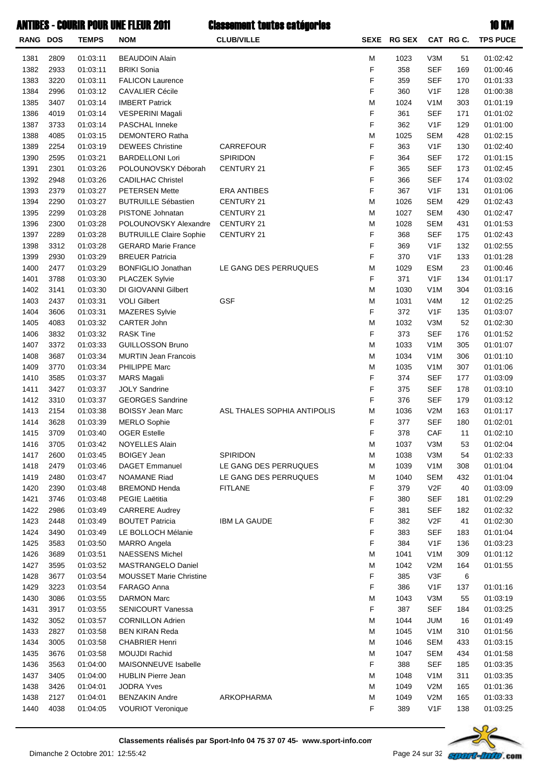| RANG DOS     |              | <b>TEMPS</b>         | <b>NOM</b>                                      | <b>CLUB/VILLE</b>           |        | SEXE RG SEX |                          | CAT RG C.  | <b>TPS PUCE</b>      |
|--------------|--------------|----------------------|-------------------------------------------------|-----------------------------|--------|-------------|--------------------------|------------|----------------------|
| 1381         | 2809         | 01:03:11             | <b>BEAUDOIN Alain</b>                           |                             | M      | 1023        | V3M                      | 51         | 01:02:42             |
| 1382         | 2933         | 01:03:11             | <b>BRIKI Sonia</b>                              |                             | F      | 358         | <b>SEF</b>               | 169        | 01:00:46             |
| 1383         | 3220         | 01:03:11             | <b>FALICON Laurence</b>                         |                             | F      | 359         | <b>SEF</b>               | 170        | 01:01:33             |
| 1384         | 2996         | 01:03:12             | <b>CAVALIER Cécile</b>                          |                             | F      | 360         | V <sub>1</sub> F         | 128        | 01:00:38             |
| 1385         | 3407         | 01:03:14             | <b>IMBERT Patrick</b>                           |                             | M      | 1024        | V <sub>1</sub> M         | 303        | 01:01:19             |
| 1386         | 4019         | 01:03:14             | VESPERINI Magali                                |                             | F      | 361         | <b>SEF</b>               | 171        | 01:01:02             |
| 1387         | 3733         | 01:03:14             | PASCHAL Inneke                                  |                             | F      | 362         | V <sub>1</sub> F         | 129        | 01:01:00             |
| 1388         | 4085         | 01:03:15             | DEMONTERO Ratha                                 |                             | M      | 1025        | <b>SEM</b>               | 428        | 01:02:15             |
| 1389         | 2254         | 01:03:19             | <b>DEWEES Christine</b>                         | <b>CARREFOUR</b>            | F      | 363         | V <sub>1</sub> F         | 130        | 01:02:40             |
| 1390         | 2595         | 01:03:21             | <b>BARDELLONI Lori</b>                          | SPIRIDON                    | F      | 364         | <b>SEF</b>               | 172        | 01:01:15             |
| 1391         | 2301         | 01:03:26             | POLOUNOVSKY Déborah                             | CENTURY 21                  | F      | 365         | <b>SEF</b>               | 173        | 01:02:45             |
| 1392         | 2948         | 01:03:26             | <b>CADILHAC Christel</b>                        |                             | F      | 366         | <b>SEF</b>               | 174        | 01:03:02             |
| 1393         | 2379         | 01:03:27             | <b>PETERSEN Mette</b>                           | <b>ERA ANTIBES</b>          | F      | 367         | V <sub>1</sub> F         | 131        | 01:01:06             |
| 1394         | 2290         | 01:03:27             | <b>BUTRUILLE Sébastien</b>                      | CENTURY 21                  | M      | 1026        | <b>SEM</b>               | 429        | 01:02:43             |
| 1395         | 2299         | 01:03:28             | PISTONE Johnatan                                | <b>CENTURY 21</b>           | M      | 1027        | <b>SEM</b>               | 430        | 01:02:47             |
| 1396         | 2300         | 01:03:28             | POLOUNOVSKY Alexandre                           | <b>CENTURY 21</b>           | M      | 1028        | <b>SEM</b>               | 431        | 01:01:53             |
| 1397         | 2289         | 01:03:28             | <b>BUTRUILLE Claire Sophie</b>                  | <b>CENTURY 21</b>           | F      | 368         | <b>SEF</b>               | 175        | 01:02:43             |
| 1398         | 3312         | 01:03:28             | <b>GERARD Marie France</b>                      |                             | F      | 369         | V <sub>1</sub> F         | 132        | 01:02:55             |
| 1399         | 2930         | 01:03:29             | <b>BREUER Patricia</b>                          |                             | F      | 370         | V <sub>1</sub> F         | 133        | 01:01:28             |
| 1400         | 2477         | 01:03:29             | <b>BONFIGLIO Jonathan</b>                       | LE GANG DES PERRUQUES       | M      | 1029        | <b>ESM</b>               | 23         | 01:00:46             |
| 1401         | 3788         | 01:03:30             | PLACZEK Sylvie                                  |                             | F      | 371         | V <sub>1</sub> F         | 134        | 01:01:17             |
| 1402         | 3141         | 01:03:30             | DI GIOVANNI Gilbert                             |                             | M      | 1030        | V <sub>1</sub> M         | 304        | 01:03:16             |
| 1403         | 2437         | 01:03:31             | <b>VOLI Gilbert</b>                             | <b>GSF</b>                  | M      | 1031        | V <sub>4</sub> M         | 12         | 01:02:25             |
| 1404         | 3606         | 01:03:31             | <b>MAZERES Sylvie</b>                           |                             | F      | 372         | V <sub>1</sub> F         | 135        | 01:03:07             |
| 1405         | 4083         | 01:03:32             | CARTER John                                     |                             | M      | 1032        | V3M                      | 52         | 01:02:30             |
| 1406         | 3832         | 01:03:32             | <b>RASK Tine</b>                                |                             | F      | 373         | <b>SEF</b>               | 176        | 01:01:52             |
| 1407         | 3372         | 01:03:33             | <b>GUILLOSSON Bruno</b>                         |                             | M      | 1033        | V <sub>1</sub> M         | 305        | 01:01:07             |
| 1408         | 3687         | 01:03:34             | <b>MURTIN Jean Francois</b>                     |                             | M      | 1034        | V <sub>1</sub> M         | 306        | 01:01:10             |
| 1409         | 3770         | 01:03:34             | PHILIPPE Marc                                   |                             | M      | 1035        | V <sub>1</sub> M         | 307        | 01:01:06             |
| 1410         | 3585         | 01:03:37<br>01:03:37 | <b>MARS Magali</b>                              |                             | F<br>F | 374         | <b>SEF</b>               | 177        | 01:03:09             |
| 1411<br>1412 | 3427<br>3310 | 01:03:37             | <b>JOLY Sandrine</b><br><b>GEORGES Sandrine</b> |                             | F      | 375<br>376  | <b>SEF</b><br><b>SEF</b> | 178<br>179 | 01:03:10<br>01:03:12 |
| 1413         | 2154         | 01:03:38             | <b>BOISSY Jean Marc</b>                         | ASL THALES SOPHIA ANTIPOLIS | M      | 1036        | V2M                      | 163        | 01:01:17             |
| 1414         | 3628         | 01:03:39             | <b>MERLO Sophie</b>                             |                             | F      | 377         | <b>SEF</b>               | 180        | 01:02:01             |
| 1415         | 3709         | 01:03:40             | <b>OGER Estelle</b>                             |                             | F      | 378         | CAF                      | 11         | 01:02:10             |
| 1416         | 3705         | 01:03:42             | NOYELLES Alain                                  |                             | M      | 1037        | V3M                      | 53         | 01:02:04             |
| 1417         | 2600         | 01:03:45             | <b>BOIGEY Jean</b>                              | SPIRIDON                    | M      | 1038        | V3M                      | 54         | 01:02:33             |
| 1418         | 2479         | 01:03:46             | <b>DAGET Emmanuel</b>                           | LE GANG DES PERRUQUES       | M      | 1039        | V <sub>1</sub> M         | 308        | 01:01:04             |
| 1419         | 2480         | 01:03:47             | <b>NOAMANE Riad</b>                             | LE GANG DES PERRUQUES       | M      | 1040        | <b>SEM</b>               | 432        | 01:01:04             |
| 1420         | 2390         | 01:03:48             | <b>BREMOND Henda</b>                            | <b>FITLANE</b>              | F      | 379         | V <sub>2</sub> F         | 40         | 01:03:09             |
| 1421         | 3746         | 01:03:48             | PEGIE Laëtitia                                  |                             | F      | 380         | <b>SEF</b>               | 181        | 01:02:29             |
| 1422         | 2986         | 01:03:49             | <b>CARRERE Audrey</b>                           |                             | F      | 381         | <b>SEF</b>               | 182        | 01:02:32             |
| 1423         | 2448         | 01:03:49             | <b>BOUTET Patricia</b>                          | <b>IBM LA GAUDE</b>         | F      | 382         | V <sub>2</sub> F         | 41         | 01:02:30             |
| 1424         | 3490         | 01:03:49             | LE BOLLOCH Mélanie                              |                             | F      | 383         | <b>SEF</b>               | 183        | 01:01:04             |
| 1425         | 3583         | 01:03:50             | <b>MARRO Angela</b>                             |                             | F      | 384         | V <sub>1</sub> F         | 136        | 01:03:23             |
| 1426         | 3689         | 01:03:51             | <b>NAESSENS Michel</b>                          |                             | M      | 1041        | V <sub>1</sub> M         | 309        | 01:01:12             |
| 1427         | 3595         | 01:03:52             | MASTRANGELO Daniel                              |                             | M      | 1042        | V2M                      | 164        | 01:01:55             |
| 1428         | 3677         | 01:03:54             | <b>MOUSSET Marie Christine</b>                  |                             | F      | 385         | V3F                      | 6          |                      |
| 1429         | 3223         | 01:03:54             | FARAGO Anna                                     |                             | F      | 386         | V <sub>1</sub> F         | 137        | 01:01:16             |
| 1430         | 3086         | 01:03:55             | <b>DARMON Marc</b>                              |                             | M      | 1043        | V3M                      | 55         | 01:03:19             |
| 1431         | 3917         | 01:03:55             | <b>SENICOURT Vanessa</b>                        |                             | F      | 387         | <b>SEF</b>               | 184        | 01:03:25             |
| 1432         | 3052         | 01:03:57             | <b>CORNILLON Adrien</b>                         |                             | M      | 1044        | <b>JUM</b>               | 16         | 01:01:49             |
| 1433         | 2827         | 01:03:58             | <b>BEN KIRAN Reda</b>                           |                             | M      | 1045        | V <sub>1</sub> M         | 310        | 01:01:56             |
| 1434         | 3005         | 01:03:58             | <b>CHABRIER Henri</b>                           |                             | M      | 1046        | <b>SEM</b>               | 433        | 01:03:15             |
| 1435         | 3676         | 01:03:58             | <b>MOUJDI Rachid</b>                            |                             | M      | 1047        | <b>SEM</b>               | 434        | 01:01:58             |
| 1436         | 3563         | 01:04:00             | MAISONNEUVE Isabelle                            |                             | F      | 388         | <b>SEF</b>               | 185        | 01:03:35             |
| 1437         | 3405         | 01:04:00             | <b>HUBLIN Pierre Jean</b>                       |                             | M      | 1048        | V <sub>1</sub> M         | 311        | 01:03:35             |
| 1438         | 3426         | 01:04:01             | <b>JODRA Yves</b>                               |                             | M      | 1049        | V2M                      | 165        | 01:01:36             |
| 1438         | 2127         | 01:04:01             | <b>BENZAKIN Andre</b>                           | ARKOPHARMA                  | M      | 1049        | V2M                      | 165        | 01:03:33             |
| 1440         | 4038         | 01:04:05             | <b>VOURIOT Veronique</b>                        |                             | F      | 389         | V <sub>1</sub> F         | 138        | 01:03:25             |

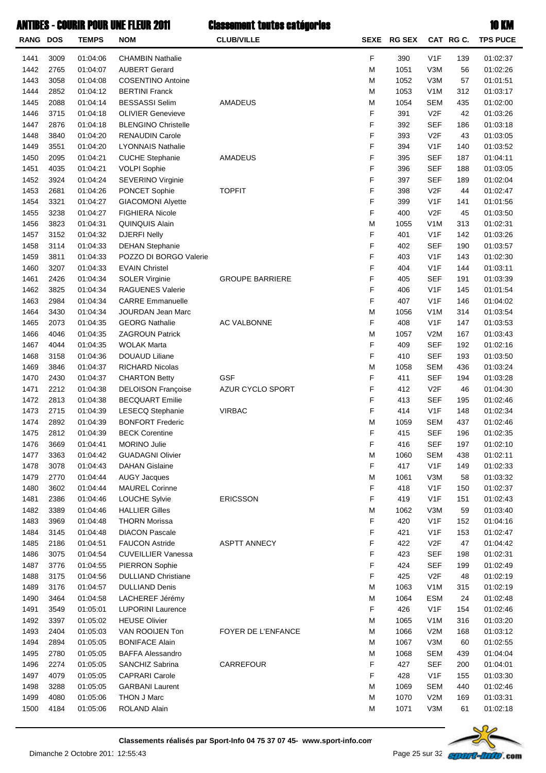| F<br>V <sub>1</sub> F<br>1441<br>3009<br>01:04:06<br><b>CHAMBIN Nathalie</b><br>390<br>139<br>01:02:37<br>1442<br>01:04:07<br>M<br>V3M<br>2765<br><b>AUBERT Gerard</b><br>1051<br>56<br>01:02:26<br>1443<br>3058<br>1052<br>V3M<br>57<br>01:04:08<br><b>COSENTINO Antoine</b><br>M<br>01:01:51<br>1444<br>2852<br>V <sub>1</sub> M<br>312<br>01:04:12<br><b>BERTINI Franck</b><br>M<br>1053<br>01:03:17<br>1445<br>01:04:14<br><b>BESSASSI Selim</b><br>M<br>1054<br><b>SEM</b><br>2088<br><b>AMADEUS</b><br>435<br>01:02:00<br>F<br>1446<br>3715<br>01:04:18<br><b>OLIVIER Genevieve</b><br>391<br>V2F<br>42<br>01:03:26<br>F<br>1447<br>392<br><b>SEF</b><br>2876<br>01:04:18<br><b>BLENGINO Christelle</b><br>186<br>01:03:18<br>F<br>1448<br>393<br>V2F<br>3840<br>01:04:20<br><b>RENAUDIN Carole</b><br>43<br>01:03:05<br>F<br>1449<br>01:04:20<br>394<br>V <sub>1</sub> F<br>3551<br><b>LYONNAIS Nathalie</b><br>140<br>01:03:52<br>F<br>1450<br>395<br><b>SEF</b><br>2095<br>01:04:21<br><b>CUCHE Stephanie</b><br><b>AMADEUS</b><br>187<br>01:04:11<br>F<br><b>SEF</b><br>1451<br><b>VOLPI Sophie</b><br>4035<br>01:04:21<br>396<br>188<br>01:03:05<br>F<br>1452<br>SEVERINO Virginie<br>397<br><b>SEF</b><br>3924<br>01:04:24<br>189<br>01:02:04<br>F<br>1453<br>2681<br>01:04:26<br>PONCET Sophie<br>398<br>V2F<br><b>TOPFIT</b><br>44<br>01:02:47<br>F<br>1454<br>3321<br>V <sub>1</sub> F<br>01:04:27<br><b>GIACOMONI Alyette</b><br>399<br>141<br>01:01:56<br>F<br>1455<br>FIGHIERA Nicole<br>V2F<br>3238<br>01:04:27<br>400<br>45<br>01:03:50<br>1456<br>3823<br>01:04:31<br>M<br>V <sub>1</sub> M<br>313<br>QUINQUIS Alain<br>1055<br>01:02:31<br>F<br>1457<br>401<br>V1F<br>3152<br>01:04:32<br><b>DJERFI Nelly</b><br>142<br>01:03:26<br>F<br>1458<br><b>SEF</b><br>3114<br>01:04:33<br><b>DEHAN Stephanie</b><br>402<br>190<br>01:03:57<br>F<br>1459<br>3811<br>01:04:33<br>V <sub>1</sub> F<br>POZZO DI BORGO Valerie<br>403<br>143<br>01:02:30<br>F<br>1460<br>01:04:33<br><b>EVAIN Christel</b><br>V <sub>1</sub> F<br>01:03:11<br>3207<br>404<br>144<br>F<br><b>SEF</b><br>1461<br>2426<br>01:04:34<br><b>SOLER Virginie</b><br><b>GROUPE BARRIERE</b><br>405<br>191<br>01:03:39<br>F<br>1462<br>3825<br>01:04:34<br>V <sub>1</sub> F<br><b>RAGUENES Valerie</b><br>406<br>145<br>01:01:54<br>F<br>1463<br>01:04:34<br>V <sub>1</sub> F<br>2984<br><b>CARRE Emmanuelle</b><br>407<br>146<br>01:04:02<br>1464<br>M<br>V <sub>1</sub> M<br>314<br>3430<br>01:04:34<br>JOURDAN Jean Marc<br>1056<br>01:03:54<br>F<br>408<br>V <sub>1</sub> F<br>1465<br>2073<br>01:04:35<br><b>GEORG Nathalie</b><br>AC VALBONNE<br>147<br>01:03:53<br>1466<br>M<br>V2M<br>4046<br>01:04:35<br><b>ZAGROUN Patrick</b><br>1057<br>167<br>01:03:43<br>F<br>01:04:35<br><b>WOLAK Marta</b><br><b>SEF</b><br>1467<br>4044<br>409<br>192<br>01:02:16<br>F<br><b>SEF</b><br>1468<br>3158<br>01:04:36<br><b>DOUAUD Liliane</b><br>410<br>193<br>01:03:50<br>1469<br>RICHARD Nicolas<br>M<br><b>SEM</b><br>3846<br>01:04:37<br>1058<br>436<br>01:03:24<br>F<br>1470<br><b>GSF</b><br>411<br><b>SEF</b><br>2430<br>01:04:37<br><b>CHARTON Betty</b><br>194<br>01:03:28<br>F<br>1471<br>V2F<br>2212<br>01:04:38<br><b>DELOISON Françoise</b><br>AZUR CYCLO SPORT<br>412<br>46<br>01:04:30<br>F<br>1472<br>2813<br><b>SEF</b><br>01:04:38<br><b>BECQUART Emilie</b><br>413<br>195<br>01:02:46<br>F<br>1473<br>2715<br>414<br>V <sub>1</sub> F<br>01:04:39<br><b>LESECQ Stephanie</b><br><b>VIRBAC</b><br>148<br>01:02:34<br>1474<br><b>BONFORT Frederic</b><br>M<br><b>SEM</b><br>2892<br>01:04:39<br>1059<br>437<br>01:02:46<br>F<br>415<br><b>SEF</b><br>1475<br>2812<br>01:04:39<br><b>BECK Corentine</b><br>196<br>01:02:35<br>1476<br><b>SEF</b><br>197<br>3669<br>01:04:41<br>MORINO Julie<br>F<br>416<br>01:02:10<br>3363<br>01:04:42<br><b>SEM</b><br>01:02:11<br>1477<br><b>GUADAGNI Olivier</b><br>M<br>1060<br>438<br>F<br>V <sub>1</sub> F<br>1478<br>3078<br>01:04:43<br><b>DAHAN Gislaine</b><br>417<br>01:02:33<br>149<br>1479<br>2770<br>01:04:44<br><b>AUGY Jacques</b><br>M<br>V3M<br>58<br>01:03:32<br>1061<br>F<br>V <sub>1</sub> F<br>1480<br>3602<br>01:04:44<br><b>MAUREL Corinne</b><br>418<br>150<br>01:02:37<br>F<br>V <sub>1</sub> F<br>1481<br>2386<br>01:04:46<br>LOUCHE Sylvie<br><b>ERICSSON</b><br>419<br>01:02:43<br>151<br>1482<br>3389<br>01:04:46<br><b>HALLIER Gilles</b><br>M<br>V3M<br>59<br>01:03:40<br>1062<br>F<br>V <sub>1</sub> F<br>1483<br>01:04:48<br><b>THORN Morissa</b><br>420<br>152<br>01:04:16<br>3969<br>F<br>1484<br>01:04:48<br><b>DIACON Pascale</b><br>421<br>V <sub>1</sub> F<br>153<br>01:02:47<br>3145<br>F<br>1485<br>01:04:51<br><b>FAUCON Astride</b><br><b>ASPTT ANNECY</b><br>V <sub>2</sub> F<br>2186<br>422<br>47<br>01:04:42<br>F<br>1486<br>01:04:54<br><b>CUVEILLIER Vanessa</b><br>423<br><b>SEF</b><br>01:02:31<br>3075<br>198<br>F<br><b>SEF</b><br>1487<br>01:04:55<br>PIERRON Sophie<br>424<br>01:02:49<br>3776<br>199<br>F<br>V2F<br>1488<br><b>DULLIAND Christiane</b><br>425<br>01:02:19<br>3175<br>01:04:56<br>48<br>1489<br>01:04:57<br><b>DULLIAND Denis</b><br>M<br>V <sub>1</sub> M<br>315<br>01:02:19<br>3176<br>1063<br>1490<br>01:04:58<br>LACHEREF Jérémy<br>M<br>1064<br><b>ESM</b><br>24<br>01:02:48<br>3464<br>F<br>V <sub>1</sub> F<br>1491<br>3549<br>01:05:01<br><b>LUPORINI Laurence</b><br>426<br>154<br>01:02:46<br>1492<br><b>HEUSE Olivier</b><br>M<br>V <sub>1</sub> M<br>316<br>3397<br>01:05:02<br>1065<br>01:03:20<br>1493<br>01:05:03<br>VAN ROOIJEN Ton<br>FOYER DE L'ENFANCE<br>М<br>1066<br>V2M<br>01:03:12<br>2404<br>168<br>1494<br>2894<br>01:05:05<br><b>BONIFACE Alain</b><br>M<br>1067<br>V3M<br>60<br>01:02:55<br>1495<br>M<br><b>SEM</b><br>2780<br>01:05:05<br><b>BAFFA Alessandro</b><br>1068<br>439<br>01:04:04<br>F<br>CARREFOUR<br>1496<br>427<br><b>SEF</b><br>2274<br>01:05:05<br>SANCHIZ Sabrina<br>200<br>01:04:01<br>F<br>V <sub>1</sub> F<br>01:05:05<br><b>CAPRARI Carole</b><br>1497<br>4079<br>428<br>155<br>01:03:30<br>01:05:05<br><b>GARBANI Laurent</b><br>M<br><b>SEM</b><br>1498<br>3288<br>1069<br>440<br>01:02:46<br>1499<br>01:05:06<br>THON J Marc<br>M<br>1070<br>V2M<br>4080<br>169<br>01:03:31<br>ROLAND Alain<br>1071<br>V3M<br>01:02:18<br>1500<br>4184<br>01:05:06<br>М<br>61 | <b>RANG DOS</b> | <b>TEMPS</b> | NOM | <b>CLUB/VILLE</b> | SEXE RG SEX | CAT RG C. | <b>TPS PUCE</b> |
|------------------------------------------------------------------------------------------------------------------------------------------------------------------------------------------------------------------------------------------------------------------------------------------------------------------------------------------------------------------------------------------------------------------------------------------------------------------------------------------------------------------------------------------------------------------------------------------------------------------------------------------------------------------------------------------------------------------------------------------------------------------------------------------------------------------------------------------------------------------------------------------------------------------------------------------------------------------------------------------------------------------------------------------------------------------------------------------------------------------------------------------------------------------------------------------------------------------------------------------------------------------------------------------------------------------------------------------------------------------------------------------------------------------------------------------------------------------------------------------------------------------------------------------------------------------------------------------------------------------------------------------------------------------------------------------------------------------------------------------------------------------------------------------------------------------------------------------------------------------------------------------------------------------------------------------------------------------------------------------------------------------------------------------------------------------------------------------------------------------------------------------------------------------------------------------------------------------------------------------------------------------------------------------------------------------------------------------------------------------------------------------------------------------------------------------------------------------------------------------------------------------------------------------------------------------------------------------------------------------------------------------------------------------------------------------------------------------------------------------------------------------------------------------------------------------------------------------------------------------------------------------------------------------------------------------------------------------------------------------------------------------------------------------------------------------------------------------------------------------------------------------------------------------------------------------------------------------------------------------------------------------------------------------------------------------------------------------------------------------------------------------------------------------------------------------------------------------------------------------------------------------------------------------------------------------------------------------------------------------------------------------------------------------------------------------------------------------------------------------------------------------------------------------------------------------------------------------------------------------------------------------------------------------------------------------------------------------------------------------------------------------------------------------------------------------------------------------------------------------------------------------------------------------------------------------------------------------------------------------------------------------------------------------------------------------------------------------------------------------------------------------------------------------------------------------------------------------------------------------------------------------------------------------------------------------------------------------------------------------------------------------------------------------------------------------------------------------------------------------------------------------------------------------------------------------------------------------------------------------------------------------------------------------------------------------------------------------------------------------------------------------------------------------------------------------------------------------------------------------------------------------------------------------------------------------------------------------------------------------------------------------------------------------------------------------------------------------------------------------------------------------------------------------------------------------------------------------------------------------------------------------------------------------------------------------------------------------------------------------------------------------------------------------------------------------------------------------------------------------------------------------------------------------------------------------------------------------------------------------------------------------------------------------------------------------------------------------------------------------------------------------------------------------------------------------------------------------------------------------------------------------------------------------------------------------------------------------------------------------------------------------------------------------------------------------------|-----------------|--------------|-----|-------------------|-------------|-----------|-----------------|
|                                                                                                                                                                                                                                                                                                                                                                                                                                                                                                                                                                                                                                                                                                                                                                                                                                                                                                                                                                                                                                                                                                                                                                                                                                                                                                                                                                                                                                                                                                                                                                                                                                                                                                                                                                                                                                                                                                                                                                                                                                                                                                                                                                                                                                                                                                                                                                                                                                                                                                                                                                                                                                                                                                                                                                                                                                                                                                                                                                                                                                                                                                                                                                                                                                                                                                                                                                                                                                                                                                                                                                                                                                                                                                                                                                                                                                                                                                                                                                                                                                                                                                                                                                                                                                                                                                                                                                                                                                                                                                                                                                                                                                                                                                                                                                                                                                                                                                                                                                                                                                                                                                                                                                                                                                                                                                                                                                                                                                                                                                                                                                                                                                                                                                                                                                                                                                                                                                                                                                                                                                                                                                                                                                                                                                                                                                                        |                 |              |     |                   |             |           |                 |
|                                                                                                                                                                                                                                                                                                                                                                                                                                                                                                                                                                                                                                                                                                                                                                                                                                                                                                                                                                                                                                                                                                                                                                                                                                                                                                                                                                                                                                                                                                                                                                                                                                                                                                                                                                                                                                                                                                                                                                                                                                                                                                                                                                                                                                                                                                                                                                                                                                                                                                                                                                                                                                                                                                                                                                                                                                                                                                                                                                                                                                                                                                                                                                                                                                                                                                                                                                                                                                                                                                                                                                                                                                                                                                                                                                                                                                                                                                                                                                                                                                                                                                                                                                                                                                                                                                                                                                                                                                                                                                                                                                                                                                                                                                                                                                                                                                                                                                                                                                                                                                                                                                                                                                                                                                                                                                                                                                                                                                                                                                                                                                                                                                                                                                                                                                                                                                                                                                                                                                                                                                                                                                                                                                                                                                                                                                                        |                 |              |     |                   |             |           |                 |
|                                                                                                                                                                                                                                                                                                                                                                                                                                                                                                                                                                                                                                                                                                                                                                                                                                                                                                                                                                                                                                                                                                                                                                                                                                                                                                                                                                                                                                                                                                                                                                                                                                                                                                                                                                                                                                                                                                                                                                                                                                                                                                                                                                                                                                                                                                                                                                                                                                                                                                                                                                                                                                                                                                                                                                                                                                                                                                                                                                                                                                                                                                                                                                                                                                                                                                                                                                                                                                                                                                                                                                                                                                                                                                                                                                                                                                                                                                                                                                                                                                                                                                                                                                                                                                                                                                                                                                                                                                                                                                                                                                                                                                                                                                                                                                                                                                                                                                                                                                                                                                                                                                                                                                                                                                                                                                                                                                                                                                                                                                                                                                                                                                                                                                                                                                                                                                                                                                                                                                                                                                                                                                                                                                                                                                                                                                                        |                 |              |     |                   |             |           |                 |
|                                                                                                                                                                                                                                                                                                                                                                                                                                                                                                                                                                                                                                                                                                                                                                                                                                                                                                                                                                                                                                                                                                                                                                                                                                                                                                                                                                                                                                                                                                                                                                                                                                                                                                                                                                                                                                                                                                                                                                                                                                                                                                                                                                                                                                                                                                                                                                                                                                                                                                                                                                                                                                                                                                                                                                                                                                                                                                                                                                                                                                                                                                                                                                                                                                                                                                                                                                                                                                                                                                                                                                                                                                                                                                                                                                                                                                                                                                                                                                                                                                                                                                                                                                                                                                                                                                                                                                                                                                                                                                                                                                                                                                                                                                                                                                                                                                                                                                                                                                                                                                                                                                                                                                                                                                                                                                                                                                                                                                                                                                                                                                                                                                                                                                                                                                                                                                                                                                                                                                                                                                                                                                                                                                                                                                                                                                                        |                 |              |     |                   |             |           |                 |
|                                                                                                                                                                                                                                                                                                                                                                                                                                                                                                                                                                                                                                                                                                                                                                                                                                                                                                                                                                                                                                                                                                                                                                                                                                                                                                                                                                                                                                                                                                                                                                                                                                                                                                                                                                                                                                                                                                                                                                                                                                                                                                                                                                                                                                                                                                                                                                                                                                                                                                                                                                                                                                                                                                                                                                                                                                                                                                                                                                                                                                                                                                                                                                                                                                                                                                                                                                                                                                                                                                                                                                                                                                                                                                                                                                                                                                                                                                                                                                                                                                                                                                                                                                                                                                                                                                                                                                                                                                                                                                                                                                                                                                                                                                                                                                                                                                                                                                                                                                                                                                                                                                                                                                                                                                                                                                                                                                                                                                                                                                                                                                                                                                                                                                                                                                                                                                                                                                                                                                                                                                                                                                                                                                                                                                                                                                                        |                 |              |     |                   |             |           |                 |
|                                                                                                                                                                                                                                                                                                                                                                                                                                                                                                                                                                                                                                                                                                                                                                                                                                                                                                                                                                                                                                                                                                                                                                                                                                                                                                                                                                                                                                                                                                                                                                                                                                                                                                                                                                                                                                                                                                                                                                                                                                                                                                                                                                                                                                                                                                                                                                                                                                                                                                                                                                                                                                                                                                                                                                                                                                                                                                                                                                                                                                                                                                                                                                                                                                                                                                                                                                                                                                                                                                                                                                                                                                                                                                                                                                                                                                                                                                                                                                                                                                                                                                                                                                                                                                                                                                                                                                                                                                                                                                                                                                                                                                                                                                                                                                                                                                                                                                                                                                                                                                                                                                                                                                                                                                                                                                                                                                                                                                                                                                                                                                                                                                                                                                                                                                                                                                                                                                                                                                                                                                                                                                                                                                                                                                                                                                                        |                 |              |     |                   |             |           |                 |
|                                                                                                                                                                                                                                                                                                                                                                                                                                                                                                                                                                                                                                                                                                                                                                                                                                                                                                                                                                                                                                                                                                                                                                                                                                                                                                                                                                                                                                                                                                                                                                                                                                                                                                                                                                                                                                                                                                                                                                                                                                                                                                                                                                                                                                                                                                                                                                                                                                                                                                                                                                                                                                                                                                                                                                                                                                                                                                                                                                                                                                                                                                                                                                                                                                                                                                                                                                                                                                                                                                                                                                                                                                                                                                                                                                                                                                                                                                                                                                                                                                                                                                                                                                                                                                                                                                                                                                                                                                                                                                                                                                                                                                                                                                                                                                                                                                                                                                                                                                                                                                                                                                                                                                                                                                                                                                                                                                                                                                                                                                                                                                                                                                                                                                                                                                                                                                                                                                                                                                                                                                                                                                                                                                                                                                                                                                                        |                 |              |     |                   |             |           |                 |
|                                                                                                                                                                                                                                                                                                                                                                                                                                                                                                                                                                                                                                                                                                                                                                                                                                                                                                                                                                                                                                                                                                                                                                                                                                                                                                                                                                                                                                                                                                                                                                                                                                                                                                                                                                                                                                                                                                                                                                                                                                                                                                                                                                                                                                                                                                                                                                                                                                                                                                                                                                                                                                                                                                                                                                                                                                                                                                                                                                                                                                                                                                                                                                                                                                                                                                                                                                                                                                                                                                                                                                                                                                                                                                                                                                                                                                                                                                                                                                                                                                                                                                                                                                                                                                                                                                                                                                                                                                                                                                                                                                                                                                                                                                                                                                                                                                                                                                                                                                                                                                                                                                                                                                                                                                                                                                                                                                                                                                                                                                                                                                                                                                                                                                                                                                                                                                                                                                                                                                                                                                                                                                                                                                                                                                                                                                                        |                 |              |     |                   |             |           |                 |
|                                                                                                                                                                                                                                                                                                                                                                                                                                                                                                                                                                                                                                                                                                                                                                                                                                                                                                                                                                                                                                                                                                                                                                                                                                                                                                                                                                                                                                                                                                                                                                                                                                                                                                                                                                                                                                                                                                                                                                                                                                                                                                                                                                                                                                                                                                                                                                                                                                                                                                                                                                                                                                                                                                                                                                                                                                                                                                                                                                                                                                                                                                                                                                                                                                                                                                                                                                                                                                                                                                                                                                                                                                                                                                                                                                                                                                                                                                                                                                                                                                                                                                                                                                                                                                                                                                                                                                                                                                                                                                                                                                                                                                                                                                                                                                                                                                                                                                                                                                                                                                                                                                                                                                                                                                                                                                                                                                                                                                                                                                                                                                                                                                                                                                                                                                                                                                                                                                                                                                                                                                                                                                                                                                                                                                                                                                                        |                 |              |     |                   |             |           |                 |
|                                                                                                                                                                                                                                                                                                                                                                                                                                                                                                                                                                                                                                                                                                                                                                                                                                                                                                                                                                                                                                                                                                                                                                                                                                                                                                                                                                                                                                                                                                                                                                                                                                                                                                                                                                                                                                                                                                                                                                                                                                                                                                                                                                                                                                                                                                                                                                                                                                                                                                                                                                                                                                                                                                                                                                                                                                                                                                                                                                                                                                                                                                                                                                                                                                                                                                                                                                                                                                                                                                                                                                                                                                                                                                                                                                                                                                                                                                                                                                                                                                                                                                                                                                                                                                                                                                                                                                                                                                                                                                                                                                                                                                                                                                                                                                                                                                                                                                                                                                                                                                                                                                                                                                                                                                                                                                                                                                                                                                                                                                                                                                                                                                                                                                                                                                                                                                                                                                                                                                                                                                                                                                                                                                                                                                                                                                                        |                 |              |     |                   |             |           |                 |
|                                                                                                                                                                                                                                                                                                                                                                                                                                                                                                                                                                                                                                                                                                                                                                                                                                                                                                                                                                                                                                                                                                                                                                                                                                                                                                                                                                                                                                                                                                                                                                                                                                                                                                                                                                                                                                                                                                                                                                                                                                                                                                                                                                                                                                                                                                                                                                                                                                                                                                                                                                                                                                                                                                                                                                                                                                                                                                                                                                                                                                                                                                                                                                                                                                                                                                                                                                                                                                                                                                                                                                                                                                                                                                                                                                                                                                                                                                                                                                                                                                                                                                                                                                                                                                                                                                                                                                                                                                                                                                                                                                                                                                                                                                                                                                                                                                                                                                                                                                                                                                                                                                                                                                                                                                                                                                                                                                                                                                                                                                                                                                                                                                                                                                                                                                                                                                                                                                                                                                                                                                                                                                                                                                                                                                                                                                                        |                 |              |     |                   |             |           |                 |
|                                                                                                                                                                                                                                                                                                                                                                                                                                                                                                                                                                                                                                                                                                                                                                                                                                                                                                                                                                                                                                                                                                                                                                                                                                                                                                                                                                                                                                                                                                                                                                                                                                                                                                                                                                                                                                                                                                                                                                                                                                                                                                                                                                                                                                                                                                                                                                                                                                                                                                                                                                                                                                                                                                                                                                                                                                                                                                                                                                                                                                                                                                                                                                                                                                                                                                                                                                                                                                                                                                                                                                                                                                                                                                                                                                                                                                                                                                                                                                                                                                                                                                                                                                                                                                                                                                                                                                                                                                                                                                                                                                                                                                                                                                                                                                                                                                                                                                                                                                                                                                                                                                                                                                                                                                                                                                                                                                                                                                                                                                                                                                                                                                                                                                                                                                                                                                                                                                                                                                                                                                                                                                                                                                                                                                                                                                                        |                 |              |     |                   |             |           |                 |
|                                                                                                                                                                                                                                                                                                                                                                                                                                                                                                                                                                                                                                                                                                                                                                                                                                                                                                                                                                                                                                                                                                                                                                                                                                                                                                                                                                                                                                                                                                                                                                                                                                                                                                                                                                                                                                                                                                                                                                                                                                                                                                                                                                                                                                                                                                                                                                                                                                                                                                                                                                                                                                                                                                                                                                                                                                                                                                                                                                                                                                                                                                                                                                                                                                                                                                                                                                                                                                                                                                                                                                                                                                                                                                                                                                                                                                                                                                                                                                                                                                                                                                                                                                                                                                                                                                                                                                                                                                                                                                                                                                                                                                                                                                                                                                                                                                                                                                                                                                                                                                                                                                                                                                                                                                                                                                                                                                                                                                                                                                                                                                                                                                                                                                                                                                                                                                                                                                                                                                                                                                                                                                                                                                                                                                                                                                                        |                 |              |     |                   |             |           |                 |
|                                                                                                                                                                                                                                                                                                                                                                                                                                                                                                                                                                                                                                                                                                                                                                                                                                                                                                                                                                                                                                                                                                                                                                                                                                                                                                                                                                                                                                                                                                                                                                                                                                                                                                                                                                                                                                                                                                                                                                                                                                                                                                                                                                                                                                                                                                                                                                                                                                                                                                                                                                                                                                                                                                                                                                                                                                                                                                                                                                                                                                                                                                                                                                                                                                                                                                                                                                                                                                                                                                                                                                                                                                                                                                                                                                                                                                                                                                                                                                                                                                                                                                                                                                                                                                                                                                                                                                                                                                                                                                                                                                                                                                                                                                                                                                                                                                                                                                                                                                                                                                                                                                                                                                                                                                                                                                                                                                                                                                                                                                                                                                                                                                                                                                                                                                                                                                                                                                                                                                                                                                                                                                                                                                                                                                                                                                                        |                 |              |     |                   |             |           |                 |
|                                                                                                                                                                                                                                                                                                                                                                                                                                                                                                                                                                                                                                                                                                                                                                                                                                                                                                                                                                                                                                                                                                                                                                                                                                                                                                                                                                                                                                                                                                                                                                                                                                                                                                                                                                                                                                                                                                                                                                                                                                                                                                                                                                                                                                                                                                                                                                                                                                                                                                                                                                                                                                                                                                                                                                                                                                                                                                                                                                                                                                                                                                                                                                                                                                                                                                                                                                                                                                                                                                                                                                                                                                                                                                                                                                                                                                                                                                                                                                                                                                                                                                                                                                                                                                                                                                                                                                                                                                                                                                                                                                                                                                                                                                                                                                                                                                                                                                                                                                                                                                                                                                                                                                                                                                                                                                                                                                                                                                                                                                                                                                                                                                                                                                                                                                                                                                                                                                                                                                                                                                                                                                                                                                                                                                                                                                                        |                 |              |     |                   |             |           |                 |
|                                                                                                                                                                                                                                                                                                                                                                                                                                                                                                                                                                                                                                                                                                                                                                                                                                                                                                                                                                                                                                                                                                                                                                                                                                                                                                                                                                                                                                                                                                                                                                                                                                                                                                                                                                                                                                                                                                                                                                                                                                                                                                                                                                                                                                                                                                                                                                                                                                                                                                                                                                                                                                                                                                                                                                                                                                                                                                                                                                                                                                                                                                                                                                                                                                                                                                                                                                                                                                                                                                                                                                                                                                                                                                                                                                                                                                                                                                                                                                                                                                                                                                                                                                                                                                                                                                                                                                                                                                                                                                                                                                                                                                                                                                                                                                                                                                                                                                                                                                                                                                                                                                                                                                                                                                                                                                                                                                                                                                                                                                                                                                                                                                                                                                                                                                                                                                                                                                                                                                                                                                                                                                                                                                                                                                                                                                                        |                 |              |     |                   |             |           |                 |
|                                                                                                                                                                                                                                                                                                                                                                                                                                                                                                                                                                                                                                                                                                                                                                                                                                                                                                                                                                                                                                                                                                                                                                                                                                                                                                                                                                                                                                                                                                                                                                                                                                                                                                                                                                                                                                                                                                                                                                                                                                                                                                                                                                                                                                                                                                                                                                                                                                                                                                                                                                                                                                                                                                                                                                                                                                                                                                                                                                                                                                                                                                                                                                                                                                                                                                                                                                                                                                                                                                                                                                                                                                                                                                                                                                                                                                                                                                                                                                                                                                                                                                                                                                                                                                                                                                                                                                                                                                                                                                                                                                                                                                                                                                                                                                                                                                                                                                                                                                                                                                                                                                                                                                                                                                                                                                                                                                                                                                                                                                                                                                                                                                                                                                                                                                                                                                                                                                                                                                                                                                                                                                                                                                                                                                                                                                                        |                 |              |     |                   |             |           |                 |
|                                                                                                                                                                                                                                                                                                                                                                                                                                                                                                                                                                                                                                                                                                                                                                                                                                                                                                                                                                                                                                                                                                                                                                                                                                                                                                                                                                                                                                                                                                                                                                                                                                                                                                                                                                                                                                                                                                                                                                                                                                                                                                                                                                                                                                                                                                                                                                                                                                                                                                                                                                                                                                                                                                                                                                                                                                                                                                                                                                                                                                                                                                                                                                                                                                                                                                                                                                                                                                                                                                                                                                                                                                                                                                                                                                                                                                                                                                                                                                                                                                                                                                                                                                                                                                                                                                                                                                                                                                                                                                                                                                                                                                                                                                                                                                                                                                                                                                                                                                                                                                                                                                                                                                                                                                                                                                                                                                                                                                                                                                                                                                                                                                                                                                                                                                                                                                                                                                                                                                                                                                                                                                                                                                                                                                                                                                                        |                 |              |     |                   |             |           |                 |
|                                                                                                                                                                                                                                                                                                                                                                                                                                                                                                                                                                                                                                                                                                                                                                                                                                                                                                                                                                                                                                                                                                                                                                                                                                                                                                                                                                                                                                                                                                                                                                                                                                                                                                                                                                                                                                                                                                                                                                                                                                                                                                                                                                                                                                                                                                                                                                                                                                                                                                                                                                                                                                                                                                                                                                                                                                                                                                                                                                                                                                                                                                                                                                                                                                                                                                                                                                                                                                                                                                                                                                                                                                                                                                                                                                                                                                                                                                                                                                                                                                                                                                                                                                                                                                                                                                                                                                                                                                                                                                                                                                                                                                                                                                                                                                                                                                                                                                                                                                                                                                                                                                                                                                                                                                                                                                                                                                                                                                                                                                                                                                                                                                                                                                                                                                                                                                                                                                                                                                                                                                                                                                                                                                                                                                                                                                                        |                 |              |     |                   |             |           |                 |
|                                                                                                                                                                                                                                                                                                                                                                                                                                                                                                                                                                                                                                                                                                                                                                                                                                                                                                                                                                                                                                                                                                                                                                                                                                                                                                                                                                                                                                                                                                                                                                                                                                                                                                                                                                                                                                                                                                                                                                                                                                                                                                                                                                                                                                                                                                                                                                                                                                                                                                                                                                                                                                                                                                                                                                                                                                                                                                                                                                                                                                                                                                                                                                                                                                                                                                                                                                                                                                                                                                                                                                                                                                                                                                                                                                                                                                                                                                                                                                                                                                                                                                                                                                                                                                                                                                                                                                                                                                                                                                                                                                                                                                                                                                                                                                                                                                                                                                                                                                                                                                                                                                                                                                                                                                                                                                                                                                                                                                                                                                                                                                                                                                                                                                                                                                                                                                                                                                                                                                                                                                                                                                                                                                                                                                                                                                                        |                 |              |     |                   |             |           |                 |
|                                                                                                                                                                                                                                                                                                                                                                                                                                                                                                                                                                                                                                                                                                                                                                                                                                                                                                                                                                                                                                                                                                                                                                                                                                                                                                                                                                                                                                                                                                                                                                                                                                                                                                                                                                                                                                                                                                                                                                                                                                                                                                                                                                                                                                                                                                                                                                                                                                                                                                                                                                                                                                                                                                                                                                                                                                                                                                                                                                                                                                                                                                                                                                                                                                                                                                                                                                                                                                                                                                                                                                                                                                                                                                                                                                                                                                                                                                                                                                                                                                                                                                                                                                                                                                                                                                                                                                                                                                                                                                                                                                                                                                                                                                                                                                                                                                                                                                                                                                                                                                                                                                                                                                                                                                                                                                                                                                                                                                                                                                                                                                                                                                                                                                                                                                                                                                                                                                                                                                                                                                                                                                                                                                                                                                                                                                                        |                 |              |     |                   |             |           |                 |
|                                                                                                                                                                                                                                                                                                                                                                                                                                                                                                                                                                                                                                                                                                                                                                                                                                                                                                                                                                                                                                                                                                                                                                                                                                                                                                                                                                                                                                                                                                                                                                                                                                                                                                                                                                                                                                                                                                                                                                                                                                                                                                                                                                                                                                                                                                                                                                                                                                                                                                                                                                                                                                                                                                                                                                                                                                                                                                                                                                                                                                                                                                                                                                                                                                                                                                                                                                                                                                                                                                                                                                                                                                                                                                                                                                                                                                                                                                                                                                                                                                                                                                                                                                                                                                                                                                                                                                                                                                                                                                                                                                                                                                                                                                                                                                                                                                                                                                                                                                                                                                                                                                                                                                                                                                                                                                                                                                                                                                                                                                                                                                                                                                                                                                                                                                                                                                                                                                                                                                                                                                                                                                                                                                                                                                                                                                                        |                 |              |     |                   |             |           |                 |
|                                                                                                                                                                                                                                                                                                                                                                                                                                                                                                                                                                                                                                                                                                                                                                                                                                                                                                                                                                                                                                                                                                                                                                                                                                                                                                                                                                                                                                                                                                                                                                                                                                                                                                                                                                                                                                                                                                                                                                                                                                                                                                                                                                                                                                                                                                                                                                                                                                                                                                                                                                                                                                                                                                                                                                                                                                                                                                                                                                                                                                                                                                                                                                                                                                                                                                                                                                                                                                                                                                                                                                                                                                                                                                                                                                                                                                                                                                                                                                                                                                                                                                                                                                                                                                                                                                                                                                                                                                                                                                                                                                                                                                                                                                                                                                                                                                                                                                                                                                                                                                                                                                                                                                                                                                                                                                                                                                                                                                                                                                                                                                                                                                                                                                                                                                                                                                                                                                                                                                                                                                                                                                                                                                                                                                                                                                                        |                 |              |     |                   |             |           |                 |
|                                                                                                                                                                                                                                                                                                                                                                                                                                                                                                                                                                                                                                                                                                                                                                                                                                                                                                                                                                                                                                                                                                                                                                                                                                                                                                                                                                                                                                                                                                                                                                                                                                                                                                                                                                                                                                                                                                                                                                                                                                                                                                                                                                                                                                                                                                                                                                                                                                                                                                                                                                                                                                                                                                                                                                                                                                                                                                                                                                                                                                                                                                                                                                                                                                                                                                                                                                                                                                                                                                                                                                                                                                                                                                                                                                                                                                                                                                                                                                                                                                                                                                                                                                                                                                                                                                                                                                                                                                                                                                                                                                                                                                                                                                                                                                                                                                                                                                                                                                                                                                                                                                                                                                                                                                                                                                                                                                                                                                                                                                                                                                                                                                                                                                                                                                                                                                                                                                                                                                                                                                                                                                                                                                                                                                                                                                                        |                 |              |     |                   |             |           |                 |
|                                                                                                                                                                                                                                                                                                                                                                                                                                                                                                                                                                                                                                                                                                                                                                                                                                                                                                                                                                                                                                                                                                                                                                                                                                                                                                                                                                                                                                                                                                                                                                                                                                                                                                                                                                                                                                                                                                                                                                                                                                                                                                                                                                                                                                                                                                                                                                                                                                                                                                                                                                                                                                                                                                                                                                                                                                                                                                                                                                                                                                                                                                                                                                                                                                                                                                                                                                                                                                                                                                                                                                                                                                                                                                                                                                                                                                                                                                                                                                                                                                                                                                                                                                                                                                                                                                                                                                                                                                                                                                                                                                                                                                                                                                                                                                                                                                                                                                                                                                                                                                                                                                                                                                                                                                                                                                                                                                                                                                                                                                                                                                                                                                                                                                                                                                                                                                                                                                                                                                                                                                                                                                                                                                                                                                                                                                                        |                 |              |     |                   |             |           |                 |
|                                                                                                                                                                                                                                                                                                                                                                                                                                                                                                                                                                                                                                                                                                                                                                                                                                                                                                                                                                                                                                                                                                                                                                                                                                                                                                                                                                                                                                                                                                                                                                                                                                                                                                                                                                                                                                                                                                                                                                                                                                                                                                                                                                                                                                                                                                                                                                                                                                                                                                                                                                                                                                                                                                                                                                                                                                                                                                                                                                                                                                                                                                                                                                                                                                                                                                                                                                                                                                                                                                                                                                                                                                                                                                                                                                                                                                                                                                                                                                                                                                                                                                                                                                                                                                                                                                                                                                                                                                                                                                                                                                                                                                                                                                                                                                                                                                                                                                                                                                                                                                                                                                                                                                                                                                                                                                                                                                                                                                                                                                                                                                                                                                                                                                                                                                                                                                                                                                                                                                                                                                                                                                                                                                                                                                                                                                                        |                 |              |     |                   |             |           |                 |
|                                                                                                                                                                                                                                                                                                                                                                                                                                                                                                                                                                                                                                                                                                                                                                                                                                                                                                                                                                                                                                                                                                                                                                                                                                                                                                                                                                                                                                                                                                                                                                                                                                                                                                                                                                                                                                                                                                                                                                                                                                                                                                                                                                                                                                                                                                                                                                                                                                                                                                                                                                                                                                                                                                                                                                                                                                                                                                                                                                                                                                                                                                                                                                                                                                                                                                                                                                                                                                                                                                                                                                                                                                                                                                                                                                                                                                                                                                                                                                                                                                                                                                                                                                                                                                                                                                                                                                                                                                                                                                                                                                                                                                                                                                                                                                                                                                                                                                                                                                                                                                                                                                                                                                                                                                                                                                                                                                                                                                                                                                                                                                                                                                                                                                                                                                                                                                                                                                                                                                                                                                                                                                                                                                                                                                                                                                                        |                 |              |     |                   |             |           |                 |
|                                                                                                                                                                                                                                                                                                                                                                                                                                                                                                                                                                                                                                                                                                                                                                                                                                                                                                                                                                                                                                                                                                                                                                                                                                                                                                                                                                                                                                                                                                                                                                                                                                                                                                                                                                                                                                                                                                                                                                                                                                                                                                                                                                                                                                                                                                                                                                                                                                                                                                                                                                                                                                                                                                                                                                                                                                                                                                                                                                                                                                                                                                                                                                                                                                                                                                                                                                                                                                                                                                                                                                                                                                                                                                                                                                                                                                                                                                                                                                                                                                                                                                                                                                                                                                                                                                                                                                                                                                                                                                                                                                                                                                                                                                                                                                                                                                                                                                                                                                                                                                                                                                                                                                                                                                                                                                                                                                                                                                                                                                                                                                                                                                                                                                                                                                                                                                                                                                                                                                                                                                                                                                                                                                                                                                                                                                                        |                 |              |     |                   |             |           |                 |
|                                                                                                                                                                                                                                                                                                                                                                                                                                                                                                                                                                                                                                                                                                                                                                                                                                                                                                                                                                                                                                                                                                                                                                                                                                                                                                                                                                                                                                                                                                                                                                                                                                                                                                                                                                                                                                                                                                                                                                                                                                                                                                                                                                                                                                                                                                                                                                                                                                                                                                                                                                                                                                                                                                                                                                                                                                                                                                                                                                                                                                                                                                                                                                                                                                                                                                                                                                                                                                                                                                                                                                                                                                                                                                                                                                                                                                                                                                                                                                                                                                                                                                                                                                                                                                                                                                                                                                                                                                                                                                                                                                                                                                                                                                                                                                                                                                                                                                                                                                                                                                                                                                                                                                                                                                                                                                                                                                                                                                                                                                                                                                                                                                                                                                                                                                                                                                                                                                                                                                                                                                                                                                                                                                                                                                                                                                                        |                 |              |     |                   |             |           |                 |
|                                                                                                                                                                                                                                                                                                                                                                                                                                                                                                                                                                                                                                                                                                                                                                                                                                                                                                                                                                                                                                                                                                                                                                                                                                                                                                                                                                                                                                                                                                                                                                                                                                                                                                                                                                                                                                                                                                                                                                                                                                                                                                                                                                                                                                                                                                                                                                                                                                                                                                                                                                                                                                                                                                                                                                                                                                                                                                                                                                                                                                                                                                                                                                                                                                                                                                                                                                                                                                                                                                                                                                                                                                                                                                                                                                                                                                                                                                                                                                                                                                                                                                                                                                                                                                                                                                                                                                                                                                                                                                                                                                                                                                                                                                                                                                                                                                                                                                                                                                                                                                                                                                                                                                                                                                                                                                                                                                                                                                                                                                                                                                                                                                                                                                                                                                                                                                                                                                                                                                                                                                                                                                                                                                                                                                                                                                                        |                 |              |     |                   |             |           |                 |
|                                                                                                                                                                                                                                                                                                                                                                                                                                                                                                                                                                                                                                                                                                                                                                                                                                                                                                                                                                                                                                                                                                                                                                                                                                                                                                                                                                                                                                                                                                                                                                                                                                                                                                                                                                                                                                                                                                                                                                                                                                                                                                                                                                                                                                                                                                                                                                                                                                                                                                                                                                                                                                                                                                                                                                                                                                                                                                                                                                                                                                                                                                                                                                                                                                                                                                                                                                                                                                                                                                                                                                                                                                                                                                                                                                                                                                                                                                                                                                                                                                                                                                                                                                                                                                                                                                                                                                                                                                                                                                                                                                                                                                                                                                                                                                                                                                                                                                                                                                                                                                                                                                                                                                                                                                                                                                                                                                                                                                                                                                                                                                                                                                                                                                                                                                                                                                                                                                                                                                                                                                                                                                                                                                                                                                                                                                                        |                 |              |     |                   |             |           |                 |
|                                                                                                                                                                                                                                                                                                                                                                                                                                                                                                                                                                                                                                                                                                                                                                                                                                                                                                                                                                                                                                                                                                                                                                                                                                                                                                                                                                                                                                                                                                                                                                                                                                                                                                                                                                                                                                                                                                                                                                                                                                                                                                                                                                                                                                                                                                                                                                                                                                                                                                                                                                                                                                                                                                                                                                                                                                                                                                                                                                                                                                                                                                                                                                                                                                                                                                                                                                                                                                                                                                                                                                                                                                                                                                                                                                                                                                                                                                                                                                                                                                                                                                                                                                                                                                                                                                                                                                                                                                                                                                                                                                                                                                                                                                                                                                                                                                                                                                                                                                                                                                                                                                                                                                                                                                                                                                                                                                                                                                                                                                                                                                                                                                                                                                                                                                                                                                                                                                                                                                                                                                                                                                                                                                                                                                                                                                                        |                 |              |     |                   |             |           |                 |
|                                                                                                                                                                                                                                                                                                                                                                                                                                                                                                                                                                                                                                                                                                                                                                                                                                                                                                                                                                                                                                                                                                                                                                                                                                                                                                                                                                                                                                                                                                                                                                                                                                                                                                                                                                                                                                                                                                                                                                                                                                                                                                                                                                                                                                                                                                                                                                                                                                                                                                                                                                                                                                                                                                                                                                                                                                                                                                                                                                                                                                                                                                                                                                                                                                                                                                                                                                                                                                                                                                                                                                                                                                                                                                                                                                                                                                                                                                                                                                                                                                                                                                                                                                                                                                                                                                                                                                                                                                                                                                                                                                                                                                                                                                                                                                                                                                                                                                                                                                                                                                                                                                                                                                                                                                                                                                                                                                                                                                                                                                                                                                                                                                                                                                                                                                                                                                                                                                                                                                                                                                                                                                                                                                                                                                                                                                                        |                 |              |     |                   |             |           |                 |
|                                                                                                                                                                                                                                                                                                                                                                                                                                                                                                                                                                                                                                                                                                                                                                                                                                                                                                                                                                                                                                                                                                                                                                                                                                                                                                                                                                                                                                                                                                                                                                                                                                                                                                                                                                                                                                                                                                                                                                                                                                                                                                                                                                                                                                                                                                                                                                                                                                                                                                                                                                                                                                                                                                                                                                                                                                                                                                                                                                                                                                                                                                                                                                                                                                                                                                                                                                                                                                                                                                                                                                                                                                                                                                                                                                                                                                                                                                                                                                                                                                                                                                                                                                                                                                                                                                                                                                                                                                                                                                                                                                                                                                                                                                                                                                                                                                                                                                                                                                                                                                                                                                                                                                                                                                                                                                                                                                                                                                                                                                                                                                                                                                                                                                                                                                                                                                                                                                                                                                                                                                                                                                                                                                                                                                                                                                                        |                 |              |     |                   |             |           |                 |
|                                                                                                                                                                                                                                                                                                                                                                                                                                                                                                                                                                                                                                                                                                                                                                                                                                                                                                                                                                                                                                                                                                                                                                                                                                                                                                                                                                                                                                                                                                                                                                                                                                                                                                                                                                                                                                                                                                                                                                                                                                                                                                                                                                                                                                                                                                                                                                                                                                                                                                                                                                                                                                                                                                                                                                                                                                                                                                                                                                                                                                                                                                                                                                                                                                                                                                                                                                                                                                                                                                                                                                                                                                                                                                                                                                                                                                                                                                                                                                                                                                                                                                                                                                                                                                                                                                                                                                                                                                                                                                                                                                                                                                                                                                                                                                                                                                                                                                                                                                                                                                                                                                                                                                                                                                                                                                                                                                                                                                                                                                                                                                                                                                                                                                                                                                                                                                                                                                                                                                                                                                                                                                                                                                                                                                                                                                                        |                 |              |     |                   |             |           |                 |
|                                                                                                                                                                                                                                                                                                                                                                                                                                                                                                                                                                                                                                                                                                                                                                                                                                                                                                                                                                                                                                                                                                                                                                                                                                                                                                                                                                                                                                                                                                                                                                                                                                                                                                                                                                                                                                                                                                                                                                                                                                                                                                                                                                                                                                                                                                                                                                                                                                                                                                                                                                                                                                                                                                                                                                                                                                                                                                                                                                                                                                                                                                                                                                                                                                                                                                                                                                                                                                                                                                                                                                                                                                                                                                                                                                                                                                                                                                                                                                                                                                                                                                                                                                                                                                                                                                                                                                                                                                                                                                                                                                                                                                                                                                                                                                                                                                                                                                                                                                                                                                                                                                                                                                                                                                                                                                                                                                                                                                                                                                                                                                                                                                                                                                                                                                                                                                                                                                                                                                                                                                                                                                                                                                                                                                                                                                                        |                 |              |     |                   |             |           |                 |
|                                                                                                                                                                                                                                                                                                                                                                                                                                                                                                                                                                                                                                                                                                                                                                                                                                                                                                                                                                                                                                                                                                                                                                                                                                                                                                                                                                                                                                                                                                                                                                                                                                                                                                                                                                                                                                                                                                                                                                                                                                                                                                                                                                                                                                                                                                                                                                                                                                                                                                                                                                                                                                                                                                                                                                                                                                                                                                                                                                                                                                                                                                                                                                                                                                                                                                                                                                                                                                                                                                                                                                                                                                                                                                                                                                                                                                                                                                                                                                                                                                                                                                                                                                                                                                                                                                                                                                                                                                                                                                                                                                                                                                                                                                                                                                                                                                                                                                                                                                                                                                                                                                                                                                                                                                                                                                                                                                                                                                                                                                                                                                                                                                                                                                                                                                                                                                                                                                                                                                                                                                                                                                                                                                                                                                                                                                                        |                 |              |     |                   |             |           |                 |
|                                                                                                                                                                                                                                                                                                                                                                                                                                                                                                                                                                                                                                                                                                                                                                                                                                                                                                                                                                                                                                                                                                                                                                                                                                                                                                                                                                                                                                                                                                                                                                                                                                                                                                                                                                                                                                                                                                                                                                                                                                                                                                                                                                                                                                                                                                                                                                                                                                                                                                                                                                                                                                                                                                                                                                                                                                                                                                                                                                                                                                                                                                                                                                                                                                                                                                                                                                                                                                                                                                                                                                                                                                                                                                                                                                                                                                                                                                                                                                                                                                                                                                                                                                                                                                                                                                                                                                                                                                                                                                                                                                                                                                                                                                                                                                                                                                                                                                                                                                                                                                                                                                                                                                                                                                                                                                                                                                                                                                                                                                                                                                                                                                                                                                                                                                                                                                                                                                                                                                                                                                                                                                                                                                                                                                                                                                                        |                 |              |     |                   |             |           |                 |
|                                                                                                                                                                                                                                                                                                                                                                                                                                                                                                                                                                                                                                                                                                                                                                                                                                                                                                                                                                                                                                                                                                                                                                                                                                                                                                                                                                                                                                                                                                                                                                                                                                                                                                                                                                                                                                                                                                                                                                                                                                                                                                                                                                                                                                                                                                                                                                                                                                                                                                                                                                                                                                                                                                                                                                                                                                                                                                                                                                                                                                                                                                                                                                                                                                                                                                                                                                                                                                                                                                                                                                                                                                                                                                                                                                                                                                                                                                                                                                                                                                                                                                                                                                                                                                                                                                                                                                                                                                                                                                                                                                                                                                                                                                                                                                                                                                                                                                                                                                                                                                                                                                                                                                                                                                                                                                                                                                                                                                                                                                                                                                                                                                                                                                                                                                                                                                                                                                                                                                                                                                                                                                                                                                                                                                                                                                                        |                 |              |     |                   |             |           |                 |
|                                                                                                                                                                                                                                                                                                                                                                                                                                                                                                                                                                                                                                                                                                                                                                                                                                                                                                                                                                                                                                                                                                                                                                                                                                                                                                                                                                                                                                                                                                                                                                                                                                                                                                                                                                                                                                                                                                                                                                                                                                                                                                                                                                                                                                                                                                                                                                                                                                                                                                                                                                                                                                                                                                                                                                                                                                                                                                                                                                                                                                                                                                                                                                                                                                                                                                                                                                                                                                                                                                                                                                                                                                                                                                                                                                                                                                                                                                                                                                                                                                                                                                                                                                                                                                                                                                                                                                                                                                                                                                                                                                                                                                                                                                                                                                                                                                                                                                                                                                                                                                                                                                                                                                                                                                                                                                                                                                                                                                                                                                                                                                                                                                                                                                                                                                                                                                                                                                                                                                                                                                                                                                                                                                                                                                                                                                                        |                 |              |     |                   |             |           |                 |
|                                                                                                                                                                                                                                                                                                                                                                                                                                                                                                                                                                                                                                                                                                                                                                                                                                                                                                                                                                                                                                                                                                                                                                                                                                                                                                                                                                                                                                                                                                                                                                                                                                                                                                                                                                                                                                                                                                                                                                                                                                                                                                                                                                                                                                                                                                                                                                                                                                                                                                                                                                                                                                                                                                                                                                                                                                                                                                                                                                                                                                                                                                                                                                                                                                                                                                                                                                                                                                                                                                                                                                                                                                                                                                                                                                                                                                                                                                                                                                                                                                                                                                                                                                                                                                                                                                                                                                                                                                                                                                                                                                                                                                                                                                                                                                                                                                                                                                                                                                                                                                                                                                                                                                                                                                                                                                                                                                                                                                                                                                                                                                                                                                                                                                                                                                                                                                                                                                                                                                                                                                                                                                                                                                                                                                                                                                                        |                 |              |     |                   |             |           |                 |
|                                                                                                                                                                                                                                                                                                                                                                                                                                                                                                                                                                                                                                                                                                                                                                                                                                                                                                                                                                                                                                                                                                                                                                                                                                                                                                                                                                                                                                                                                                                                                                                                                                                                                                                                                                                                                                                                                                                                                                                                                                                                                                                                                                                                                                                                                                                                                                                                                                                                                                                                                                                                                                                                                                                                                                                                                                                                                                                                                                                                                                                                                                                                                                                                                                                                                                                                                                                                                                                                                                                                                                                                                                                                                                                                                                                                                                                                                                                                                                                                                                                                                                                                                                                                                                                                                                                                                                                                                                                                                                                                                                                                                                                                                                                                                                                                                                                                                                                                                                                                                                                                                                                                                                                                                                                                                                                                                                                                                                                                                                                                                                                                                                                                                                                                                                                                                                                                                                                                                                                                                                                                                                                                                                                                                                                                                                                        |                 |              |     |                   |             |           |                 |
|                                                                                                                                                                                                                                                                                                                                                                                                                                                                                                                                                                                                                                                                                                                                                                                                                                                                                                                                                                                                                                                                                                                                                                                                                                                                                                                                                                                                                                                                                                                                                                                                                                                                                                                                                                                                                                                                                                                                                                                                                                                                                                                                                                                                                                                                                                                                                                                                                                                                                                                                                                                                                                                                                                                                                                                                                                                                                                                                                                                                                                                                                                                                                                                                                                                                                                                                                                                                                                                                                                                                                                                                                                                                                                                                                                                                                                                                                                                                                                                                                                                                                                                                                                                                                                                                                                                                                                                                                                                                                                                                                                                                                                                                                                                                                                                                                                                                                                                                                                                                                                                                                                                                                                                                                                                                                                                                                                                                                                                                                                                                                                                                                                                                                                                                                                                                                                                                                                                                                                                                                                                                                                                                                                                                                                                                                                                        |                 |              |     |                   |             |           |                 |
|                                                                                                                                                                                                                                                                                                                                                                                                                                                                                                                                                                                                                                                                                                                                                                                                                                                                                                                                                                                                                                                                                                                                                                                                                                                                                                                                                                                                                                                                                                                                                                                                                                                                                                                                                                                                                                                                                                                                                                                                                                                                                                                                                                                                                                                                                                                                                                                                                                                                                                                                                                                                                                                                                                                                                                                                                                                                                                                                                                                                                                                                                                                                                                                                                                                                                                                                                                                                                                                                                                                                                                                                                                                                                                                                                                                                                                                                                                                                                                                                                                                                                                                                                                                                                                                                                                                                                                                                                                                                                                                                                                                                                                                                                                                                                                                                                                                                                                                                                                                                                                                                                                                                                                                                                                                                                                                                                                                                                                                                                                                                                                                                                                                                                                                                                                                                                                                                                                                                                                                                                                                                                                                                                                                                                                                                                                                        |                 |              |     |                   |             |           |                 |
|                                                                                                                                                                                                                                                                                                                                                                                                                                                                                                                                                                                                                                                                                                                                                                                                                                                                                                                                                                                                                                                                                                                                                                                                                                                                                                                                                                                                                                                                                                                                                                                                                                                                                                                                                                                                                                                                                                                                                                                                                                                                                                                                                                                                                                                                                                                                                                                                                                                                                                                                                                                                                                                                                                                                                                                                                                                                                                                                                                                                                                                                                                                                                                                                                                                                                                                                                                                                                                                                                                                                                                                                                                                                                                                                                                                                                                                                                                                                                                                                                                                                                                                                                                                                                                                                                                                                                                                                                                                                                                                                                                                                                                                                                                                                                                                                                                                                                                                                                                                                                                                                                                                                                                                                                                                                                                                                                                                                                                                                                                                                                                                                                                                                                                                                                                                                                                                                                                                                                                                                                                                                                                                                                                                                                                                                                                                        |                 |              |     |                   |             |           |                 |
|                                                                                                                                                                                                                                                                                                                                                                                                                                                                                                                                                                                                                                                                                                                                                                                                                                                                                                                                                                                                                                                                                                                                                                                                                                                                                                                                                                                                                                                                                                                                                                                                                                                                                                                                                                                                                                                                                                                                                                                                                                                                                                                                                                                                                                                                                                                                                                                                                                                                                                                                                                                                                                                                                                                                                                                                                                                                                                                                                                                                                                                                                                                                                                                                                                                                                                                                                                                                                                                                                                                                                                                                                                                                                                                                                                                                                                                                                                                                                                                                                                                                                                                                                                                                                                                                                                                                                                                                                                                                                                                                                                                                                                                                                                                                                                                                                                                                                                                                                                                                                                                                                                                                                                                                                                                                                                                                                                                                                                                                                                                                                                                                                                                                                                                                                                                                                                                                                                                                                                                                                                                                                                                                                                                                                                                                                                                        |                 |              |     |                   |             |           |                 |
|                                                                                                                                                                                                                                                                                                                                                                                                                                                                                                                                                                                                                                                                                                                                                                                                                                                                                                                                                                                                                                                                                                                                                                                                                                                                                                                                                                                                                                                                                                                                                                                                                                                                                                                                                                                                                                                                                                                                                                                                                                                                                                                                                                                                                                                                                                                                                                                                                                                                                                                                                                                                                                                                                                                                                                                                                                                                                                                                                                                                                                                                                                                                                                                                                                                                                                                                                                                                                                                                                                                                                                                                                                                                                                                                                                                                                                                                                                                                                                                                                                                                                                                                                                                                                                                                                                                                                                                                                                                                                                                                                                                                                                                                                                                                                                                                                                                                                                                                                                                                                                                                                                                                                                                                                                                                                                                                                                                                                                                                                                                                                                                                                                                                                                                                                                                                                                                                                                                                                                                                                                                                                                                                                                                                                                                                                                                        |                 |              |     |                   |             |           |                 |
|                                                                                                                                                                                                                                                                                                                                                                                                                                                                                                                                                                                                                                                                                                                                                                                                                                                                                                                                                                                                                                                                                                                                                                                                                                                                                                                                                                                                                                                                                                                                                                                                                                                                                                                                                                                                                                                                                                                                                                                                                                                                                                                                                                                                                                                                                                                                                                                                                                                                                                                                                                                                                                                                                                                                                                                                                                                                                                                                                                                                                                                                                                                                                                                                                                                                                                                                                                                                                                                                                                                                                                                                                                                                                                                                                                                                                                                                                                                                                                                                                                                                                                                                                                                                                                                                                                                                                                                                                                                                                                                                                                                                                                                                                                                                                                                                                                                                                                                                                                                                                                                                                                                                                                                                                                                                                                                                                                                                                                                                                                                                                                                                                                                                                                                                                                                                                                                                                                                                                                                                                                                                                                                                                                                                                                                                                                                        |                 |              |     |                   |             |           |                 |
|                                                                                                                                                                                                                                                                                                                                                                                                                                                                                                                                                                                                                                                                                                                                                                                                                                                                                                                                                                                                                                                                                                                                                                                                                                                                                                                                                                                                                                                                                                                                                                                                                                                                                                                                                                                                                                                                                                                                                                                                                                                                                                                                                                                                                                                                                                                                                                                                                                                                                                                                                                                                                                                                                                                                                                                                                                                                                                                                                                                                                                                                                                                                                                                                                                                                                                                                                                                                                                                                                                                                                                                                                                                                                                                                                                                                                                                                                                                                                                                                                                                                                                                                                                                                                                                                                                                                                                                                                                                                                                                                                                                                                                                                                                                                                                                                                                                                                                                                                                                                                                                                                                                                                                                                                                                                                                                                                                                                                                                                                                                                                                                                                                                                                                                                                                                                                                                                                                                                                                                                                                                                                                                                                                                                                                                                                                                        |                 |              |     |                   |             |           |                 |
|                                                                                                                                                                                                                                                                                                                                                                                                                                                                                                                                                                                                                                                                                                                                                                                                                                                                                                                                                                                                                                                                                                                                                                                                                                                                                                                                                                                                                                                                                                                                                                                                                                                                                                                                                                                                                                                                                                                                                                                                                                                                                                                                                                                                                                                                                                                                                                                                                                                                                                                                                                                                                                                                                                                                                                                                                                                                                                                                                                                                                                                                                                                                                                                                                                                                                                                                                                                                                                                                                                                                                                                                                                                                                                                                                                                                                                                                                                                                                                                                                                                                                                                                                                                                                                                                                                                                                                                                                                                                                                                                                                                                                                                                                                                                                                                                                                                                                                                                                                                                                                                                                                                                                                                                                                                                                                                                                                                                                                                                                                                                                                                                                                                                                                                                                                                                                                                                                                                                                                                                                                                                                                                                                                                                                                                                                                                        |                 |              |     |                   |             |           |                 |
|                                                                                                                                                                                                                                                                                                                                                                                                                                                                                                                                                                                                                                                                                                                                                                                                                                                                                                                                                                                                                                                                                                                                                                                                                                                                                                                                                                                                                                                                                                                                                                                                                                                                                                                                                                                                                                                                                                                                                                                                                                                                                                                                                                                                                                                                                                                                                                                                                                                                                                                                                                                                                                                                                                                                                                                                                                                                                                                                                                                                                                                                                                                                                                                                                                                                                                                                                                                                                                                                                                                                                                                                                                                                                                                                                                                                                                                                                                                                                                                                                                                                                                                                                                                                                                                                                                                                                                                                                                                                                                                                                                                                                                                                                                                                                                                                                                                                                                                                                                                                                                                                                                                                                                                                                                                                                                                                                                                                                                                                                                                                                                                                                                                                                                                                                                                                                                                                                                                                                                                                                                                                                                                                                                                                                                                                                                                        |                 |              |     |                   |             |           |                 |
|                                                                                                                                                                                                                                                                                                                                                                                                                                                                                                                                                                                                                                                                                                                                                                                                                                                                                                                                                                                                                                                                                                                                                                                                                                                                                                                                                                                                                                                                                                                                                                                                                                                                                                                                                                                                                                                                                                                                                                                                                                                                                                                                                                                                                                                                                                                                                                                                                                                                                                                                                                                                                                                                                                                                                                                                                                                                                                                                                                                                                                                                                                                                                                                                                                                                                                                                                                                                                                                                                                                                                                                                                                                                                                                                                                                                                                                                                                                                                                                                                                                                                                                                                                                                                                                                                                                                                                                                                                                                                                                                                                                                                                                                                                                                                                                                                                                                                                                                                                                                                                                                                                                                                                                                                                                                                                                                                                                                                                                                                                                                                                                                                                                                                                                                                                                                                                                                                                                                                                                                                                                                                                                                                                                                                                                                                                                        |                 |              |     |                   |             |           |                 |
|                                                                                                                                                                                                                                                                                                                                                                                                                                                                                                                                                                                                                                                                                                                                                                                                                                                                                                                                                                                                                                                                                                                                                                                                                                                                                                                                                                                                                                                                                                                                                                                                                                                                                                                                                                                                                                                                                                                                                                                                                                                                                                                                                                                                                                                                                                                                                                                                                                                                                                                                                                                                                                                                                                                                                                                                                                                                                                                                                                                                                                                                                                                                                                                                                                                                                                                                                                                                                                                                                                                                                                                                                                                                                                                                                                                                                                                                                                                                                                                                                                                                                                                                                                                                                                                                                                                                                                                                                                                                                                                                                                                                                                                                                                                                                                                                                                                                                                                                                                                                                                                                                                                                                                                                                                                                                                                                                                                                                                                                                                                                                                                                                                                                                                                                                                                                                                                                                                                                                                                                                                                                                                                                                                                                                                                                                                                        |                 |              |     |                   |             |           |                 |
|                                                                                                                                                                                                                                                                                                                                                                                                                                                                                                                                                                                                                                                                                                                                                                                                                                                                                                                                                                                                                                                                                                                                                                                                                                                                                                                                                                                                                                                                                                                                                                                                                                                                                                                                                                                                                                                                                                                                                                                                                                                                                                                                                                                                                                                                                                                                                                                                                                                                                                                                                                                                                                                                                                                                                                                                                                                                                                                                                                                                                                                                                                                                                                                                                                                                                                                                                                                                                                                                                                                                                                                                                                                                                                                                                                                                                                                                                                                                                                                                                                                                                                                                                                                                                                                                                                                                                                                                                                                                                                                                                                                                                                                                                                                                                                                                                                                                                                                                                                                                                                                                                                                                                                                                                                                                                                                                                                                                                                                                                                                                                                                                                                                                                                                                                                                                                                                                                                                                                                                                                                                                                                                                                                                                                                                                                                                        |                 |              |     |                   |             |           |                 |
|                                                                                                                                                                                                                                                                                                                                                                                                                                                                                                                                                                                                                                                                                                                                                                                                                                                                                                                                                                                                                                                                                                                                                                                                                                                                                                                                                                                                                                                                                                                                                                                                                                                                                                                                                                                                                                                                                                                                                                                                                                                                                                                                                                                                                                                                                                                                                                                                                                                                                                                                                                                                                                                                                                                                                                                                                                                                                                                                                                                                                                                                                                                                                                                                                                                                                                                                                                                                                                                                                                                                                                                                                                                                                                                                                                                                                                                                                                                                                                                                                                                                                                                                                                                                                                                                                                                                                                                                                                                                                                                                                                                                                                                                                                                                                                                                                                                                                                                                                                                                                                                                                                                                                                                                                                                                                                                                                                                                                                                                                                                                                                                                                                                                                                                                                                                                                                                                                                                                                                                                                                                                                                                                                                                                                                                                                                                        |                 |              |     |                   |             |           |                 |
|                                                                                                                                                                                                                                                                                                                                                                                                                                                                                                                                                                                                                                                                                                                                                                                                                                                                                                                                                                                                                                                                                                                                                                                                                                                                                                                                                                                                                                                                                                                                                                                                                                                                                                                                                                                                                                                                                                                                                                                                                                                                                                                                                                                                                                                                                                                                                                                                                                                                                                                                                                                                                                                                                                                                                                                                                                                                                                                                                                                                                                                                                                                                                                                                                                                                                                                                                                                                                                                                                                                                                                                                                                                                                                                                                                                                                                                                                                                                                                                                                                                                                                                                                                                                                                                                                                                                                                                                                                                                                                                                                                                                                                                                                                                                                                                                                                                                                                                                                                                                                                                                                                                                                                                                                                                                                                                                                                                                                                                                                                                                                                                                                                                                                                                                                                                                                                                                                                                                                                                                                                                                                                                                                                                                                                                                                                                        |                 |              |     |                   |             |           |                 |
|                                                                                                                                                                                                                                                                                                                                                                                                                                                                                                                                                                                                                                                                                                                                                                                                                                                                                                                                                                                                                                                                                                                                                                                                                                                                                                                                                                                                                                                                                                                                                                                                                                                                                                                                                                                                                                                                                                                                                                                                                                                                                                                                                                                                                                                                                                                                                                                                                                                                                                                                                                                                                                                                                                                                                                                                                                                                                                                                                                                                                                                                                                                                                                                                                                                                                                                                                                                                                                                                                                                                                                                                                                                                                                                                                                                                                                                                                                                                                                                                                                                                                                                                                                                                                                                                                                                                                                                                                                                                                                                                                                                                                                                                                                                                                                                                                                                                                                                                                                                                                                                                                                                                                                                                                                                                                                                                                                                                                                                                                                                                                                                                                                                                                                                                                                                                                                                                                                                                                                                                                                                                                                                                                                                                                                                                                                                        |                 |              |     |                   |             |           |                 |
|                                                                                                                                                                                                                                                                                                                                                                                                                                                                                                                                                                                                                                                                                                                                                                                                                                                                                                                                                                                                                                                                                                                                                                                                                                                                                                                                                                                                                                                                                                                                                                                                                                                                                                                                                                                                                                                                                                                                                                                                                                                                                                                                                                                                                                                                                                                                                                                                                                                                                                                                                                                                                                                                                                                                                                                                                                                                                                                                                                                                                                                                                                                                                                                                                                                                                                                                                                                                                                                                                                                                                                                                                                                                                                                                                                                                                                                                                                                                                                                                                                                                                                                                                                                                                                                                                                                                                                                                                                                                                                                                                                                                                                                                                                                                                                                                                                                                                                                                                                                                                                                                                                                                                                                                                                                                                                                                                                                                                                                                                                                                                                                                                                                                                                                                                                                                                                                                                                                                                                                                                                                                                                                                                                                                                                                                                                                        |                 |              |     |                   |             |           |                 |
|                                                                                                                                                                                                                                                                                                                                                                                                                                                                                                                                                                                                                                                                                                                                                                                                                                                                                                                                                                                                                                                                                                                                                                                                                                                                                                                                                                                                                                                                                                                                                                                                                                                                                                                                                                                                                                                                                                                                                                                                                                                                                                                                                                                                                                                                                                                                                                                                                                                                                                                                                                                                                                                                                                                                                                                                                                                                                                                                                                                                                                                                                                                                                                                                                                                                                                                                                                                                                                                                                                                                                                                                                                                                                                                                                                                                                                                                                                                                                                                                                                                                                                                                                                                                                                                                                                                                                                                                                                                                                                                                                                                                                                                                                                                                                                                                                                                                                                                                                                                                                                                                                                                                                                                                                                                                                                                                                                                                                                                                                                                                                                                                                                                                                                                                                                                                                                                                                                                                                                                                                                                                                                                                                                                                                                                                                                                        |                 |              |     |                   |             |           |                 |
|                                                                                                                                                                                                                                                                                                                                                                                                                                                                                                                                                                                                                                                                                                                                                                                                                                                                                                                                                                                                                                                                                                                                                                                                                                                                                                                                                                                                                                                                                                                                                                                                                                                                                                                                                                                                                                                                                                                                                                                                                                                                                                                                                                                                                                                                                                                                                                                                                                                                                                                                                                                                                                                                                                                                                                                                                                                                                                                                                                                                                                                                                                                                                                                                                                                                                                                                                                                                                                                                                                                                                                                                                                                                                                                                                                                                                                                                                                                                                                                                                                                                                                                                                                                                                                                                                                                                                                                                                                                                                                                                                                                                                                                                                                                                                                                                                                                                                                                                                                                                                                                                                                                                                                                                                                                                                                                                                                                                                                                                                                                                                                                                                                                                                                                                                                                                                                                                                                                                                                                                                                                                                                                                                                                                                                                                                                                        |                 |              |     |                   |             |           |                 |

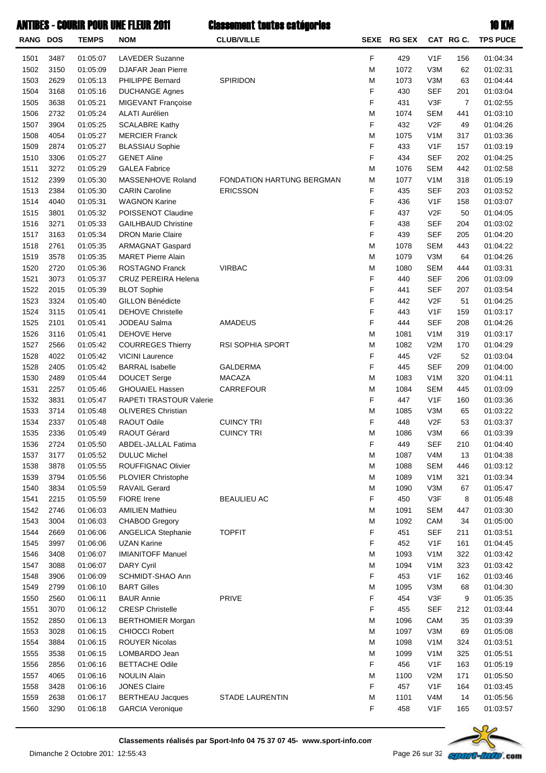|                 |      |                      | <b>ANTIBES - COURIR POUR UNE FLEUR 2011</b> | <b>Classement toutes catégories</b> |   |             |                  |                | <b>10 KM</b>    |
|-----------------|------|----------------------|---------------------------------------------|-------------------------------------|---|-------------|------------------|----------------|-----------------|
| <b>RANG DOS</b> |      | <b>TEMPS</b>         | <b>NOM</b>                                  | <b>CLUB/VILLE</b>                   |   | SEXE RG SEX |                  | CAT RGC.       | <b>TPS PUCE</b> |
| 1501            | 3487 | 01:05:07             | <b>LAVEDER Suzanne</b>                      |                                     | F | 429         | V1F              | 156            | 01:04:34        |
| 1502            | 3150 | 01:05:09             | DJAFAR Jean Pierre                          |                                     | M | 1072        | V3M              | 62             | 01:02:31        |
| 1503            | 2629 | 01:05:13             | <b>PHILIPPE Bernard</b>                     | SPIRIDON                            | М | 1073        | V3M              | 63             | 01:04:44        |
| 1504            | 3168 | 01:05:16             | <b>DUCHANGE Agnes</b>                       |                                     | F | 430         | <b>SEF</b>       | 201            | 01:03:04        |
| 1505            | 3638 | 01:05:21             | MIGEVANT Françoise                          |                                     | F | 431         | V3F              | $\overline{7}$ | 01:02:55        |
| 1506            | 2732 | 01:05:24             | <b>ALATI Aurélien</b>                       |                                     | M | 1074        | <b>SEM</b>       | 441            | 01:03:10        |
| 1507            | 3904 | 01:05:25             | <b>SCALABRE Kathy</b>                       |                                     | F | 432         | V <sub>2</sub> F | 49             | 01:04:26        |
| 1508            | 4054 | 01:05:27             | <b>MERCIER Franck</b>                       |                                     | M | 1075        | V <sub>1</sub> M | 317            | 01:03:36        |
| 1509            | 2874 | 01:05:27             | <b>BLASSIAU Sophie</b>                      |                                     | F | 433         | V <sub>1</sub> F | 157            | 01:03:19        |
| 1510            | 3306 | 01:05:27             | <b>GENET Aline</b>                          |                                     | F | 434         | <b>SEF</b>       | 202            | 01:04:25        |
| 1511            | 3272 | 01:05:29             | <b>GALEA Fabrice</b>                        |                                     | М | 1076        | <b>SEM</b>       | 442            | 01:02:58        |
| 1512            | 2399 | 01:05:30             | MASSENHOVE Roland                           | FONDATION HARTUNG BERGMAN           | M | 1077        | V <sub>1</sub> M | 318            | 01:05:19        |
| 1513            | 2384 | 01:05:30             | <b>CARIN Caroline</b>                       | <b>ERICSSON</b>                     | F | 435         | <b>SEF</b>       | 203            | 01:03:52        |
| 1514            | 4040 | 01:05:31             | <b>WAGNON Karine</b>                        |                                     | F | 436         | V <sub>1</sub> F | 158            | 01:03:07        |
| 1515            | 3801 | 01:05:32             | POISSENOT Claudine                          |                                     | F | 437         | V <sub>2</sub> F | 50             | 01:04:05        |
| 1516            | 3271 | 01:05:33             | <b>GAILHBAUD Christine</b>                  |                                     | F | 438         | <b>SEF</b>       | 204            | 01:03:02        |
| 1517            | 3163 | 01:05:34             | <b>DRON Marie Claire</b>                    |                                     | F | 439         | <b>SEF</b>       | 205            | 01:04:20        |
| 1518            | 2761 | 01:05:35             | <b>ARMAGNAT Gaspard</b>                     |                                     | M | 1078        | <b>SEM</b>       | 443            | 01:04:22        |
| 1519            | 3578 | 01:05:35             | <b>MARET Pierre Alain</b>                   |                                     | М | 1079        | V3M              | 64             | 01:04:26        |
| 1520            | 2720 | 01:05:36             | ROSTAGNO Franck                             | <b>VIRBAC</b>                       | М | 1080        | <b>SEM</b>       | 444            | 01:03:31        |
| 1521            | 3073 | 01:05:37             | CRUZ PEREIRA Helena                         |                                     | F | 440         | <b>SEF</b>       | 206            | 01:03:09        |
| 1522            | 2015 | 01:05:39             | <b>BLOT Sophie</b>                          |                                     | F | 441         | <b>SEF</b>       | 207            | 01:03:54        |
| 1523            | 3324 | 01:05:40             | GILLON Bénédicte                            |                                     | F | 442         | V <sub>2</sub> F | 51             | 01:04:25        |
| 1524            | 3115 | 01:05:41             | <b>DEHOVE Christelle</b>                    |                                     | F | 443         | V <sub>1</sub> F | 159            | 01:03:17        |
| 1525            | 2101 | 01:05:41             | JODEAU Salma                                | AMADEUS                             | F | 444         | <b>SEF</b>       | 208            | 01:04:26        |
| 1526            | 3116 | 01:05:41             | <b>DEHOVE Herve</b>                         |                                     | M | 1081        | V <sub>1</sub> M | 319            | 01:03:17        |
| 1527            | 2566 | 01:05:42             | <b>COURREGES Thierry</b>                    | <b>RSI SOPHIA SPORT</b>             | М | 1082        | V2M              | 170            | 01:04:29        |
| 1528            | 4022 | 01:05:42             | <b>VICINI Laurence</b>                      |                                     | F | 445         | V <sub>2</sub> F | 52             | 01:03:04        |
| 1528            | 2405 | 01:05:42             | <b>BARRAL</b> Isabelle                      | <b>GALDERMA</b>                     | F | 445         | <b>SEF</b>       | 209            | 01:04:00        |
| 1530            | 2489 | 01:05:44             | DOUCET Serge                                | <b>MACAZA</b>                       | М | 1083        | V <sub>1</sub> M | 320            | 01:04:11        |
| 1531            | 2257 | 01:05:46             | <b>GHOUAIEL Hassen</b>                      | CARREFOUR                           | М | 1084        | <b>SEM</b>       | 445            | 01:03:09        |
| 1532            | 3831 | 01:05:47             | RAPETI TRASTOUR Valerie                     |                                     | F | 447         | V <sub>1</sub> F | 160            | 01:03:36        |
| 1533            | 3714 | 01:05:48             | <b>OLIVERES Christian</b>                   |                                     | M | 1085        | V3M              | 65             | 01:03:22        |
| 1534            | 2337 | 01:05:48             | RAOUT Odile                                 | <b>CUINCY TRI</b>                   | F | 448         | V <sub>2</sub> F | 53             | 01:03:37        |
| 1535            | 2336 | 01:05:49             | RAOUT Gérard                                | <b>CUINCY TRI</b>                   | М | 1086        | V3M              | 66             | 01:03:39        |
| 1536            | 2724 | 01:05:50             | ABDEL-JALLAL Fatima                         |                                     | F | 449         | <b>SEF</b>       | 210            | 01:04:40        |
| 1537            | 3177 | 01:05:52             | <b>DULUC Michel</b>                         |                                     | M | 1087        | V <sub>4</sub> M | 13             | 01:04:38        |
| 1538            | 3878 | 01:05:55             | ROUFFIGNAC Olivier                          |                                     | M | 1088        | <b>SEM</b>       | 446            | 01:03:12        |
| 1539            | 3794 | 01:05:56             | PLOVIER Christophe                          |                                     | M | 1089        | V <sub>1</sub> M | 321            | 01:03:34        |
| 1540            | 3834 | 01:05:59             | <b>RAVAIL Gerard</b>                        |                                     | M | 1090        | V3M              | 67             | 01:05:47        |
| 1541            | 2215 | 01:05:59             | FIORE Irene                                 | <b>BEAULIEU AC</b>                  | F | 450         | V3F              | 8              | 01:05:48        |
| 1542            | 2746 | 01:06:03             | <b>AMILIEN Mathieu</b>                      |                                     | M | 1091        | <b>SEM</b>       | 447            | 01:03:30        |
| 1543            | 3004 | 01:06:03             | <b>CHABOD Gregory</b>                       |                                     | M | 1092        | CAM              | 34             | 01:05:00        |
| 1544            | 2669 | 01:06:06             | ANGELICA Stephanie                          | <b>TOPFIT</b>                       | F | 451         | <b>SEF</b>       | 211            | 01:03:51        |
| 1545            | 3997 | 01:06:06             | <b>UZAN Karine</b>                          |                                     | F | 452         | V <sub>1</sub> F | 161            | 01:04:45        |
| 1546            | 3408 | 01:06:07             | <b>IMIANITOFF Manuel</b>                    |                                     | M | 1093        | V <sub>1</sub> M | 322            | 01:03:42        |
| 1547            | 3088 | 01:06:07             | <b>DARY Cyril</b>                           |                                     | M | 1094        | V <sub>1</sub> M | 323            | 01:03:42        |
| 1548            | 3906 | 01:06:09             | SCHMIDT-SHAO Ann                            |                                     | F | 453         | V <sub>1</sub> F | 162            | 01:03:46        |
| 1549            | 2799 | 01:06:10             | <b>BART Gilles</b>                          |                                     | M | 1095        | V3M              | 68             | 01:04:30        |
| 1550            | 2560 | 01:06:11             | <b>BAUR Annie</b>                           | PRIVE                               | F | 454         | V3F              | 9              | 01:05:35        |
| 1551            | 3070 | 01:06:12             | <b>CRESP Christelle</b>                     |                                     | F | 455         | <b>SEF</b>       | 212            | 01:03:44        |
| 1552            | 2850 | 01:06:13             | <b>BERTHOMIER Morgan</b>                    |                                     | M | 1096        | CAM              | 35             | 01:03:39        |
| 1553            | 3028 | 01:06:15             | <b>CHIOCCI Robert</b>                       |                                     | M | 1097        | V3M              | 69             | 01:05:08        |
| 1554            | 3884 | 01:06:15             | <b>ROUYER Nicolas</b>                       |                                     | M | 1098        | V <sub>1</sub> M | 324            | 01:03:51        |
| 1555            | 3538 | 01:06:15             | LOMBARDO Jean                               |                                     | M | 1099        | V <sub>1</sub> M | 325            | 01:05:51        |
| 1556            | 2856 | 01:06:16             | <b>BETTACHE Odile</b>                       |                                     | F | 456         | V <sub>1</sub> F | 163            | 01:05:19        |
|                 | 4065 |                      | <b>NOULIN Alain</b>                         |                                     | M | 1100        | V2M              | 171            | 01:05:50        |
| 1557<br>1558    | 3428 | 01:06:16<br>01:06:16 | <b>JONES Claire</b>                         |                                     | F | 457         | V <sub>1</sub> F | 164            | 01:03:45        |
| 1559            | 2638 | 01:06:17             | <b>BERTHEAU Jacques</b>                     | STADE LAURENTIN                     | M | 1101        | V4M              | 14             | 01:05:56        |
|                 |      |                      |                                             |                                     |   |             |                  |                |                 |



1560 3290 01:06:18 GARCIA Veronique 1560 1:03:57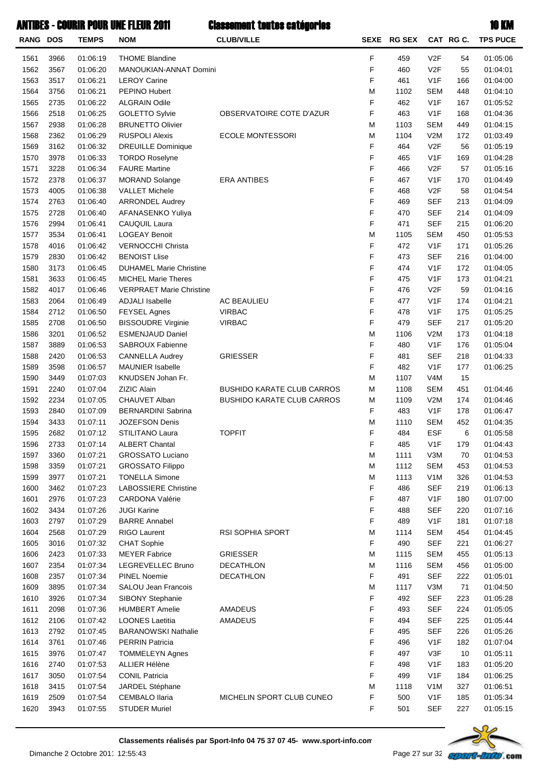| <b>RANG DOS</b> |              | <b>TEMPS</b>         | <b>NOM</b>                                      | <b>CLUB/VILLE</b>                 |   | SEXE RG SEX |                  | CAT RGC. | <b>TPS PUCE</b>      |
|-----------------|--------------|----------------------|-------------------------------------------------|-----------------------------------|---|-------------|------------------|----------|----------------------|
|                 |              |                      |                                                 |                                   | F |             | V <sub>2</sub> F |          |                      |
| 1561<br>1562    | 3966<br>3567 | 01:06:19<br>01:06:20 | <b>THOME Blandine</b><br>MANOUKIAN-ANNAT Domini |                                   | F | 459<br>460  | V2F              | 54<br>55 | 01:05:06<br>01:04:01 |
| 1563            | 3517         | 01:06:21             | <b>LEROY Carine</b>                             |                                   | F | 461         | V <sub>1</sub> F | 166      | 01:04:00             |
| 1564            | 3756         | 01:06:21             | <b>PEPINO Hubert</b>                            |                                   | M | 1102        | <b>SEM</b>       | 448      | 01:04:10             |
| 1565            | 2735         | 01:06:22             | <b>ALGRAIN Odile</b>                            |                                   | F | 462         | V <sub>1</sub> F | 167      | 01:05:52             |
| 1566            | 2518         | 01:06:25             | GOLETTO Sylvie                                  | OBSERVATOIRE COTE D'AZUR          | F | 463         | V <sub>1</sub> F | 168      | 01:04:36             |
| 1567            | 2938         | 01:06:28             | <b>BRUNETTO Olivier</b>                         |                                   | M | 1103        | <b>SEM</b>       | 449      | 01:04:15             |
| 1568            | 2362         | 01:06:29             | <b>RUSPOLI Alexis</b>                           | <b>ECOLE MONTESSORI</b>           | M | 1104        | V2M              | 172      | 01:03:49             |
| 1569            | 3162         | 01:06:32             | <b>DREUILLE Dominique</b>                       |                                   | F | 464         | V2F              | 56       | 01:05:19             |
| 1570            | 3978         | 01:06:33             | <b>TORDO Roselyne</b>                           |                                   | F | 465         | V <sub>1</sub> F | 169      | 01:04:28             |
| 1571            | 3228         | 01:06:34             | <b>FAURE Martine</b>                            |                                   | F | 466         | V2F              | 57       | 01:05:16             |
| 1572            | 2378         | 01:06:37             | <b>MORAND Solange</b>                           | <b>ERA ANTIBES</b>                | F | 467         | V1F              | 170      | 01:04:49             |
| 1573            | 4005         | 01:06:38             | <b>VALLET Michele</b>                           |                                   | F | 468         | V2F              | 58       | 01:04:54             |
| 1574            | 2763         | 01:06:40             | <b>ARRONDEL Audrey</b>                          |                                   | F | 469         | <b>SEF</b>       | 213      | 01:04:09             |
| 1575            | 2728         | 01:06:40             | AFANASENKO Yuliya                               |                                   | F | 470         | <b>SEF</b>       | 214      | 01:04:09             |
| 1576            | 2994         | 01:06:41             | CAUQUIL Laura                                   |                                   | F | 471         | <b>SEF</b>       | 215      | 01:06:20             |
| 1577            | 3534         | 01:06:41             | <b>LOGEAY Benoit</b>                            |                                   | M | 1105        | <b>SEM</b>       | 450      | 01:05:53             |
| 1578            | 4016         | 01:06:42             | <b>VERNOCCHI Christa</b>                        |                                   | F | 472         | V1F              | 171      | 01:05:26             |
| 1579            | 2830         | 01:06:42             | <b>BENOIST Llise</b>                            |                                   | F | 473         | <b>SEF</b>       | 216      | 01:04:00             |
| 1580            | 3173         | 01:06:45             | <b>DUHAMEL Marie Christine</b>                  |                                   | F | 474         | V <sub>1</sub> F | 172      | 01:04:05             |
| 1581            | 3633         | 01:06:45             | <b>MICHEL Marie Theres</b>                      |                                   | F | 475         | V1F              | 173      | 01:04:21             |
| 1582            | 4017         | 01:06:46             | <b>VERPRAET Marie Christine</b>                 |                                   | F | 476         | V2F              | 59       | 01:04:16             |
| 1583            | 2064         | 01:06:49             | <b>ADJALI</b> Isabelle                          | <b>AC BEAULIEU</b>                | F | 477         | V <sub>1</sub> F | 174      | 01:04:21             |
| 1584            | 2712         | 01:06:50             | <b>FEYSEL Agnes</b>                             | <b>VIRBAC</b>                     | F | 478         | V1F              | 175      | 01:05:25             |
| 1585            | 2708         | 01:06:50             | <b>BISSOUDRE Virginie</b>                       | <b>VIRBAC</b>                     | F | 479         | <b>SEF</b>       | 217      | 01:05:20             |
| 1586            | 3201         | 01:06:52             | <b>ESMENJAUD Daniel</b>                         |                                   | M | 1106        | V2M              | 173      | 01:04:18             |
| 1587            | 3889         | 01:06:53             | SABROUX Fabienne                                |                                   | F | 480         | V1F              | 176      | 01:05:04             |
| 1588            | 2420         | 01:06:53             | <b>CANNELLA Audrey</b>                          | <b>GRIESSER</b>                   | F | 481         | <b>SEF</b>       | 218      | 01:04:33             |
| 1589            | 3598         | 01:06:57             | <b>MAUNIER Isabelle</b>                         |                                   | F | 482         | V1F              | 177      | 01:06:25             |
| 1590            | 3449         | 01:07:03             | KNUDSEN Johan Fr.                               |                                   | M | 1107        | V <sub>4</sub> M | 15       |                      |
| 1591            | 2240         | 01:07:04             | <b>ZIZIC Alain</b>                              | <b>BUSHIDO KARATE CLUB CARROS</b> | M | 1108        | <b>SEM</b>       | 451      | 01:04:46             |
| 1592            | 2234         | 01:07:05             | CHAUVET Alban                                   | <b>BUSHIDO KARATE CLUB CARROS</b> | M | 1109        | V2M              | 174      | 01:04:46             |
| 1593            | 2840         | 01:07:09             | <b>BERNARDINI Sabrina</b>                       |                                   | F | 483         | V <sub>1</sub> F | 178      | 01:06:47             |
| 1594            | 3433         | 01:07:11             | <b>JOZEFSON Denis</b>                           |                                   | M | 1110        | <b>SEM</b>       | 452      | 01:04:35             |
| 1595            | 2682         | 01:07:12             | STILITANO Laura                                 | <b>TOPFIT</b>                     | F | 484         | <b>ESF</b>       | 6        | 01:05:58             |
| 1596            | 2733         | 01:07:14             | <b>ALBERT Chantal</b>                           |                                   | F | 485         | V <sub>1</sub> F | 179      | 01:04:43             |
| 1597            | 3360         | 01:07:21             | <b>GROSSATO Luciano</b>                         |                                   | M | 1111        | V3M              | 70       | 01:04:53             |
| 1598            | 3359         | 01:07:21             | <b>GROSSATO Filippo</b>                         |                                   | M | 1112        | <b>SEM</b>       | 453      | 01:04:53             |
| 1599            | 3977         | 01:07:21             | <b>TONELLA Simone</b>                           |                                   | M | 1113        | V <sub>1</sub> M | 326      | 01:04:53             |
| 1600            | 3462         | 01:07:23             | <b>LABOSSIERE Christine</b>                     |                                   | F | 486         | <b>SEF</b>       | 219      | 01:06:13             |
| 1601            | 2976         | 01:07:23             | <b>CARDONA Valérie</b>                          |                                   | F | 487         | V <sub>1</sub> F | 180      | 01:07:00             |
| 1602            | 3434         | 01:07:26             | <b>JUGI Karine</b>                              |                                   | F | 488         | <b>SEF</b>       | 220      | 01:07:16             |
| 1603            | 2797         | 01:07:29             | <b>BARRE Annabel</b>                            |                                   | F | 489         | V <sub>1</sub> F | 181      | 01:07:18             |
| 1604            | 2568         | 01:07:29             | RIGO Laurent                                    | <b>RSI SOPHIA SPORT</b>           | M | 1114        | <b>SEM</b>       | 454      | 01:04:45             |
| 1605            | 3016         | 01:07:32             | <b>CHAT Sophie</b>                              |                                   | F | 490         | <b>SEF</b>       | 221      | 01:06:27             |
| 1606            | 2423         | 01:07:33             | <b>MEYER Fabrice</b>                            | <b>GRIESSER</b>                   | M | 1115        | <b>SEM</b>       | 455      | 01:05:13             |
| 1607            | 2354         | 01:07:34             | LEGREVELLEC Bruno                               | DECATHLON                         | M | 1116        | <b>SEM</b>       | 456      | 01:05:00             |
| 1608            | 2357         | 01:07:34             | <b>PINEL Noemie</b>                             | DECATHLON                         | F | 491         | <b>SEF</b>       | 222      | 01:05:01             |
| 1609            | 3895         | 01:07:34             | SALOU Jean Francois                             |                                   | M | 1117        | V3M              | 71       | 01:04:50             |
| 1610            | 3926         | 01:07:34             | SIBONY Stephanie                                |                                   | F | 492         | <b>SEF</b>       | 223      | 01:05:28             |
| 1611            | 2098         | 01:07:36             | <b>HUMBERT Amelie</b>                           | AMADEUS                           | F | 493         | <b>SEF</b>       | 224      | 01:05:05             |
| 1612            | 2106         | 01:07:42             | <b>LOONES Laetitia</b>                          | AMADEUS                           | F | 494         | <b>SEF</b>       | 225      | 01:05:44             |
| 1613            | 2792         | 01:07:45             | <b>BARANOWSKI Nathalie</b>                      |                                   | F | 495         | <b>SEF</b>       | 226      | 01:05:26             |
| 1614            | 3761         | 01:07:46             | <b>PERRIN Patricia</b>                          |                                   | F | 496         | V <sub>1</sub> F | 182      | 01:07:04             |
| 1615            | 3976         | 01:07:47             | <b>TOMMELEYN Agnes</b>                          |                                   | F | 497         | V3F              | 10       | 01:05:11             |
| 1616            | 2740         | 01:07:53             | ALLIER Hélène                                   |                                   | F | 498         | V <sub>1</sub> F | 183      | 01:05:20             |
| 1617            | 3050         | 01:07:54             | <b>CONIL Patricia</b>                           |                                   | F | 499         | V <sub>1</sub> F | 184      | 01:06:25             |
| 1618            | 3415         | 01:07:54             | JARDEL Stéphane                                 |                                   | M | 1118        | V <sub>1</sub> M | 327      | 01:06:51             |
| 1619            | 2509         | 01:07:54             | <b>CEMBALO Ilaria</b>                           | MICHELIN SPORT CLUB CUNEO         | F | 500         | V <sub>1</sub> F | 185      | 01:05:34             |
| 1620            | 3943         | 01:07:55             | <b>STUDER Muriel</b>                            |                                   | F | 501         | <b>SEF</b>       | 227      | 01:05:15             |
|                 |              |                      |                                                 |                                   |   |             |                  |          |                      |

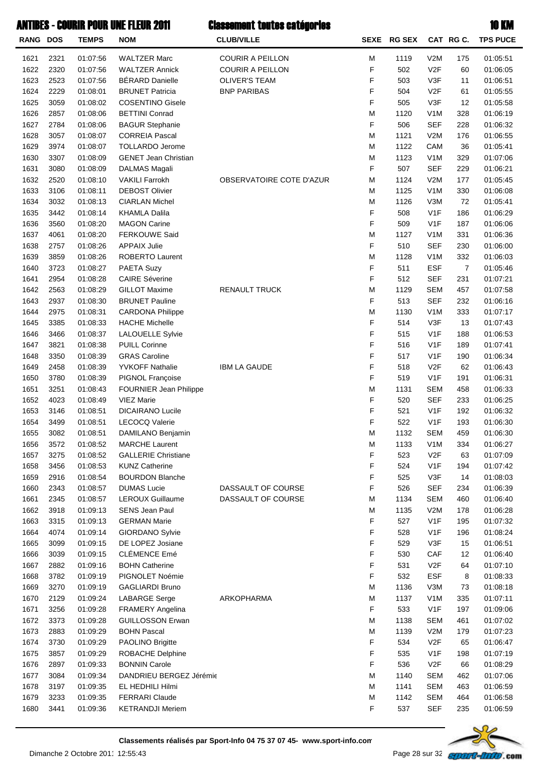| RANG DOS     |              | <b>TEMPS</b>         | <b>NOM</b>                                   | <b>CLUB/VILLE</b>        |        | SEXE RG SEX |                                | CAT RG C.  | <b>TPS PUCE</b>      |
|--------------|--------------|----------------------|----------------------------------------------|--------------------------|--------|-------------|--------------------------------|------------|----------------------|
| 1621         | 2321         | 01:07:56             | <b>WALTZER Marc</b>                          | <b>COURIR A PEILLON</b>  | М      | 1119        | V2M                            | 175        | 01:05:51             |
| 1622         | 2320         | 01:07:56             | <b>WALTZER Annick</b>                        | <b>COURIR A PEILLON</b>  | F      | 502         | V <sub>2F</sub>                | 60         | 01:06:05             |
| 1623         | 2523         | 01:07:56             | <b>BÉRARD Danielle</b>                       | <b>OLIVER'S TEAM</b>     | F      | 503         | V3F                            | 11         | 01:06:51             |
| 1624         | 2229         | 01:08:01             | <b>BRUNET Patricia</b>                       | <b>BNP PARIBAS</b>       | F      | 504         | V <sub>2F</sub>                | 61         | 01:05:55             |
| 1625         | 3059         | 01:08:02             | <b>COSENTINO Gisele</b>                      |                          | F      | 505         | V3F                            | 12         | 01:05:58             |
| 1626         | 2857         | 01:08:06             | <b>BETTINI Conrad</b>                        |                          | М      | 1120        | V <sub>1</sub> M               | 328        | 01:06:19             |
| 1627         | 2784         | 01:08:06             | <b>BAGUR Stephanie</b>                       |                          | F      | 506         | <b>SEF</b>                     | 228        | 01:06:32             |
| 1628         | 3057         | 01:08:07             | <b>CORREIA Pascal</b>                        |                          | M      | 1121        | V2M                            | 176        | 01:06:55             |
| 1629         | 3974         | 01:08:07             | <b>TOLLARDO Jerome</b>                       |                          | M      | 1122        | CAM                            | 36         | 01:05:41             |
| 1630         | 3307         | 01:08:09             | <b>GENET Jean Christian</b>                  |                          | M      | 1123        | V <sub>1</sub> M               | 329        | 01:07:06             |
| 1631         | 3080         | 01:08:09             | DALMAS Magali                                |                          | F      | 507         | <b>SEF</b>                     | 229        | 01:06:21             |
| 1632         | 2520         | 01:08:10             | <b>VAKILI Farrokh</b>                        | OBSERVATOIRE COTE D'AZUR | M      | 1124        | V2M                            | 177        | 01:05:45             |
| 1633         | 3106         | 01:08:11             | <b>DEBOST Olivier</b>                        |                          | M      | 1125        | V <sub>1</sub> M               | 330        | 01:06:08             |
| 1634         | 3032         | 01:08:13             | <b>CIARLAN Michel</b>                        |                          | M      | 1126        | V3M                            | 72         | 01:05:41             |
| 1635         | 3442         | 01:08:14             | <b>KHAMLA Dalila</b>                         |                          | F      | 508         | V <sub>1</sub> F               | 186        | 01:06:29             |
| 1636         | 3560         | 01:08:20             | <b>MAGON Carine</b>                          |                          | F      | 509         | V <sub>1</sub> F               | 187        | 01:06:06             |
| 1637<br>1638 | 4061<br>2757 | 01:08:20<br>01:08:26 | <b>FERKOUWE Said</b><br><b>APPAIX Julie</b>  |                          | M<br>F | 1127<br>510 | V <sub>1</sub> M<br><b>SEF</b> | 331<br>230 | 01:06:36<br>01:06:00 |
| 1639         | 3859         | 01:08:26             | ROBERTO Laurent                              |                          | M      | 1128        | V <sub>1</sub> M               | 332        | 01:06:03             |
| 1640         | 3723         | 01:08:27             | PAETA Suzy                                   |                          | F      | 511         | <b>ESF</b>                     | 7          | 01:05:46             |
| 1641         | 2954         | 01:08:28             | <b>CAIRE Séverine</b>                        |                          | F      | 512         | <b>SEF</b>                     | 231        | 01:07:21             |
| 1642         | 2563         | 01:08:29             | <b>GILLOT Maxime</b>                         | <b>RENAULT TRUCK</b>     | M      | 1129        | <b>SEM</b>                     | 457        | 01:07:58             |
| 1643         | 2937         | 01:08:30             | <b>BRUNET Pauline</b>                        |                          | F      | 513         | SEF                            | 232        | 01:06:16             |
| 1644         | 2975         | 01:08:31             | <b>CARDONA Philippe</b>                      |                          | M      | 1130        | V <sub>1</sub> M               | 333        | 01:07:17             |
| 1645         | 3385         | 01:08:33             | <b>HACHE Michelle</b>                        |                          | F      | 514         | V3F                            | 13         | 01:07:43             |
| 1646         | 3466         | 01:08:37             | <b>LALOUELLE Sylvie</b>                      |                          | F      | 515         | V <sub>1</sub> F               | 188        | 01:06:53             |
| 1647         | 3821         | 01:08:38             | <b>PUILL Corinne</b>                         |                          | F      | 516         | V <sub>1</sub> F               | 189        | 01:07:41             |
| 1648         | 3350         | 01:08:39             | <b>GRAS Caroline</b>                         |                          | F      | 517         | V <sub>1</sub> F               | 190        | 01:06:34             |
| 1649         | 2458         | 01:08:39             | <b>YVKOFF Nathalie</b>                       | <b>IBM LA GAUDE</b>      | F      | 518         | V <sub>2F</sub>                | 62         | 01:06:43             |
| 1650         | 3780         | 01:08:39             | PIGNOL Françoise                             |                          | F      | 519         | V <sub>1</sub> F               | 191        | 01:06:31             |
| 1651         | 3251         | 01:08:43             | <b>FOURNIER Jean Philippe</b>                |                          | M      | 1131        | <b>SEM</b>                     | 458        | 01:06:33             |
| 1652         | 4023         | 01:08:49             | <b>VIEZ Marie</b>                            |                          | F      | 520         | <b>SEF</b>                     | 233        | 01:06:25             |
| 1653         | 3146         | 01:08:51             | <b>DICAIRANO Lucile</b>                      |                          | F      | 521         | V <sub>1</sub> F               | 192        | 01:06:32             |
| 1654         | 3499         | 01:08:51             | <b>LECOCQ Valerie</b>                        |                          | F      | 522         | V <sub>1</sub> F               | 193        | 01:06:30             |
| 1655         | 3082         | 01:08:51             | DAMILANO Benjamin                            |                          | М      | 1132        | <b>SEM</b>                     | 459        | 01:06:30             |
| 1656         | 3572         | 01:08:52             | <b>MARCHE Laurent</b>                        |                          | M      | 1133        | V <sub>1</sub> M               | 334        | 01:06:27             |
| 1657         | 3275         | 01:08:52             | <b>GALLERIE Christiane</b>                   |                          | F      | 523         | V <sub>2F</sub>                | 63         | 01:07:09             |
| 1658         | 3456         | 01:08:53             | <b>KUNZ Catherine</b>                        |                          | F      | 524         | V <sub>1</sub> F               | 194        | 01:07:42             |
| 1659         | 2916         | 01:08:54             | <b>BOURDON Blanche</b>                       |                          | F      | 525         | V3F                            | 14         | 01:08:03             |
| 1660         | 2343         | 01:08:57             | <b>DUMAS Lucie</b>                           | DASSAULT OF COURSE       | F      | 526         | <b>SEF</b>                     | 234        | 01:06:39             |
| 1661         | 2345         | 01:08:57             | <b>LEROUX Guillaume</b>                      | DASSAULT OF COURSE       | M      | 1134        | <b>SEM</b>                     | 460        | 01:06:40             |
| 1662<br>1663 | 3918<br>3315 | 01:09:13<br>01:09:13 | <b>SENS Jean Paul</b><br><b>GERMAN Marie</b> |                          | M<br>F | 1135<br>527 | V2M<br>V <sub>1</sub> F        | 178<br>195 | 01:06:28<br>01:07:32 |
| 1664         | 4074         | 01:09:14             | GIORDANO Sylvie                              |                          | F      | 528         | V <sub>1</sub> F               | 196        | 01:08:24             |
| 1665         | 3099         | 01:09:15             | DE LOPEZ Josiane                             |                          | F      | 529         | V3F                            | 15         | 01:06:51             |
| 1666         | 3039         | 01:09:15             | <b>CLÉMENCE Emé</b>                          |                          | F      | 530         | CAF                            | 12         | 01:06:40             |
| 1667         | 2882         | 01:09:16             | <b>BOHN Catherine</b>                        |                          | F      | 531         | V <sub>2F</sub>                | 64         | 01:07:10             |
| 1668         | 3782         | 01:09:19             | PIGNOLET Noémie                              |                          | F      | 532         | <b>ESF</b>                     | 8          | 01:08:33             |
| 1669         | 3270         | 01:09:19             | <b>GAGLIARDI Bruno</b>                       |                          | M      | 1136        | V3M                            | 73         | 01:08:18             |
| 1670         | 2129         | 01:09:24             | <b>LABARGE Serge</b>                         | ARKOPHARMA               | M      | 1137        | V <sub>1</sub> M               | 335        | 01:07:11             |
| 1671         | 3256         | 01:09:28             | FRAMERY Angelina                             |                          | F      | 533         | V <sub>1</sub> F               | 197        | 01:09:06             |
| 1672         | 3373         | 01:09:28             | <b>GUILLOSSON Erwan</b>                      |                          | M      | 1138        | <b>SEM</b>                     | 461        | 01:07:02             |
| 1673         | 2883         | 01:09:29             | <b>BOHN Pascal</b>                           |                          | M      | 1139        | V2M                            | 179        | 01:07:23             |
| 1674         | 3730         | 01:09:29             | PAOLINO Brigitte                             |                          | F      | 534         | V <sub>2</sub> F               | 65         | 01:06:47             |
| 1675         | 3857         | 01:09:29             | ROBACHE Delphine                             |                          | F      | 535         | V <sub>1</sub> F               | 198        | 01:07:19             |
| 1676         | 2897         | 01:09:33             | <b>BONNIN Carole</b>                         |                          | F      | 536         | V <sub>2F</sub>                | 66         | 01:08:29             |
| 1677         | 3084         | 01:09:34             | DANDRIEU BERGEZ Jérémie                      |                          | M      | 1140        | <b>SEM</b>                     | 462        | 01:07:06             |
| 1678         | 3197         | 01:09:35             | EL HEDHILI Hilmi                             |                          | M      | 1141        | <b>SEM</b>                     | 463        | 01:06:59             |
| 1679         | 3233         | 01:09:35             | <b>FERRARI Claude</b>                        |                          | M      | 1142        | <b>SEM</b>                     | 464        | 01:06:58             |
| 1680         | 3441         | 01:09:36             | <b>KETRANDJI Meriem</b>                      |                          | F      | 537         | <b>SEF</b>                     | 235        | 01:06:59             |

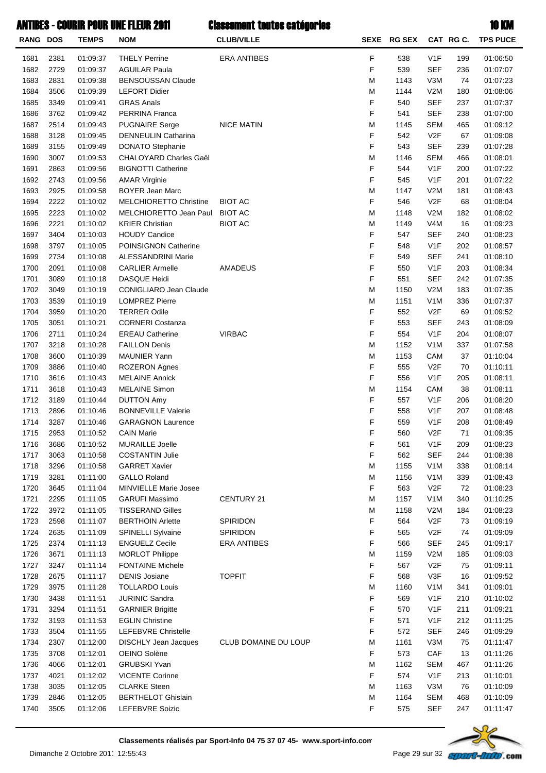#### **ANTIRES - COURIR POUR UNE FLEUR 2011 Classement toutes catégories and the court of the County of the KM**

| RANG DOS     |              | <b>TEMPS</b>         | VVVIUIL I VVIL VIIL I LLVIL <i>L</i> V<br><b>NOM</b> | ronalitari con con an coñal los<br><b>CLUB/VILLE</b> |        | SEXE RG SEX |                                      | CAT RG C.  | IV MII<br><b>TPS PUCE</b> |
|--------------|--------------|----------------------|------------------------------------------------------|------------------------------------------------------|--------|-------------|--------------------------------------|------------|---------------------------|
|              |              |                      |                                                      |                                                      |        |             |                                      |            |                           |
| 1681         | 2381         | 01:09:37             | <b>THELY Perrine</b>                                 | <b>ERA ANTIBES</b>                                   | F      | 538         | V <sub>1</sub> F                     | 199        | 01:06:50                  |
| 1682         | 2729         | 01:09:37             | <b>AGUILAR Paula</b>                                 |                                                      | F      | 539         | <b>SEF</b>                           | 236        | 01:07:07                  |
| 1683         | 2831         | 01:09:38             | <b>BENSOUSSAN Claude</b>                             |                                                      | M      | 1143        | V3M                                  | 74         | 01:07:23                  |
| 1684<br>1685 | 3506<br>3349 | 01:09:39<br>01:09:41 | <b>LEFORT Didier</b><br><b>GRAS Anaïs</b>            |                                                      | M<br>F | 1144<br>540 | V2M<br><b>SEF</b>                    | 180<br>237 | 01:08:06<br>01:07:37      |
| 1686         | 3762         | 01:09:42             | PERRINA Franca                                       |                                                      | F      | 541         | <b>SEF</b>                           | 238        | 01:07:00                  |
| 1687         | 2514         | 01:09:43             | <b>PUGNAIRE Serge</b>                                | <b>NICE MATIN</b>                                    | M      | 1145        | <b>SEM</b>                           | 465        | 01:09:12                  |
| 1688         | 3128         | 01:09:45             | <b>DENNEULIN Catharina</b>                           |                                                      | F      | 542         | V2F                                  | 67         | 01:09:08                  |
| 1689         | 3155         | 01:09:49             | <b>DONATO Stephanie</b>                              |                                                      | F      | 543         | <b>SEF</b>                           | 239        | 01:07:28                  |
| 1690         | 3007         | 01:09:53             | CHALOYARD Charles Gaël                               |                                                      | M      | 1146        | <b>SEM</b>                           | 466        | 01:08:01                  |
| 1691         | 2863         | 01:09:56             | <b>BIGNOTTI Catherine</b>                            |                                                      | F      | 544         | V <sub>1</sub> F                     | 200        | 01:07:22                  |
| 1692         | 2743         | 01:09:56             | <b>AMAR Virginie</b>                                 |                                                      | F      | 545         | V <sub>1</sub> F                     | 201        | 01:07:22                  |
| 1693         | 2925         | 01:09:58             | <b>BOYER Jean Marc</b>                               |                                                      | M      | 1147        | V2M                                  | 181        | 01:08:43                  |
| 1694         | 2222         | 01:10:02             | <b>MELCHIORETTO Christine</b>                        | <b>BIOT AC</b>                                       | F      | 546         | V2F                                  | 68         | 01:08:04                  |
| 1695         | 2223         | 01:10:02             | MELCHIORETTO Jean Paul                               | <b>BIOT AC</b>                                       | M      | 1148        | V2M                                  | 182        | 01:08:02                  |
| 1696<br>1697 | 2221<br>3404 | 01:10:02<br>01:10:03 | <b>KRIER Christian</b><br><b>HOUDY Candice</b>       | <b>BIOT AC</b>                                       | M<br>F | 1149<br>547 | V <sub>4</sub> M<br><b>SEF</b>       | 16<br>240  | 01:09:23<br>01:08:23      |
| 1698         | 3797         | 01:10:05             | POINSIGNON Catherine                                 |                                                      | F      | 548         | V <sub>1</sub> F                     | 202        | 01:08:57                  |
| 1699         | 2734         | 01:10:08             | <b>ALESSANDRINI Marie</b>                            |                                                      | F      | 549         | <b>SEF</b>                           | 241        | 01:08:10                  |
| 1700         | 2091         | 01:10:08             | <b>CARLIER Armelle</b>                               | AMADEUS                                              | F      | 550         | V <sub>1</sub> F                     | 203        | 01:08:34                  |
| 1701         | 3089         | 01:10:18             | <b>DASQUE Heidi</b>                                  |                                                      | F      | 551         | <b>SEF</b>                           | 242        | 01:07:35                  |
| 1702         | 3049         | 01:10:19             | CONIGLIARO Jean Claude                               |                                                      | M      | 1150        | V2M                                  | 183        | 01:07:35                  |
| 1703         | 3539         | 01:10:19             | <b>LOMPREZ Pierre</b>                                |                                                      | M      | 1151        | V <sub>1</sub> M                     | 336        | 01:07:37                  |
| 1704         | 3959         | 01:10:20             | <b>TERRER Odile</b>                                  |                                                      | F      | 552         | V2F                                  | 69         | 01:09:52                  |
| 1705         | 3051         | 01:10:21             | <b>CORNERI Costanza</b>                              |                                                      | F      | 553         | <b>SEF</b>                           | 243        | 01:08:09                  |
| 1706         | 2711         | 01:10:24             | <b>EREAU Catherine</b>                               | <b>VIRBAC</b>                                        | F      | 554         | V <sub>1</sub> F                     | 204        | 01:08:07                  |
| 1707         | 3218         | 01:10:28             | <b>FAILLON Denis</b>                                 |                                                      | M      | 1152        | V <sub>1</sub> M                     | 337        | 01:07:58                  |
| 1708         | 3600         | 01:10:39             | <b>MAUNIER Yann</b>                                  |                                                      | M      | 1153        | CAM                                  | 37         | 01:10:04                  |
| 1709         | 3886         | 01:10:40             | <b>ROZERON Agnes</b>                                 |                                                      | F      | 555         | V2F                                  | 70         | 01:10:11                  |
| 1710         | 3616         | 01:10:43             | <b>MELAINE Annick</b>                                |                                                      | F      | 556         | V <sub>1</sub> F                     | 205        | 01:08:11                  |
| 1711         | 3618         | 01:10:43             | <b>MELAINE Simon</b>                                 |                                                      | M      | 1154        | CAM                                  | 38         | 01:08:11                  |
| 1712         | 3189         | 01:10:44             | <b>DUTTON Amy</b>                                    |                                                      | F      | 557         | V <sub>1</sub> F                     | 206        | 01:08:20                  |
| 1713         | 2896         | 01:10:46             | <b>BONNEVILLE Valerie</b>                            |                                                      | F<br>F | 558         | V <sub>1</sub> F                     | 207        | 01:08:48                  |
| 1714<br>1715 | 3287<br>2953 | 01:10:46<br>01:10:52 | <b>GARAGNON Laurence</b><br><b>CAIN Marie</b>        |                                                      | F      | 559<br>560  | V <sub>1</sub> F<br>V <sub>2</sub> F | 208<br>71  | 01:08:49<br>01:09:35      |
| 1716         | 3686         | 01:10:52             | MURAILLE Joelle                                      |                                                      | F      | 561         | V <sub>1</sub> F                     | 209        | 01:08:23                  |
| 1717         | 3063         | 01:10:58             | <b>COSTANTIN Julie</b>                               |                                                      | F      | 562         | <b>SEF</b>                           | 244        | 01:08:38                  |
| 1718         | 3296         | 01:10:58             | <b>GARRET Xavier</b>                                 |                                                      | M      | 1155        | V <sub>1</sub> M                     | 338        | 01:08:14                  |
| 1719         | 3281         | 01:11:00             | <b>GALLO Roland</b>                                  |                                                      | M      | 1156        | V <sub>1</sub> M                     | 339        | 01:08:43                  |
| 1720         | 3645         | 01:11:04             | MINVIELLE Marie Josee                                |                                                      | F      | 563         | V2F                                  | 72         | 01:08:23                  |
| 1721         | 2295         | 01:11:05             | <b>GARUFI Massimo</b>                                | CENTURY 21                                           | M      | 1157        | V <sub>1</sub> M                     | 340        | 01:10:25                  |
| 1722         | 3972         | 01:11:05             | <b>TISSERAND Gilles</b>                              |                                                      | M      | 1158        | V2M                                  | 184        | 01:08:23                  |
| 1723         | 2598         | 01:11:07             | <b>BERTHOIN Arlette</b>                              | SPIRIDON                                             | F      | 564         | V2F                                  | 73         | 01:09:19                  |
| 1724         | 2635         | 01:11:09             | SPINELLI Sylvaine                                    | SPIRIDON                                             | F      | 565         | V2F                                  | 74         | 01:09:09                  |
| 1725         | 2374         | 01:11:13             | <b>ENGUELZ Cecile</b>                                | <b>ERA ANTIBES</b>                                   | F      | 566         | <b>SEF</b>                           | 245        | 01:09:17                  |
| 1726         | 3671         | 01:11:13             | <b>MORLOT Philippe</b>                               |                                                      | M      | 1159        | V2M                                  | 185        | 01:09:03                  |
| 1727         | 3247         | 01:11:14             | <b>FONTAINE Michele</b>                              |                                                      | F      | 567         | V2F                                  | 75         | 01:09:11                  |
| 1728         | 2675         | 01:11:17             | <b>DENIS Josiane</b>                                 | <b>TOPFIT</b>                                        | F      | 568         | V3F                                  | 16         | 01:09:52                  |
| 1729         | 3975         | 01:11:28             | <b>TOLLARDO Louis</b>                                |                                                      | M      | 1160        | V <sub>1</sub> M                     | 341        | 01:09:01                  |
| 1730         | 3438         | 01:11:51             | <b>JURINIC Sandra</b>                                |                                                      | F<br>F | 569         | V <sub>1</sub> F                     | 210        | 01:10:02                  |
| 1731<br>1732 | 3294<br>3193 | 01:11:51             | <b>GARNIER Brigitte</b><br><b>EGLIN Christine</b>    |                                                      | F      | 570<br>571  | V <sub>1</sub> F<br>V <sub>1</sub> F | 211<br>212 | 01:09:21<br>01:11:25      |
| 1733         | 3504         | 01:11:53<br>01:11:55 | LEFEBVRE Christelle                                  |                                                      | F      | 572         | <b>SEF</b>                           | 246        | 01:09:29                  |
| 1734         | 2307         | 01:12:00             | DISCHLY Jean Jacques                                 | CLUB DOMAINE DU LOUP                                 | M      | 1161        | V3M                                  | 75         | 01:11:47                  |
| 1735         | 3708         | 01:12:01             | OEINO Solène                                         |                                                      | F      | 573         | CAF                                  | 13         | 01:11:26                  |
| 1736         | 4066         | 01:12:01             | <b>GRUBSKI Yvan</b>                                  |                                                      | M      | 1162        | <b>SEM</b>                           | 467        | 01:11:26                  |
| 1737         | 4021         | 01:12:02             | <b>VICENTE Corinne</b>                               |                                                      | F      | 574         | V <sub>1</sub> F                     | 213        | 01:10:01                  |
| 1738         | 3035         | 01:12:05             | <b>CLARKE Steen</b>                                  |                                                      | M      | 1163        | V3M                                  | 76         | 01:10:09                  |
| 1739         | 2846         | 01:12:05             | <b>BERTHELOT Ghislain</b>                            |                                                      | M      | 1164        | <b>SEM</b>                           | 468        | 01:10:09                  |
| 1740         | 3505         | 01:12:06             | LEFEBVRE Soizic                                      |                                                      | F      | 575         | <b>SEF</b>                           | 247        | 01:11:47                  |

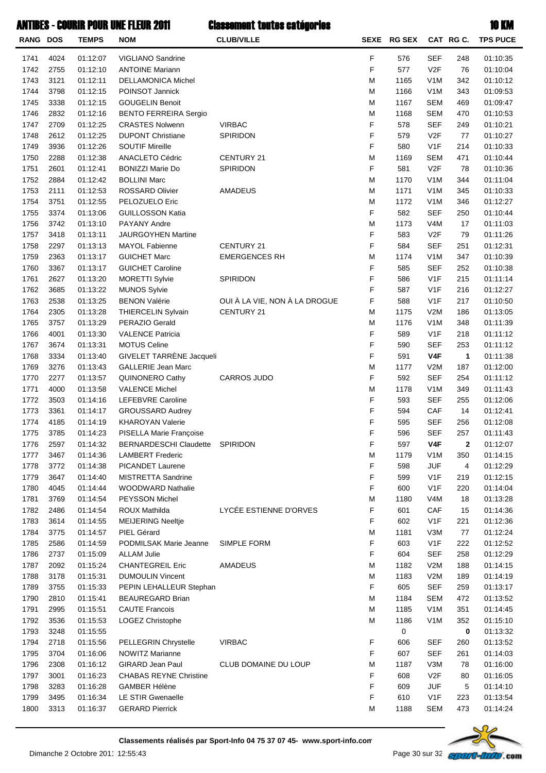| $\sim$ |  |
|--------|--|

| RANG DOS     |              | <b>TEMPS</b>         | <b>NOM</b>                                  | <b>CLUB/VILLE</b>             |        | SEXE RG SEX |                                | CAT RGC.     | <b>TPS PUCE</b>      |
|--------------|--------------|----------------------|---------------------------------------------|-------------------------------|--------|-------------|--------------------------------|--------------|----------------------|
| 1741         | 4024         | 01:12:07             | VIGLIANO Sandrine                           |                               | F      | 576         | <b>SEF</b>                     | 248          | 01:10:35             |
| 1742         | 2755         | 01:12:10             | <b>ANTOINE Mariann</b>                      |                               | F      | 577         | V2F                            | 76           | 01:10:04             |
| 1743         | 3121         | 01:12:11             | <b>DELLAMONICA Michel</b>                   |                               | M      | 1165        | V <sub>1</sub> M               | 342          | 01:10:12             |
| 1744         | 3798         | 01:12:15             | POINSOT Jannick                             |                               | M      | 1166        | V <sub>1</sub> M               | 343          | 01:09:53             |
| 1745         | 3338         | 01:12:15             | <b>GOUGELIN Benoit</b>                      |                               | М      | 1167        | <b>SEM</b>                     | 469          | 01:09:47             |
| 1746         | 2832         | 01:12:16             | <b>BENTO FERREIRA Sergio</b>                |                               | M      | 1168        | <b>SEM</b>                     | 470          | 01:10:53             |
| 1747         | 2709         | 01:12:25             | <b>CRASTES Nolwenn</b>                      | <b>VIRBAC</b>                 | F      | 578         | <b>SEF</b>                     | 249          | 01:10:21             |
| 1748         | 2612         | 01:12:25             | <b>DUPONT Christiane</b>                    | SPIRIDON                      | F      | 579         | V2F                            | 77           | 01:10:27             |
| 1749         | 3936         | 01:12:26             | <b>SOUTIF Mireille</b>                      |                               | F      | 580         | V <sub>1</sub> F               | 214          | 01:10:33             |
| 1750         | 2288         | 01:12:38             | ANACLETO Cédric                             | CENTURY 21                    | M      | 1169        | <b>SEM</b>                     | 471          | 01:10:44             |
| 1751         | 2601         | 01:12:41             | <b>BONIZZI Marie Do</b>                     | SPIRIDON                      | F      | 581         | V2F                            | 78           | 01:10:36             |
| 1752         | 2884         | 01:12:42             | <b>BOLLINI Marc</b>                         |                               | M      | 1170        | V <sub>1</sub> M               | 344          | 01:11:04             |
| 1753         | 2111         | 01:12:53             | <b>ROSSARD Olivier</b>                      | <b>AMADEUS</b>                | M      | 1171        | V <sub>1</sub> M               | 345          | 01:10:33             |
| 1754         | 3751         | 01:12:55             | PELOZUELO Eric                              |                               | M      | 1172        | V <sub>1</sub> M               | 346          | 01:12:27             |
| 1755         | 3374         | 01:13:06             | <b>GUILLOSSON Katia</b>                     |                               | F      | 582         | <b>SEF</b>                     | 250          | 01:10:44             |
| 1756         | 3742         | 01:13:10             | PAYANY Andre                                |                               | M      | 1173        | V <sub>4</sub> M               | 17           | 01:11:03             |
| 1757         | 3418         | 01:13:11             | <b>JAURGOYHEN Martine</b>                   |                               | F<br>F | 583<br>584  | V2F                            | 79           | 01:11:26             |
| 1758         | 2297         | 01:13:13             | MAYOL Fabienne<br><b>GUICHET Marc</b>       | CENTURY 21                    |        |             | <b>SEF</b>                     | 251          | 01:12:31             |
| 1759<br>1760 | 2363<br>3367 | 01:13:17<br>01:13:17 | <b>GUICHET Caroline</b>                     | <b>EMERGENCES RH</b>          | М<br>F | 1174<br>585 | V <sub>1</sub> M<br><b>SEF</b> | 347<br>252   | 01:10:39<br>01:10:38 |
| 1761         | 2627         |                      | <b>MORETTI Sylvie</b>                       | SPIRIDON                      | F      | 586         | V <sub>1</sub> F               | 215          | 01:11:14             |
| 1762         | 3685         | 01:13:20<br>01:13:22 |                                             |                               | F      | 587         | V <sub>1</sub> F               | 216          | 01:12:27             |
| 1763         | 2538         | 01:13:25             | <b>MUNOS Sylvie</b><br><b>BENON Valérie</b> | OUI À LA VIE, NON À LA DROGUE | F      | 588         | V <sub>1</sub> F               | 217          | 01:10:50             |
| 1764         | 2305         | 01:13:28             | <b>THIERCELIN Sylvain</b>                   | CENTURY 21                    | М      | 1175        | V2M                            | 186          | 01:13:05             |
| 1765         | 3757         | 01:13:29             | PERAZIO Gerald                              |                               | M      | 1176        | V <sub>1</sub> M               | 348          | 01:11:39             |
| 1766         | 4001         | 01:13:30             | <b>VALENCE Patricia</b>                     |                               | F      | 589         | V <sub>1</sub> F               | 218          | 01:11:12             |
| 1767         | 3674         | 01:13:31             | <b>MOTUS Celine</b>                         |                               | F      | 590         | <b>SEF</b>                     | 253          | 01:11:12             |
| 1768         | 3334         | 01:13:40             | GIVELET TARRÈNE Jacqueli                    |                               | F      | 591         | V4F                            | $\mathbf{1}$ | 01:11:38             |
| 1769         | 3276         | 01:13:43             | <b>GALLERIE Jean Marc</b>                   |                               | M      | 1177        | V2M                            | 187          | 01:12:00             |
| 1770         | 2277         | 01:13:57             | QUINONERO Cathy                             | <b>CARROS JUDO</b>            | F      | 592         | <b>SEF</b>                     | 254          | 01:11:12             |
| 1771         | 4000         | 01:13:58             | <b>VALENCE Michel</b>                       |                               | М      | 1178        | V <sub>1</sub> M               | 349          | 01:11:43             |
| 1772         | 3503         | 01:14:16             | LEFEBVRE Caroline                           |                               | F      | 593         | <b>SEF</b>                     | 255          | 01:12:06             |
| 1773         | 3361         | 01:14:17             | <b>GROUSSARD Audrey</b>                     |                               | F      | 594         | CAF                            | 14           | 01:12:41             |
| 1774         | 4185         | 01:14:19             | <b>KHAROYAN Valerie</b>                     |                               | F      | 595         | <b>SEF</b>                     | 256          | 01:12:08             |
| 1775         | 3785         | 01:14:23             | PISELLA Marie Françoise                     |                               | F      | 596         | <b>SEF</b>                     | 257          | 01:11:43             |
| 1776         | 2597         | 01:14:32             | <b>BERNARDESCHI Claudette</b>               | SPIRIDON                      | F      | 597         | V4F                            | 2            | 01:12:07             |
| 1777         | 3467         | 01:14:36             | <b>LAMBERT Frederic</b>                     |                               | M      | 1179        | V <sub>1</sub> M               | 350          | 01:14:15             |
| 1778         | 3772         | 01:14:38             | PICANDET Laurene                            |                               | F      | 598         | <b>JUF</b>                     | 4            | 01:12:29             |
| 1779         | 3647         | 01:14:40             | <b>MISTRETTA Sandrine</b>                   |                               | F      | 599         | V <sub>1</sub> F               | 219          | 01:12:15             |
| 1780         | 4045         | 01:14:44             | <b>WOODWARD Nathalie</b>                    |                               | F      | 600         | V <sub>1</sub> F               | 220          | 01:14:04             |
| 1781         | 3769         | 01:14:54             | PEYSSON Michel                              |                               | M      | 1180        | V <sub>4</sub> M               | 18           | 01:13:28             |
| 1782         | 2486         | 01:14:54             | ROUX Mathilda                               | LYCÉE ESTIENNE D'ORVES        | F      | 601         | CAF                            | 15           | 01:14:36             |
| 1783         | 3614         | 01:14:55             | <b>MEIJERING Neeltje</b>                    |                               | F      | 602         | V <sub>1</sub> F               | 221          | 01:12:36             |
| 1784         | 3775         | 01:14:57             | PIEL Gérard                                 |                               | M      | 1181        | V3M                            | 77           | 01:12:24             |
| 1785         | 2586         | 01:14:59             | PODMILSAK Marie Jeanne                      | SIMPLE FORM                   | F      | 603         | V <sub>1</sub> F               | 222          | 01:12:52             |
| 1786         | 2737         | 01:15:09             | <b>ALLAM Julie</b>                          |                               | F      | 604         | <b>SEF</b>                     | 258          | 01:12:29             |
| 1787         | 2092         | 01:15:24             | <b>CHANTEGREIL Eric</b>                     | <b>AMADEUS</b>                | M      | 1182        | V2M                            | 188          | 01:14:15             |
| 1788         | 3178         | 01:15:31             | <b>DUMOULIN Vincent</b>                     |                               | M      | 1183        | V2M                            | 189          | 01:14:19             |
| 1789         | 3755         | 01:15:33             | PEPIN LEHALLEUR Stephan                     |                               | F      | 605         | <b>SEF</b>                     | 259          | 01:13:17             |
| 1790         | 2810         | 01:15:41             | <b>BEAUREGARD Brian</b>                     |                               | M      | 1184        | <b>SEM</b>                     | 472          | 01:13:52             |
| 1791         | 2995         | 01:15:51             | <b>CAUTE Francois</b>                       |                               | M      | 1185        | V <sub>1</sub> M               | 351          | 01:14:45             |
| 1792         | 3536         | 01:15:53             | LOGEZ Christophe                            |                               | М      | 1186        | V <sub>1</sub> M               | 352          | 01:15:10             |
| 1793         | 3248         | 01:15:55             |                                             |                               |        | 0           |                                | 0            | 01:13:32             |
| 1794         | 2718         | 01:15:56             | PELLEGRIN Chrystelle                        | <b>VIRBAC</b>                 | F      | 606         | <b>SEF</b>                     | 260          | 01:13:52             |
| 1795         | 3704         | 01:16:06             | NOWITZ Marianne                             |                               | F      | 607         | <b>SEF</b>                     | 261          | 01:14:03             |
| 1796         | 2308         | 01:16:12             | <b>GIRARD Jean Paul</b>                     | CLUB DOMAINE DU LOUP          | M      | 1187        | V3M                            | 78           | 01:16:00             |
| 1797         | 3001         | 01:16:23             | <b>CHABAS REYNE Christine</b>               |                               | F      | 608         | V <sub>2</sub> F               | 80           | 01:16:05             |
| 1798         | 3283         | 01:16:28             | <b>GAMBER Hélène</b>                        |                               | F      | 609         | <b>JUF</b>                     | 5            | 01:14:10             |
| 1799         | 3495         | 01:16:34             | LE STIR Gwenaelle                           |                               | F      | 610         | V <sub>1</sub> F               | 223          | 01:13:54             |
| 1800         | 3313         | 01:16:37             | <b>GERARD Pierrick</b>                      |                               | М      | 1188        | <b>SEM</b>                     | 473          | 01:14:24             |

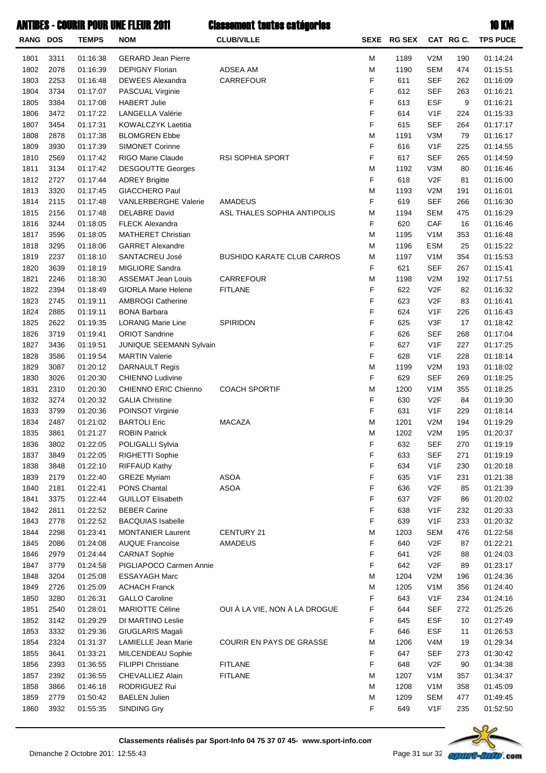| RANG DOS     |              | <b>TEMPS</b>         | <b>NOM</b>                                           | <b>CLUB/VILLE</b>                 |        | SEXE RG SEX |                                | CAT RG C. | <b>TPS PUCE</b>      |
|--------------|--------------|----------------------|------------------------------------------------------|-----------------------------------|--------|-------------|--------------------------------|-----------|----------------------|
| 1801         | 3311         | 01:16:38             | <b>GERARD Jean Pierre</b>                            |                                   | M      | 1189        | V2M                            | 190       | 01:14:24             |
| 1802         | 2078         | 01:16:39             | <b>DEPIGNY Florian</b>                               | ADSEA AM                          | M      | 1190        | <b>SEM</b>                     | 474       | 01:15:51             |
| 1803         | 2253         | 01:16:48             | <b>DEWEES Alexandra</b>                              | CARREFOUR                         | F      | 611         | <b>SEF</b>                     | 262       | 01:16:09             |
| 1804         | 3734         | 01:17:07             | PASCUAL Virginie                                     |                                   | F      | 612         | <b>SEF</b>                     | 263       | 01:16:21             |
| 1805         | 3384         | 01:17:08             | <b>HABERT Julie</b>                                  |                                   | F      | 613         | <b>ESF</b>                     | 9         | 01:16:21             |
| 1806         | 3472         | 01:17:22             | LANGELLA Valérie                                     |                                   | F      | 614         | V <sub>1</sub> F               | 224       | 01:15:33             |
| 1807         | 3454         | 01:17:31             | KOWALCZYK Laetitia                                   |                                   | F      | 615         | <b>SEF</b>                     | 264       | 01:17:17             |
| 1808         | 2878         | 01:17:38             | <b>BLOMGREN Ebbe</b>                                 |                                   | M      | 1191        | V3M                            | 79        | 01:16:17             |
| 1809         | 3930         | 01:17:39             | <b>SIMONET Corinne</b>                               |                                   | F      | 616         | V1F                            | 225       | 01:14:55             |
| 1810         | 2569         | 01:17:42             | RIGO Marie Claude                                    | <b>RSI SOPHIA SPORT</b>           | F      | 617         | <b>SEF</b>                     | 265       | 01:14:59             |
| 1811         | 3134         | 01:17:42             | <b>DESGOUTTE Georges</b>                             |                                   | M      | 1192        | V3M                            | 80        | 01:16:46             |
| 1812         | 2727         | 01:17:44             | <b>ADREY Brigitte</b>                                |                                   | F      | 618         | V <sub>2</sub> F               | 81        | 01:16:00             |
| 1813         | 3320         | 01:17:45             | <b>GIACCHERO Paul</b>                                |                                   | M      | 1193        | V2M                            | 191       | 01:16:01             |
| 1814         | 2115         | 01:17:48             | <b>VANLERBERGHE Valerie</b>                          | AMADEUS                           | F      | 619         | <b>SEF</b>                     | 266       | 01:16:30             |
| 1815         | 2156         | 01:17:48             | <b>DELABRE David</b>                                 | ASL THALES SOPHIA ANTIPOLIS       | M      | 1194        | <b>SEM</b>                     | 475       | 01:16:29             |
| 1816         | 3244         | 01:18:05             | <b>FLECK Alexandra</b>                               |                                   | F      | 620         | CAF                            | 16        | 01:16:46             |
| 1817         | 3596         | 01:18:05             | <b>MATHERET Christian</b>                            |                                   | M      | 1195        | V <sub>1</sub> M               | 353       | 01:16:48             |
| 1818         | 3295         | 01:18:06             | <b>GARRET Alexandre</b>                              |                                   | M      | 1196        | <b>ESM</b>                     | 25        | 01:15:22             |
| 1819         | 2237         | 01:18:10             | SANTACREU José                                       | <b>BUSHIDO KARATE CLUB CARROS</b> | M      | 1197        | V <sub>1</sub> M               | 354       | 01:15:53             |
| 1820         | 3639         | 01:18:19             | <b>MIGLIORE Sandra</b>                               |                                   | F      | 621         | <b>SEF</b>                     | 267       | 01:15:41             |
| 1821         | 2246         | 01:18:30             | <b>ASSEMAT Jean Louis</b>                            | CARREFOUR                         | M      | 1198        | V2M                            | 192       | 01:17:51             |
| 1822         | 2394         | 01:18:49             | <b>GIORLA Marie Helene</b>                           | <b>FITLANE</b>                    | F      | 622         | V <sub>2F</sub>                | 82        | 01:16:32             |
| 1823         | 2745         | 01:19:11             | <b>AMBROGI Catherine</b>                             |                                   | F      | 623         | V <sub>2</sub> F               | 83        | 01:16:41             |
| 1824         | 2885         | 01:19:11             | <b>BONA Barbara</b>                                  |                                   | F      | 624         | V1F                            | 226       | 01:16:43             |
| 1825         | 2622         | 01:19:35             | <b>LORANG Marie Line</b>                             | SPIRIDON                          | F      | 625         | V3F                            | 17        | 01:18:42             |
| 1826         | 3719         | 01:19:41             | <b>ORIOT Sandrine</b>                                |                                   | F      | 626         | <b>SEF</b>                     | 268       | 01:17:04             |
| 1827         | 3436         | 01:19:51             | JUNIQUE SEEMANN Sylvain                              |                                   | F      | 627         | V <sub>1</sub> F               | 227       | 01:17:25             |
| 1828         | 3586         | 01:19:54             | <b>MARTIN Valerie</b>                                |                                   | F      | 628         | V <sub>1</sub> F               | 228       | 01:18:14             |
| 1829         | 3087         | 01:20:12             | <b>DARNAULT Regis</b>                                |                                   | M      | 1199        | V2M                            | 193       | 01:18:02             |
| 1830         | 3026         | 01:20:30             | <b>CHIENNO Ludivine</b>                              |                                   | F      | 629         | <b>SEF</b>                     | 269       | 01:18:25             |
| 1831         | 2310         | 01:20:30             | CHIENNO ERIC Chienno                                 | <b>COACH SPORTIF</b>              | M      | 1200        | V <sub>1</sub> M               | 355       | 01:18:25             |
| 1832         | 3274         | 01:20:32             | <b>GALIA Christine</b>                               |                                   | F      | 630         | V <sub>2</sub> F               | 84        | 01:19:30             |
| 1833         | 3799         | 01:20:36             | POINSOT Virginie                                     |                                   | F      | 631         | V <sub>1</sub> F               | 229       | 01:18:14             |
| 1834         | 2487         | 01:21:02             | <b>BARTOLI Eric</b>                                  | <b>MACAZA</b>                     | M      | 1201        | V2M                            | 194       | 01:19:29             |
| 1835         | 3861         | 01:21:27             | <b>ROBIN Patrick</b>                                 |                                   | М      | 1202        | V2M                            | 195       | 01:20:37             |
| 1836         | 3802         | 01:22:05             | POLIGALLI Sylvia                                     |                                   | F      | 632         | <b>SEF</b>                     | 270       | 01:19:19             |
| 1837         | 3849         | 01:22:05             | RIGHETTI Sophie                                      |                                   | F      | 633         | <b>SEF</b>                     | 271       | 01:19:19             |
| 1838         | 3848         | 01:22:10             | <b>RIFFAUD Kathy</b>                                 |                                   | F      | 634         | V <sub>1</sub> F               | 230       | 01:20:18             |
| 1839         | 2179         | 01:22:40             | <b>GREZE Myriam</b>                                  | <b>ASOA</b>                       | F      | 635         | V <sub>1</sub> F               | 231       | 01:21:38             |
| 1840         | 2181         | 01:22:41             | PONS Chantal                                         | <b>ASOA</b>                       | F      | 636         | V <sub>2</sub> F               | 85        | 01:21:39             |
| 1841         | 3375         | 01:22:44             | <b>GUILLOT Elisabeth</b>                             |                                   | F      | 637         | V <sub>2</sub> F               | 86        | 01:20:02             |
| 1842         | 2811         | 01:22:52             | <b>BEBER Carine</b>                                  |                                   | F<br>F | 638         | V <sub>1</sub> F               | 232       | 01:20:33             |
| 1843         | 2778<br>2298 | 01:22:52             | <b>BACQUIAS Isabelle</b><br><b>MONTANIER Laurent</b> | CENTURY 21                        | M      | 639<br>1203 | V <sub>1</sub> F               | 233       | 01:20:32             |
| 1844         | 2086         | 01:23:41             | <b>AUQUE Francoise</b>                               | AMADEUS                           | F      | 640         | <b>SEM</b><br>V <sub>2</sub> F | 476       | 01:22:58             |
| 1845         | 2979         | 01:24:08             |                                                      |                                   | F      | 641         | V <sub>2</sub> F               | 87<br>88  | 01:22:21             |
| 1846         |              | 01:24:44             | <b>CARNAT Sophie</b><br>PIGLIAPOCO Carmen Annie      |                                   | F      | 642         | V <sub>2</sub> F               | 89        | 01:24:03             |
| 1847<br>1848 | 3779<br>3204 | 01:24:58<br>01:25:08 | <b>ESSAYAGH Marc</b>                                 |                                   | M      | 1204        | V2M                            | 196       | 01:23:17<br>01:24:36 |
| 1849         | 2726         | 01:25:09             | <b>ACHACH Franck</b>                                 |                                   | M      | 1205        | V <sub>1</sub> M               | 356       | 01:24:40             |
| 1850         | 3280         | 01:26:31             | <b>GALLO Caroline</b>                                |                                   | F      | 643         | V <sub>1</sub> F               | 234       | 01:24:16             |
| 1851         | 2540         | 01:28:01             | <b>MARIOTTE Céline</b>                               | OUI À LA VIE, NON À LA DROGUE     | F      | 644         | <b>SEF</b>                     | 272       | 01:25:26             |
| 1852         | 3142         | 01:29:29             | DI MARTINO Leslie                                    |                                   | F      | 645         | <b>ESF</b>                     | 10        | 01:27:49             |
| 1853         | 3332         | 01:29:36             | GIUGLARIS Magali                                     |                                   | F      | 646         | <b>ESF</b>                     | 11        | 01:26:53             |
| 1854         | 2324         | 01:31:37             | <b>LAMIELLE Jean Marie</b>                           | COURIR EN PAYS DE GRASSE          | M      | 1206        | V4M                            | 19        | 01:29:34             |
| 1855         | 3641         | 01:33:21             | MILCENDEAU Sophie                                    |                                   | F      | 647         | <b>SEF</b>                     | 273       | 01:30:42             |
| 1856         | 2393         | 01:36:55             | <b>FILIPPI Christiane</b>                            | <b>FITLANE</b>                    | F      | 648         | V <sub>2</sub> F               | 90        | 01:34:38             |
| 1857         | 2392         | 01:36:55             | CHEVALLIEZ Alain                                     | <b>FITLANE</b>                    | M      | 1207        | V <sub>1</sub> M               | 357       | 01:34:37             |
| 1858         | 3866         | 01:46:18             | RODRIGUEZ Rui                                        |                                   | M      | 1208        | V <sub>1</sub> M               | 358       | 01:45:09             |
| 1859         | 2779         | 01:50:42             | <b>BAELEN Julien</b>                                 |                                   | M      | 1209        | <b>SEM</b>                     | 477       | 01:49:45             |
| 1860         | 3932         | 01:55:35             | <b>SINDING Gry</b>                                   |                                   | F      | 649         | V1F                            | 235       | 01:52:50             |
|              |              |                      |                                                      |                                   |        |             |                                |           |                      |